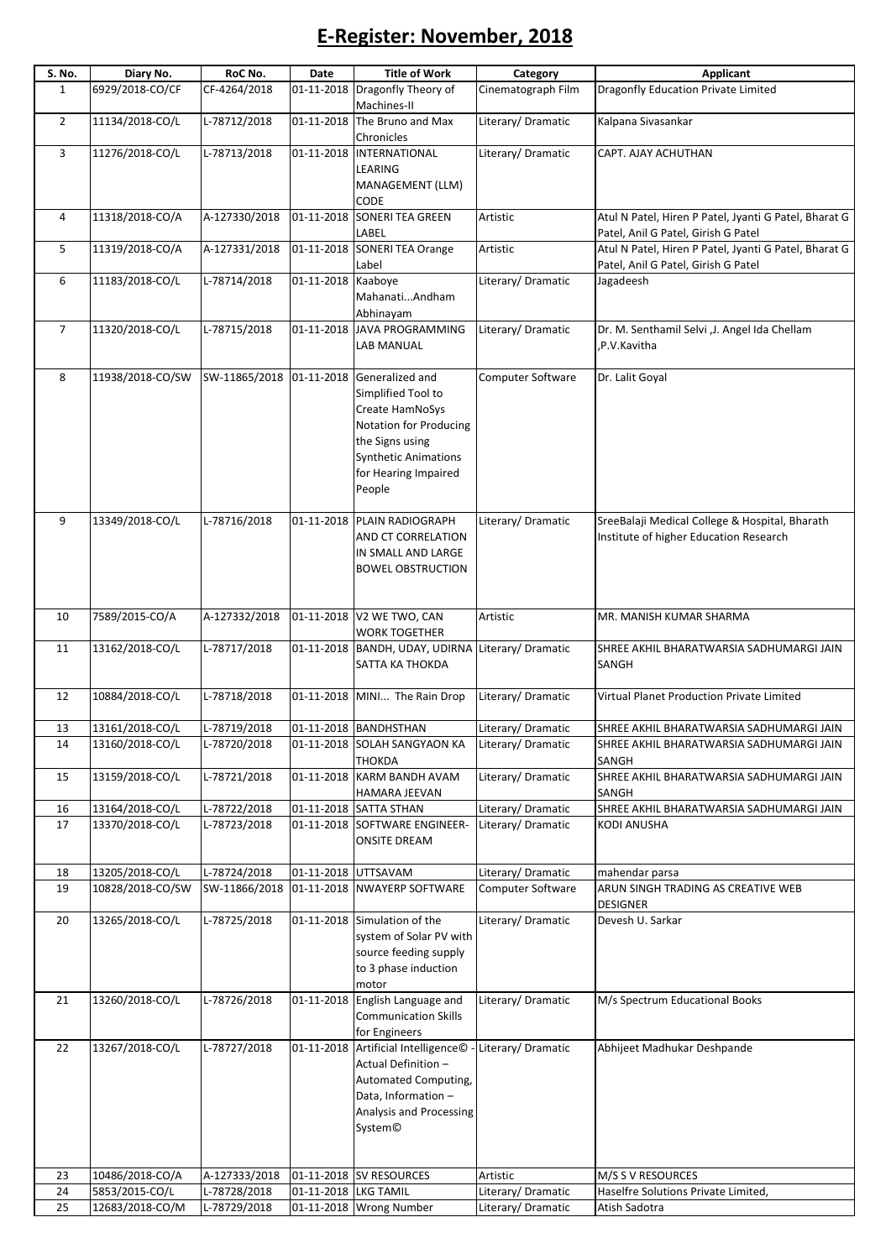## E-Register: November, 2018

| S. No.         | Diary No.                         | RoC No.                      | Date                 | <b>Title of Work</b>                                                                                                                                                              | Category                               | <b>Applicant</b>                                                                             |
|----------------|-----------------------------------|------------------------------|----------------------|-----------------------------------------------------------------------------------------------------------------------------------------------------------------------------------|----------------------------------------|----------------------------------------------------------------------------------------------|
| $\mathbf{1}$   | 6929/2018-CO/CF                   | CF-4264/2018                 | 01-11-2018           | Dragonfly Theory of<br>Machines-II                                                                                                                                                | Cinematograph Film                     | <b>Dragonfly Education Private Limited</b>                                                   |
| $\overline{2}$ | 11134/2018-CO/L                   | L-78712/2018                 | 01-11-2018           | The Bruno and Max<br>Chronicles                                                                                                                                                   | Literary/Dramatic                      | Kalpana Sivasankar                                                                           |
| 3              | 11276/2018-CO/L                   | L-78713/2018                 |                      | 01-11-2018 INTERNATIONAL<br><b>LEARING</b><br>MANAGEMENT (LLM)                                                                                                                    | Literary/Dramatic                      | CAPT. AJAY ACHUTHAN                                                                          |
| 4              | 11318/2018-CO/A                   | A-127330/2018                | 01-11-2018           | CODE<br><b>SONERI TEA GREEN</b>                                                                                                                                                   | Artistic                               | Atul N Patel, Hiren P Patel, Jyanti G Patel, Bharat G                                        |
| 5              | 11319/2018-CO/A                   | A-127331/2018                | 01-11-2018           | LABEL<br><b>SONERI TEA Orange</b>                                                                                                                                                 | Artistic                               | Patel, Anil G Patel, Girish G Patel<br>Atul N Patel, Hiren P Patel, Jyanti G Patel, Bharat G |
|                |                                   |                              |                      | Label                                                                                                                                                                             |                                        | Patel, Anil G Patel, Girish G Patel                                                          |
| 6              | 11183/2018-CO/L                   | L-78714/2018                 | 01-11-2018 Kaabove   | MahanatiAndham<br>Abhinayam                                                                                                                                                       | Literary/Dramatic                      | Jagadeesh                                                                                    |
| $\overline{7}$ | 11320/2018-CO/L                   | L-78715/2018                 | 01-11-2018           | <b>JAVA PROGRAMMING</b><br>LAB MANUAL                                                                                                                                             | Literary/ Dramatic                     | Dr. M. Senthamil Selvi , J. Angel Ida Chellam<br>P.V.Kavitha,                                |
| 8              | 11938/2018-CO/SW                  | SW-11865/2018                |                      | 01-11-2018 Generalized and<br>Simplified Tool to<br>Create HamNoSys<br>Notation for Producing<br>the Signs using<br><b>Synthetic Animations</b><br>for Hearing Impaired<br>People | <b>Computer Software</b>               | Dr. Lalit Goyal                                                                              |
| 9              | 13349/2018-CO/L                   | L-78716/2018                 |                      | 01-11-2018 PLAIN RADIOGRAPH<br>AND CT CORRELATION<br>IN SMALL AND LARGE<br><b>BOWEL OBSTRUCTION</b>                                                                               | Literary/Dramatic                      | SreeBalaji Medical College & Hospital, Bharath<br>Institute of higher Education Research     |
| 10             | 7589/2015-CO/A                    | A-127332/2018                | 01-11-2018           | V2 WE TWO, CAN<br><b>WORK TOGETHER</b>                                                                                                                                            | Artistic                               | MR. MANISH KUMAR SHARMA                                                                      |
| 11             | 13162/2018-CO/L                   | L-78717/2018                 |                      | 01-11-2018   BANDH, UDAY, UDIRNA Literary/ Dramatic<br>SATTA KA THOKDA                                                                                                            |                                        | SHREE AKHIL BHARATWARSIA SADHUMARGI JAIN<br>SANGH                                            |
| 12             | 10884/2018-CO/L                   | L-78718/2018                 |                      | 01-11-2018 MINI The Rain Drop                                                                                                                                                     | Literary/Dramatic                      | Virtual Planet Production Private Limited                                                    |
| 13             | 13161/2018-CO/L                   | L-78719/2018                 |                      | 01-11-2018 BANDHSTHAN                                                                                                                                                             | Literary/Dramatic                      | SHREE AKHIL BHARATWARSIA SADHUMARGI JAIN                                                     |
| 14             | 13160/2018-CO/L                   | L-78720/2018                 |                      | 01-11-2018 SOLAH SANGYAON KA<br>THOKDA                                                                                                                                            | Literary/Dramatic                      | SHREE AKHIL BHARATWARSIA SADHUMARGI JAIN<br>SANGH                                            |
| 15             | 13159/2018-CO/L                   | L-78721/2018                 | 01-11-2018           | KARM BANDH AVAM<br>HAMARA JEEVAN                                                                                                                                                  | Literary/Dramatic                      | SHREE AKHIL BHARATWARSIA SADHUMARGI JAIN<br>SANGH                                            |
| 16             | 13164/2018-CO/L                   | L-78722/2018                 |                      | 01-11-2018 SATTA STHAN                                                                                                                                                            | Literary/ Dramatic                     | SHREE AKHIL BHARATWARSIA SADHUMARGI JAIN                                                     |
| 17             | 13370/2018-CO/L                   | L-78723/2018                 |                      | 01-11-2018 SOFTWARE ENGINEER-<br><b>ONSITE DREAM</b>                                                                                                                              | Literary/Dramatic                      | <b>KODI ANUSHA</b>                                                                           |
| 18             | 13205/2018-CO/L                   | L-78724/2018                 | 01-11-2018 UTTSAVAM  |                                                                                                                                                                                   | Literary/ Dramatic                     | mahendar parsa                                                                               |
| 19             | 10828/2018-CO/SW                  | SW-11866/2018                |                      | 01-11-2018 NWAYERP SOFTWARE                                                                                                                                                       | <b>Computer Software</b>               | ARUN SINGH TRADING AS CREATIVE WEB<br><b>DESIGNER</b>                                        |
| 20             | 13265/2018-CO/L                   | L-78725/2018                 |                      | 01-11-2018 Simulation of the<br>system of Solar PV with<br>source feeding supply<br>to 3 phase induction<br>motor                                                                 | Literary/Dramatic                      | Devesh U. Sarkar                                                                             |
| 21             | 13260/2018-CO/L                   | L-78726/2018                 | 01-11-2018           | English Language and<br><b>Communication Skills</b><br>for Engineers                                                                                                              | Literary/Dramatic                      | M/s Spectrum Educational Books                                                               |
| 22             | 13267/2018-CO/L                   | L-78727/2018                 |                      | 01-11-2018 Artificial Intelligence©<br>Actual Definition-<br>Automated Computing,<br>Data, Information -<br>Analysis and Processing<br>System <sup>©</sup>                        | Literary/Dramatic                      | Abhijeet Madhukar Deshpande                                                                  |
| 23             | 10486/2018-CO/A                   | A-127333/2018                |                      | 01-11-2018 SV RESOURCES                                                                                                                                                           | Artistic                               | M/S S V RESOURCES                                                                            |
| 24<br>25       | 5853/2015-CO/L<br>12683/2018-CO/M | L-78728/2018<br>L-78729/2018 | 01-11-2018 LKG TAMIL | 01-11-2018 Wrong Number                                                                                                                                                           | Literary/Dramatic<br>Literary/Dramatic | Haselfre Solutions Private Limited,<br>Atish Sadotra                                         |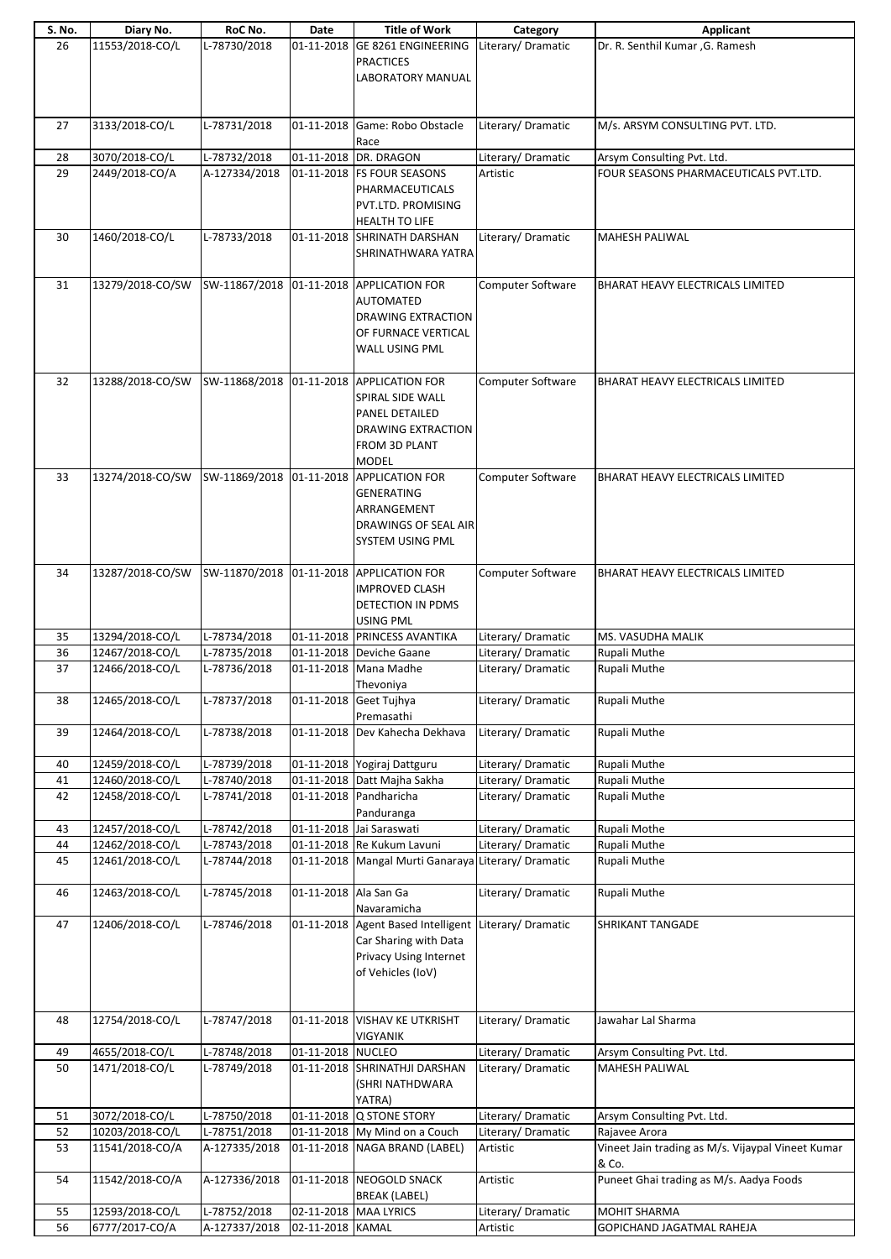| S. No.   | Diary No.                          | RoC No.                      | Date                  | <b>Title of Work</b>                                           | Category                                | Applicant                                         |
|----------|------------------------------------|------------------------------|-----------------------|----------------------------------------------------------------|-----------------------------------------|---------------------------------------------------|
| 26       | 11553/2018-CO/L                    | L-78730/2018                 |                       | 01-11-2018 GE 8261 ENGINEERING<br><b>PRACTICES</b>             | Literary/Dramatic                       | Dr. R. Senthil Kumar , G. Ramesh                  |
|          |                                    |                              |                       | <b>LABORATORY MANUAL</b>                                       |                                         |                                                   |
|          |                                    |                              |                       |                                                                |                                         |                                                   |
|          |                                    |                              |                       | 01-11-2018 Game: Robo Obstacle                                 |                                         |                                                   |
| 27       | 3133/2018-CO/L                     | L-78731/2018                 |                       | Race                                                           | Literary/Dramatic                       | M/s. ARSYM CONSULTING PVT. LTD.                   |
| 28       | 3070/2018-CO/L                     | L-78732/2018                 |                       | 01-11-2018 DR. DRAGON                                          | Literary/Dramatic                       | Arsym Consulting Pvt. Ltd.                        |
| 29       | 2449/2018-CO/A                     | A-127334/2018                |                       | 01-11-2018 FS FOUR SEASONS                                     | Artistic                                | FOUR SEASONS PHARMACEUTICALS PVT.LTD.             |
|          |                                    |                              |                       | PHARMACEUTICALS<br>PVT.LTD. PROMISING                          |                                         |                                                   |
|          |                                    |                              |                       | HEALTH TO LIFE                                                 |                                         |                                                   |
| 30       | 1460/2018-CO/L                     | L-78733/2018                 |                       | 01-11-2018 SHRINATH DARSHAN                                    | Literary/ Dramatic                      | <b>MAHESH PALIWAL</b>                             |
|          |                                    |                              |                       | SHRINATHWARA YATRA                                             |                                         |                                                   |
|          |                                    |                              |                       |                                                                |                                         |                                                   |
| 31       | 13279/2018-CO/SW                   |                              |                       | SW-11867/2018 01-11-2018 APPLICATION FOR<br><b>AUTOMATED</b>   | <b>Computer Software</b>                | BHARAT HEAVY ELECTRICALS LIMITED                  |
|          |                                    |                              |                       | DRAWING EXTRACTION                                             |                                         |                                                   |
|          |                                    |                              |                       | OF FURNACE VERTICAL                                            |                                         |                                                   |
|          |                                    |                              |                       | WALL USING PML                                                 |                                         |                                                   |
| 32       | 13288/2018-CO/SW                   |                              |                       | SW-11868/2018 01-11-2018 APPLICATION FOR                       | <b>Computer Software</b>                | <b>BHARAT HEAVY ELECTRICALS LIMITED</b>           |
|          |                                    |                              |                       | SPIRAL SIDE WALL                                               |                                         |                                                   |
|          |                                    |                              |                       | PANEL DETAILED                                                 |                                         |                                                   |
|          |                                    |                              |                       | DRAWING EXTRACTION                                             |                                         |                                                   |
|          |                                    |                              |                       | FROM 3D PLANT<br><b>MODEL</b>                                  |                                         |                                                   |
| 33       | 13274/2018-CO/SW                   | SW-11869/2018                |                       | 01-11-2018 APPLICATION FOR                                     | Computer Software                       | BHARAT HEAVY ELECTRICALS LIMITED                  |
|          |                                    |                              |                       | <b>GENERATING</b>                                              |                                         |                                                   |
|          |                                    |                              |                       | ARRANGEMENT                                                    |                                         |                                                   |
|          |                                    |                              |                       | DRAWINGS OF SEAL AIR                                           |                                         |                                                   |
|          |                                    |                              |                       | SYSTEM USING PML                                               |                                         |                                                   |
| 34       | 13287/2018-CO/SW                   |                              |                       | SW-11870/2018 01-11-2018 APPLICATION FOR                       | Computer Software                       | BHARAT HEAVY ELECTRICALS LIMITED                  |
|          |                                    |                              |                       | <b>IMPROVED CLASH</b>                                          |                                         |                                                   |
|          |                                    |                              |                       | DETECTION IN PDMS                                              |                                         |                                                   |
| 35       | 13294/2018-CO/L                    | L-78734/2018                 |                       | <b>USING PML</b><br>01-11-2018 PRINCESS AVANTIKA               | Literary/Dramatic                       | MS. VASUDHA MALIK                                 |
| 36       | 12467/2018-CO/L                    | L-78735/2018                 |                       | 01-11-2018 Deviche Gaane                                       | Literary/Dramatic                       | Rupali Muthe                                      |
| 37       | 12466/2018-CO/L                    | L-78736/2018                 |                       | 01-11-2018 Mana Madhe                                          | Literary/Dramatic                       | Rupali Muthe                                      |
|          |                                    |                              |                       | Thevoniya                                                      |                                         |                                                   |
| 38       | 12465/2018-CO/L                    | L-78737/2018                 |                       | 01-11-2018 Geet Tujhya<br>Premasathi                           | Literary/Dramatic                       | Rupali Muthe                                      |
| 39       | 12464/2018-CO/L                    | L-78738/2018                 |                       | 01-11-2018 Dev Kahecha Dekhava                                 | Literary/Dramatic                       | Rupali Muthe                                      |
|          |                                    |                              |                       |                                                                |                                         |                                                   |
| 40<br>41 | 12459/2018-CO/L<br>12460/2018-CO/L | L-78739/2018<br>L-78740/2018 |                       | 01-11-2018 Yogiraj Dattguru<br>01-11-2018 Datt Majha Sakha     | Literary/Dramatic<br>Literary/ Dramatic | Rupali Muthe<br>Rupali Muthe                      |
| 42       | 12458/2018-CO/L                    | L-78741/2018                 |                       | 01-11-2018 Pandharicha                                         | Literary/ Dramatic                      | Rupali Muthe                                      |
|          |                                    |                              |                       | Panduranga                                                     |                                         |                                                   |
| 43       | 12457/2018-CO/L                    | L-78742/2018                 |                       | 01-11-2018 Jai Saraswati                                       | Literary/ Dramatic                      | Rupali Mothe                                      |
| 44<br>45 | 12462/2018-CO/L<br>12461/2018-CO/L | L-78743/2018<br>L-78744/2018 |                       | 01-11-2018 Re Kukum Lavuni<br>01-11-2018 Mangal Murti Ganaraya | Literary/Dramatic<br>Literary/Dramatic  | Rupali Muthe<br>Rupali Muthe                      |
|          |                                    |                              |                       |                                                                |                                         |                                                   |
| 46       | 12463/2018-CO/L                    | L-78745/2018                 | 01-11-2018 Ala San Ga |                                                                | Literary/ Dramatic                      | Rupali Muthe                                      |
|          |                                    |                              |                       | Navaramicha                                                    |                                         |                                                   |
| 47       | 12406/2018-CO/L                    | L-78746/2018                 |                       | 01-11-2018 Agent Based Intelligent<br>Car Sharing with Data    | Literary/Dramatic                       | <b>SHRIKANT TANGADE</b>                           |
|          |                                    |                              |                       | Privacy Using Internet                                         |                                         |                                                   |
|          |                                    |                              |                       | of Vehicles (IoV)                                              |                                         |                                                   |
|          |                                    |                              |                       |                                                                |                                         |                                                   |
| 48       | 12754/2018-CO/L                    | L-78747/2018                 |                       | 01-11-2018 VISHAV KE UTKRISHT                                  | Literary/Dramatic                       | Jawahar Lal Sharma                                |
|          |                                    |                              |                       | <b>VIGYANIK</b>                                                |                                         |                                                   |
| 49       | 4655/2018-CO/L                     | L-78748/2018                 | 01-11-2018 NUCLEO     |                                                                | Literary/ Dramatic                      | Arsym Consulting Pvt. Ltd.                        |
| 50       | 1471/2018-CO/L                     | L-78749/2018                 |                       | 01-11-2018 SHRINATHJI DARSHAN                                  | Literary/ Dramatic                      | <b>MAHESH PALIWAL</b>                             |
|          |                                    |                              |                       | (SHRI NATHDWARA<br>YATRA)                                      |                                         |                                                   |
| 51       | 3072/2018-CO/L                     | L-78750/2018                 |                       | 01-11-2018 Q STONE STORY                                       | Literary/ Dramatic                      | Arsym Consulting Pvt. Ltd.                        |
| 52       | 10203/2018-CO/L                    | L-78751/2018                 |                       | 01-11-2018 My Mind on a Couch                                  | Literary/Dramatic                       | Rajavee Arora                                     |
| 53       | 11541/2018-CO/A                    | A-127335/2018                |                       | 01-11-2018 NAGA BRAND (LABEL)                                  | Artistic                                | Vineet Jain trading as M/s. Vijaypal Vineet Kumar |
| 54       | 11542/2018-CO/A                    | A-127336/2018                |                       | 01-11-2018 NEOGOLD SNACK                                       | Artistic                                | & Co.<br>Puneet Ghai trading as M/s. Aadya Foods  |
|          |                                    |                              |                       | <b>BREAK (LABEL)</b>                                           |                                         |                                                   |
| 55       | 12593/2018-CO/L                    | L-78752/2018                 |                       | 02-11-2018 MAA LYRICS                                          | Literary/Dramatic                       | <b>MOHIT SHARMA</b>                               |
| 56       | 6777/2017-CO/A                     | A-127337/2018                | 02-11-2018 KAMAL      |                                                                | Artistic                                | GOPICHAND JAGATMAL RAHEJA                         |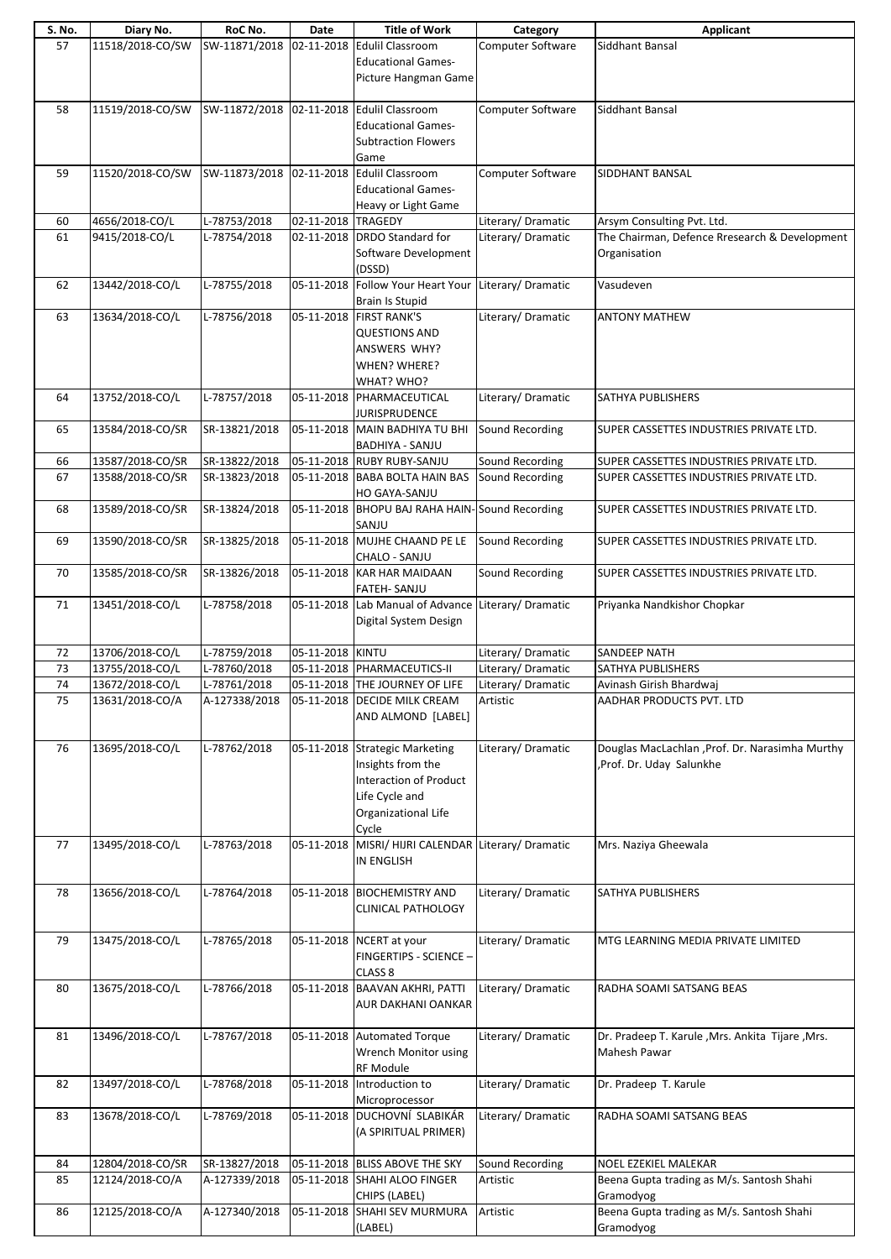| S. No. | Diary No.        | RoC No.                                   | Date               | <b>Title of Work</b>                                 | Category                 | <b>Applicant</b>                                  |
|--------|------------------|-------------------------------------------|--------------------|------------------------------------------------------|--------------------------|---------------------------------------------------|
| 57     | 11518/2018-CO/SW | SW-11871/2018                             |                    | 02-11-2018 Edulil Classroom                          | Computer Software        | Siddhant Bansal                                   |
|        |                  |                                           |                    | <b>Educational Games-</b>                            |                          |                                                   |
|        |                  |                                           |                    | Picture Hangman Game                                 |                          |                                                   |
|        |                  |                                           |                    |                                                      |                          |                                                   |
| 58     | 11519/2018-CO/SW | SW-11872/2018 02-11-2018 Edulil Classroom |                    |                                                      | <b>Computer Software</b> | Siddhant Bansal                                   |
|        |                  |                                           |                    | <b>Educational Games-</b>                            |                          |                                                   |
|        |                  |                                           |                    | <b>Subtraction Flowers</b>                           |                          |                                                   |
|        |                  |                                           |                    | Game                                                 |                          |                                                   |
| 59     | 11520/2018-CO/SW | SW-11873/2018                             |                    | 02-11-2018 Edulil Classroom                          | <b>Computer Software</b> | SIDDHANT BANSAL                                   |
|        |                  |                                           |                    | <b>Educational Games-</b>                            |                          |                                                   |
|        |                  |                                           |                    | Heavy or Light Game                                  |                          |                                                   |
| 60     | 4656/2018-CO/L   | L-78753/2018                              | 02-11-2018 TRAGEDY |                                                      | Literary/ Dramatic       | Arsym Consulting Pvt. Ltd.                        |
| 61     | 9415/2018-CO/L   | L-78754/2018                              |                    | 02-11-2018 DRDO Standard for                         | Literary/Dramatic        | The Chairman, Defence Rresearch & Development     |
|        |                  |                                           |                    | Software Development                                 |                          | Organisation                                      |
|        |                  |                                           |                    | (DSSD)                                               |                          |                                                   |
| 62     | 13442/2018-CO/L  | L-78755/2018                              |                    | 05-11-2018 Follow Your Heart Your Literary/ Dramatic |                          | Vasudeven                                         |
|        |                  |                                           |                    | <b>Brain Is Stupid</b>                               |                          |                                                   |
| 63     | 13634/2018-CO/L  | L-78756/2018                              |                    | 05-11-2018 FIRST RANK'S                              | Literary/Dramatic        | <b>ANTONY MATHEW</b>                              |
|        |                  |                                           |                    | <b>QUESTIONS AND</b>                                 |                          |                                                   |
|        |                  |                                           |                    | ANSWERS WHY?                                         |                          |                                                   |
|        |                  |                                           |                    | WHEN? WHERE?                                         |                          |                                                   |
|        |                  |                                           |                    | WHAT? WHO?                                           |                          |                                                   |
| 64     | 13752/2018-CO/L  | L-78757/2018                              |                    | 05-11-2018 PHARMACEUTICAL                            | Literary/Dramatic        | <b>SATHYA PUBLISHERS</b>                          |
|        |                  |                                           |                    | <b>JURISPRUDENCE</b>                                 |                          |                                                   |
| 65     | 13584/2018-CO/SR | SR-13821/2018                             |                    | 05-11-2018 MAIN BADHIYA TU BHI                       | Sound Recording          | SUPER CASSETTES INDUSTRIES PRIVATE LTD.           |
|        |                  |                                           |                    | <b>BADHIYA - SANJU</b>                               |                          |                                                   |
| 66     | 13587/2018-CO/SR | SR-13822/2018                             |                    | 05-11-2018 RUBY RUBY-SANJU                           | Sound Recording          | SUPER CASSETTES INDUSTRIES PRIVATE LTD.           |
| 67     | 13588/2018-CO/SR | SR-13823/2018                             |                    | 05-11-2018 BABA BOLTA HAIN BAS                       | Sound Recording          | SUPER CASSETTES INDUSTRIES PRIVATE LTD.           |
|        |                  |                                           |                    | HO GAYA-SANJU                                        |                          |                                                   |
| 68     | 13589/2018-CO/SR | SR-13824/2018                             |                    | 05-11-2018 BHOPU BAJ RAHA HAIN-Sound Recording       |                          | SUPER CASSETTES INDUSTRIES PRIVATE LTD.           |
|        |                  |                                           |                    | SANJU                                                |                          |                                                   |
| 69     | 13590/2018-CO/SR | SR-13825/2018                             |                    | 05-11-2018 MUJHE CHAAND PE LE                        | Sound Recording          | SUPER CASSETTES INDUSTRIES PRIVATE LTD.           |
|        |                  |                                           |                    | CHALO - SANJU                                        |                          |                                                   |
| 70     | 13585/2018-CO/SR | SR-13826/2018                             |                    | 05-11-2018 KAR HAR MAIDAAN                           | Sound Recording          | SUPER CASSETTES INDUSTRIES PRIVATE LTD.           |
|        |                  |                                           |                    | FATEH- SANJU                                         |                          |                                                   |
| 71     | 13451/2018-CO/L  | L-78758/2018                              |                    | 05-11-2018 Lab Manual of Advance Literary/ Dramatic  |                          | Priyanka Nandkishor Chopkar                       |
|        |                  |                                           |                    | Digital System Design                                |                          |                                                   |
|        |                  |                                           |                    |                                                      |                          |                                                   |
| 72     | 13706/2018-CO/L  | L-78759/2018                              | 05-11-2018 KINTU   |                                                      | Literary/ Dramatic       | <b>SANDEEP NATH</b>                               |
| 73     | 13755/2018-CO/L  | L-78760/2018                              |                    | 05-11-2018 PHARMACEUTICS-II                          | Literary/Dramatic        | SATHYA PUBLISHERS                                 |
| 74     | 13672/2018-CO/L  | L-78761/2018                              |                    | 05-11-2018 THE JOURNEY OF LIFE                       | Literary/Dramatic        | Avinash Girish Bhardwaj                           |
| 75     | 13631/2018-CO/A  | A-127338/2018                             |                    | 05-11-2018 DECIDE MILK CREAM                         | Artistic                 | AADHAR PRODUCTS PVT. LTD                          |
|        |                  |                                           |                    | AND ALMOND [LABEL]                                   |                          |                                                   |
|        |                  |                                           |                    |                                                      |                          |                                                   |
| 76     | 13695/2018-CO/L  | L-78762/2018                              |                    | 05-11-2018 Strategic Marketing                       | Literary/Dramatic        | Douglas MacLachlan , Prof. Dr. Narasimha Murthy   |
|        |                  |                                           |                    | Insights from the                                    |                          | , Prof. Dr. Uday Salunkhe                         |
|        |                  |                                           |                    | Interaction of Product                               |                          |                                                   |
|        |                  |                                           |                    | Life Cycle and                                       |                          |                                                   |
|        |                  |                                           |                    | Organizational Life                                  |                          |                                                   |
|        |                  |                                           |                    | Cycle                                                |                          |                                                   |
| 77     | 13495/2018-CO/L  | L-78763/2018                              |                    | 05-11-2018 MISRI/ HIJRI CALENDAR Literary/ Dramatic  |                          | Mrs. Naziya Gheewala                              |
|        |                  |                                           |                    | <b>IN ENGLISH</b>                                    |                          |                                                   |
|        |                  |                                           |                    |                                                      |                          |                                                   |
| 78     | 13656/2018-CO/L  | L-78764/2018                              |                    | 05-11-2018 BIOCHEMISTRY AND                          | Literary/Dramatic        | SATHYA PUBLISHERS                                 |
|        |                  |                                           |                    | <b>CLINICAL PATHOLOGY</b>                            |                          |                                                   |
|        |                  |                                           |                    |                                                      |                          |                                                   |
| 79     | 13475/2018-CO/L  | L-78765/2018                              |                    | 05-11-2018 NCERT at your                             | Literary/ Dramatic       | MTG LEARNING MEDIA PRIVATE LIMITED                |
|        |                  |                                           |                    | FINGERTIPS - SCIENCE -                               |                          |                                                   |
|        |                  |                                           |                    | CLASS <sub>8</sub>                                   |                          |                                                   |
| 80     | 13675/2018-CO/L  | L-78766/2018                              |                    | 05-11-2018 BAAVAN AKHRI, PATTI                       | Literary/Dramatic        | RADHA SOAMI SATSANG BEAS                          |
|        |                  |                                           |                    | AUR DAKHANI OANKAR                                   |                          |                                                   |
|        |                  |                                           |                    |                                                      |                          |                                                   |
| 81     | 13496/2018-CO/L  | L-78767/2018                              |                    | 05-11-2018 Automated Torque                          | Literary/Dramatic        | Dr. Pradeep T. Karule , Mrs. Ankita Tijare , Mrs. |
|        |                  |                                           |                    | Wrench Monitor using                                 |                          | Mahesh Pawar                                      |
|        |                  |                                           |                    | <b>RF Module</b>                                     |                          |                                                   |
| 82     | 13497/2018-CO/L  | L-78768/2018                              |                    | 05-11-2018 Introduction to                           | Literary/ Dramatic       | Dr. Pradeep T. Karule                             |
|        |                  |                                           |                    | Microprocessor                                       |                          |                                                   |
| 83     | 13678/2018-CO/L  | L-78769/2018                              |                    | 05-11-2018 DUCHOVNÍ SLABIKÁR                         | Literary/Dramatic        | RADHA SOAMI SATSANG BEAS                          |
|        |                  |                                           |                    | (A SPIRITUAL PRIMER)                                 |                          |                                                   |
|        |                  |                                           |                    |                                                      |                          |                                                   |
| 84     | 12804/2018-CO/SR | SR-13827/2018                             |                    | 05-11-2018 BLISS ABOVE THE SKY                       | Sound Recording          | NOEL EZEKIEL MALEKAR                              |
| 85     | 12124/2018-CO/A  | A-127339/2018                             |                    | 05-11-2018 SHAHI ALOO FINGER                         | Artistic                 | Beena Gupta trading as M/s. Santosh Shahi         |
|        |                  |                                           |                    | CHIPS (LABEL)                                        |                          | Gramodyog                                         |
| 86     | 12125/2018-CO/A  | A-127340/2018                             | 05-11-2018         | SHAHI SEV MURMURA                                    | Artistic                 | Beena Gupta trading as M/s. Santosh Shahi         |
|        |                  |                                           |                    | (LABEL)                                              |                          | Gramodyog                                         |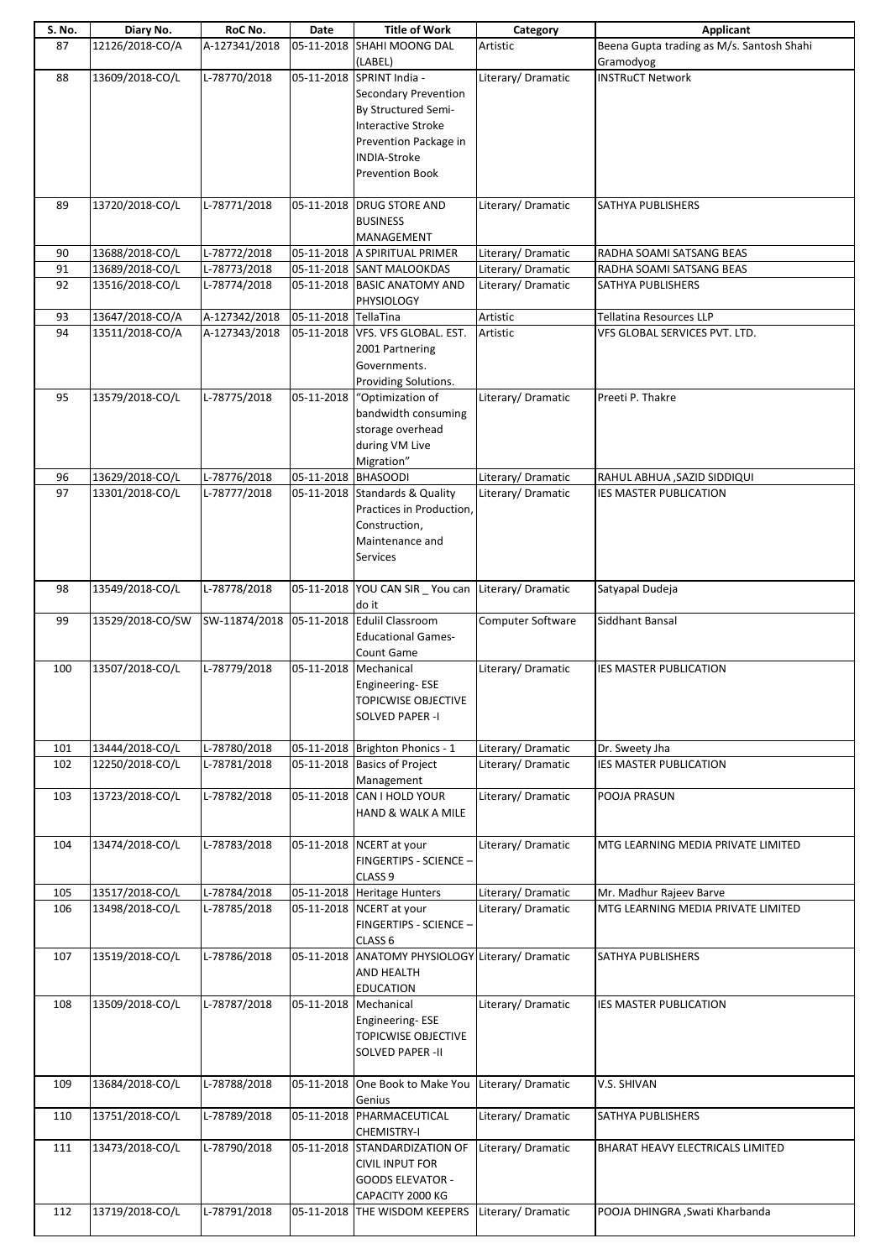| S. No. | Diary No.        | RoC No.       | Date                 | <b>Title of Work</b>                                | Category           | <b>Applicant</b>                                       |
|--------|------------------|---------------|----------------------|-----------------------------------------------------|--------------------|--------------------------------------------------------|
| 87     | 12126/2018-CO/A  | A-127341/2018 | 05-11-2018           | <b>SHAHI MOONG DAL</b><br>(LABEL)                   | Artistic           | Beena Gupta trading as M/s. Santosh Shahi<br>Gramodyog |
| 88     | 13609/2018-CO/L  | L-78770/2018  |                      | 05-11-2018 SPRINT India -                           | Literary/ Dramatic | <b>INSTRuCT Network</b>                                |
|        |                  |               |                      | <b>Secondary Prevention</b>                         |                    |                                                        |
|        |                  |               |                      | By Structured Semi-                                 |                    |                                                        |
|        |                  |               |                      | Interactive Stroke                                  |                    |                                                        |
|        |                  |               |                      | Prevention Package in                               |                    |                                                        |
|        |                  |               |                      | INDIA-Stroke                                        |                    |                                                        |
|        |                  |               |                      | <b>Prevention Book</b>                              |                    |                                                        |
| 89     | 13720/2018-CO/L  | L-78771/2018  |                      | 05-11-2018   DRUG STORE AND                         | Literary/Dramatic  | <b>SATHYA PUBLISHERS</b>                               |
|        |                  |               |                      | <b>BUSINESS</b>                                     |                    |                                                        |
|        |                  |               |                      | MANAGEMENT                                          |                    |                                                        |
| 90     | 13688/2018-CO/L  | L-78772/2018  |                      | 05-11-2018 A SPIRITUAL PRIMER                       | Literary/ Dramatic | RADHA SOAMI SATSANG BEAS                               |
| 91     | 13689/2018-CO/L  | L-78773/2018  |                      | 05-11-2018 SANT MALOOKDAS                           | Literary/Dramatic  | RADHA SOAMI SATSANG BEAS                               |
| 92     | 13516/2018-CO/L  | L-78774/2018  |                      | 05-11-2018 BASIC ANATOMY AND                        | Literary/Dramatic  | SATHYA PUBLISHERS                                      |
| 93     | 13647/2018-CO/A  | A-127342/2018 | 05-11-2018 TellaTina | PHYSIOLOGY                                          | Artistic           | <b>Tellatina Resources LLP</b>                         |
| 94     | 13511/2018-CO/A  | A-127343/2018 |                      | 05-11-2018 VFS. VFS GLOBAL. EST.                    | Artistic           | VFS GLOBAL SERVICES PVT. LTD.                          |
|        |                  |               |                      | 2001 Partnering                                     |                    |                                                        |
|        |                  |               |                      | Governments.                                        |                    |                                                        |
|        |                  |               |                      | Providing Solutions.                                |                    |                                                        |
| 95     | 13579/2018-CO/L  | L-78775/2018  | 05-11-2018           | "Optimization of                                    | Literary/Dramatic  | Preeti P. Thakre                                       |
|        |                  |               |                      | bandwidth consuming                                 |                    |                                                        |
|        |                  |               |                      | storage overhead                                    |                    |                                                        |
|        |                  |               |                      | during VM Live                                      |                    |                                                        |
| 96     | 13629/2018-CO/L  | L-78776/2018  | 05-11-2018 BHASOODI  | Migration"                                          | Literary/ Dramatic | RAHUL ABHUA , SAZID SIDDIQUI                           |
| 97     | 13301/2018-CO/L  | L-78777/2018  |                      | 05-11-2018 Standards & Quality                      | Literary/Dramatic  | <b>IES MASTER PUBLICATION</b>                          |
|        |                  |               |                      | Practices in Production,                            |                    |                                                        |
|        |                  |               |                      | Construction,                                       |                    |                                                        |
|        |                  |               |                      | Maintenance and                                     |                    |                                                        |
|        |                  |               |                      | Services                                            |                    |                                                        |
|        |                  |               |                      |                                                     |                    |                                                        |
| 98     | 13549/2018-CO/L  | L-78778/2018  |                      | 05-11-2018 YOU CAN SIR _ You can Literary/ Dramatic |                    | Satyapal Dudeja                                        |
| 99     | 13529/2018-CO/SW | SW-11874/2018 |                      | do it<br>05-11-2018 Edulil Classroom                | Computer Software  | Siddhant Bansal                                        |
|        |                  |               |                      | <b>Educational Games-</b>                           |                    |                                                        |
|        |                  |               |                      | Count Game                                          |                    |                                                        |
| 100    | 13507/2018-CO/L  | L-78779/2018  |                      | 05-11-2018 Mechanical                               | Literary/Dramatic  | <b>IES MASTER PUBLICATION</b>                          |
|        |                  |               |                      | Engineering-ESE                                     |                    |                                                        |
|        |                  |               |                      | <b>TOPICWISE OBJECTIVE</b>                          |                    |                                                        |
|        |                  |               |                      | SOLVED PAPER -I                                     |                    |                                                        |
| 101    | 13444/2018-CO/L  | L-78780/2018  |                      | 05-11-2018 Brighton Phonics - 1                     | Literary/ Dramatic | Dr. Sweety Jha                                         |
| 102    | 12250/2018-CO/L  | L-78781/2018  |                      | 05-11-2018 Basics of Project                        | Literary/Dramatic  | <b>IES MASTER PUBLICATION</b>                          |
|        |                  |               |                      | Management                                          |                    |                                                        |
| 103    | 13723/2018-CO/L  | L-78782/2018  |                      | 05-11-2018 CAN I HOLD YOUR                          | Literary/Dramatic  | POOJA PRASUN                                           |
|        |                  |               |                      | HAND & WALK A MILE                                  |                    |                                                        |
| 104    | 13474/2018-CO/L  | L-78783/2018  |                      | 05-11-2018 NCERT at your                            | Literary/Dramatic  | MTG LEARNING MEDIA PRIVATE LIMITED                     |
|        |                  |               |                      | FINGERTIPS - SCIENCE -                              |                    |                                                        |
|        |                  |               |                      | CLASS <sub>9</sub>                                  |                    |                                                        |
| 105    | 13517/2018-CO/L  | L-78784/2018  |                      | 05-11-2018 Heritage Hunters                         | Literary/ Dramatic | Mr. Madhur Rajeev Barve                                |
| 106    | 13498/2018-CO/L  | L-78785/2018  |                      | 05-11-2018 NCERT at your                            | Literary/Dramatic  | MTG LEARNING MEDIA PRIVATE LIMITED                     |
|        |                  |               |                      | <b>FINGERTIPS - SCIENCE -</b>                       |                    |                                                        |
|        |                  |               |                      | CLASS <sub>6</sub>                                  |                    |                                                        |
| 107    | 13519/2018-CO/L  | L-78786/2018  |                      | 05-11-2018 ANATOMY PHYSIOLOGY Literary/ Dramatic    |                    | SATHYA PUBLISHERS                                      |
|        |                  |               |                      | AND HEALTH                                          |                    |                                                        |
| 108    | 13509/2018-CO/L  | L-78787/2018  |                      | <b>EDUCATION</b><br>05-11-2018 Mechanical           | Literary/Dramatic  | <b>IES MASTER PUBLICATION</b>                          |
|        |                  |               |                      | Engineering-ESE                                     |                    |                                                        |
|        |                  |               |                      | <b>TOPICWISE OBJECTIVE</b>                          |                    |                                                        |
|        |                  |               |                      | SOLVED PAPER -II                                    |                    |                                                        |
|        |                  |               |                      |                                                     |                    |                                                        |
| 109    | 13684/2018-CO/L  | L-78788/2018  | 05-11-2018           | One Book to Make You                                | Literary/Dramatic  | V.S. SHIVAN                                            |
| 110    | 13751/2018-CO/L  | L-78789/2018  |                      | Genius<br>05-11-2018 PHARMACEUTICAL                 | Literary/Dramatic  | <b>SATHYA PUBLISHERS</b>                               |
|        |                  |               |                      | <b>CHEMISTRY-I</b>                                  |                    |                                                        |
| 111    | 13473/2018-CO/L  | L-78790/2018  |                      | 05-11-2018 STANDARDIZATION OF                       | Literary/Dramatic  | BHARAT HEAVY ELECTRICALS LIMITED                       |
|        |                  |               |                      | <b>CIVIL INPUT FOR</b>                              |                    |                                                        |
|        |                  |               |                      | <b>GOODS ELEVATOR -</b>                             |                    |                                                        |
|        |                  |               |                      | CAPACITY 2000 KG                                    |                    |                                                        |
| 112    | 13719/2018-CO/L  | L-78791/2018  |                      | 05-11-2018 THE WISDOM KEEPERS                       | Literary/Dramatic  | POOJA DHINGRA , Swati Kharbanda                        |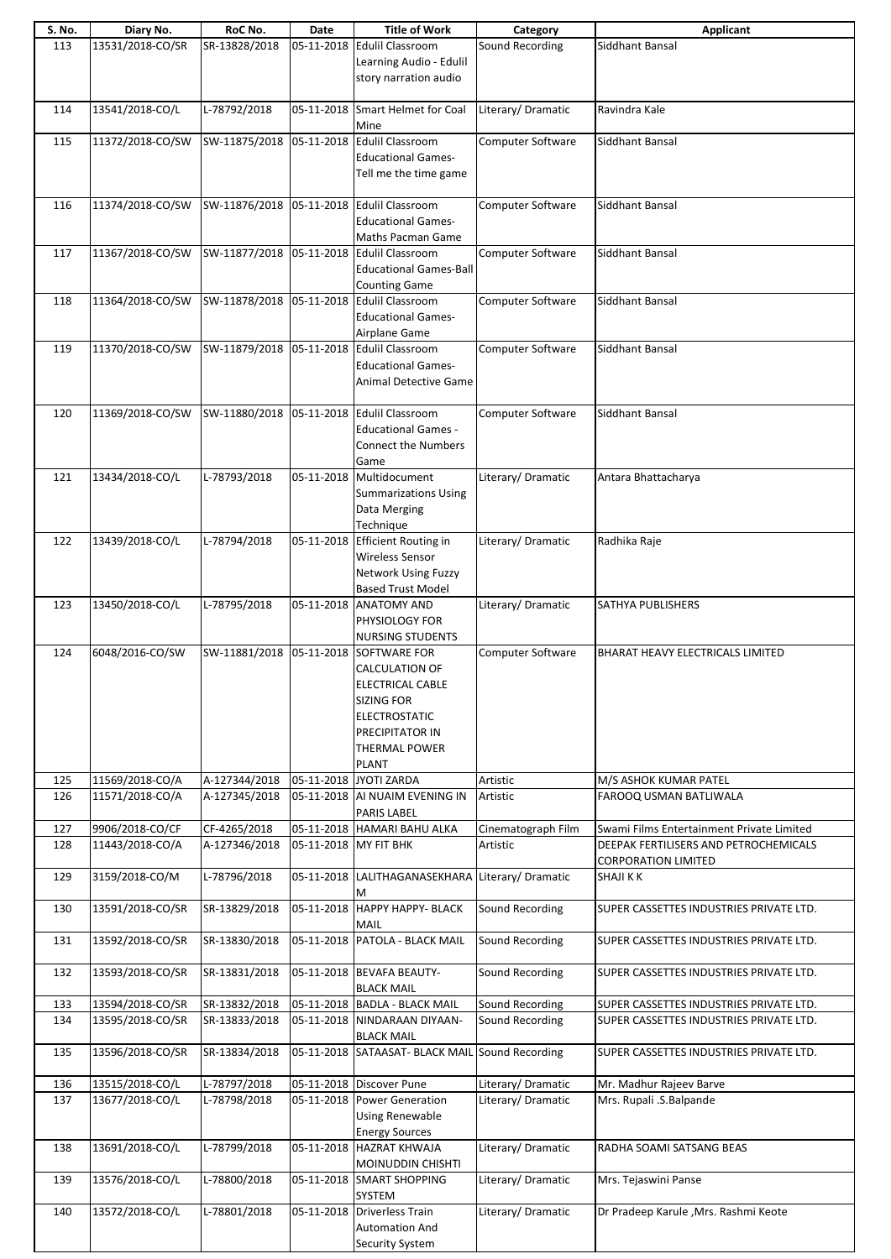| S. No. | Diary No.        | RoC No.                                   | Date       | <b>Title of Work</b>                     | Category                 | Applicant                                 |
|--------|------------------|-------------------------------------------|------------|------------------------------------------|--------------------------|-------------------------------------------|
| 113    | 13531/2018-CO/SR | SR-13828/2018                             | 05-11-2018 | <b>Edulil Classroom</b>                  | Sound Recording          | Siddhant Bansal                           |
|        |                  |                                           |            | Learning Audio - Edulil                  |                          |                                           |
|        |                  |                                           |            | story narration audio                    |                          |                                           |
|        |                  |                                           |            |                                          |                          |                                           |
|        |                  |                                           |            |                                          |                          |                                           |
| 114    | 13541/2018-CO/L  | L-78792/2018                              |            | 05-11-2018 Smart Helmet for Coal         | Literary/ Dramatic       | Ravindra Kale                             |
|        |                  |                                           |            | Mine                                     |                          |                                           |
| 115    | 11372/2018-CO/SW | SW-11875/2018                             |            | 05-11-2018 Edulil Classroom              | Computer Software        | Siddhant Bansal                           |
|        |                  |                                           |            | <b>Educational Games-</b>                |                          |                                           |
|        |                  |                                           |            | Tell me the time game                    |                          |                                           |
|        |                  |                                           |            |                                          |                          |                                           |
|        |                  |                                           |            | 05-11-2018 Edulil Classroom              |                          |                                           |
| 116    | 11374/2018-CO/SW | SW-11876/2018                             |            |                                          | Computer Software        | Siddhant Bansal                           |
|        |                  |                                           |            | <b>Educational Games-</b>                |                          |                                           |
|        |                  |                                           |            | Maths Pacman Game                        |                          |                                           |
| 117    | 11367/2018-CO/SW | SW-11877/2018                             |            | 05-11-2018 Edulil Classroom              | Computer Software        | Siddhant Bansal                           |
|        |                  |                                           |            | <b>Educational Games-Ball</b>            |                          |                                           |
|        |                  |                                           |            | <b>Counting Game</b>                     |                          |                                           |
| 118    | 11364/2018-CO/SW | SW-11878/2018 05-11-2018 Edulil Classroom |            |                                          | Computer Software        | Siddhant Bansal                           |
|        |                  |                                           |            | <b>Educational Games-</b>                |                          |                                           |
|        |                  |                                           |            | Airplane Game                            |                          |                                           |
| 119    | 11370/2018-CO/SW | SW-11879/2018 05-11-2018 Edulil Classroom |            |                                          | Computer Software        | Siddhant Bansal                           |
|        |                  |                                           |            |                                          |                          |                                           |
|        |                  |                                           |            | <b>Educational Games-</b>                |                          |                                           |
|        |                  |                                           |            | <b>Animal Detective Game</b>             |                          |                                           |
|        |                  |                                           |            |                                          |                          |                                           |
| 120    | 11369/2018-CO/SW | SW-11880/2018                             |            | 05-11-2018 Edulil Classroom              | <b>Computer Software</b> | Siddhant Bansal                           |
|        |                  |                                           |            | <b>Educational Games -</b>               |                          |                                           |
|        |                  |                                           |            | <b>Connect the Numbers</b>               |                          |                                           |
|        |                  |                                           |            | Game                                     |                          |                                           |
| 121    | 13434/2018-CO/L  | L-78793/2018                              | 05-11-2018 | Multidocument                            | Literary/ Dramatic       | Antara Bhattacharya                       |
|        |                  |                                           |            | <b>Summarizations Using</b>              |                          |                                           |
|        |                  |                                           |            |                                          |                          |                                           |
|        |                  |                                           |            | Data Merging                             |                          |                                           |
|        |                  |                                           |            | Technique                                |                          |                                           |
| 122    | 13439/2018-CO/L  | L-78794/2018                              |            | 05-11-2018 Efficient Routing in          | Literary/ Dramatic       | Radhika Raje                              |
|        |                  |                                           |            | <b>Wireless Sensor</b>                   |                          |                                           |
|        |                  |                                           |            | <b>Network Using Fuzzy</b>               |                          |                                           |
|        |                  |                                           |            | <b>Based Trust Model</b>                 |                          |                                           |
| 123    | 13450/2018-CO/L  | L-78795/2018                              |            | 05-11-2018 ANATOMY AND                   | Literary/Dramatic        | SATHYA PUBLISHERS                         |
|        |                  |                                           |            | PHYSIOLOGY FOR                           |                          |                                           |
|        |                  |                                           |            | <b>NURSING STUDENTS</b>                  |                          |                                           |
| 124    | 6048/2016-CO/SW  | SW-11881/2018                             |            | 05-11-2018 SOFTWARE FOR                  | Computer Software        | BHARAT HEAVY ELECTRICALS LIMITED          |
|        |                  |                                           |            | <b>CALCULATION OF</b>                    |                          |                                           |
|        |                  |                                           |            |                                          |                          |                                           |
|        |                  |                                           |            | ELECTRICAL CABLE                         |                          |                                           |
|        |                  |                                           |            | <b>SIZING FOR</b>                        |                          |                                           |
|        |                  |                                           |            | <b>ELECTROSTATIC</b>                     |                          |                                           |
|        |                  |                                           |            | PRECIPITATOR IN                          |                          |                                           |
|        |                  |                                           |            | <b>THERMAL POWER</b>                     |                          |                                           |
|        |                  |                                           |            | <b>PLANT</b>                             |                          |                                           |
| 125    | 11569/2018-CO/A  | A-127344/2018                             |            | 05-11-2018 JYOTI ZARDA                   | Artistic                 | M/S ASHOK KUMAR PATEL                     |
| 126    | 11571/2018-CO/A  | A-127345/2018                             |            | 05-11-2018 AI NUAIM EVENING IN           | Artistic                 | FAROOQ USMAN BATLIWALA                    |
|        |                  |                                           |            | PARIS LABEL                              |                          |                                           |
| 127    | 9906/2018-CO/CF  | CF-4265/2018                              |            | 05-11-2018 HAMARI BAHU ALKA              | Cinematograph Film       | Swami Films Entertainment Private Limited |
| 128    | 11443/2018-CO/A  | A-127346/2018                             |            | 05-11-2018 MY FIT BHK                    | Artistic                 | DEEPAK FERTILISERS AND PETROCHEMICALS     |
|        |                  |                                           |            |                                          |                          |                                           |
|        |                  |                                           |            |                                          |                          | <b>CORPORATION LIMITED</b>                |
| 129    | 3159/2018-CO/M   | L-78796/2018                              |            | 05-11-2018 LALITHAGANASEKHARA            | Literary/Dramatic        | <b>SHAJI K K</b>                          |
|        |                  |                                           |            | М                                        |                          |                                           |
| 130    | 13591/2018-CO/SR | SR-13829/2018                             |            | 05-11-2018 HAPPY HAPPY- BLACK            | Sound Recording          | SUPER CASSETTES INDUSTRIES PRIVATE LTD.   |
|        |                  |                                           |            | MAIL                                     |                          |                                           |
| 131    | 13592/2018-CO/SR | SR-13830/2018                             |            | 05-11-2018 PATOLA - BLACK MAIL           | Sound Recording          | SUPER CASSETTES INDUSTRIES PRIVATE LTD.   |
|        |                  |                                           |            |                                          |                          |                                           |
| 132    | 13593/2018-CO/SR | SR-13831/2018                             |            | 05-11-2018 BEVAFA BEAUTY-                | Sound Recording          | SUPER CASSETTES INDUSTRIES PRIVATE LTD.   |
|        |                  |                                           |            | <b>BLACK MAIL</b>                        |                          |                                           |
|        |                  |                                           |            | 05-11-2018 BADLA - BLACK MAIL            | Sound Recording          |                                           |
| 133    | 13594/2018-CO/SR | SR-13832/2018                             |            |                                          |                          | SUPER CASSETTES INDUSTRIES PRIVATE LTD.   |
| 134    | 13595/2018-CO/SR | SR-13833/2018                             |            | 05-11-2018 NINDARAAN DIYAAN-             | Sound Recording          | SUPER CASSETTES INDUSTRIES PRIVATE LTD.   |
|        |                  |                                           |            | <b>BLACK MAIL</b>                        |                          |                                           |
| 135    | 13596/2018-CO/SR | SR-13834/2018                             |            | 05-11-2018 SATAASAT- BLACK MAIL          | Sound Recording          | SUPER CASSETTES INDUSTRIES PRIVATE LTD.   |
|        |                  |                                           |            |                                          |                          |                                           |
| 136    | 13515/2018-CO/L  | L-78797/2018                              |            | 05-11-2018 Discover Pune                 | Literary/ Dramatic       | Mr. Madhur Rajeev Barve                   |
| 137    | 13677/2018-CO/L  | L-78798/2018                              |            | 05-11-2018 Power Generation              | Literary/Dramatic        | Mrs. Rupali .S.Balpande                   |
|        |                  |                                           |            | Using Renewable                          |                          |                                           |
|        |                  |                                           |            | <b>Energy Sources</b>                    |                          |                                           |
| 138    | 13691/2018-CO/L  | L-78799/2018                              |            | 05-11-2018 HAZRAT KHWAJA                 | Literary/Dramatic        | RADHA SOAMI SATSANG BEAS                  |
|        |                  |                                           |            |                                          |                          |                                           |
|        |                  |                                           |            | MOINUDDIN CHISHTI                        |                          |                                           |
| 139    | 13576/2018-CO/L  | L-78800/2018                              |            | 05-11-2018 SMART SHOPPING                | Literary/Dramatic        | Mrs. Tejaswini Panse                      |
|        |                  |                                           |            | SYSTEM                                   |                          |                                           |
| 140    | 13572/2018-CO/L  | L-78801/2018                              |            | 05-11-2018 Driverless Train              | Literary/Dramatic        | Dr Pradeep Karule , Mrs. Rashmi Keote     |
|        |                  |                                           |            |                                          |                          |                                           |
|        |                  |                                           |            | <b>Automation And</b><br>Security System |                          |                                           |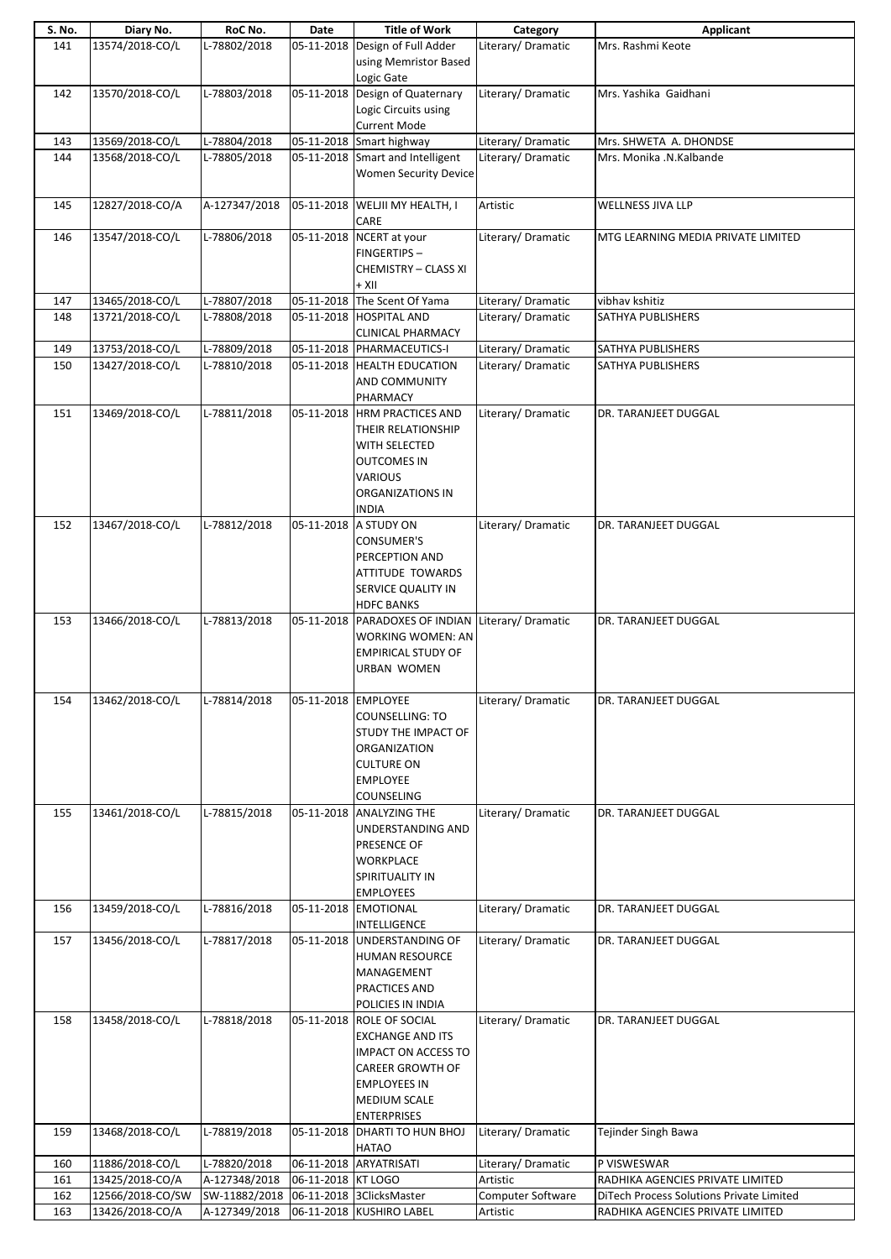| S. No.     | Diary No.                          | RoC No.                       | Date                | <b>Title of Work</b>                                                                                                                                                       | Category                      | Applicant                                       |
|------------|------------------------------------|-------------------------------|---------------------|----------------------------------------------------------------------------------------------------------------------------------------------------------------------------|-------------------------------|-------------------------------------------------|
| 141        | 13574/2018-CO/L                    | L-78802/2018                  | 05-11-2018          | Design of Full Adder<br>using Memristor Based<br>Logic Gate                                                                                                                | Literary/Dramatic             | Mrs. Rashmi Keote                               |
| 142        | 13570/2018-CO/L                    | L-78803/2018                  |                     | 05-11-2018 Design of Quaternary<br>Logic Circuits using<br><b>Current Mode</b>                                                                                             | Literary/Dramatic             | Mrs. Yashika Gaidhani                           |
| 143        | 13569/2018-CO/L                    | L-78804/2018                  |                     | 05-11-2018 Smart highway                                                                                                                                                   | Literary/ Dramatic            | Mrs. SHWETA A. DHONDSE                          |
| 144        | 13568/2018-CO/L                    | L-78805/2018                  |                     | 05-11-2018 Smart and Intelligent<br><b>Women Security Device</b>                                                                                                           | Literary/Dramatic             | Mrs. Monika .N.Kalbande                         |
| 145        | 12827/2018-CO/A                    | A-127347/2018                 |                     | 05-11-2018 WELJII MY HEALTH, I<br>CARE                                                                                                                                     | Artistic                      | WELLNESS JIVA LLP                               |
| 146        | 13547/2018-CO/L                    | L-78806/2018                  |                     | 05-11-2018 NCERT at your<br><b>FINGERTIPS-</b><br><b>CHEMISTRY - CLASS XI</b><br>+ XII                                                                                     | Literary/Dramatic             | MTG LEARNING MEDIA PRIVATE LIMITED              |
| 147        | 13465/2018-CO/L                    | L-78807/2018                  |                     | 05-11-2018 The Scent Of Yama                                                                                                                                               | Literary/Dramatic             | vibhav kshitiz                                  |
| 148        | 13721/2018-CO/L                    | L-78808/2018                  |                     | 05-11-2018 HOSPITAL AND<br><b>CLINICAL PHARMACY</b>                                                                                                                        | Literary/Dramatic             | SATHYA PUBLISHERS                               |
| 149        | 13753/2018-CO/L                    | L-78809/2018                  |                     | 05-11-2018 PHARMACEUTICS-I                                                                                                                                                 | Literary/ Dramatic            | SATHYA PUBLISHERS                               |
| 150        | 13427/2018-CO/L                    | L-78810/2018                  |                     | 05-11-2018 HEALTH EDUCATION<br>AND COMMUNITY<br>PHARMACY                                                                                                                   | Literary/Dramatic             | SATHYA PUBLISHERS                               |
| 151        | 13469/2018-CO/L                    | L-78811/2018                  |                     | 05-11-2018  HRM PRACTICES AND<br>THEIR RELATIONSHIP<br>WITH SELECTED<br><b>OUTCOMES IN</b><br><b>VARIOUS</b><br>ORGANIZATIONS IN<br><b>INDIA</b>                           | Literary/Dramatic             | DR. TARANJEET DUGGAL                            |
| 152        | 13467/2018-CO/L                    | L-78812/2018                  |                     | 05-11-2018 A STUDY ON<br><b>CONSUMER'S</b><br>PERCEPTION AND<br><b>ATTITUDE TOWARDS</b><br>SERVICE QUALITY IN<br><b>HDFC BANKS</b>                                         | Literary/Dramatic             | DR. TARANJEET DUGGAL                            |
| 153        | 13466/2018-CO/L                    | L-78813/2018                  |                     | 05-11-2018 PARADOXES OF INDIAN<br>WORKING WOMEN: AN<br><b>EMPIRICAL STUDY OF</b><br><b>URBAN WOMEN</b>                                                                     | Literary/Dramatic             | DR. TARANJEET DUGGAL                            |
| 154        | 13462/2018-CO/L                    | L-78814/2018                  | 05-11-2018 EMPLOYEE | COUNSELLING: TO<br>STUDY THE IMPACT OF<br><b>ORGANIZATION</b><br><b>CULTURE ON</b><br><b>EMPLOYEE</b><br>COUNSELING                                                        | Literary/Dramatic             | DR. TARANJEET DUGGAL                            |
| 155        | 13461/2018-CO/L                    | L-78815/2018                  |                     | 05-11-2018 ANALYZING THE<br>UNDERSTANDING AND<br>PRESENCE OF<br><b>WORKPLACE</b><br>SPIRITUALITY IN<br><b>EMPLOYEES</b>                                                    | Literary/Dramatic             | DR. TARANJEET DUGGAL                            |
| 156        | 13459/2018-CO/L                    | L-78816/2018                  |                     | 05-11-2018 EMOTIONAL<br>INTELLIGENCE                                                                                                                                       | Literary/Dramatic             | DR. TARANJEET DUGGAL                            |
| 157        | 13456/2018-CO/L                    | L-78817/2018                  |                     | 05-11-2018 UNDERSTANDING OF<br><b>HUMAN RESOURCE</b><br>MANAGEMENT<br>PRACTICES AND<br>POLICIES IN INDIA                                                                   | Literary/ Dramatic            | DR. TARANJEET DUGGAL                            |
| 158        | 13458/2018-CO/L                    | L-78818/2018                  |                     | 05-11-2018 ROLE OF SOCIAL<br><b>EXCHANGE AND ITS</b><br><b>IMPACT ON ACCESS TO</b><br><b>CAREER GROWTH OF</b><br><b>EMPLOYEES IN</b><br>MEDIUM SCALE<br><b>ENTERPRISES</b> | Literary/ Dramatic            | DR. TARANJEET DUGGAL                            |
| 159        | 13468/2018-CO/L                    | L-78819/2018                  |                     | 05-11-2018 DHARTI TO HUN BHOJ<br><b>HATAO</b>                                                                                                                              | Literary/Dramatic             | Tejinder Singh Bawa                             |
| 160<br>161 | 11886/2018-CO/L<br>13425/2018-CO/A | L-78820/2018<br>A-127348/2018 | 06-11-2018 KT LOGO  | 06-11-2018 ARYATRISATI                                                                                                                                                     | Literary/Dramatic<br>Artistic | P VISWESWAR<br>RADHIKA AGENCIES PRIVATE LIMITED |
| 162        | 12566/2018-CO/SW                   | SW-11882/2018                 |                     | 06-11-2018 3ClicksMaster                                                                                                                                                   | Computer Software             | DiTech Process Solutions Private Limited        |
| 163        | 13426/2018-CO/A                    | A-127349/2018                 |                     | 06-11-2018 KUSHIRO LABEL                                                                                                                                                   | Artistic                      | RADHIKA AGENCIES PRIVATE LIMITED                |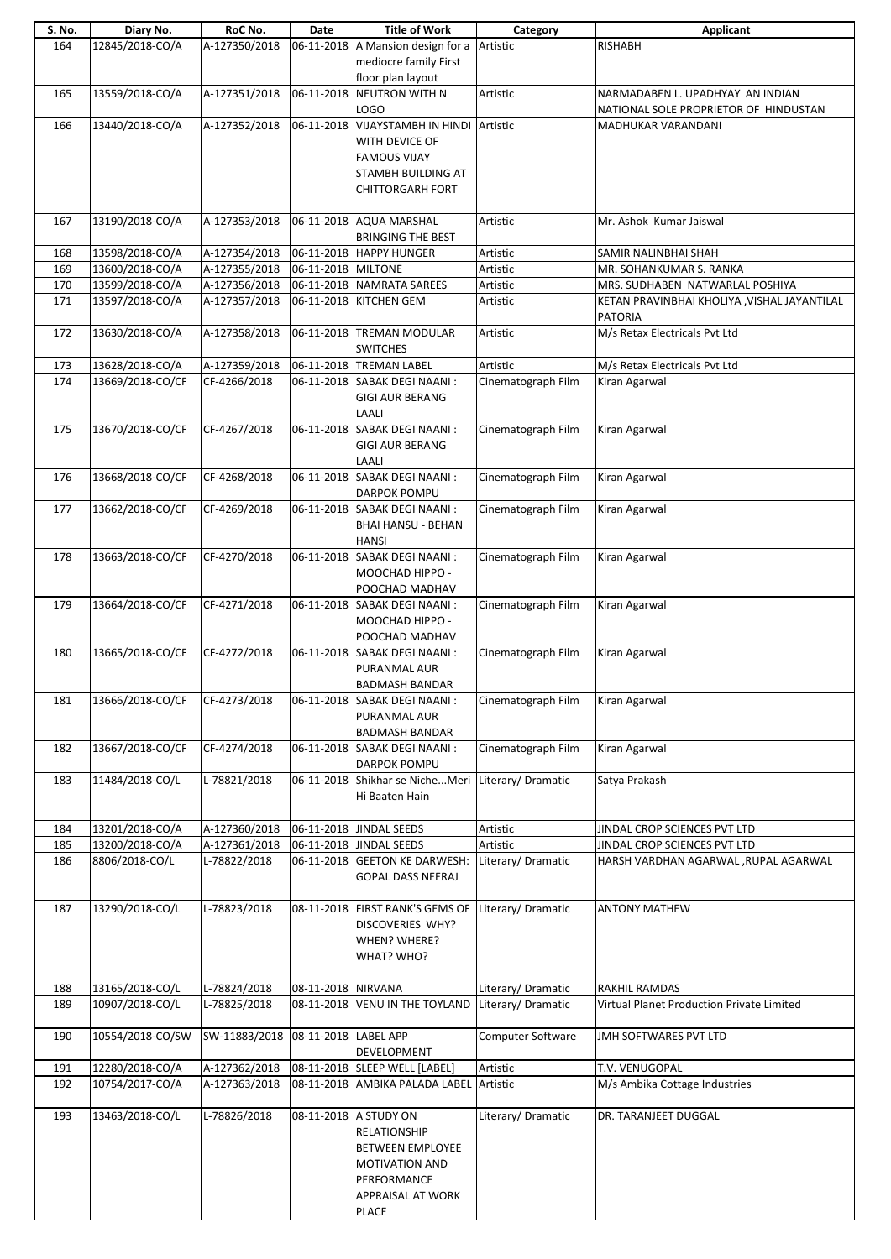| S. No. | Diary No.        | RoC No.       | Date                 | <b>Title of Work</b>                                  | Category           | <b>Applicant</b>                            |
|--------|------------------|---------------|----------------------|-------------------------------------------------------|--------------------|---------------------------------------------|
| 164    | 12845/2018-CO/A  | A-127350/2018 |                      | 06-11-2018 A Mansion design for a                     | Artistic           | <b>RISHABH</b>                              |
|        |                  |               |                      | mediocre family First                                 |                    |                                             |
|        |                  |               |                      | floor plan layout                                     |                    |                                             |
| 165    | 13559/2018-CO/A  | A-127351/2018 |                      | 06-11-2018 NEUTRON WITH N                             | Artistic           | NARMADABEN L. UPADHYAY AN INDIAN            |
|        |                  |               |                      | LOGO                                                  |                    | NATIONAL SOLE PROPRIETOR OF HINDUSTAN       |
| 166    | 13440/2018-CO/A  | A-127352/2018 |                      | 06-11-2018 VIJAYSTAMBH IN HINDI                       | Artistic           | MADHUKAR VARANDANI                          |
|        |                  |               |                      |                                                       |                    |                                             |
|        |                  |               |                      | WITH DEVICE OF                                        |                    |                                             |
|        |                  |               |                      | <b>FAMOUS VIJAY</b>                                   |                    |                                             |
|        |                  |               |                      | <b>STAMBH BUILDING AT</b>                             |                    |                                             |
|        |                  |               |                      | <b>CHITTORGARH FORT</b>                               |                    |                                             |
|        |                  |               |                      |                                                       |                    |                                             |
| 167    | 13190/2018-CO/A  | A-127353/2018 |                      | 06-11-2018 AQUA MARSHAL                               | Artistic           | Mr. Ashok Kumar Jaiswal                     |
|        |                  |               |                      | <b>BRINGING THE BEST</b>                              |                    |                                             |
| 168    | 13598/2018-CO/A  | A-127354/2018 |                      | 06-11-2018 HAPPY HUNGER                               | Artistic           | SAMIR NALINBHAI SHAH                        |
| 169    | 13600/2018-CO/A  | A-127355/2018 | 06-11-2018 MILTONE   |                                                       | Artistic           | MR. SOHANKUMAR S. RANKA                     |
| 170    | 13599/2018-CO/A  | A-127356/2018 |                      | 06-11-2018 NAMRATA SAREES                             | Artistic           | MRS. SUDHABEN NATWARLAL POSHIYA             |
| 171    | 13597/2018-CO/A  | A-127357/2018 |                      | 06-11-2018 KITCHEN GEM                                | Artistic           | KETAN PRAVINBHAI KHOLIYA, VISHAL JAYANTILAL |
|        |                  |               |                      |                                                       |                    | <b>PATORIA</b>                              |
| 172    | 13630/2018-CO/A  | A-127358/2018 |                      | 06-11-2018 TREMAN MODULAR                             | Artistic           | M/s Retax Electricals Pvt Ltd               |
|        |                  |               |                      | <b>SWITCHES</b>                                       |                    |                                             |
| 173    | 13628/2018-CO/A  | A-127359/2018 |                      | 06-11-2018 TREMAN LABEL                               | Artistic           | M/s Retax Electricals Pvt Ltd               |
| 174    | 13669/2018-CO/CF | CF-4266/2018  |                      | 06-11-2018 SABAK DEGI NAANI:                          | Cinematograph Film | Kiran Agarwal                               |
|        |                  |               |                      | <b>GIGI AUR BERANG</b>                                |                    |                                             |
|        |                  |               |                      | LAALI                                                 |                    |                                             |
| 175    | 13670/2018-CO/CF | CF-4267/2018  |                      | 06-11-2018 SABAK DEGI NAANI:                          | Cinematograph Film | Kiran Agarwal                               |
|        |                  |               |                      | <b>GIGI AUR BERANG</b>                                |                    |                                             |
|        |                  |               |                      | LAALI                                                 |                    |                                             |
| 176    | 13668/2018-CO/CF | CF-4268/2018  | 06-11-2018           | SABAK DEGI NAANI:                                     | Cinematograph Film | Kiran Agarwal                               |
|        |                  |               |                      | DARPOK POMPU                                          |                    |                                             |
| 177    | 13662/2018-CO/CF | CF-4269/2018  |                      | 06-11-2018 SABAK DEGI NAANI:                          | Cinematograph Film | Kiran Agarwal                               |
|        |                  |               |                      | <b>BHAI HANSU - BEHAN</b>                             |                    |                                             |
|        |                  |               |                      | <b>HANSI</b>                                          |                    |                                             |
| 178    | 13663/2018-CO/CF | CF-4270/2018  |                      | 06-11-2018 SABAK DEGI NAANI:                          | Cinematograph Film | Kiran Agarwal                               |
|        |                  |               |                      | MOOCHAD HIPPO -                                       |                    |                                             |
|        |                  |               |                      | POOCHAD MADHAV                                        |                    |                                             |
|        |                  |               |                      | 06-11-2018 SABAK DEGI NAANI:                          |                    | Kiran Agarwal                               |
| 179    | 13664/2018-CO/CF | CF-4271/2018  |                      | MOOCHAD HIPPO -                                       | Cinematograph Film |                                             |
|        |                  |               |                      |                                                       |                    |                                             |
| 180    | 13665/2018-CO/CF | CF-4272/2018  |                      | POOCHAD MADHAV<br>06-11-2018 SABAK DEGI NAANI:        |                    |                                             |
|        |                  |               |                      |                                                       | Cinematograph Film | Kiran Agarwal                               |
|        |                  |               |                      | PURANMAL AUR                                          |                    |                                             |
|        |                  |               |                      | <b>BADMASH BANDAR</b><br>06-11-2018 SABAK DEGI NAANI: |                    | Kiran Agarwal                               |
| 181    | 13666/2018-CO/CF | CF-4273/2018  |                      |                                                       | Cinematograph Film |                                             |
|        |                  |               |                      | PURANMAL AUR                                          |                    |                                             |
|        |                  |               |                      | <b>BADMASH BANDAR</b>                                 |                    | Kiran Agarwal                               |
| 182    | 13667/2018-CO/CF | CF-4274/2018  |                      | 06-11-2018 SABAK DEGI NAANI:                          | Cinematograph Film |                                             |
|        |                  |               |                      | <b>DARPOK POMPU</b>                                   |                    |                                             |
| 183    | 11484/2018-CO/L  | L-78821/2018  |                      | 06-11-2018 Shikhar se NicheMeri                       | Literary/Dramatic  | Satya Prakash                               |
|        |                  |               |                      | Hi Baaten Hain                                        |                    |                                             |
|        |                  |               |                      |                                                       |                    |                                             |
| 184    | 13201/2018-CO/A  | A-127360/2018 |                      | 06-11-2018 JINDAL SEEDS                               | Artistic           | JINDAL CROP SCIENCES PVT LTD                |
| 185    | 13200/2018-CO/A  | A-127361/2018 |                      | 06-11-2018 JINDAL SEEDS                               | Artistic           | JINDAL CROP SCIENCES PVT LTD                |
| 186    | 8806/2018-CO/L   | L-78822/2018  |                      | 06-11-2018 GEETON KE DARWESH:                         | Literary/ Dramatic | HARSH VARDHAN AGARWAL, RUPAL AGARWAL        |
|        |                  |               |                      | <b>GOPAL DASS NEERAJ</b>                              |                    |                                             |
|        |                  |               |                      |                                                       |                    |                                             |
| 187    | 13290/2018-CO/L  | L-78823/2018  |                      | 08-11-2018 FIRST RANK'S GEMS OF                       | Literary/ Dramatic | <b>ANTONY MATHEW</b>                        |
|        |                  |               |                      | DISCOVERIES WHY?                                      |                    |                                             |
|        |                  |               |                      | WHEN? WHERE?                                          |                    |                                             |
|        |                  |               |                      | WHAT? WHO?                                            |                    |                                             |
|        |                  |               |                      |                                                       |                    |                                             |
| 188    | 13165/2018-CO/L  | L-78824/2018  | 08-11-2018 NIRVANA   |                                                       | Literary/Dramatic  | RAKHIL RAMDAS                               |
| 189    | 10907/2018-CO/L  | L-78825/2018  |                      | 08-11-2018 VENU IN THE TOYLAND                        | Literary/Dramatic  | Virtual Planet Production Private Limited   |
|        |                  |               |                      |                                                       |                    |                                             |
| 190    | 10554/2018-CO/SW | SW-11883/2018 | 08-11-2018 LABEL APP |                                                       | Computer Software  | JMH SOFTWARES PVT LTD                       |
|        |                  |               |                      | DEVELOPMENT                                           |                    |                                             |
| 191    | 12280/2018-CO/A  | A-127362/2018 |                      | 08-11-2018 SLEEP WELL [LABEL]                         | Artistic           | T.V. VENUGOPAL                              |
| 192    | 10754/2017-CO/A  | A-127363/2018 |                      | 08-11-2018 AMBIKA PALADA LABEL                        | Artistic           | M/s Ambika Cottage Industries               |
|        |                  |               |                      |                                                       |                    |                                             |
| 193    | 13463/2018-CO/L  | L-78826/2018  |                      | 08-11-2018 A STUDY ON                                 | Literary/ Dramatic | DR. TARANJEET DUGGAL                        |
|        |                  |               |                      | RELATIONSHIP                                          |                    |                                             |
|        |                  |               |                      | <b>BETWEEN EMPLOYEE</b>                               |                    |                                             |
|        |                  |               |                      | MOTIVATION AND                                        |                    |                                             |
|        |                  |               |                      | PERFORMANCE                                           |                    |                                             |
|        |                  |               |                      | APPRAISAL AT WORK                                     |                    |                                             |
|        |                  |               |                      | PLACE                                                 |                    |                                             |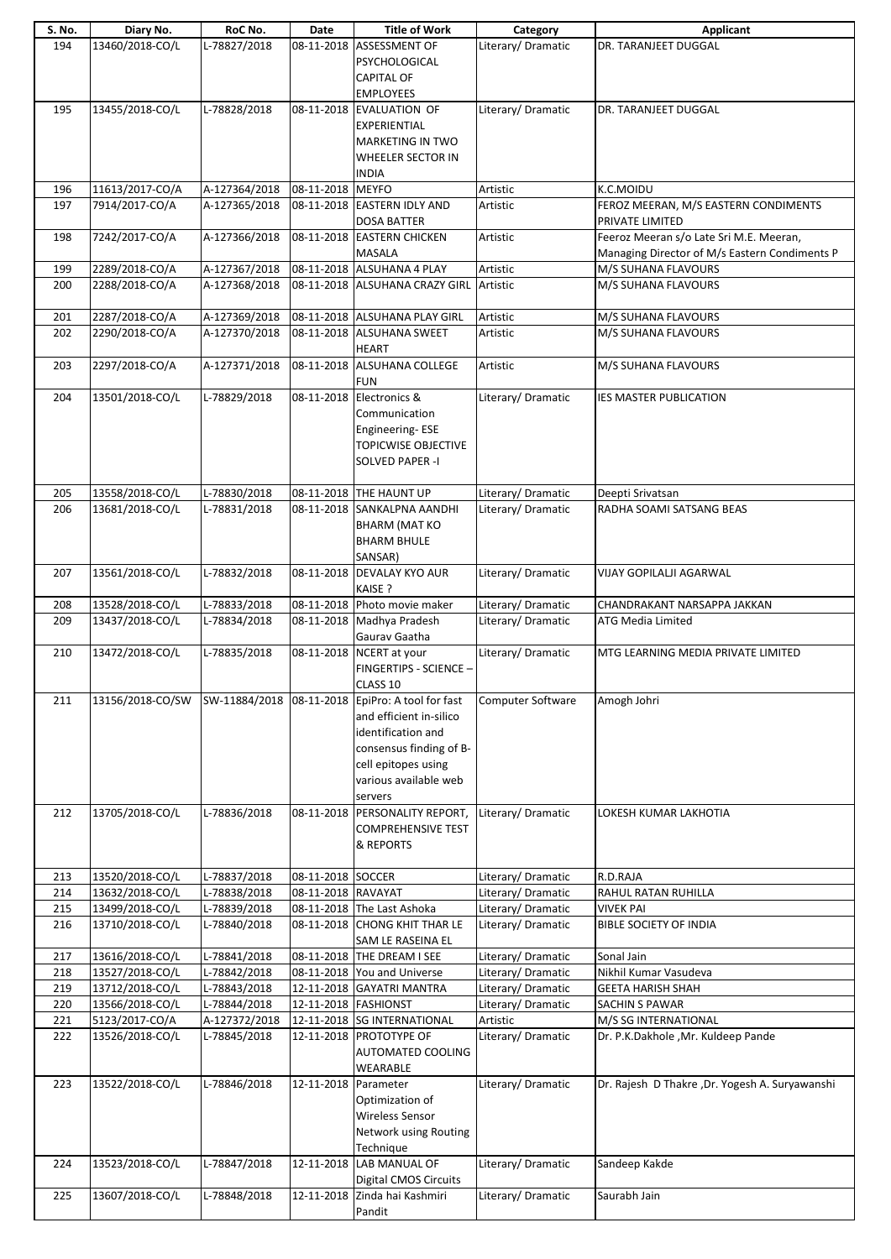| S. No. | Diary No.       | RoC No.       | Date                 | <b>Title of Work</b>                                                  | Category           | Applicant                                       |
|--------|-----------------|---------------|----------------------|-----------------------------------------------------------------------|--------------------|-------------------------------------------------|
| 194    | 13460/2018-CO/L | L-78827/2018  |                      | 08-11-2018 ASSESSMENT OF                                              | Literary/Dramatic  | DR. TARANJEET DUGGAL                            |
|        |                 |               |                      | PSYCHOLOGICAL                                                         |                    |                                                 |
|        |                 |               |                      |                                                                       |                    |                                                 |
|        |                 |               |                      | <b>CAPITAL OF</b>                                                     |                    |                                                 |
|        |                 |               |                      | <b>EMPLOYEES</b>                                                      |                    |                                                 |
| 195    | 13455/2018-CO/L | L-78828/2018  |                      | 08-11-2018 EVALUATION OF                                              | Literary/ Dramatic | DR. TARANJEET DUGGAL                            |
|        |                 |               |                      |                                                                       |                    |                                                 |
|        |                 |               |                      | EXPERIENTIAL                                                          |                    |                                                 |
|        |                 |               |                      | MARKETING IN TWO                                                      |                    |                                                 |
|        |                 |               |                      |                                                                       |                    |                                                 |
|        |                 |               |                      | WHEELER SECTOR IN                                                     |                    |                                                 |
|        |                 |               |                      | <b>INDIA</b>                                                          |                    |                                                 |
| 196    | 11613/2017-CO/A | A-127364/2018 | 08-11-2018 MEYFO     |                                                                       | Artistic           | K.C.MOIDU                                       |
| 197    | 7914/2017-CO/A  | A-127365/2018 |                      | 08-11-2018 EASTERN IDLY AND                                           | Artistic           | FEROZ MEERAN, M/S EASTERN CONDIMENTS            |
|        |                 |               |                      |                                                                       |                    |                                                 |
|        |                 |               |                      | <b>DOSA BATTER</b>                                                    |                    | PRIVATE LIMITED                                 |
| 198    | 7242/2017-CO/A  | A-127366/2018 |                      | 08-11-2018 EASTERN CHICKEN                                            | Artistic           | Feeroz Meeran s/o Late Sri M.E. Meeran,         |
|        |                 |               |                      | MASALA                                                                |                    | Managing Director of M/s Eastern Condiments P   |
|        |                 |               |                      |                                                                       |                    |                                                 |
| 199    | 2289/2018-CO/A  | A-127367/2018 |                      | 08-11-2018 ALSUHANA 4 PLAY                                            | Artistic           | M/S SUHANA FLAVOURS                             |
| 200    | 2288/2018-CO/A  | A-127368/2018 |                      | 08-11-2018 ALSUHANA CRAZY GIRL                                        | Artistic           | M/S SUHANA FLAVOURS                             |
|        |                 |               |                      |                                                                       |                    |                                                 |
| 201    | 2287/2018-CO/A  | A-127369/2018 |                      | 08-11-2018 ALSUHANA PLAY GIRL                                         | Artistic           | M/S SUHANA FLAVOURS                             |
|        |                 |               |                      |                                                                       |                    |                                                 |
| 202    | 2290/2018-CO/A  | A-127370/2018 |                      | 08-11-2018 ALSUHANA SWEET                                             | Artistic           | M/S SUHANA FLAVOURS                             |
|        |                 |               |                      | <b>HEART</b>                                                          |                    |                                                 |
| 203    | 2297/2018-CO/A  | A-127371/2018 |                      | 08-11-2018 ALSUHANA COLLEGE                                           | Artistic           | M/S SUHANA FLAVOURS                             |
|        |                 |               |                      |                                                                       |                    |                                                 |
|        |                 |               |                      | <b>FUN</b>                                                            |                    |                                                 |
| 204    | 13501/2018-CO/L | L-78829/2018  |                      | 08-11-2018 Electronics &                                              | Literary/ Dramatic | <b>IES MASTER PUBLICATION</b>                   |
|        |                 |               |                      | Communication                                                         |                    |                                                 |
|        |                 |               |                      |                                                                       |                    |                                                 |
|        |                 |               |                      | Engineering-ESE                                                       |                    |                                                 |
|        |                 |               |                      | <b>TOPICWISE OBJECTIVE</b>                                            |                    |                                                 |
|        |                 |               |                      | <b>SOLVED PAPER -I</b>                                                |                    |                                                 |
|        |                 |               |                      |                                                                       |                    |                                                 |
|        |                 |               |                      |                                                                       |                    |                                                 |
| 205    | 13558/2018-CO/L | L-78830/2018  |                      | 08-11-2018 THE HAUNT UP                                               | Literary/Dramatic  | Deepti Srivatsan                                |
| 206    | 13681/2018-CO/L | L-78831/2018  |                      | 08-11-2018 SANKALPNA AANDHI                                           | Literary/Dramatic  | RADHA SOAMI SATSANG BEAS                        |
|        |                 |               |                      | <b>BHARM (MAT KO</b>                                                  |                    |                                                 |
|        |                 |               |                      |                                                                       |                    |                                                 |
|        |                 |               |                      | <b>BHARM BHULE</b>                                                    |                    |                                                 |
|        |                 |               |                      | SANSAR)                                                               |                    |                                                 |
| 207    | 13561/2018-CO/L | L-78832/2018  |                      | 08-11-2018 DEVALAY KYO AUR                                            | Literary/ Dramatic | VIJAY GOPILALJI AGARWAL                         |
|        |                 |               |                      |                                                                       |                    |                                                 |
|        |                 |               |                      | KAISE ?                                                               |                    |                                                 |
| 208    | 13528/2018-CO/L | L-78833/2018  |                      | 08-11-2018 Photo movie maker                                          | Literary/ Dramatic | CHANDRAKANT NARSAPPA JAKKAN                     |
| 209    | 13437/2018-CO/L | L-78834/2018  |                      | 08-11-2018 Madhya Pradesh                                             | Literary/Dramatic  | <b>ATG Media Limited</b>                        |
|        |                 |               |                      | Gaurav Gaatha                                                         |                    |                                                 |
|        |                 |               |                      |                                                                       |                    |                                                 |
| 210    | 13472/2018-CO/L | L-78835/2018  |                      | 08-11-2018 NCERT at your                                              | Literary/Dramatic  | MTG LEARNING MEDIA PRIVATE LIMITED              |
|        |                 |               |                      | FINGERTIPS - SCIENCE -                                                |                    |                                                 |
|        |                 |               |                      | CLASS 10                                                              |                    |                                                 |
|        |                 |               |                      |                                                                       |                    |                                                 |
| 211    |                 |               |                      | 13156/2018-CO/SW SW-11884/2018   08-11-2018   EpiPro: A tool for fast | Computer Software  | Amogh Johri                                     |
|        |                 |               |                      | and efficient in-silico                                               |                    |                                                 |
|        |                 |               |                      | identification and                                                    |                    |                                                 |
|        |                 |               |                      |                                                                       |                    |                                                 |
|        |                 |               |                      | consensus finding of B-                                               |                    |                                                 |
|        |                 |               |                      | cell epitopes using                                                   |                    |                                                 |
|        |                 |               |                      | various available web                                                 |                    |                                                 |
|        |                 |               |                      |                                                                       |                    |                                                 |
|        |                 |               |                      | servers                                                               |                    |                                                 |
| 212    | 13705/2018-CO/L | L-78836/2018  |                      | 08-11-2018 PERSONALITY REPORT,                                        | Literary/Dramatic  | LOKESH KUMAR LAKHOTIA                           |
|        |                 |               |                      | <b>COMPREHENSIVE TEST</b>                                             |                    |                                                 |
|        |                 |               |                      | & REPORTS                                                             |                    |                                                 |
|        |                 |               |                      |                                                                       |                    |                                                 |
|        |                 |               |                      |                                                                       |                    |                                                 |
| 213    | 13520/2018-CO/L | L-78837/2018  | 08-11-2018 SOCCER    |                                                                       | Literary/Dramatic  | R.D.RAJA                                        |
| 214    | 13632/2018-CO/L | L-78838/2018  | 08-11-2018 RAVAYAT   |                                                                       | Literary/Dramatic  | RAHUL RATAN RUHILLA                             |
|        |                 |               |                      |                                                                       |                    |                                                 |
| 215    | 13499/2018-CO/L | L-78839/2018  |                      | 08-11-2018 The Last Ashoka                                            | Literary/Dramatic  | VIVEK PAI                                       |
| 216    | 13710/2018-CO/L | L-78840/2018  |                      | 08-11-2018 CHONG KHIT THAR LE                                         | Literary/Dramatic  | <b>BIBLE SOCIETY OF INDIA</b>                   |
|        |                 |               |                      | SAM LE RASEINA EL                                                     |                    |                                                 |
| 217    | 13616/2018-CO/L | L-78841/2018  |                      | 08-11-2018 THE DREAM I SEE                                            | Literary/Dramatic  | Sonal Jain                                      |
|        |                 |               |                      |                                                                       |                    |                                                 |
| 218    | 13527/2018-CO/L | L-78842/2018  |                      | 08-11-2018 You and Universe                                           | Literary/Dramatic  | Nikhil Kumar Vasudeva                           |
| 219    | 13712/2018-CO/L | L-78843/2018  |                      | 12-11-2018 GAYATRI MANTRA                                             | Literary/Dramatic  | <b>GEETA HARISH SHAH</b>                        |
| 220    | 13566/2018-CO/L | L-78844/2018  | 12-11-2018 FASHIONST |                                                                       | Literary/Dramatic  | SACHIN S PAWAR                                  |
|        |                 |               |                      |                                                                       |                    |                                                 |
| 221    | 5123/2017-CO/A  | A-127372/2018 |                      | 12-11-2018 SG INTERNATIONAL                                           | Artistic           | M/S SG INTERNATIONAL                            |
| 222    | 13526/2018-CO/L | L-78845/2018  |                      | 12-11-2018 PROTOTYPE OF                                               | Literary/Dramatic  | Dr. P.K.Dakhole, Mr. Kuldeep Pande              |
|        |                 |               |                      | AUTOMATED COOLING                                                     |                    |                                                 |
|        |                 |               |                      |                                                                       |                    |                                                 |
|        |                 |               |                      | WEARABLE                                                              |                    |                                                 |
| 223    | 13522/2018-CO/L | L-78846/2018  | 12-11-2018 Parameter |                                                                       | Literary/ Dramatic | Dr. Rajesh D Thakre , Dr. Yogesh A. Suryawanshi |
|        |                 |               |                      | Optimization of                                                       |                    |                                                 |
|        |                 |               |                      | <b>Wireless Sensor</b>                                                |                    |                                                 |
|        |                 |               |                      |                                                                       |                    |                                                 |
|        |                 |               |                      | Network using Routing                                                 |                    |                                                 |
|        |                 |               |                      | Technique                                                             |                    |                                                 |
| 224    | 13523/2018-CO/L | L-78847/2018  |                      | 12-11-2018 LAB MANUAL OF                                              | Literary/Dramatic  | Sandeep Kakde                                   |
|        |                 |               |                      |                                                                       |                    |                                                 |
|        |                 |               |                      | Digital CMOS Circuits                                                 |                    |                                                 |
| 225    | 13607/2018-CO/L | L-78848/2018  |                      | 12-11-2018 Zinda hai Kashmiri                                         | Literary/Dramatic  | Saurabh Jain                                    |
|        |                 |               |                      | Pandit                                                                |                    |                                                 |
|        |                 |               |                      |                                                                       |                    |                                                 |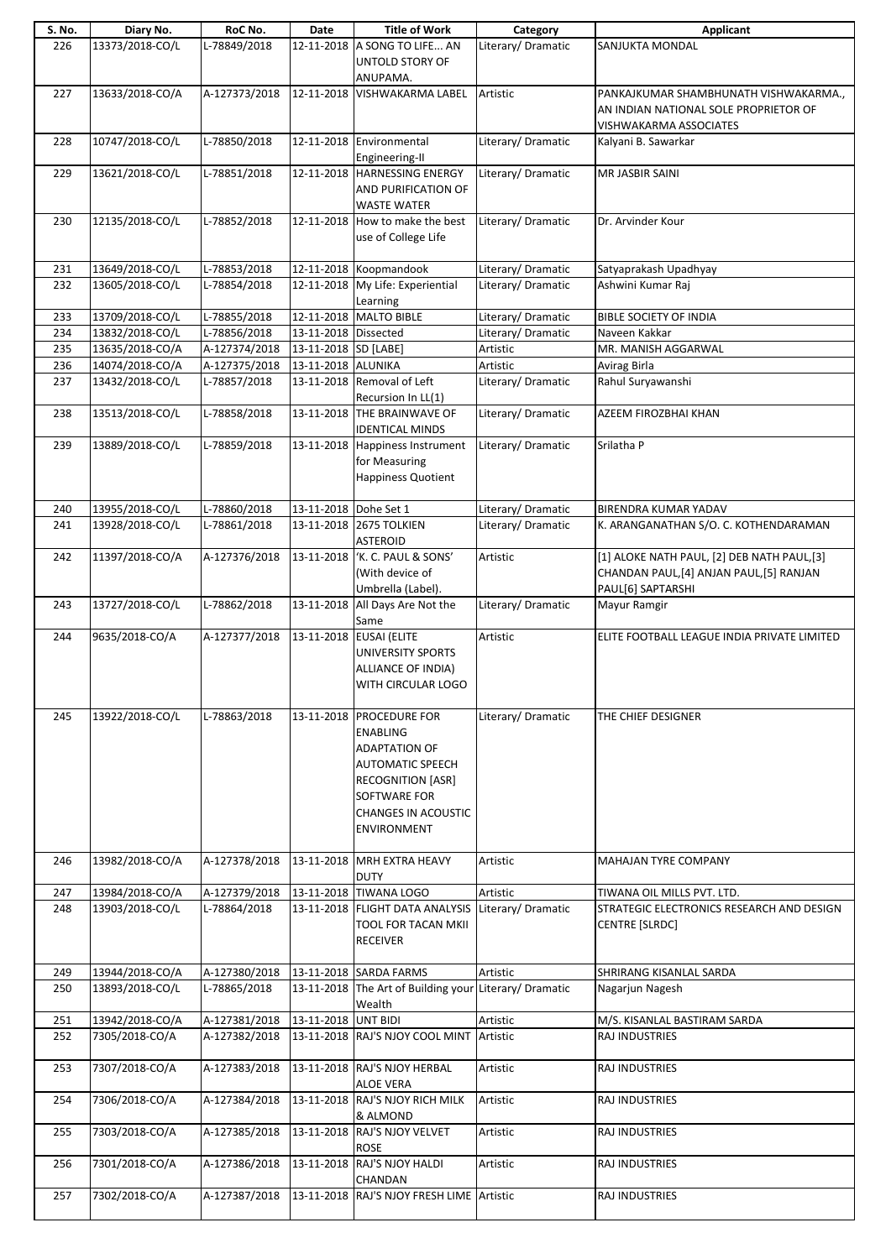| S. No. | Diary No.       | RoC No.       | Date                  | <b>Title of Work</b>                                                                                                                                                                           | Category           | Applicant                                                                                                    |
|--------|-----------------|---------------|-----------------------|------------------------------------------------------------------------------------------------------------------------------------------------------------------------------------------------|--------------------|--------------------------------------------------------------------------------------------------------------|
| 226    | 13373/2018-CO/L | L-78849/2018  |                       | 12-11-2018 A SONG TO LIFE AN<br>UNTOLD STORY OF                                                                                                                                                | Literary/Dramatic  | SANJUKTA MONDAL                                                                                              |
|        |                 |               |                       | ANUPAMA.                                                                                                                                                                                       |                    |                                                                                                              |
| 227    | 13633/2018-CO/A | A-127373/2018 |                       | 12-11-2018 VISHWAKARMA LABEL                                                                                                                                                                   | Artistic           | PANKAJKUMAR SHAMBHUNATH VISHWAKARMA.,<br>AN INDIAN NATIONAL SOLE PROPRIETOR OF<br>VISHWAKARMA ASSOCIATES     |
| 228    | 10747/2018-CO/L | L-78850/2018  |                       | 12-11-2018 Environmental<br>Engineering-II                                                                                                                                                     | Literary/ Dramatic | Kalyani B. Sawarkar                                                                                          |
| 229    | 13621/2018-CO/L | L-78851/2018  |                       | 12-11-2018 HARNESSING ENERGY<br>AND PURIFICATION OF<br><b>WASTE WATER</b>                                                                                                                      | Literary/ Dramatic | MR JASBIR SAINI                                                                                              |
| 230    | 12135/2018-CO/L | L-78852/2018  |                       | 12-11-2018 How to make the best<br>use of College Life                                                                                                                                         | Literary/ Dramatic | Dr. Arvinder Kour                                                                                            |
| 231    | 13649/2018-CO/L | L-78853/2018  |                       | 12-11-2018 Koopmandook                                                                                                                                                                         | Literary/Dramatic  | Satyaprakash Upadhyay                                                                                        |
| 232    | 13605/2018-CO/L | L-78854/2018  |                       | 12-11-2018 My Life: Experiential<br>Learning                                                                                                                                                   | Literary/Dramatic  | Ashwini Kumar Raj                                                                                            |
| 233    | 13709/2018-CO/L | L-78855/2018  |                       | 12-11-2018 MALTO BIBLE                                                                                                                                                                         | Literary/ Dramatic | <b>BIBLE SOCIETY OF INDIA</b>                                                                                |
| 234    | 13832/2018-CO/L | L-78856/2018  | 13-11-2018 Dissected  |                                                                                                                                                                                                | Literary/Dramatic  | Naveen Kakkar                                                                                                |
| 235    | 13635/2018-CO/A | A-127374/2018 | 13-11-2018 SD [LABE]  |                                                                                                                                                                                                | Artistic           | MR. MANISH AGGARWAL                                                                                          |
| 236    | 14074/2018-CO/A | A-127375/2018 | 13-11-2018 ALUNIKA    |                                                                                                                                                                                                | Artistic           | Avirag Birla                                                                                                 |
| 237    | 13432/2018-CO/L | L-78857/2018  |                       | 13-11-2018 Removal of Left<br>Recursion In LL(1)                                                                                                                                               | Literary/ Dramatic | Rahul Suryawanshi                                                                                            |
| 238    | 13513/2018-CO/L | L-78858/2018  |                       | 13-11-2018 THE BRAINWAVE OF<br><b>IDENTICAL MINDS</b>                                                                                                                                          | Literary/ Dramatic | AZEEM FIROZBHAI KHAN                                                                                         |
| 239    | 13889/2018-CO/L | L-78859/2018  |                       | 13-11-2018 Happiness Instrument<br>for Measuring<br>Happiness Quotient                                                                                                                         | Literary/ Dramatic | Srilatha P                                                                                                   |
| 240    | 13955/2018-CO/L | L-78860/2018  | 13-11-2018 Dohe Set 1 |                                                                                                                                                                                                | Literary/ Dramatic | <b>BIRENDRA KUMAR YADAV</b>                                                                                  |
| 241    | 13928/2018-CO/L | L-78861/2018  |                       | 13-11-2018 2675 TOLKIEN<br><b>ASTEROID</b>                                                                                                                                                     | Literary/Dramatic  | K. ARANGANATHAN S/O. C. KOTHENDARAMAN                                                                        |
| 242    | 11397/2018-CO/A | A-127376/2018 | 13-11-2018            | 'K. C. PAUL & SONS'<br>(With device of<br>Umbrella (Label).                                                                                                                                    | Artistic           | [1] ALOKE NATH PAUL, [2] DEB NATH PAUL, [3]<br>CHANDAN PAUL, [4] ANJAN PAUL, [5] RANJAN<br>PAUL[6] SAPTARSHI |
| 243    | 13727/2018-CO/L | L-78862/2018  |                       | 13-11-2018 All Days Are Not the<br>Same                                                                                                                                                        | Literary/ Dramatic | Mayur Ramgir                                                                                                 |
| 244    | 9635/2018-CO/A  | A-127377/2018 |                       | 13-11-2018 EUSAI (ELITE<br>UNIVERSITY SPORTS<br><b>ALLIANCE OF INDIA)</b><br>WITH CIRCULAR LOGO                                                                                                | Artistic           | ELITE FOOTBALL LEAGUE INDIA PRIVATE LIMITED                                                                  |
| 245    | 13922/2018-CO/L | L-78863/2018  |                       | 13-11-2018 PROCEDURE FOR<br><b>ENABLING</b><br><b>ADAPTATION OF</b><br><b>AUTOMATIC SPEECH</b><br><b>RECOGNITION [ASR]</b><br>SOFTWARE FOR<br><b>CHANGES IN ACOUSTIC</b><br><b>ENVIRONMENT</b> | Literary/Dramatic  | THE CHIEF DESIGNER                                                                                           |
| 246    | 13982/2018-CO/A | A-127378/2018 |                       | 13-11-2018 MRH EXTRA HEAVY<br><b>DUTY</b>                                                                                                                                                      | Artistic           | <b>MAHAJAN TYRE COMPANY</b>                                                                                  |
| 247    | 13984/2018-CO/A | A-127379/2018 |                       | 13-11-2018 TIWANA LOGO                                                                                                                                                                         | Artistic           | TIWANA OIL MILLS PVT. LTD.                                                                                   |
| 248    | 13903/2018-CO/L | L-78864/2018  |                       | 13-11-2018 FLIGHT DATA ANALYSIS<br>TOOL FOR TACAN MKII<br><b>RECEIVER</b>                                                                                                                      | Literary/ Dramatic | STRATEGIC ELECTRONICS RESEARCH AND DESIGN<br><b>CENTRE [SLRDC]</b>                                           |
| 249    | 13944/2018-CO/A | A-127380/2018 |                       | 13-11-2018 SARDA FARMS                                                                                                                                                                         | Artistic           | SHRIRANG KISANLAL SARDA                                                                                      |
| 250    | 13893/2018-CO/L | L-78865/2018  |                       | 13-11-2018 The Art of Building your<br>Wealth                                                                                                                                                  | Literary/Dramatic  | Nagarjun Nagesh                                                                                              |
| 251    | 13942/2018-CO/A | A-127381/2018 | 13-11-2018 UNT BIDI   |                                                                                                                                                                                                | Artistic           | M/S. KISANLAL BASTIRAM SARDA                                                                                 |
| 252    | 7305/2018-CO/A  | A-127382/2018 |                       | 13-11-2018 RAJ'S NJOY COOL MINT Artistic                                                                                                                                                       |                    | RAJ INDUSTRIES                                                                                               |
| 253    | 7307/2018-CO/A  | A-127383/2018 |                       | 13-11-2018 RAJ'S NJOY HERBAL                                                                                                                                                                   | Artistic           | RAJ INDUSTRIES                                                                                               |
| 254    | 7306/2018-CO/A  | A-127384/2018 |                       | <b>ALOE VERA</b><br>13-11-2018 RAJ'S NJOY RICH MILK                                                                                                                                            | Artistic           | RAJ INDUSTRIES                                                                                               |
| 255    | 7303/2018-CO/A  | A-127385/2018 |                       | & ALMOND<br>13-11-2018 RAJ'S NJOY VELVET                                                                                                                                                       | Artistic           | RAJ INDUSTRIES                                                                                               |
| 256    | 7301/2018-CO/A  | A-127386/2018 |                       | ROSE<br>13-11-2018 RAJ'S NJOY HALDI<br>CHANDAN                                                                                                                                                 | Artistic           | RAJ INDUSTRIES                                                                                               |
| 257    | 7302/2018-CO/A  | A-127387/2018 |                       | 13-11-2018 RAJ'S NJOY FRESH LIME                                                                                                                                                               | Artistic           | RAJ INDUSTRIES                                                                                               |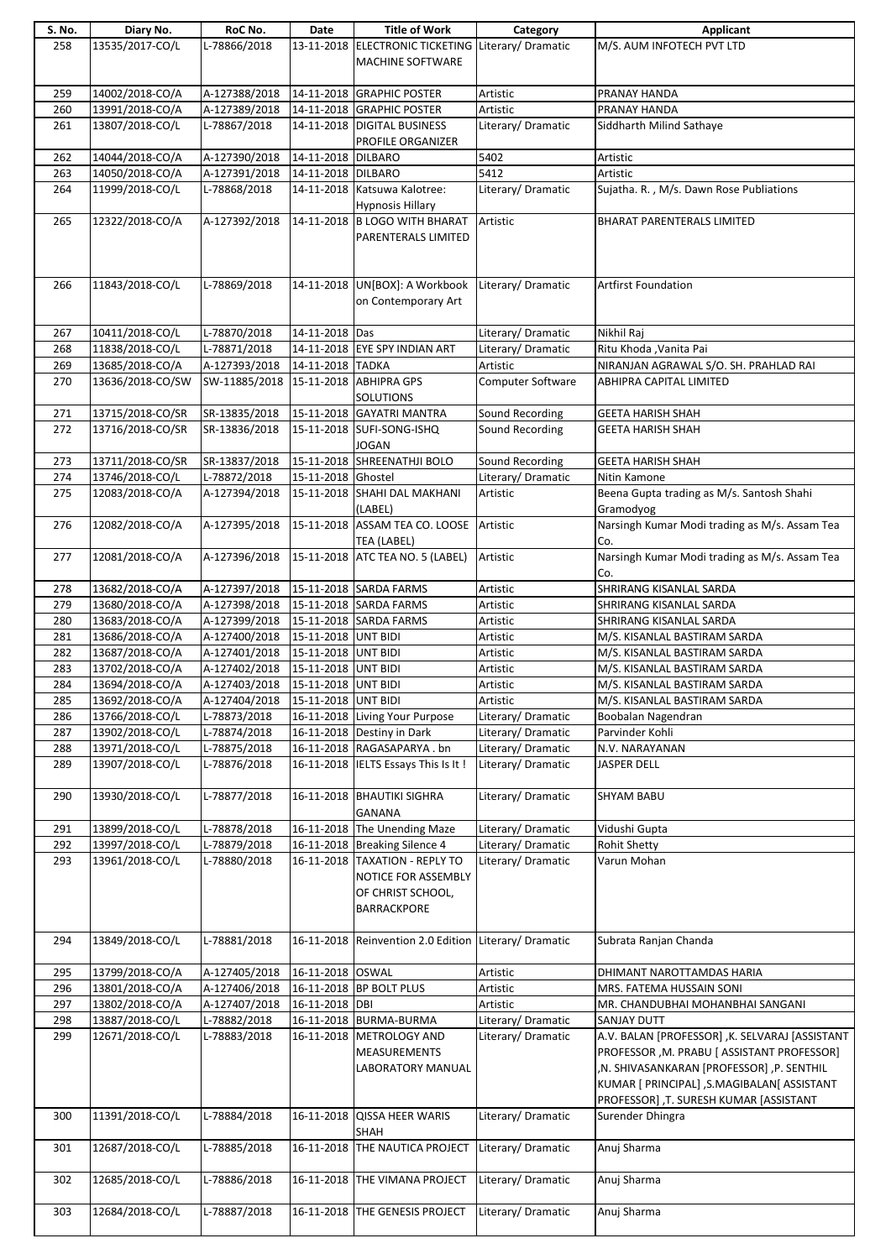| S. No. | Diary No.        | RoC No.       | Date                | <b>Title of Work</b>                                                 | Category           | Applicant                                                                                                                                                                                                                            |
|--------|------------------|---------------|---------------------|----------------------------------------------------------------------|--------------------|--------------------------------------------------------------------------------------------------------------------------------------------------------------------------------------------------------------------------------------|
| 258    | 13535/2017-CO/L  | L-78866/2018  |                     | 13-11-2018 ELECTRONIC TICKETING<br>MACHINE SOFTWARE                  | Literary/Dramatic  | M/S. AUM INFOTECH PVT LTD                                                                                                                                                                                                            |
| 259    | 14002/2018-CO/A  | A-127388/2018 |                     | 14-11-2018 GRAPHIC POSTER                                            | Artistic           | PRANAY HANDA                                                                                                                                                                                                                         |
| 260    | 13991/2018-CO/A  | A-127389/2018 |                     | 14-11-2018 GRAPHIC POSTER                                            | Artistic           | PRANAY HANDA                                                                                                                                                                                                                         |
| 261    | 13807/2018-CO/L  | L-78867/2018  |                     | 14-11-2018 DIGITAL BUSINESS                                          | Literary/Dramatic  | Siddharth Milind Sathaye                                                                                                                                                                                                             |
|        |                  |               |                     | PROFILE ORGANIZER                                                    |                    |                                                                                                                                                                                                                                      |
| 262    | 14044/2018-CO/A  | A-127390/2018 | 14-11-2018 DILBARO  |                                                                      | 5402               | Artistic                                                                                                                                                                                                                             |
| 263    | 14050/2018-CO/A  | A-127391/2018 | 14-11-2018 DILBARO  |                                                                      | 5412               | Artistic                                                                                                                                                                                                                             |
| 264    | 11999/2018-CO/L  | L-78868/2018  |                     | 14-11-2018 Katsuwa Kalotree:                                         | Literary/Dramatic  | Sujatha. R., M/s. Dawn Rose Publiations                                                                                                                                                                                              |
|        |                  |               |                     | <b>Hypnosis Hillary</b>                                              |                    |                                                                                                                                                                                                                                      |
| 265    | 12322/2018-CO/A  | A-127392/2018 |                     | 14-11-2018 B LOGO WITH BHARAT                                        | Artistic           | <b>BHARAT PARENTERALS LIMITED</b>                                                                                                                                                                                                    |
|        |                  |               |                     | PARENTERALS LIMITED                                                  |                    |                                                                                                                                                                                                                                      |
| 266    | 11843/2018-CO/L  | L-78869/2018  |                     | 14-11-2018 UN[BOX]: A Workbook<br>on Contemporary Art                | Literary/Dramatic  | <b>Artfirst Foundation</b>                                                                                                                                                                                                           |
| 267    | 10411/2018-CO/L  | L-78870/2018  | 14-11-2018 Das      |                                                                      | Literary/Dramatic  | Nikhil Raj                                                                                                                                                                                                                           |
| 268    | 11838/2018-CO/L  | L-78871/2018  |                     | 14-11-2018 EYE SPY INDIAN ART                                        | Literary/Dramatic  | Ritu Khoda , Vanita Pai                                                                                                                                                                                                              |
| 269    | 13685/2018-CO/A  | A-127393/2018 | 14-11-2018 TADKA    |                                                                      | Artistic           | NIRANJAN AGRAWAL S/O. SH. PRAHLAD RAI                                                                                                                                                                                                |
| 270    | 13636/2018-CO/SW | SW-11885/2018 |                     | 15-11-2018 ABHIPRA GPS<br>SOLUTIONS                                  | Computer Software  | <b>ABHIPRA CAPITAL LIMITED</b>                                                                                                                                                                                                       |
| 271    | 13715/2018-CO/SR | SR-13835/2018 |                     | 15-11-2018 GAYATRI MANTRA                                            | Sound Recording    | <b>GEETA HARISH SHAH</b>                                                                                                                                                                                                             |
| 272    | 13716/2018-CO/SR | SR-13836/2018 |                     | 15-11-2018 SUFI-SONG-ISHQ<br><b>JOGAN</b>                            | Sound Recording    | <b>GEETA HARISH SHAH</b>                                                                                                                                                                                                             |
| 273    | 13711/2018-CO/SR | SR-13837/2018 |                     | 15-11-2018 SHREENATHJI BOLO                                          | Sound Recording    | <b>GEETA HARISH SHAH</b>                                                                                                                                                                                                             |
| 274    | 13746/2018-CO/L  | L-78872/2018  | 15-11-2018 Ghostel  |                                                                      | Literary/Dramatic  | Nitin Kamone                                                                                                                                                                                                                         |
| 275    | 12083/2018-CO/A  | A-127394/2018 |                     | 15-11-2018 SHAHI DAL MAKHANI<br>(LABEL)                              | Artistic           | Beena Gupta trading as M/s. Santosh Shahi<br>Gramodyog                                                                                                                                                                               |
| 276    | 12082/2018-CO/A  | A-127395/2018 |                     | 15-11-2018 ASSAM TEA CO. LOOSE<br>TEA (LABEL)                        | Artistic           | Narsingh Kumar Modi trading as M/s. Assam Tea<br>Co.                                                                                                                                                                                 |
| 277    | 12081/2018-CO/A  | A-127396/2018 |                     | 15-11-2018 ATC TEA NO. 5 (LABEL)                                     | Artistic           | Narsingh Kumar Modi trading as M/s. Assam Tea<br>Co.                                                                                                                                                                                 |
| 278    | 13682/2018-CO/A  | A-127397/2018 |                     | 15-11-2018 SARDA FARMS                                               | Artistic           | SHRIRANG KISANLAL SARDA                                                                                                                                                                                                              |
| 279    | 13680/2018-CO/A  | A-127398/2018 |                     | 15-11-2018 SARDA FARMS                                               | Artistic           | SHRIRANG KISANLAL SARDA                                                                                                                                                                                                              |
| 280    | 13683/2018-CO/A  | A-127399/2018 |                     | 15-11-2018 SARDA FARMS                                               | Artistic           | SHRIRANG KISANLAL SARDA                                                                                                                                                                                                              |
| 281    | 13686/2018-CO/A  | A-127400/2018 | 15-11-2018 UNT BIDI |                                                                      | Artistic           | M/S. KISANLAL BASTIRAM SARDA                                                                                                                                                                                                         |
| 282    | 13687/2018-CO/A  | A-127401/2018 | 15-11-2018 UNT BIDI |                                                                      | Artistic           | M/S. KISANLAL BASTIRAM SARDA                                                                                                                                                                                                         |
| 283    | 13702/2018-CO/A  | A-127402/2018 | 15-11-2018 UNT BIDI |                                                                      | Artistic           | M/S. KISANLAL BASTIRAM SARDA                                                                                                                                                                                                         |
| 284    | 13694/2018-CO/A  | A-127403/2018 | 15-11-2018 UNT BIDI |                                                                      | Artistic           | M/S. KISANLAL BASTIRAM SARDA                                                                                                                                                                                                         |
| 285    | 13692/2018-CO/A  | A-127404/2018 | 15-11-2018 UNT BIDI |                                                                      | Artistic           | M/S. KISANLAL BASTIRAM SARDA                                                                                                                                                                                                         |
| 286    | 13766/2018-CO/L  | L-78873/2018  |                     | 16-11-2018 Living Your Purpose                                       | Literary/Dramatic  | Boobalan Nagendran                                                                                                                                                                                                                   |
| 287    | 13902/2018-CO/L  | L-78874/2018  |                     | 16-11-2018 Destiny in Dark                                           | Literary/Dramatic  | Parvinder Kohli                                                                                                                                                                                                                      |
| 288    | 13971/2018-CO/L  | L-78875/2018  |                     | 16-11-2018 RAGASAPARYA.bn                                            | Literary/Dramatic  | N.V. NARAYANAN                                                                                                                                                                                                                       |
| 289    | 13907/2018-CO/L  | L-78876/2018  |                     | 16-11-2018 IELTS Essays This Is It !                                 | Literary/Dramatic  | JASPER DELL                                                                                                                                                                                                                          |
| 290    | 13930/2018-CO/L  | L-78877/2018  |                     | 16-11-2018 BHAUTIKI SIGHRA<br><b>GANANA</b>                          | Literary/Dramatic  | <b>SHYAM BABU</b>                                                                                                                                                                                                                    |
| 291    | 13899/2018-CO/L  | L-78878/2018  |                     | 16-11-2018 The Unending Maze                                         | Literary/ Dramatic | Vidushi Gupta                                                                                                                                                                                                                        |
| 292    | 13997/2018-CO/L  | L-78879/2018  |                     | 16-11-2018 Breaking Silence 4                                        | Literary/Dramatic  | <b>Rohit Shetty</b>                                                                                                                                                                                                                  |
| 293    | 13961/2018-CO/L  | L-78880/2018  |                     | 16-11-2018   TAXATION - REPLY TO                                     | Literary/Dramatic  | Varun Mohan                                                                                                                                                                                                                          |
|        |                  |               |                     | NOTICE FOR ASSEMBLY<br>OF CHRIST SCHOOL,<br><b>BARRACKPORE</b>       |                    |                                                                                                                                                                                                                                      |
| 294    | 13849/2018-CO/L  | L-78881/2018  |                     | 16-11-2018 Reinvention 2.0 Edition Literary/ Dramatic                |                    | Subrata Ranjan Chanda                                                                                                                                                                                                                |
| 295    | 13799/2018-CO/A  | A-127405/2018 | 16-11-2018 OSWAL    |                                                                      | Artistic           | DHIMANT NAROTTAMDAS HARIA                                                                                                                                                                                                            |
| 296    | 13801/2018-CO/A  | A-127406/2018 |                     | 16-11-2018 BP BOLT PLUS                                              | Artistic           | MRS. FATEMA HUSSAIN SONI                                                                                                                                                                                                             |
| 297    | 13802/2018-CO/A  | A-127407/2018 | 16-11-2018 DBI      |                                                                      | Artistic           | MR. CHANDUBHAI MOHANBHAI SANGANI                                                                                                                                                                                                     |
| 298    | 13887/2018-CO/L  | L-78882/2018  |                     | 16-11-2018 BURMA-BURMA                                               | Literary/ Dramatic | SANJAY DUTT                                                                                                                                                                                                                          |
| 299    | 12671/2018-CO/L  | L-78883/2018  |                     | 16-11-2018 METROLOGY AND<br><b>MEASUREMENTS</b><br>LABORATORY MANUAL | Literary/Dramatic  | A.V. BALAN [PROFESSOR] , K. SELVARAJ [ASSISTANT<br>PROFESSOR, M. PRABU [ ASSISTANT PROFESSOR]<br>,N. SHIVASANKARAN [PROFESSOR] ,P. SENTHIL<br>KUMAR [ PRINCIPAL] , S.MAGIBALAN [ ASSISTANT<br>PROFESSOR], T. SURESH KUMAR [ASSISTANT |
| 300    | 11391/2018-CO/L  | L-78884/2018  |                     | 16-11-2018 QISSA HEER WARIS<br>SHAH                                  | Literary/Dramatic  | Surender Dhingra                                                                                                                                                                                                                     |
| 301    | 12687/2018-CO/L  | L-78885/2018  | 16-11-2018          | THE NAUTICA PROJECT                                                  | Literary/Dramatic  | Anuj Sharma                                                                                                                                                                                                                          |
| 302    | 12685/2018-CO/L  | L-78886/2018  |                     | 16-11-2018 THE VIMANA PROJECT                                        | Literary/Dramatic  | Anuj Sharma                                                                                                                                                                                                                          |
| 303    | 12684/2018-CO/L  | L-78887/2018  |                     | 16-11-2018 THE GENESIS PROJECT                                       | Literary/Dramatic  | Anuj Sharma                                                                                                                                                                                                                          |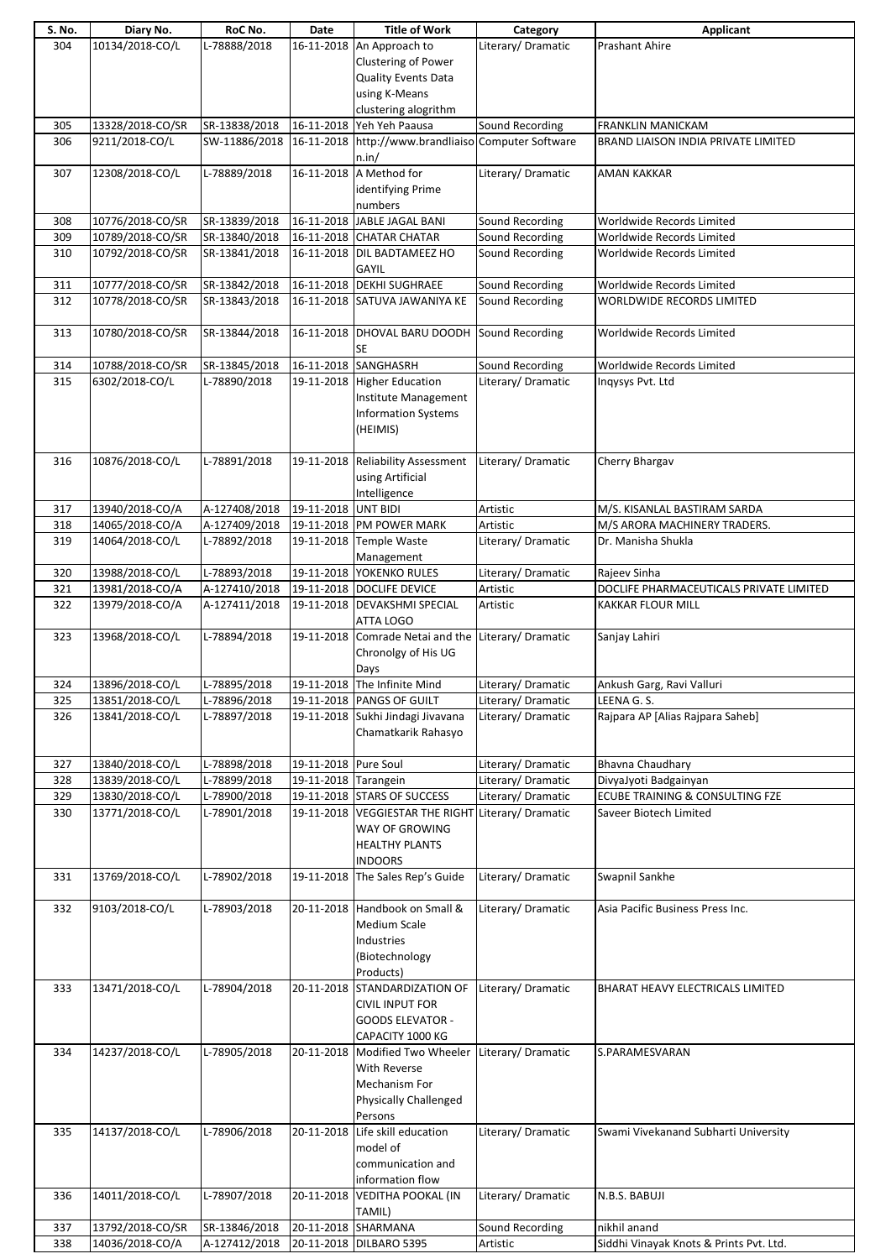| S. No. | Diary No.        | RoC No.       | Date                 | <b>Title of Work</b>                                | Category           | <b>Applicant</b>                        |
|--------|------------------|---------------|----------------------|-----------------------------------------------------|--------------------|-----------------------------------------|
| 304    | 10134/2018-CO/L  | L-78888/2018  | 16-11-2018           | An Approach to                                      | Literary/Dramatic  | <b>Prashant Ahire</b>                   |
|        |                  |               |                      | Clustering of Power                                 |                    |                                         |
|        |                  |               |                      | Quality Events Data                                 |                    |                                         |
|        |                  |               |                      | using K-Means                                       |                    |                                         |
|        |                  |               |                      | clustering alogrithm                                |                    |                                         |
| 305    | 13328/2018-CO/SR | SR-13838/2018 | 16-11-2018           | Yeh Yeh Paausa                                      | Sound Recording    | <b>FRANKLIN MANICKAM</b>                |
| 306    | 9211/2018-CO/L   | SW-11886/2018 |                      | 16-11-2018 http://www.brandliaiso Computer Software |                    | BRAND LIAISON INDIA PRIVATE LIMITED     |
|        |                  |               |                      | n.in/                                               |                    |                                         |
| 307    | 12308/2018-CO/L  | L-78889/2018  | 16-11-2018           | A Method for                                        | Literary/Dramatic  | <b>AMAN KAKKAR</b>                      |
|        |                  |               |                      | identifying Prime                                   |                    |                                         |
|        |                  |               |                      | numbers                                             |                    |                                         |
| 308    | 10776/2018-CO/SR | SR-13839/2018 | 16-11-2018           | JABLE JAGAL BANI                                    | Sound Recording    | Worldwide Records Limited               |
| 309    | 10789/2018-CO/SR | SR-13840/2018 |                      | 16-11-2018 CHATAR CHATAR                            | Sound Recording    | Worldwide Records Limited               |
| 310    | 10792/2018-CO/SR | SR-13841/2018 |                      | 16-11-2018 DIL BADTAMEEZ HO                         | Sound Recording    | Worldwide Records Limited               |
|        |                  |               |                      | <b>GAYIL</b>                                        |                    |                                         |
| 311    | 10777/2018-CO/SR | SR-13842/2018 | 16-11-2018           | <b>DEKHI SUGHRAEE</b>                               | Sound Recording    | Worldwide Records Limited               |
| 312    | 10778/2018-CO/SR | SR-13843/2018 |                      | 16-11-2018 SATUVA JAWANIYA KE                       | Sound Recording    | WORLDWIDE RECORDS LIMITED               |
|        |                  |               |                      |                                                     |                    |                                         |
| 313    | 10780/2018-CO/SR | SR-13844/2018 | 16-11-2018           | DHOVAL BARU DOODH                                   | Sound Recording    | Worldwide Records Limited               |
|        |                  |               |                      | SE                                                  |                    |                                         |
| 314    | 10788/2018-CO/SR | SR-13845/2018 | 16-11-2018           | SANGHASRH                                           | Sound Recording    | Worldwide Records Limited               |
| 315    | 6302/2018-CO/L   | L-78890/2018  |                      | 19-11-2018 Higher Education                         | Literary/Dramatic  | Inqysys Pvt. Ltd                        |
|        |                  |               |                      | Institute Management                                |                    |                                         |
|        |                  |               |                      | <b>Information Systems</b>                          |                    |                                         |
|        |                  |               |                      | (HEIMIS)                                            |                    |                                         |
|        |                  |               |                      |                                                     |                    |                                         |
| 316    | 10876/2018-CO/L  | L-78891/2018  |                      | 19-11-2018 Reliability Assessment                   | Literary/Dramatic  | Cherry Bhargav                          |
|        |                  |               |                      | using Artificial                                    |                    |                                         |
|        |                  |               |                      | Intelligence                                        |                    |                                         |
| 317    | 13940/2018-CO/A  | A-127408/2018 | 19-11-2018 UNT BIDI  |                                                     | Artistic           | M/S. KISANLAL BASTIRAM SARDA            |
| 318    | 14065/2018-CO/A  | A-127409/2018 |                      | 19-11-2018 PM POWER MARK                            | Artistic           | M/S ARORA MACHINERY TRADERS.            |
| 319    | 14064/2018-CO/L  | L-78892/2018  |                      | 19-11-2018 Temple Waste                             | Literary/Dramatic  | Dr. Manisha Shukla                      |
|        |                  |               |                      | Management                                          |                    |                                         |
| 320    | 13988/2018-CO/L  | L-78893/2018  |                      | 19-11-2018 YOKENKO RULES                            | Literary/Dramatic  | Rajeev Sinha                            |
| 321    | 13981/2018-CO/A  | A-127410/2018 | 19-11-2018           | <b>DOCLIFE DEVICE</b>                               | Artistic           | DOCLIFE PHARMACEUTICALS PRIVATE LIMITED |
| 322    | 13979/2018-CO/A  | A-127411/2018 |                      | 19-11-2018 DEVAKSHMI SPECIAL                        | Artistic           | <b>KAKKAR FLOUR MILL</b>                |
|        |                  |               |                      | ATTA LOGO                                           |                    |                                         |
| 323    | 13968/2018-CO/L  | L-78894/2018  | 19-11-2018           | Comrade Netai and the                               | Literary/Dramatic  | Sanjay Lahiri                           |
|        |                  |               |                      | Chronolgy of His UG                                 |                    |                                         |
|        |                  |               |                      | Days                                                |                    |                                         |
| 324    | 13896/2018-CO/L  | L-78895/2018  |                      | 19-11-2018 The Infinite Mind                        | Literary/ Dramatic | Ankush Garg, Ravi Valluri               |
| 325    | 13851/2018-CO/L  | L-78896/2018  |                      | 19-11-2018 PANGS OF GUILT                           | Literary/Dramatic  | LEENA G. S.                             |
| 326    | 13841/2018-CO/L  | L-78897/2018  |                      | 19-11-2018 Sukhi Jindagi Jivavana                   | Literary/Dramatic  | Rajpara AP [Alias Rajpara Saheb]        |
|        |                  |               |                      | Chamatkarik Rahasyo                                 |                    |                                         |
|        |                  |               |                      |                                                     |                    |                                         |
| 327    | 13840/2018-CO/L  | L-78898/2018  | 19-11-2018 Pure Soul |                                                     | Literary/ Dramatic | Bhavna Chaudhary                        |
| 328    | 13839/2018-CO/L  | L-78899/2018  | 19-11-2018 Tarangein |                                                     | Literary/Dramatic  | DivyaJyoti Badgainyan                   |
| 329    | 13830/2018-CO/L  | L-78900/2018  |                      | 19-11-2018 STARS OF SUCCESS                         | Literary/Dramatic  | ECUBE TRAINING & CONSULTING FZE         |
| 330    | 13771/2018-CO/L  | L-78901/2018  |                      | 19-11-2018 VEGGIESTAR THE RIGHT Literary/ Dramatic  |                    | Saveer Biotech Limited                  |
|        |                  |               |                      | WAY OF GROWING                                      |                    |                                         |
|        |                  |               |                      | <b>HEALTHY PLANTS</b>                               |                    |                                         |
|        |                  |               |                      | <b>INDOORS</b>                                      |                    |                                         |
| 331    | 13769/2018-CO/L  | L-78902/2018  | 19-11-2018           | The Sales Rep's Guide                               | Literary/Dramatic  | Swapnil Sankhe                          |
|        |                  |               |                      |                                                     |                    |                                         |
|        |                  |               |                      |                                                     |                    |                                         |
| 332    | 9103/2018-CO/L   | L-78903/2018  |                      | 20-11-2018 Handbook on Small &                      | Literary/Dramatic  | Asia Pacific Business Press Inc.        |
|        |                  |               |                      | <b>Medium Scale</b>                                 |                    |                                         |
|        |                  |               |                      | Industries                                          |                    |                                         |
|        |                  |               |                      | (Biotechnology                                      |                    |                                         |
|        |                  |               |                      | Products)                                           |                    |                                         |
| 333    | 13471/2018-CO/L  | L-78904/2018  |                      | 20-11-2018 STANDARDIZATION OF                       | Literary/Dramatic  | BHARAT HEAVY ELECTRICALS LIMITED        |
|        |                  |               |                      | <b>CIVIL INPUT FOR</b>                              |                    |                                         |
|        |                  |               |                      | <b>GOODS ELEVATOR -</b>                             |                    |                                         |
|        |                  |               |                      | CAPACITY 1000 KG                                    |                    |                                         |
| 334    | 14237/2018-CO/L  | L-78905/2018  |                      | 20-11-2018 Modified Two Wheeler                     | Literary/Dramatic  | S.PARAMESVARAN                          |
|        |                  |               |                      | With Reverse                                        |                    |                                         |
|        |                  |               |                      | Mechanism For                                       |                    |                                         |
|        |                  |               |                      | <b>Physically Challenged</b>                        |                    |                                         |
|        |                  |               |                      | Persons                                             |                    |                                         |
| 335    | 14137/2018-CO/L  | L-78906/2018  | 20-11-2018           | Life skill education                                | Literary/Dramatic  | Swami Vivekanand Subharti University    |
|        |                  |               |                      | model of                                            |                    |                                         |
|        |                  |               |                      | communication and                                   |                    |                                         |
|        |                  |               |                      | information flow                                    |                    |                                         |
| 336    | 14011/2018-CO/L  | L-78907/2018  | 20-11-2018           | <b>VEDITHA POOKAL (IN</b>                           | Literary/Dramatic  | N.B.S. BABUJI                           |
|        |                  |               |                      | TAMIL)                                              |                    |                                         |
| 337    | 13792/2018-CO/SR | SR-13846/2018 | 20-11-2018           | SHARMANA                                            | Sound Recording    | nikhil anand                            |
| 338    | 14036/2018-CO/A  | A-127412/2018 |                      | 20-11-2018 DILBARO 5395                             | Artistic           | Siddhi Vinayak Knots & Prints Pvt. Ltd. |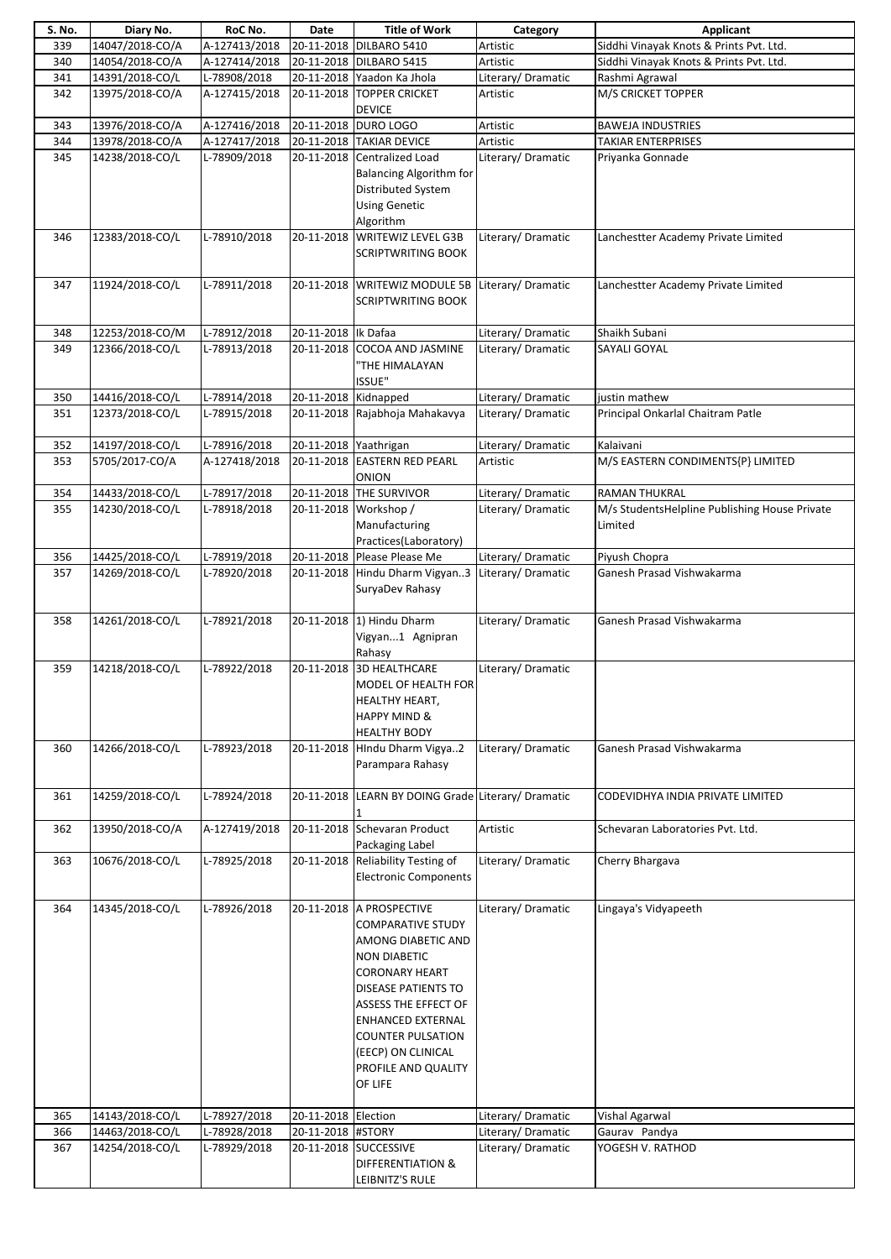| S. No. | Diary No.       | RoC No.       | Date                  | <b>Title of Work</b>                               | Category           | <b>Applicant</b>                              |
|--------|-----------------|---------------|-----------------------|----------------------------------------------------|--------------------|-----------------------------------------------|
| 339    | 14047/2018-CO/A | A-127413/2018 | 20-11-2018            | DILBARO 5410                                       | Artistic           | Siddhi Vinayak Knots & Prints Pvt. Ltd.       |
| 340    | 14054/2018-CO/A | A-127414/2018 |                       | 20-11-2018 DILBARO 5415                            | Artistic           | Siddhi Vinayak Knots & Prints Pvt. Ltd.       |
| 341    | 14391/2018-CO/L | L-78908/2018  |                       | 20-11-2018 Yaadon Ka Jhola                         | Literary/ Dramatic | Rashmi Agrawal                                |
| 342    | 13975/2018-CO/A | A-127415/2018 |                       | 20-11-2018 TOPPER CRICKET<br><b>DEVICE</b>         | Artistic           | M/S CRICKET TOPPER                            |
| 343    | 13976/2018-CO/A | A-127416/2018 | 20-11-2018            | <b>DURO LOGO</b>                                   | Artistic           | <b>BAWEJA INDUSTRIES</b>                      |
|        |                 |               |                       |                                                    |                    |                                               |
| 344    | 13978/2018-CO/A | A-127417/2018 | 20-11-2018            | <b>TAKIAR DEVICE</b>                               | Artistic           | <b>TAKIAR ENTERPRISES</b>                     |
| 345    | 14238/2018-CO/L | L-78909/2018  |                       | 20-11-2018 Centralized Load                        | Literary/ Dramatic | Priyanka Gonnade                              |
|        |                 |               |                       | <b>Balancing Algorithm for</b>                     |                    |                                               |
|        |                 |               |                       | Distributed System                                 |                    |                                               |
|        |                 |               |                       | <b>Using Genetic</b>                               |                    |                                               |
|        |                 |               |                       | Algorithm                                          |                    |                                               |
| 346    | 12383/2018-CO/L | L-78910/2018  | 20-11-2018            | <b>WRITEWIZ LEVEL G3B</b>                          | Literary/Dramatic  | Lanchestter Academy Private Limited           |
|        |                 |               |                       | <b>SCRIPTWRITING BOOK</b>                          |                    |                                               |
|        |                 |               |                       |                                                    |                    |                                               |
| 347    | 11924/2018-CO/L | L-78911/2018  |                       | 20-11-2018 WRITEWIZ MODULE 5B                      | Literary/Dramatic  | Lanchestter Academy Private Limited           |
|        |                 |               |                       | <b>SCRIPTWRITING BOOK</b>                          |                    |                                               |
|        |                 |               |                       |                                                    |                    |                                               |
| 348    | 12253/2018-CO/M | L-78912/2018  | 20-11-2018   Ik Dafaa |                                                    | Literary/Dramatic  | Shaikh Subani                                 |
| 349    | 12366/2018-CO/L | L-78913/2018  | 20-11-2018            | <b>COCOA AND JASMINE</b>                           | Literary/Dramatic  | SAYALI GOYAL                                  |
|        |                 |               |                       |                                                    |                    |                                               |
|        |                 |               |                       | <b>THE HIMALAYAN</b>                               |                    |                                               |
|        |                 |               |                       | <b>ISSUE"</b>                                      |                    |                                               |
| 350    | 14416/2018-CO/L | L-78914/2018  | 20-11-2018 Kidnapped  |                                                    | Literary/ Dramatic | justin mathew                                 |
| 351    | 12373/2018-CO/L | L-78915/2018  |                       | 20-11-2018 Rajabhoja Mahakavya                     | Literary/ Dramatic | Principal Onkarlal Chaitram Patle             |
|        |                 |               |                       |                                                    |                    |                                               |
| 352    | 14197/2018-CO/L | L-78916/2018  | 20-11-2018 Yaathrigan |                                                    | Literary/Dramatic  | Kalaivani                                     |
| 353    | 5705/2017-CO/A  | A-127418/2018 |                       | 20-11-2018 EASTERN RED PEARL                       | Artistic           | M/S EASTERN CONDIMENTS{P} LIMITED             |
|        |                 |               |                       | ONION                                              |                    |                                               |
| 354    | 14433/2018-CO/L | L-78917/2018  | 20-11-2018            | <b>THE SURVIVOR</b>                                | Literary/ Dramatic | <b>RAMAN THUKRAL</b>                          |
| 355    | 14230/2018-CO/L | L-78918/2018  |                       | 20-11-2018 Workshop /                              | Literary/Dramatic  | M/s StudentsHelpline Publishing House Private |
|        |                 |               |                       | Manufacturing                                      |                    | Limited                                       |
|        |                 |               |                       | Practices(Laboratory)                              |                    |                                               |
| 356    | 14425/2018-CO/L | L-78919/2018  |                       | 20-11-2018 Please Please Me                        | Literary/ Dramatic | Piyush Chopra                                 |
| 357    | 14269/2018-CO/L | L-78920/2018  |                       | 20-11-2018 Hindu Dharm Vigyan3                     | Literary/Dramatic  | Ganesh Prasad Vishwakarma                     |
|        |                 |               |                       | SuryaDev Rahasy                                    |                    |                                               |
|        |                 |               |                       |                                                    |                    |                                               |
| 358    | 14261/2018-CO/L | L-78921/2018  |                       | 20-11-2018 1) Hindu Dharm                          | Literary/Dramatic  | Ganesh Prasad Vishwakarma                     |
|        |                 |               |                       | Vigyan1 Agnipran                                   |                    |                                               |
|        |                 |               |                       |                                                    |                    |                                               |
|        | 14218/2018-CO/L | L-78922/2018  | 20-11-2018            | Rahasy<br><b>3D HEALTHCARE</b>                     | Literary/Dramatic  |                                               |
| 359    |                 |               |                       |                                                    |                    |                                               |
|        |                 |               |                       | MODEL OF HEALTH FOR                                |                    |                                               |
|        |                 |               |                       | <b>HEALTHY HEART,</b>                              |                    |                                               |
|        |                 |               |                       | <b>HAPPY MIND &amp;</b>                            |                    |                                               |
|        |                 |               |                       | <b>HEALTHY BODY</b>                                |                    |                                               |
| 360    | 14266/2018-CO/L | L-78923/2018  |                       | 20-11-2018 HIndu Dharm Vigya2                      | Literary/Dramatic  | Ganesh Prasad Vishwakarma                     |
|        |                 |               |                       | Parampara Rahasy                                   |                    |                                               |
|        |                 |               |                       |                                                    |                    |                                               |
| 361    | 14259/2018-CO/L | L-78924/2018  |                       | 20-11-2018 LEARN BY DOING Grade Literary/ Dramatic |                    | CODEVIDHYA INDIA PRIVATE LIMITED              |
|        |                 |               |                       |                                                    |                    |                                               |
| 362    | 13950/2018-CO/A | A-127419/2018 |                       | 20-11-2018 Schevaran Product                       | Artistic           | Schevaran Laboratories Pvt. Ltd.              |
|        |                 |               |                       | Packaging Label                                    |                    |                                               |
| 363    | 10676/2018-CO/L | L-78925/2018  |                       | 20-11-2018 Reliability Testing of                  | Literary/Dramatic  | Cherry Bhargava                               |
|        |                 |               |                       | <b>Electronic Components</b>                       |                    |                                               |
|        |                 |               |                       |                                                    |                    |                                               |
| 364    | 14345/2018-CO/L | L-78926/2018  |                       | 20-11-2018 A PROSPECTIVE                           | Literary/Dramatic  | Lingaya's Vidyapeeth                          |
|        |                 |               |                       | <b>COMPARATIVE STUDY</b>                           |                    |                                               |
|        |                 |               |                       | AMONG DIABETIC AND                                 |                    |                                               |
|        |                 |               |                       | <b>NON DIABETIC</b>                                |                    |                                               |
|        |                 |               |                       | <b>CORONARY HEART</b>                              |                    |                                               |
|        |                 |               |                       | DISEASE PATIENTS TO                                |                    |                                               |
|        |                 |               |                       | ASSESS THE EFFECT OF                               |                    |                                               |
|        |                 |               |                       | ENHANCED EXTERNAL                                  |                    |                                               |
|        |                 |               |                       |                                                    |                    |                                               |
|        |                 |               |                       | <b>COUNTER PULSATION</b>                           |                    |                                               |
|        |                 |               |                       | (EECP) ON CLINICAL                                 |                    |                                               |
|        |                 |               |                       | PROFILE AND QUALITY                                |                    |                                               |
|        |                 |               |                       | OF LIFE                                            |                    |                                               |
|        |                 |               |                       |                                                    |                    |                                               |
| 365    | 14143/2018-CO/L | L-78927/2018  | 20-11-2018 Election   |                                                    | Literary/Dramatic  | Vishal Agarwal                                |
| 366    | 14463/2018-CO/L | L-78928/2018  | 20-11-2018 #STORY     |                                                    | Literary/Dramatic  | Gaurav Pandya                                 |
| 367    | 14254/2018-CO/L | L-78929/2018  |                       | 20-11-2018 SUCCESSIVE                              | Literary/Dramatic  | YOGESH V. RATHOD                              |
|        |                 |               |                       | DIFFERENTIATION &                                  |                    |                                               |
|        |                 |               |                       | LEIBNITZ'S RULE                                    |                    |                                               |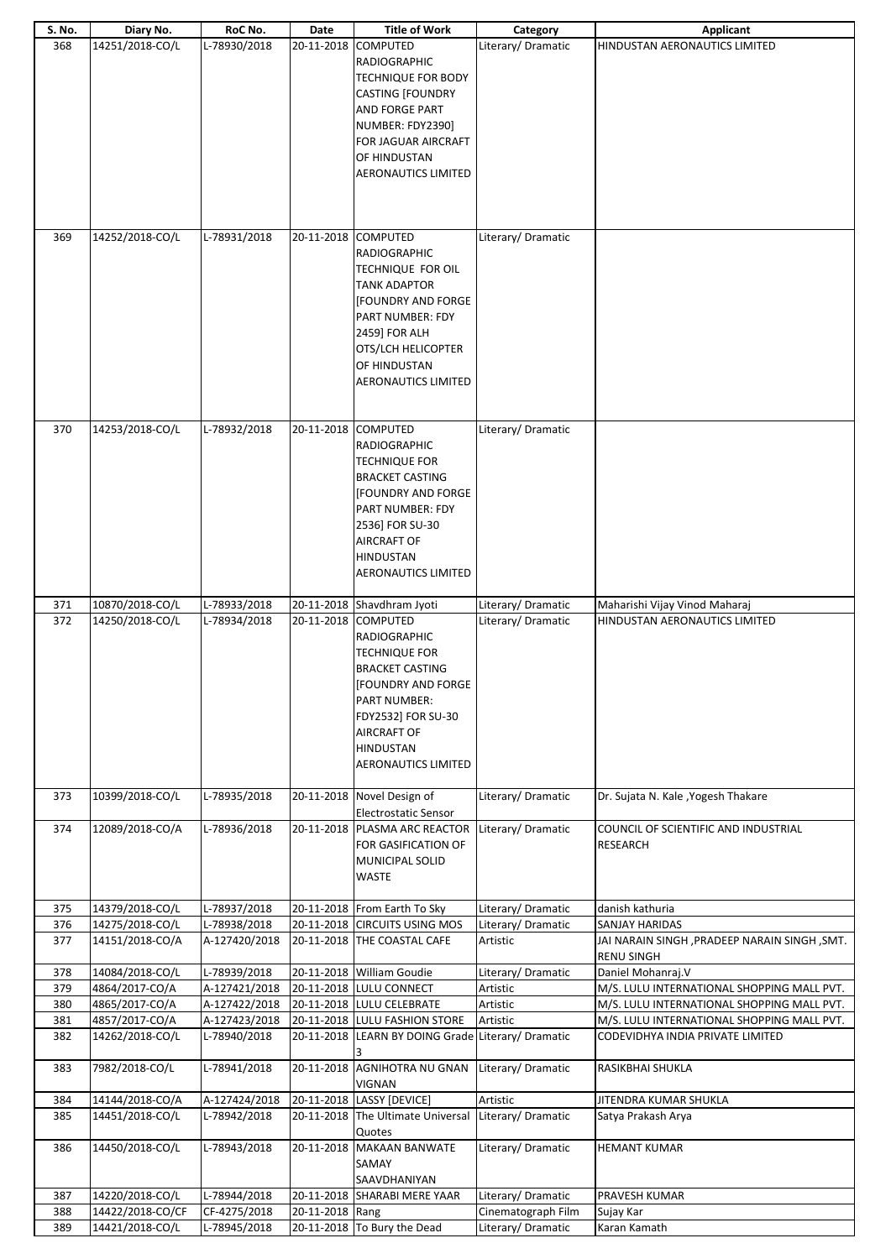| S. No.     | Diary No.                          | RoC No.                       | Date            | <b>Title of Work</b>                                                                                                                                                                                                                            | Category                      | <b>Applicant</b>                                                                    |
|------------|------------------------------------|-------------------------------|-----------------|-------------------------------------------------------------------------------------------------------------------------------------------------------------------------------------------------------------------------------------------------|-------------------------------|-------------------------------------------------------------------------------------|
| 368        | 14251/2018-CO/L                    | L-78930/2018                  |                 | 20-11-2018 COMPUTED<br><b>RADIOGRAPHIC</b><br><b>TECHNIQUE FOR BODY</b><br><b>CASTING [FOUNDRY</b><br>AND FORGE PART<br>NUMBER: FDY2390]<br>FOR JAGUAR AIRCRAFT<br>OF HINDUSTAN<br><b>AERONAUTICS LIMITED</b>                                   | Literary/Dramatic             | HINDUSTAN AERONAUTICS LIMITED                                                       |
| 369        | 14252/2018-CO/L                    | L-78931/2018                  | 20-11-2018      | <b>COMPUTED</b><br><b>RADIOGRAPHIC</b><br>TECHNIQUE FOR OIL<br><b>TANK ADAPTOR</b><br><b>[FOUNDRY AND FORGE</b><br><b>PART NUMBER: FDY</b><br>2459] FOR ALH<br>OTS/LCH HELICOPTER<br>OF HINDUSTAN<br><b>AERONAUTICS LIMITED</b>                 | Literary/Dramatic             |                                                                                     |
| 370        | 14253/2018-CO/L                    | L-78932/2018                  |                 | 20-11-2018 COMPUTED<br><b>RADIOGRAPHIC</b><br><b>TECHNIQUE FOR</b><br><b>BRACKET CASTING</b><br><b>[FOUNDRY AND FORGE</b><br><b>PART NUMBER: FDY</b><br>2536] FOR SU-30<br><b>AIRCRAFT OF</b><br><b>HINDUSTAN</b><br><b>AERONAUTICS LIMITED</b> | Literary/Dramatic             |                                                                                     |
| 371        | 10870/2018-CO/L                    | L-78933/2018                  |                 | 20-11-2018 Shavdhram Jyoti                                                                                                                                                                                                                      | Literary/Dramatic             | Maharishi Vijay Vinod Maharaj                                                       |
| 372        | 14250/2018-CO/L                    | L-78934/2018                  |                 | 20-11-2018 COMPUTED<br><b>RADIOGRAPHIC</b><br><b>TECHNIQUE FOR</b><br><b>BRACKET CASTING</b><br><b>[FOUNDRY AND FORGE</b><br><b>PART NUMBER:</b><br>FDY2532] FOR SU-30<br><b>AIRCRAFT OF</b><br><b>HINDUSTAN</b><br><b>AERONAUTICS LIMITED</b>  | Literary/Dramatic             | HINDUSTAN AERONAUTICS LIMITED                                                       |
| 373        | 10399/2018-CO/L                    | L-78935/2018                  |                 | 20-11-2018 Novel Design of<br><b>Electrostatic Sensor</b>                                                                                                                                                                                       | Literary/ Dramatic            | Dr. Sujata N. Kale, Yogesh Thakare                                                  |
| 374        | 12089/2018-CO/A                    | L-78936/2018                  |                 | 20-11-2018 PLASMA ARC REACTOR<br>FOR GASIFICATION OF<br>MUNICIPAL SOLID<br><b>WASTE</b>                                                                                                                                                         | Literary/Dramatic             | COUNCIL OF SCIENTIFIC AND INDUSTRIAL<br><b>RESEARCH</b>                             |
| 375        | 14379/2018-CO/L                    | L-78937/2018                  |                 | 20-11-2018 From Earth To Sky                                                                                                                                                                                                                    | Literary/Dramatic             | danish kathuria                                                                     |
| 376<br>377 | 14275/2018-CO/L<br>14151/2018-CO/A | L-78938/2018<br>A-127420/2018 |                 | 20-11-2018 CIRCUITS USING MOS<br>20-11-2018 THE COASTAL CAFE                                                                                                                                                                                    | Literary/Dramatic<br>Artistic | SANJAY HARIDAS<br>JAI NARAIN SINGH, PRADEEP NARAIN SINGH, SMT.<br><b>RENU SINGH</b> |
| 378        | 14084/2018-CO/L                    | L-78939/2018                  |                 | 20-11-2018 William Goudie                                                                                                                                                                                                                       | Literary/Dramatic             | Daniel Mohanraj.V                                                                   |
| 379        | 4864/2017-CO/A                     | A-127421/2018                 |                 | 20-11-2018 LULU CONNECT                                                                                                                                                                                                                         | Artistic                      | M/S. LULU INTERNATIONAL SHOPPING MALL PVT.                                          |
| 380        | 4865/2017-CO/A                     | A-127422/2018                 |                 | 20-11-2018 LULU CELEBRATE                                                                                                                                                                                                                       | Artistic                      | M/S. LULU INTERNATIONAL SHOPPING MALL PVT.                                          |
| 381<br>382 | 4857/2017-CO/A<br>14262/2018-CO/L  | A-127423/2018<br>L-78940/2018 |                 | 20-11-2018 LULU FASHION STORE<br>20-11-2018 LEARN BY DOING Grade Literary/ Dramatic                                                                                                                                                             | Artistic                      | M/S. LULU INTERNATIONAL SHOPPING MALL PVT.<br>CODEVIDHYA INDIA PRIVATE LIMITED      |
| 383        | 7982/2018-CO/L                     | L-78941/2018                  | 20-11-2018      | <b>AGNIHOTRA NU GNAN</b><br>VIGNAN                                                                                                                                                                                                              | Literary/ Dramatic            | RASIKBHAI SHUKLA                                                                    |
| 384        | 14144/2018-CO/A                    | A-127424/2018                 |                 | 20-11-2018  LASSY [DEVICE]                                                                                                                                                                                                                      | Artistic                      | JITENDRA KUMAR SHUKLA                                                               |
| 385        | 14451/2018-CO/L                    | L-78942/2018                  |                 | 20-11-2018 The Ultimate Universal<br>Quotes                                                                                                                                                                                                     | Literary/Dramatic             | Satya Prakash Arya                                                                  |
| 386        | 14450/2018-CO/L                    | L-78943/2018                  |                 | 20-11-2018 MAKAAN BANWATE<br>SAMAY<br>SAAVDHANIYAN                                                                                                                                                                                              | Literary/Dramatic             | <b>HEMANT KUMAR</b>                                                                 |
| 387        | 14220/2018-CO/L                    | L-78944/2018                  |                 | 20-11-2018 SHARABI MERE YAAR                                                                                                                                                                                                                    | Literary/Dramatic             | PRAVESH KUMAR                                                                       |
| 388        | 14422/2018-CO/CF                   | CF-4275/2018                  | 20-11-2018 Rang | 20-11-2018 To Bury the Dead                                                                                                                                                                                                                     | Cinematograph Film            | Sujay Kar                                                                           |
| 389        | 14421/2018-CO/L                    | L-78945/2018                  |                 |                                                                                                                                                                                                                                                 | Literary/Dramatic             | Karan Kamath                                                                        |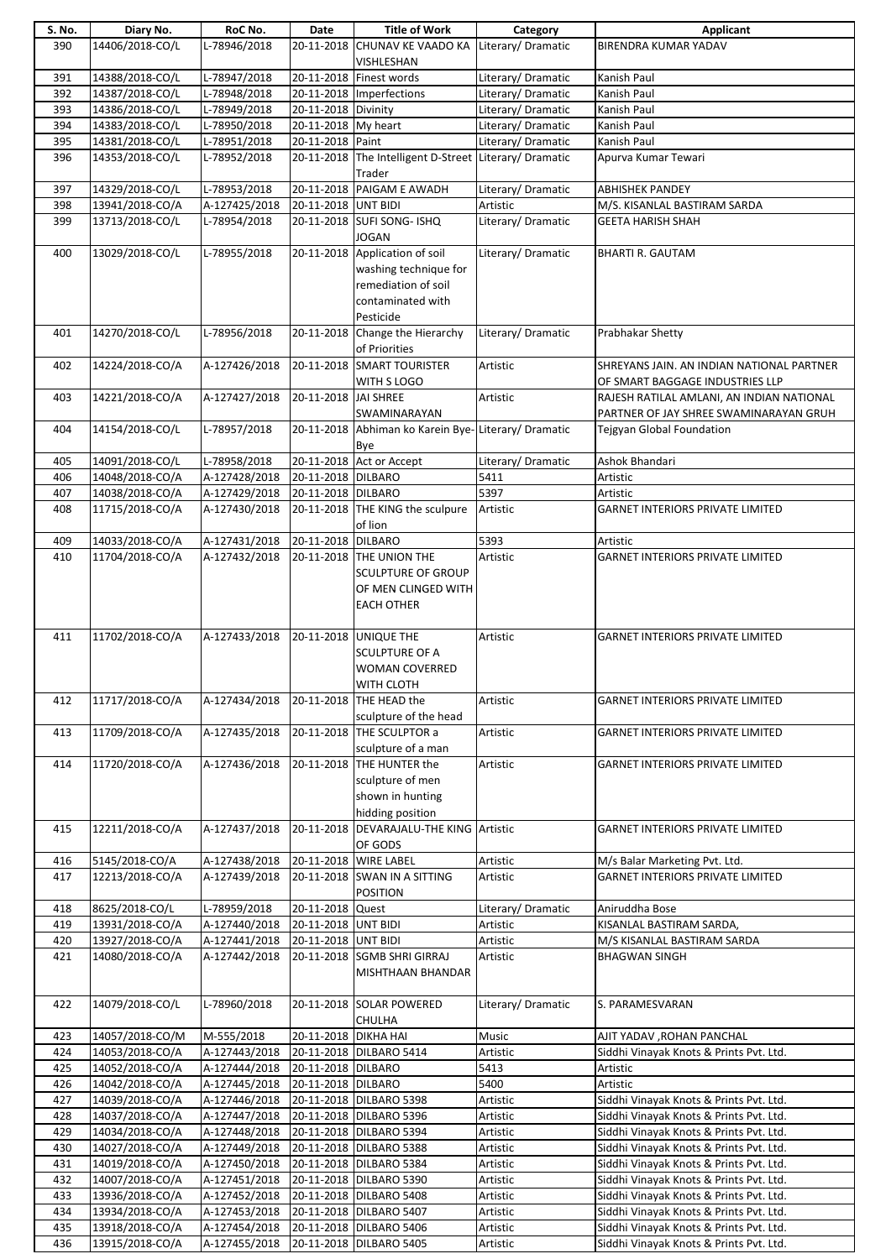| S. No. | Diary No.       | RoC No.       | Date                  | <b>Title of Work</b>                                   | Category           | Applicant                                 |
|--------|-----------------|---------------|-----------------------|--------------------------------------------------------|--------------------|-------------------------------------------|
| 390    | 14406/2018-CO/L | L-78946/2018  | 20-11-2018            | CHUNAV KE VAADO KA                                     | Literary/Dramatic  | BIRENDRA KUMAR YADAV                      |
|        |                 |               |                       | VISHLESHAN                                             |                    |                                           |
|        |                 |               |                       | 20-11-2018 Finest words                                | Literary/ Dramatic |                                           |
| 391    | 14388/2018-CO/L | L-78947/2018  |                       |                                                        |                    | Kanish Paul                               |
| 392    | 14387/2018-CO/L | L-78948/2018  |                       | 20-11-2018 Imperfections                               | Literary/ Dramatic | Kanish Paul                               |
| 393    | 14386/2018-CO/L | L-78949/2018  | 20-11-2018 Divinity   |                                                        | Literary/Dramatic  | Kanish Paul                               |
| 394    | 14383/2018-CO/L | L-78950/2018  | 20-11-2018 My heart   |                                                        | Literary/Dramatic  | Kanish Paul                               |
| 395    | 14381/2018-CO/L | L-78951/2018  | 20-11-2018 Paint      |                                                        | Literary/Dramatic  | Kanish Paul                               |
| 396    | 14353/2018-CO/L | L-78952/2018  |                       | 20-11-2018 The Intelligent D-Street Literary/ Dramatic |                    | Apurva Kumar Tewari                       |
|        |                 |               |                       |                                                        |                    |                                           |
|        |                 |               |                       | Trader                                                 |                    |                                           |
| 397    | 14329/2018-CO/L | L-78953/2018  |                       | 20-11-2018 PAIGAM E AWADH                              | Literary/Dramatic  | <b>ABHISHEK PANDEY</b>                    |
| 398    | 13941/2018-CO/A | A-127425/2018 | 20-11-2018 UNT BIDI   |                                                        | Artistic           | M/S. KISANLAL BASTIRAM SARDA              |
| 399    | 13713/2018-CO/L | L-78954/2018  |                       | 20-11-2018 SUFI SONG- ISHQ                             | Literary/Dramatic  | <b>GEETA HARISH SHAH</b>                  |
|        |                 |               |                       | <b>JOGAN</b>                                           |                    |                                           |
| 400    | 13029/2018-CO/L | L-78955/2018  |                       | 20-11-2018 Application of soil                         | Literary/Dramatic  | <b>BHARTI R. GAUTAM</b>                   |
|        |                 |               |                       |                                                        |                    |                                           |
|        |                 |               |                       | washing technique for                                  |                    |                                           |
|        |                 |               |                       | remediation of soil                                    |                    |                                           |
|        |                 |               |                       | contaminated with                                      |                    |                                           |
|        |                 |               |                       | Pesticide                                              |                    |                                           |
| 401    | 14270/2018-CO/L | L-78956/2018  |                       | 20-11-2018 Change the Hierarchy                        | Literary/Dramatic  | Prabhakar Shetty                          |
|        |                 |               |                       | of Priorities                                          |                    |                                           |
|        |                 |               |                       |                                                        |                    |                                           |
| 402    | 14224/2018-CO/A | A-127426/2018 |                       | 20-11-2018 SMART TOURISTER                             | Artistic           | SHREYANS JAIN. AN INDIAN NATIONAL PARTNER |
|        |                 |               |                       | WITH S LOGO                                            |                    | OF SMART BAGGAGE INDUSTRIES LLP           |
| 403    | 14221/2018-CO/A | A-127427/2018 | 20-11-2018 JAI SHREE  |                                                        | Artistic           | RAJESH RATILAL AMLANI, AN INDIAN NATIONAL |
|        |                 |               |                       | SWAMINARAYAN                                           |                    | PARTNER OF JAY SHREE SWAMINARAYAN GRUH    |
| 404    | 14154/2018-CO/L | L-78957/2018  |                       | 20-11-2018 Abhiman ko Karein Bye-Literary/ Dramatic    |                    | Tejgyan Global Foundation                 |
|        |                 |               |                       |                                                        |                    |                                           |
|        |                 |               |                       | Bye                                                    |                    |                                           |
| 405    | 14091/2018-CO/L | L-78958/2018  |                       | 20-11-2018 Act or Accept                               | Literary/ Dramatic | Ashok Bhandari                            |
| 406    | 14048/2018-CO/A | A-127428/2018 | 20-11-2018 DILBARO    |                                                        | 5411               | Artistic                                  |
| 407    | 14038/2018-CO/A | A-127429/2018 | 20-11-2018 DILBARO    |                                                        | 5397               | Artistic                                  |
| 408    | 11715/2018-CO/A | A-127430/2018 |                       | 20-11-2018 THE KING the sculpure                       | Artistic           | <b>GARNET INTERIORS PRIVATE LIMITED</b>   |
|        |                 |               |                       |                                                        |                    |                                           |
|        |                 |               |                       | of lion                                                |                    |                                           |
| 409    | 14033/2018-CO/A | A-127431/2018 | 20-11-2018 DILBARO    |                                                        | 5393               | Artistic                                  |
| 410    | 11704/2018-CO/A | A-127432/2018 |                       | 20-11-2018 THE UNION THE                               | Artistic           | <b>GARNET INTERIORS PRIVATE LIMITED</b>   |
|        |                 |               |                       | <b>SCULPTURE OF GROUP</b>                              |                    |                                           |
|        |                 |               |                       | OF MEN CLINGED WITH                                    |                    |                                           |
|        |                 |               |                       |                                                        |                    |                                           |
|        |                 |               |                       | <b>EACH OTHER</b>                                      |                    |                                           |
|        |                 |               |                       |                                                        |                    |                                           |
| 411    | 11702/2018-CO/A | A-127433/2018 |                       | 20-11-2018 UNIQUE THE                                  | Artistic           | <b>GARNET INTERIORS PRIVATE LIMITED</b>   |
|        |                 |               |                       | <b>SCULPTURE OF A</b>                                  |                    |                                           |
|        |                 |               |                       | <b>WOMAN COVERRED</b>                                  |                    |                                           |
|        |                 |               |                       | WITH CLOTH                                             |                    |                                           |
| 412    | 11717/2018-CO/A | A-127434/2018 |                       | 20-11-2018 THE HEAD the                                | Artistic           | <b>GARNET INTERIORS PRIVATE LIMITED</b>   |
|        |                 |               |                       |                                                        |                    |                                           |
|        |                 |               |                       | sculpture of the head                                  |                    |                                           |
| 413    | 11709/2018-CO/A | A-127435/2018 |                       | 20-11-2018 THE SCULPTOR a                              | Artistic           | <b>GARNET INTERIORS PRIVATE LIMITED</b>   |
|        |                 |               |                       | sculpture of a man                                     |                    |                                           |
| 414    | 11720/2018-CO/A | A-127436/2018 |                       | 20-11-2018 THE HUNTER the                              | Artistic           | <b>GARNET INTERIORS PRIVATE LIMITED</b>   |
|        |                 |               |                       | sculpture of men                                       |                    |                                           |
|        |                 |               |                       | shown in hunting                                       |                    |                                           |
|        |                 |               |                       |                                                        |                    |                                           |
|        |                 |               |                       | hidding position                                       |                    |                                           |
| 415    | 12211/2018-CO/A | A-127437/2018 |                       | 20-11-2018 DEVARAJALU-THE KING Artistic                |                    | <b>GARNET INTERIORS PRIVATE LIMITED</b>   |
|        |                 |               |                       | OF GODS                                                |                    |                                           |
| 416    | 5145/2018-CO/A  | A-127438/2018 | 20-11-2018 WIRE LABEL |                                                        | Artistic           | M/s Balar Marketing Pvt. Ltd.             |
| 417    | 12213/2018-CO/A | A-127439/2018 |                       | 20-11-2018 SWAN IN A SITTING                           | Artistic           | <b>GARNET INTERIORS PRIVATE LIMITED</b>   |
|        |                 |               |                       | <b>POSITION</b>                                        |                    |                                           |
|        |                 |               |                       |                                                        |                    |                                           |
| 418    | 8625/2018-CO/L  | L-78959/2018  | 20-11-2018 Quest      |                                                        | Literary/Dramatic  | Aniruddha Bose                            |
| 419    | 13931/2018-CO/A | A-127440/2018 | 20-11-2018 UNT BIDI   |                                                        | Artistic           | KISANLAL BASTIRAM SARDA,                  |
| 420    | 13927/2018-CO/A | A-127441/2018 | 20-11-2018 UNT BIDI   |                                                        | Artistic           | M/S KISANLAL BASTIRAM SARDA               |
| 421    | 14080/2018-CO/A | A-127442/2018 |                       | 20-11-2018 SGMB SHRI GIRRAJ                            | Artistic           | <b>BHAGWAN SINGH</b>                      |
|        |                 |               |                       | MISHTHAAN BHANDAR                                      |                    |                                           |
|        |                 |               |                       |                                                        |                    |                                           |
|        |                 |               |                       |                                                        |                    |                                           |
| 422    | 14079/2018-CO/L | L-78960/2018  |                       | 20-11-2018 SOLAR POWERED                               | Literary/Dramatic  | S. PARAMESVARAN                           |
|        |                 |               |                       | CHULHA                                                 |                    |                                           |
| 423    | 14057/2018-CO/M | M-555/2018    | 20-11-2018 DIKHA HAI  |                                                        | Music              | AJIT YADAV , ROHAN PANCHAL                |
| 424    | 14053/2018-CO/A | A-127443/2018 |                       | 20-11-2018 DILBARO 5414                                | Artistic           | Siddhi Vinayak Knots & Prints Pvt. Ltd.   |
|        |                 |               |                       |                                                        |                    |                                           |
| 425    | 14052/2018-CO/A | A-127444/2018 | 20-11-2018 DILBARO    |                                                        | 5413               | Artistic                                  |
| 426    | 14042/2018-CO/A | A-127445/2018 | 20-11-2018 DILBARO    |                                                        | 5400               | Artistic                                  |
| 427    | 14039/2018-CO/A | A-127446/2018 |                       | 20-11-2018 DILBARO 5398                                | Artistic           | Siddhi Vinayak Knots & Prints Pvt. Ltd.   |
| 428    | 14037/2018-CO/A | A-127447/2018 |                       | 20-11-2018 DILBARO 5396                                | Artistic           | Siddhi Vinayak Knots & Prints Pvt. Ltd.   |
| 429    | 14034/2018-CO/A | A-127448/2018 |                       | 20-11-2018 DILBARO 5394                                | Artistic           | Siddhi Vinayak Knots & Prints Pvt. Ltd.   |
| 430    | 14027/2018-CO/A | A-127449/2018 |                       | 20-11-2018 DILBARO 5388                                | Artistic           | Siddhi Vinayak Knots & Prints Pvt. Ltd.   |
|        |                 |               |                       |                                                        |                    |                                           |
| 431    | 14019/2018-CO/A | A-127450/2018 |                       | 20-11-2018 DILBARO 5384                                | Artistic           | Siddhi Vinayak Knots & Prints Pvt. Ltd.   |
| 432    | 14007/2018-CO/A | A-127451/2018 |                       | 20-11-2018 DILBARO 5390                                | Artistic           | Siddhi Vinayak Knots & Prints Pvt. Ltd.   |
| 433    | 13936/2018-CO/A | A-127452/2018 |                       | 20-11-2018 DILBARO 5408                                | Artistic           | Siddhi Vinayak Knots & Prints Pvt. Ltd.   |
| 434    | 13934/2018-CO/A | A-127453/2018 |                       | 20-11-2018 DILBARO 5407                                | Artistic           | Siddhi Vinayak Knots & Prints Pvt. Ltd.   |
| 435    | 13918/2018-CO/A | A-127454/2018 |                       | 20-11-2018 DILBARO 5406                                | Artistic           | Siddhi Vinayak Knots & Prints Pvt. Ltd.   |
| 436    | 13915/2018-CO/A | A-127455/2018 |                       | 20-11-2018 DILBARO 5405                                | Artistic           | Siddhi Vinayak Knots & Prints Pvt. Ltd.   |
|        |                 |               |                       |                                                        |                    |                                           |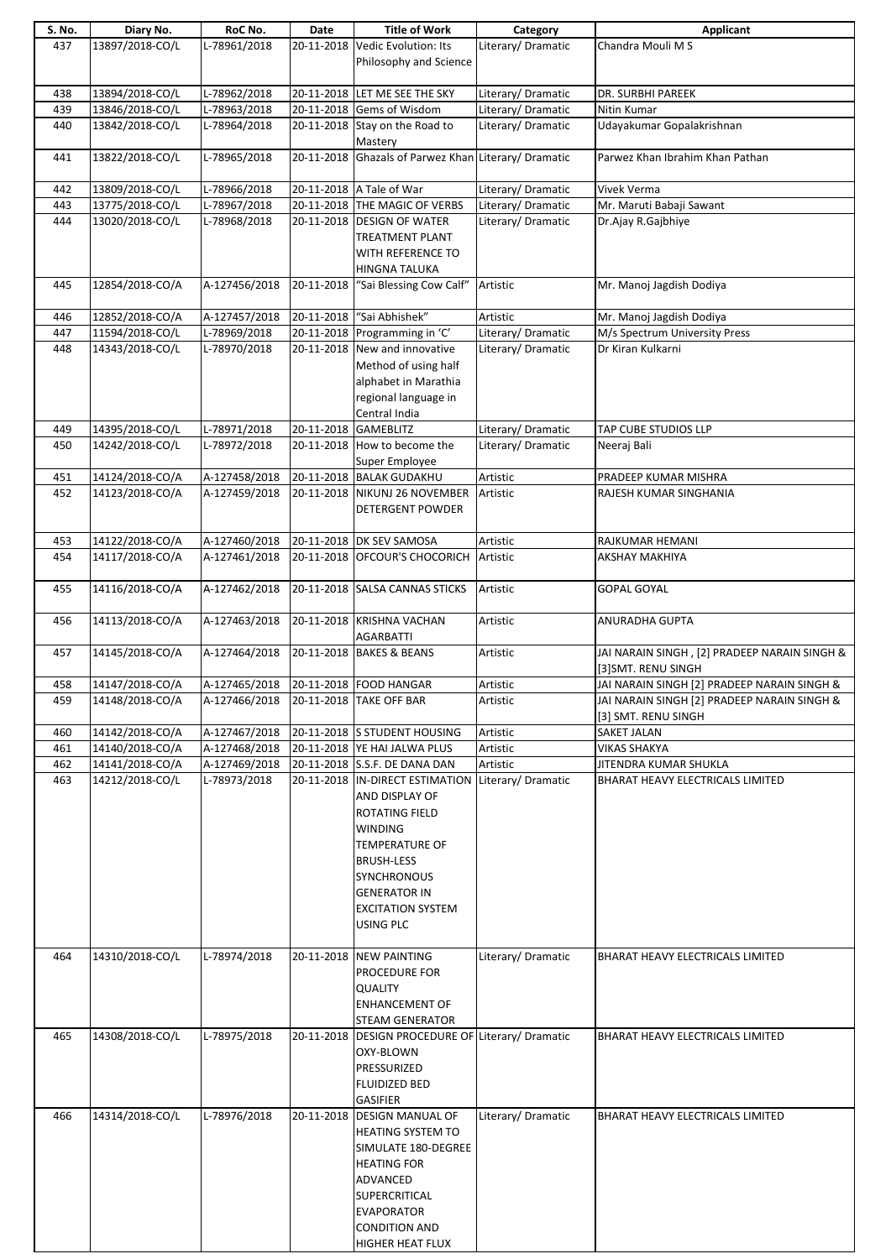| S. No. | Diary No.       | RoC No.       | Date       | <b>Title of Work</b>                                                                                                                                                                                                      | Category           | Applicant                                                          |
|--------|-----------------|---------------|------------|---------------------------------------------------------------------------------------------------------------------------------------------------------------------------------------------------------------------------|--------------------|--------------------------------------------------------------------|
| 437    | 13897/2018-CO/L | L-78961/2018  | 20-11-2018 | Vedic Evolution: Its<br>Philosophy and Science                                                                                                                                                                            | Literary/Dramatic  | Chandra Mouli M S                                                  |
| 438    | 13894/2018-CO/L | L-78962/2018  |            | 20-11-2018 LET ME SEE THE SKY                                                                                                                                                                                             | Literary/ Dramatic | DR. SURBHI PAREEK                                                  |
| 439    | 13846/2018-CO/L | L-78963/2018  |            | 20-11-2018 Gems of Wisdom                                                                                                                                                                                                 | Literary/ Dramatic | Nitin Kumar                                                        |
| 440    | 13842/2018-CO/L | L-78964/2018  |            | 20-11-2018 Stay on the Road to                                                                                                                                                                                            | Literary/Dramatic  | Udayakumar Gopalakrishnan                                          |
|        |                 |               |            | Mastery                                                                                                                                                                                                                   |                    |                                                                    |
| 441    | 13822/2018-CO/L | L-78965/2018  |            | 20-11-2018 Ghazals of Parwez Khan Literary/ Dramatic                                                                                                                                                                      |                    | Parwez Khan Ibrahim Khan Pathan                                    |
| 442    | 13809/2018-CO/L | L-78966/2018  |            | 20-11-2018 A Tale of War                                                                                                                                                                                                  | Literary/ Dramatic | Vivek Verma                                                        |
| 443    | 13775/2018-CO/L | L-78967/2018  |            | 20-11-2018 THE MAGIC OF VERBS                                                                                                                                                                                             | Literary/ Dramatic | Mr. Maruti Babaji Sawant                                           |
| 444    | 13020/2018-CO/L | L-78968/2018  |            | 20-11-2018 DESIGN OF WATER<br><b>TREATMENT PLANT</b><br>WITH REFERENCE TO<br>HINGNA TALUKA                                                                                                                                | Literary/Dramatic  | Dr.Ajay R.Gajbhiye                                                 |
| 445    | 12854/2018-CO/A | A-127456/2018 | 20-11-2018 | "Sai Blessing Cow Calf"                                                                                                                                                                                                   | Artistic           | Mr. Manoj Jagdish Dodiya                                           |
| 446    | 12852/2018-CO/A | A-127457/2018 | 20-11-2018 | "Sai Abhishek"                                                                                                                                                                                                            | Artistic           | Mr. Manoj Jagdish Dodiya                                           |
| 447    | 11594/2018-CO/L | L-78969/2018  |            | 20-11-2018 Programming in 'C'                                                                                                                                                                                             | Literary/ Dramatic | M/s Spectrum University Press                                      |
| 448    | 14343/2018-CO/L | L-78970/2018  |            | 20-11-2018 New and innovative<br>Method of using half<br>alphabet in Marathia<br>regional language in<br>Central India                                                                                                    | Literary/Dramatic  | Dr Kiran Kulkarni                                                  |
| 449    | 14395/2018-CO/L | L-78971/2018  |            | 20-11-2018 GAMEBLITZ                                                                                                                                                                                                      | Literary/Dramatic  | TAP CUBE STUDIOS LLP                                               |
| 450    | 14242/2018-CO/L | L-78972/2018  |            | 20-11-2018 How to become the<br>Super Employee                                                                                                                                                                            | Literary/ Dramatic | Neeraj Bali                                                        |
| 451    | 14124/2018-CO/A | A-127458/2018 |            | 20-11-2018 BALAK GUDAKHU                                                                                                                                                                                                  | Artistic           | PRADEEP KUMAR MISHRA                                               |
| 452    | 14123/2018-CO/A | A-127459/2018 |            | 20-11-2018 NIKUNJ 26 NOVEMBER<br>DETERGENT POWDER                                                                                                                                                                         | Artistic           | RAJESH KUMAR SINGHANIA                                             |
| 453    | 14122/2018-CO/A | A-127460/2018 |            | 20-11-2018 DK SEV SAMOSA                                                                                                                                                                                                  | Artistic           | RAJKUMAR HEMANI                                                    |
| 454    | 14117/2018-CO/A | A-127461/2018 |            | 20-11-2018 OFCOUR'S CHOCORICH                                                                                                                                                                                             | Artistic           | <b>AKSHAY MAKHIYA</b>                                              |
| 455    | 14116/2018-CO/A | A-127462/2018 |            | 20-11-2018 SALSA CANNAS STICKS                                                                                                                                                                                            | Artistic           | <b>GOPAL GOYAL</b>                                                 |
| 456    | 14113/2018-CO/A | A-127463/2018 |            | 20-11-2018 KRISHNA VACHAN<br><b>AGARBATTI</b>                                                                                                                                                                             | Artistic           | ANURADHA GUPTA                                                     |
| 457    | 14145/2018-CO/A | A-127464/2018 | 20-11-2018 | <b>BAKES &amp; BEANS</b>                                                                                                                                                                                                  | Artistic           | JAI NARAIN SINGH, [2] PRADEEP NARAIN SINGH &<br>[3]SMT. RENU SINGH |
| 458    | 14147/2018-CO/A | A-127465/2018 |            | 20-11-2018 FOOD HANGAR                                                                                                                                                                                                    | Artistic           | JAI NARAIN SINGH [2] PRADEEP NARAIN SINGH &                        |
| 459    | 14148/2018-CO/A | A-127466/2018 |            | 20-11-2018 TAKE OFF BAR                                                                                                                                                                                                   | Artistic           | JAI NARAIN SINGH [2] PRADEEP NARAIN SINGH &<br>[3] SMT. RENU SINGH |
| 460    | 14142/2018-CO/A | A-127467/2018 |            | 20-11-2018 S STUDENT HOUSING                                                                                                                                                                                              | Artistic           | SAKET JALAN                                                        |
| 461    | 14140/2018-CO/A | A-127468/2018 |            | 20-11-2018 YE HAI JALWA PLUS                                                                                                                                                                                              | Artistic           | VIKAS SHAKYA                                                       |
| 462    | 14141/2018-CO/A | A-127469/2018 |            | 20-11-2018 S.S.F. DE DANA DAN                                                                                                                                                                                             | Artistic           | JITENDRA KUMAR SHUKLA                                              |
| 463    | 14212/2018-CO/L | L-78973/2018  |            | 20-11-2018 IN-DIRECT ESTIMATION<br>AND DISPLAY OF<br>ROTATING FIELD<br><b>WINDING</b><br><b>TEMPERATURE OF</b><br><b>BRUSH-LESS</b><br><b>SYNCHRONOUS</b><br><b>GENERATOR IN</b><br><b>EXCITATION SYSTEM</b><br>USING PLC | Literary/ Dramatic | BHARAT HEAVY ELECTRICALS LIMITED                                   |
| 464    | 14310/2018-CO/L | L-78974/2018  |            | 20-11-2018 NEW PAINTING<br>PROCEDURE FOR<br><b>QUALITY</b><br><b>ENHANCEMENT OF</b><br><b>STEAM GENERATOR</b>                                                                                                             | Literary/Dramatic  | BHARAT HEAVY ELECTRICALS LIMITED                                   |
| 465    | 14308/2018-CO/L | L-78975/2018  |            | 20-11-2018 DESIGN PROCEDURE OF Literary/ Dramatic                                                                                                                                                                         |                    | BHARAT HEAVY ELECTRICALS LIMITED                                   |
|        |                 |               |            | OXY-BLOWN                                                                                                                                                                                                                 |                    |                                                                    |
|        |                 |               |            | PRESSURIZED<br><b>FLUIDIZED BED</b>                                                                                                                                                                                       |                    |                                                                    |
| 466    | 14314/2018-CO/L | L-78976/2018  |            | <b>GASIFIER</b><br>20-11-2018 DESIGN MANUAL OF                                                                                                                                                                            | Literary/Dramatic  | <b>BHARAT HEAVY ELECTRICALS LIMITED</b>                            |
|        |                 |               |            | HEATING SYSTEM TO<br>SIMULATE 180-DEGREE<br><b>HEATING FOR</b><br>ADVANCED<br>SUPERCRITICAL<br><b>EVAPORATOR</b><br><b>CONDITION AND</b><br>HIGHER HEAT FLUX                                                              |                    |                                                                    |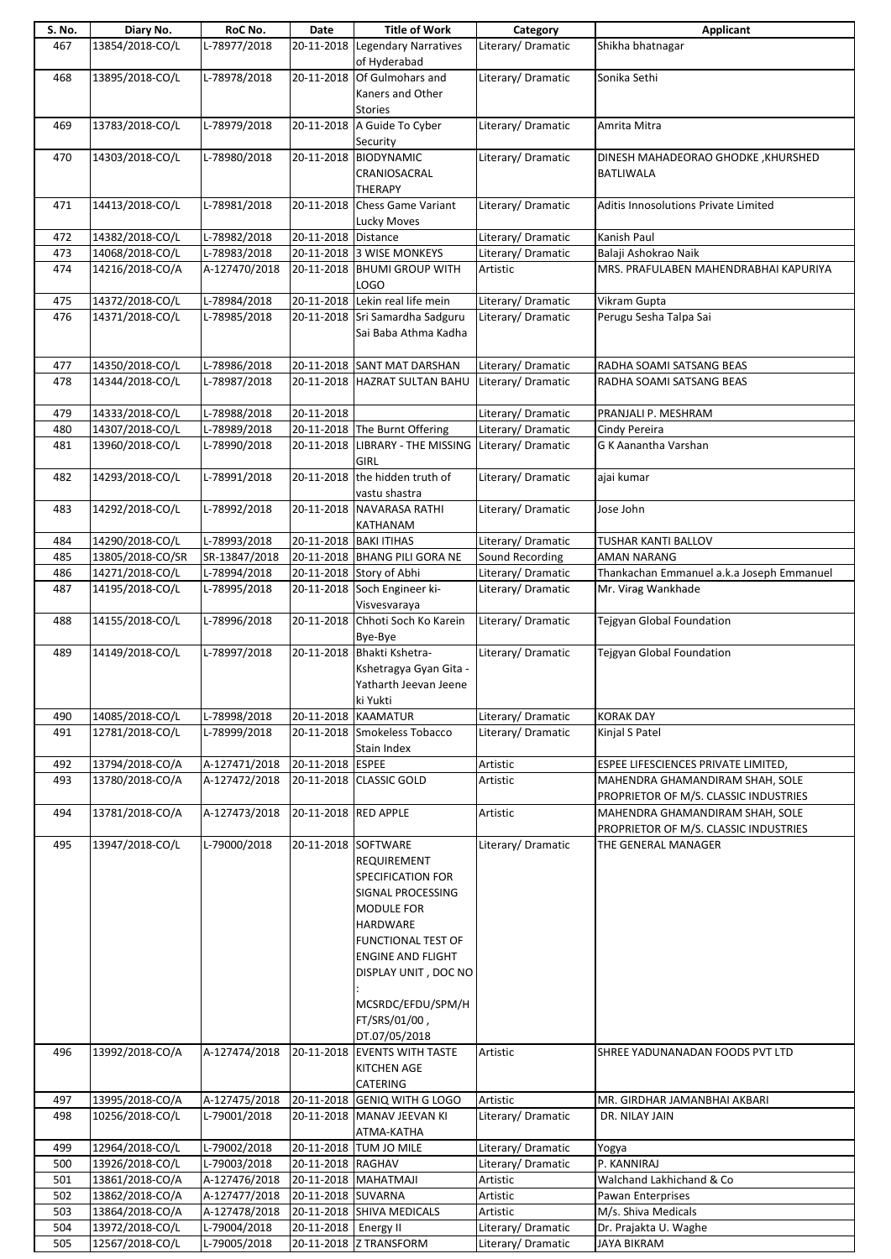| S. No. | Diary No.        | RoC No.        | Date                   | <b>Title of Work</b>                                                                                                                                                                                                                  | Category           | <b>Applicant</b>                                                         |
|--------|------------------|----------------|------------------------|---------------------------------------------------------------------------------------------------------------------------------------------------------------------------------------------------------------------------------------|--------------------|--------------------------------------------------------------------------|
| 467    | 13854/2018-CO/L  | $L-78977/2018$ | 20-11-2018             | <b>Legendary Narratives</b><br>of Hyderabad                                                                                                                                                                                           | Literary/Dramatic  | Shikha bhatnagar                                                         |
| 468    | 13895/2018-CO/L  | L-78978/2018   |                        | 20-11-2018 Of Gulmohars and<br>Kaners and Other<br><b>Stories</b>                                                                                                                                                                     | Literary/Dramatic  | Sonika Sethi                                                             |
| 469    | 13783/2018-CO/L  | L-78979/2018   |                        | 20-11-2018 A Guide To Cyber<br>Security                                                                                                                                                                                               | Literary/Dramatic  | Amrita Mitra                                                             |
| 470    | 14303/2018-CO/L  | L-78980/2018   |                        | 20-11-2018 BIODYNAMIC<br>CRANIOSACRAL<br><b>THERAPY</b>                                                                                                                                                                               | Literary/Dramatic  | DINESH MAHADEORAO GHODKE, KHURSHED<br><b>BATLIWALA</b>                   |
| 471    | 14413/2018-CO/L  | L-78981/2018   | 20-11-2018             | <b>Chess Game Variant</b><br>Lucky Moves                                                                                                                                                                                              | Literary/Dramatic  | Aditis Innosolutions Private Limited                                     |
| 472    | 14382/2018-CO/L  | L-78982/2018   | 20-11-2018 Distance    |                                                                                                                                                                                                                                       | Literary/Dramatic  | Kanish Paul                                                              |
| 473    | 14068/2018-CO/L  | L-78983/2018   |                        | 20-11-2018 3 WISE MONKEYS                                                                                                                                                                                                             | Literary/Dramatic  | Balaji Ashokrao Naik                                                     |
| 474    | 14216/2018-CO/A  | A-127470/2018  | 20-11-2018             | <b>BHUMI GROUP WITH</b><br>LOGO                                                                                                                                                                                                       | Artistic           | MRS. PRAFULABEN MAHENDRABHAI KAPURIYA                                    |
| 475    | 14372/2018-CO/L  | L-78984/2018   |                        | 20-11-2018 Lekin real life mein                                                                                                                                                                                                       | Literary/ Dramatic | Vikram Gupta                                                             |
| 476    | 14371/2018-CO/L  | L-78985/2018   |                        | 20-11-2018 Sri Samardha Sadguru<br>Sai Baba Athma Kadha                                                                                                                                                                               | Literary/Dramatic  | Perugu Sesha Talpa Sai                                                   |
| 477    | 14350/2018-CO/L  | L-78986/2018   |                        | 20-11-2018 SANT MAT DARSHAN                                                                                                                                                                                                           | Literary/Dramatic  | RADHA SOAMI SATSANG BEAS                                                 |
| 478    | 14344/2018-CO/L  | L-78987/2018   | 20-11-2018             | <b>HAZRAT SULTAN BAHU</b>                                                                                                                                                                                                             | Literary/Dramatic  | RADHA SOAMI SATSANG BEAS                                                 |
| 479    | 14333/2018-CO/L  | L-78988/2018   | 20-11-2018             |                                                                                                                                                                                                                                       | Literary/Dramatic  | PRANJALI P. MESHRAM                                                      |
| 480    | 14307/2018-CO/L  | L-78989/2018   |                        | 20-11-2018 The Burnt Offering                                                                                                                                                                                                         | Literary/Dramatic  | Cindy Pereira                                                            |
| 481    | 13960/2018-CO/L  | L-78990/2018   |                        | 20-11-2018 LIBRARY - THE MISSING Literary/ Dramatic<br><b>GIRL</b>                                                                                                                                                                    |                    | G K Aanantha Varshan                                                     |
| 482    | 14293/2018-CO/L  | L-78991/2018   | 20-11-2018             | the hidden truth of<br>vastu shastra                                                                                                                                                                                                  | Literary/Dramatic  | ajai kumar                                                               |
| 483    | 14292/2018-CO/L  | L-78992/2018   |                        | 20-11-2018 NAVARASA RATHI<br>KATHANAM                                                                                                                                                                                                 | Literary/Dramatic  | Jose John                                                                |
| 484    | 14290/2018-CO/L  | L-78993/2018   | 20-11-2018 BAKI ITIHAS |                                                                                                                                                                                                                                       | Literary/ Dramatic | TUSHAR KANTI BALLOV                                                      |
| 485    | 13805/2018-CO/SR | SR-13847/2018  |                        | 20-11-2018 BHANG PILI GORA NE                                                                                                                                                                                                         | Sound Recording    | <b>AMAN NARANG</b>                                                       |
| 486    | 14271/2018-CO/L  | L-78994/2018   |                        | 20-11-2018 Story of Abhi                                                                                                                                                                                                              | Literary/Dramatic  | Thankachan Emmanuel a.k.a Joseph Emmanuel                                |
| 487    | 14195/2018-CO/L  | L-78995/2018   |                        | 20-11-2018 Soch Engineer ki-<br>Visvesvaraya                                                                                                                                                                                          | Literary/ Dramatic | Mr. Virag Wankhade                                                       |
| 488    | 14155/2018-CO/L  | L-78996/2018   | 20-11-2018             | Chhoti Soch Ko Karein<br>Bye-Bye                                                                                                                                                                                                      | Literary/Dramatic  | Tejgyan Global Foundation                                                |
| 489    | 14149/2018-CO/L  | L-78997/2018   | 20-11-2018             | Bhakti Kshetra-<br>Kshetragya Gyan Gita -<br>Yatharth Jeevan Jeene<br>ki Yukti                                                                                                                                                        | Literary/Dramatic  | Tejgyan Global Foundation                                                |
| 490    | 14085/2018-CO/L  | L-78998/2018   | 20-11-2018 KAAMATUR    |                                                                                                                                                                                                                                       | Literary/Dramatic  | <b>KORAK DAY</b>                                                         |
| 491    | 12781/2018-CO/L  | L-78999/2018   |                        | 20-11-2018 Smokeless Tobacco<br>Stain Index                                                                                                                                                                                           | Literary/Dramatic  | Kinjal S Patel                                                           |
| 492    | 13794/2018-CO/A  | A-127471/2018  | 20-11-2018 ESPEE       |                                                                                                                                                                                                                                       | Artistic           | ESPEE LIFESCIENCES PRIVATE LIMITED,                                      |
| 493    | 13780/2018-CO/A  | A-127472/2018  |                        | 20-11-2018 CLASSIC GOLD                                                                                                                                                                                                               | Artistic           | MAHENDRA GHAMANDIRAM SHAH, SOLE                                          |
|        |                  |                |                        |                                                                                                                                                                                                                                       |                    | PROPRIETOR OF M/S. CLASSIC INDUSTRIES                                    |
| 494    | 13781/2018-CO/A  | A-127473/2018  | 20-11-2018 RED APPLE   |                                                                                                                                                                                                                                       | Artistic           | MAHENDRA GHAMANDIRAM SHAH, SOLE<br>PROPRIETOR OF M/S. CLASSIC INDUSTRIES |
| 495    | 13947/2018-CO/L  | L-79000/2018   | 20-11-2018 SOFTWARE    | REQUIREMENT<br><b>SPECIFICATION FOR</b><br>SIGNAL PROCESSING<br><b>MODULE FOR</b><br>HARDWARE<br><b>FUNCTIONAL TEST OF</b><br><b>ENGINE AND FLIGHT</b><br>DISPLAY UNIT, DOC NO<br>MCSRDC/EFDU/SPM/H<br>FT/SRS/01/00,<br>DT.07/05/2018 | Literary/Dramatic  | THE GENERAL MANAGER                                                      |
| 496    | 13992/2018-CO/A  | A-127474/2018  |                        | 20-11-2018 EVENTS WITH TASTE<br><b>KITCHEN AGE</b><br>CATERING                                                                                                                                                                        | Artistic           | SHREE YADUNANADAN FOODS PVT LTD                                          |
| 497    | 13995/2018-CO/A  | A-127475/2018  |                        | 20-11-2018 GENIQ WITH G LOGO                                                                                                                                                                                                          | Artistic           | MR. GIRDHAR JAMANBHAI AKBARI                                             |
| 498    | 10256/2018-CO/L  | L-79001/2018   |                        | 20-11-2018 MANAV JEEVAN KI<br>ATMA-KATHA                                                                                                                                                                                              | Literary/Dramatic  | DR. NILAY JAIN                                                           |
| 499    | 12964/2018-CO/L  | L-79002/2018   |                        | 20-11-2018 TUM JO MILE                                                                                                                                                                                                                | Literary/Dramatic  | Yogya                                                                    |
| 500    | 13926/2018-CO/L  | L-79003/2018   | 20-11-2018 RAGHAV      |                                                                                                                                                                                                                                       | Literary/Dramatic  | P. KANNIRAJ                                                              |
| 501    | 13861/2018-CO/A  | A-127476/2018  |                        | 20-11-2018   MAHATMAJI                                                                                                                                                                                                                | Artistic           | Walchand Lakhichand & Co                                                 |
| 502    | 13862/2018-CO/A  | A-127477/2018  | 20-11-2018 SUVARNA     |                                                                                                                                                                                                                                       | Artistic           | Pawan Enterprises                                                        |
| 503    | 13864/2018-CO/A  | A-127478/2018  |                        | 20-11-2018 SHIVA MEDICALS                                                                                                                                                                                                             | Artistic           | M/s. Shiva Medicals                                                      |
| 504    | 13972/2018-CO/L  | L-79004/2018   | 20-11-2018             | Energy II                                                                                                                                                                                                                             | Literary/Dramatic  | Dr. Prajakta U. Waghe                                                    |
| 505    | 12567/2018-CO/L  | L-79005/2018   |                        | 20-11-2018 Z TRANSFORM                                                                                                                                                                                                                | Literary/ Dramatic | JAYA BIKRAM                                                              |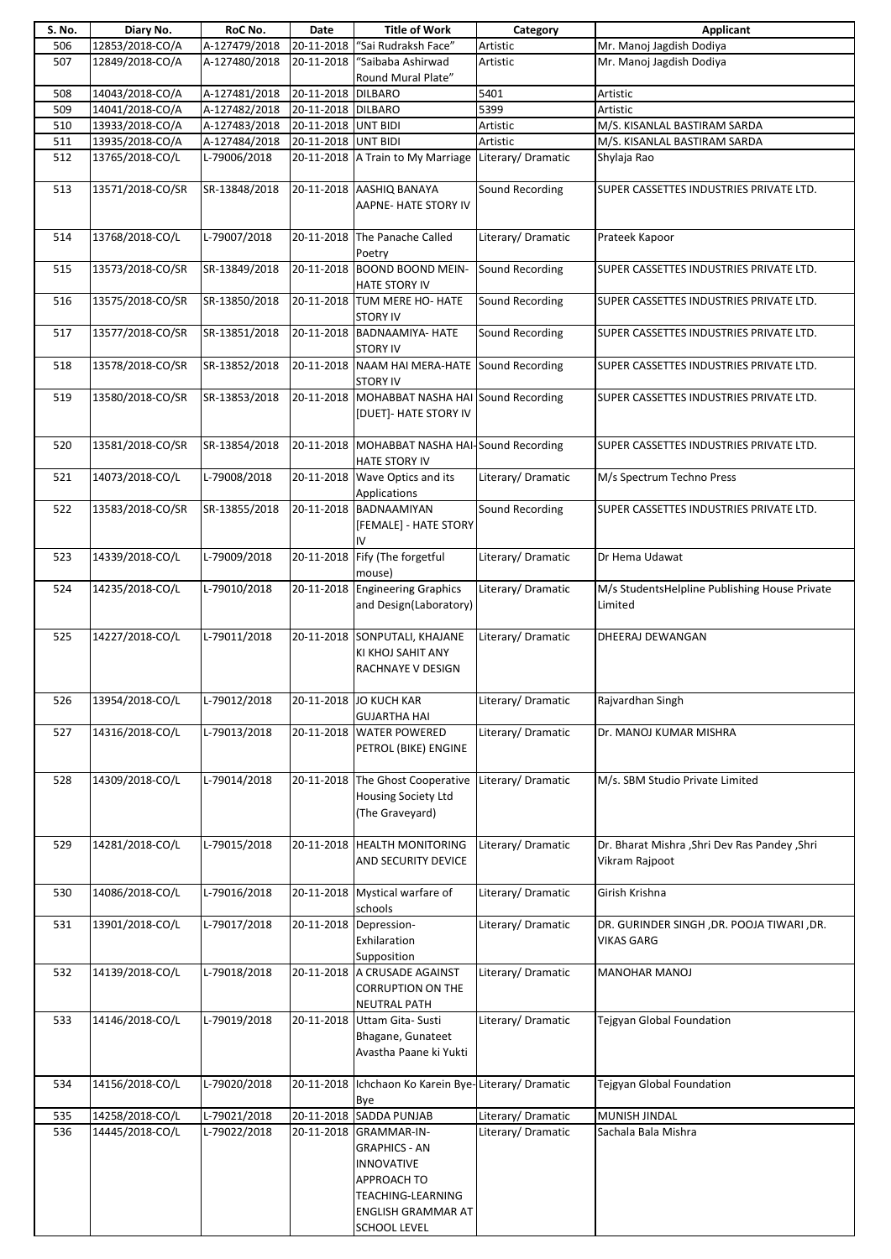| S. No. | Diary No.        | RoC No.       | Date                | <b>Title of Work</b>                                                                                                                          | Category           | <b>Applicant</b>                                                 |
|--------|------------------|---------------|---------------------|-----------------------------------------------------------------------------------------------------------------------------------------------|--------------------|------------------------------------------------------------------|
| 506    | 12853/2018-CO/A  | A-127479/2018 | 20-11-2018          | "Sai Rudraksh Face"                                                                                                                           | Artistic           | Mr. Manoj Jagdish Dodiya                                         |
| 507    | 12849/2018-CO/A  | A-127480/2018 | 20-11-2018          | "Saibaba Ashirwad<br>Round Mural Plate"                                                                                                       | Artistic           | Mr. Manoj Jagdish Dodiya                                         |
| 508    | 14043/2018-CO/A  | A-127481/2018 | 20-11-2018 DILBARO  |                                                                                                                                               | 5401               | Artistic                                                         |
| 509    | 14041/2018-CO/A  | A-127482/2018 | 20-11-2018 DILBARO  |                                                                                                                                               | 5399               | Artistic                                                         |
| 510    | 13933/2018-CO/A  | A-127483/2018 | 20-11-2018 UNT BIDI |                                                                                                                                               | Artistic           | M/S. KISANLAL BASTIRAM SARDA                                     |
| 511    | 13935/2018-CO/A  | A-127484/2018 | 20-11-2018 UNT BIDI |                                                                                                                                               | Artistic           | M/S. KISANLAL BASTIRAM SARDA                                     |
| 512    | 13765/2018-CO/L  | L-79006/2018  |                     | 20-11-2018 A Train to My Marriage Literary/ Dramatic                                                                                          |                    | Shylaja Rao                                                      |
|        |                  |               |                     |                                                                                                                                               | Sound Recording    | SUPER CASSETTES INDUSTRIES PRIVATE LTD.                          |
| 513    | 13571/2018-CO/SR | SR-13848/2018 |                     | 20-11-2018 AASHIQ BANAYA<br>AAPNE- HATE STORY IV                                                                                              |                    |                                                                  |
| 514    | 13768/2018-CO/L  | L-79007/2018  |                     | 20-11-2018 The Panache Called<br>Poetry                                                                                                       | Literary/Dramatic  | Prateek Kapoor                                                   |
| 515    | 13573/2018-CO/SR | SR-13849/2018 | 20-11-2018          | <b>BOOND BOOND MEIN-</b><br>HATE STORY IV                                                                                                     | Sound Recording    | SUPER CASSETTES INDUSTRIES PRIVATE LTD.                          |
| 516    | 13575/2018-CO/SR | SR-13850/2018 |                     | 20-11-2018 TUM MERE HO- HATE<br><b>STORY IV</b>                                                                                               | Sound Recording    | SUPER CASSETTES INDUSTRIES PRIVATE LTD.                          |
| 517    | 13577/2018-CO/SR | SR-13851/2018 |                     | 20-11-2018 BADNAAMIYA- HATE<br><b>STORY IV</b>                                                                                                | Sound Recording    | SUPER CASSETTES INDUSTRIES PRIVATE LTD.                          |
| 518    | 13578/2018-CO/SR | SR-13852/2018 |                     | 20-11-2018 NAAM HAI MERA-HATE Sound Recording<br><b>STORY IV</b>                                                                              |                    | SUPER CASSETTES INDUSTRIES PRIVATE LTD.                          |
| 519    | 13580/2018-CO/SR | SR-13853/2018 |                     | 20-11-2018 MOHABBAT NASHA HAI Sound Recording<br>[DUET]- HATE STORY IV                                                                        |                    | SUPER CASSETTES INDUSTRIES PRIVATE LTD.                          |
| 520    | 13581/2018-CO/SR | SR-13854/2018 |                     | 20-11-2018 MOHABBAT NASHA HAI-Sound Recording<br><b>HATE STORY IV</b>                                                                         |                    | SUPER CASSETTES INDUSTRIES PRIVATE LTD.                          |
| 521    | 14073/2018-CO/L  | L-79008/2018  |                     | 20-11-2018 Wave Optics and its<br>Applications                                                                                                | Literary/Dramatic  | M/s Spectrum Techno Press                                        |
| 522    | 13583/2018-CO/SR | SR-13855/2018 |                     | 20-11-2018 BADNAAMIYAN<br>[FEMALE] - HATE STORY<br>IV                                                                                         | Sound Recording    | SUPER CASSETTES INDUSTRIES PRIVATE LTD.                          |
| 523    | 14339/2018-CO/L  | L-79009/2018  | 20-11-2018          | Fify (The forgetful<br>mouse)                                                                                                                 | Literary/Dramatic  | Dr Hema Udawat                                                   |
| 524    | 14235/2018-CO/L  | L-79010/2018  | 20-11-2018          | <b>Engineering Graphics</b>                                                                                                                   | Literary/Dramatic  | M/s StudentsHelpline Publishing House Private                    |
|        |                  |               |                     | and Design(Laboratory)                                                                                                                        |                    | Limited                                                          |
| 525    | 14227/2018-CO/L  | L-79011/2018  |                     | 20-11-2018 SONPUTALI, KHAJANE<br>KI KHOJ SAHIT ANY<br>RACHNAYE V DESIGN                                                                       | Literary/Dramatic  | DHEERAJ DEWANGAN                                                 |
| 526    | 13954/2018-CO/L  | L-79012/2018  |                     | 20-11-2018 JO KUCH KAR<br><b>GUJARTHA HAI</b>                                                                                                 | Literary/Dramatic  | Rajvardhan Singh                                                 |
| 527    | 14316/2018-CO/L  | L-79013/2018  |                     | 20-11-2018 WATER POWERED<br>PETROL (BIKE) ENGINE                                                                                              | Literary/Dramatic  | Dr. MANOJ KUMAR MISHRA                                           |
| 528    | 14309/2018-CO/L  | L-79014/2018  | 20-11-2018          | The Ghost Cooperative<br>Housing Society Ltd<br>(The Graveyard)                                                                               | Literary/Dramatic  | M/s. SBM Studio Private Limited                                  |
| 529    | 14281/2018-CO/L  | L-79015/2018  |                     | 20-11-2018 HEALTH MONITORING<br>AND SECURITY DEVICE                                                                                           | Literary/Dramatic  | Dr. Bharat Mishra , Shri Dev Ras Pandey , Shri<br>Vikram Rajpoot |
| 530    | 14086/2018-CO/L  | L-79016/2018  |                     | 20-11-2018 Mystical warfare of<br>schools                                                                                                     | Literary/Dramatic  | Girish Krishna                                                   |
| 531    | 13901/2018-CO/L  | L-79017/2018  | 20-11-2018          | Depression-<br>Exhilaration<br>Supposition                                                                                                    | Literary/ Dramatic | DR. GURINDER SINGH, DR. POOJA TIWARI, DR.<br><b>VIKAS GARG</b>   |
| 532    | 14139/2018-CO/L  | L-79018/2018  |                     | 20-11-2018 A CRUSADE AGAINST<br><b>CORRUPTION ON THE</b><br><b>NEUTRAL PATH</b>                                                               | Literary/Dramatic  | <b>MANOHAR MANOJ</b>                                             |
| 533    | 14146/2018-CO/L  | L-79019/2018  |                     | 20-11-2018 Uttam Gita- Susti<br>Bhagane, Gunateet<br>Avastha Paane ki Yukti                                                                   | Literary/Dramatic  | Tejgyan Global Foundation                                        |
| 534    | 14156/2018-CO/L  | L-79020/2018  | 20-11-2018          | Ichchaon Ko Karein Bye-Literary/Dramatic<br>Bye                                                                                               |                    | Tejgyan Global Foundation                                        |
| 535    | 14258/2018-CO/L  | L-79021/2018  |                     | 20-11-2018 SADDA PUNJAB                                                                                                                       | Literary/Dramatic  | MUNISH JINDAL                                                    |
| 536    | 14445/2018-CO/L  | L-79022/2018  |                     | 20-11-2018 GRAMMAR-IN-<br><b>GRAPHICS - AN</b><br><b>INNOVATIVE</b><br>APPROACH TO<br>TEACHING-LEARNING<br>ENGLISH GRAMMAR AT<br>SCHOOL LEVEL | Literary/Dramatic  | Sachala Bala Mishra                                              |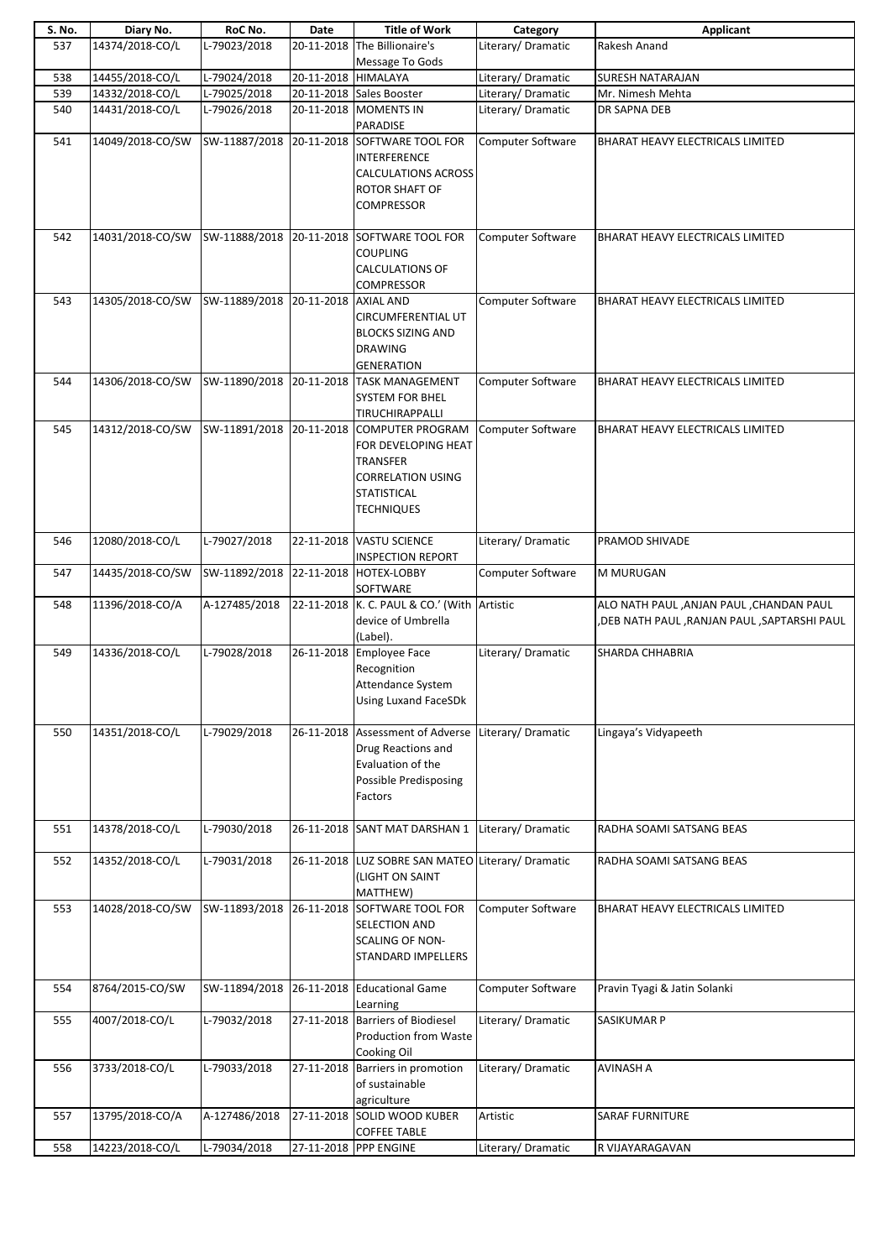| S. No. | Diary No.        | RoC No.                              | Date                | <b>Title of Work</b>                                                                                                                                | Category                 | Applicant                                                                                |
|--------|------------------|--------------------------------------|---------------------|-----------------------------------------------------------------------------------------------------------------------------------------------------|--------------------------|------------------------------------------------------------------------------------------|
| 537    | 14374/2018-CO/L  | L-79023/2018                         | 20-11-2018          | The Billionaire's<br>Message To Gods                                                                                                                | Literary/Dramatic        | Rakesh Anand                                                                             |
| 538    | 14455/2018-CO/L  | L-79024/2018                         | 20-11-2018 HIMALAYA |                                                                                                                                                     | Literary/ Dramatic       | <b>SURESH NATARAJAN</b>                                                                  |
| 539    | 14332/2018-CO/L  | L-79025/2018                         |                     | 20-11-2018 Sales Booster                                                                                                                            | Literary/Dramatic        | Mr. Nimesh Mehta                                                                         |
| 540    | 14431/2018-CO/L  | L-79026/2018                         |                     | 20-11-2018 MOMENTS IN                                                                                                                               | Literary/Dramatic        | DR SAPNA DEB                                                                             |
|        |                  |                                      |                     | PARADISE                                                                                                                                            |                          |                                                                                          |
| 541    | 14049/2018-CO/SW |                                      |                     | SW-11887/2018 20-11-2018 SOFTWARE TOOL FOR<br><b>INTERFERENCE</b><br><b>CALCULATIONS ACROSS</b><br>ROTOR SHAFT OF<br>COMPRESSOR                     | Computer Software        | BHARAT HEAVY ELECTRICALS LIMITED                                                         |
| 542    | 14031/2018-CO/SW |                                      |                     | SW-11888/2018 20-11-2018 SOFTWARE TOOL FOR<br><b>COUPLING</b><br><b>CALCULATIONS OF</b><br><b>COMPRESSOR</b>                                        | <b>Computer Software</b> | BHARAT HEAVY ELECTRICALS LIMITED                                                         |
| 543    | 14305/2018-CO/SW | SW-11889/2018 20-11-2018 AXIAL AND   |                     | <b>CIRCUMFERENTIAL UT</b><br><b>BLOCKS SIZING AND</b><br><b>DRAWING</b><br><b>GENERATION</b>                                                        | <b>Computer Software</b> | BHARAT HEAVY ELECTRICALS LIMITED                                                         |
| 544    | 14306/2018-CO/SW |                                      |                     | SW-11890/2018 20-11-2018 TASK MANAGEMENT<br><b>SYSTEM FOR BHEL</b><br>TIRUCHIRAPPALLI                                                               | Computer Software        | BHARAT HEAVY ELECTRICALS LIMITED                                                         |
| 545    | 14312/2018-CO/SW |                                      |                     | SW-11891/2018 20-11-2018 COMPUTER PROGRAM<br>FOR DEVELOPING HEAT<br>TRANSFER<br><b>CORRELATION USING</b><br><b>STATISTICAL</b><br><b>TECHNIQUES</b> | Computer Software        | BHARAT HEAVY ELECTRICALS LIMITED                                                         |
| 546    | 12080/2018-CO/L  | L-79027/2018                         |                     | 22-11-2018 VASTU SCIENCE<br><b>INSPECTION REPORT</b>                                                                                                | Literary/Dramatic        | PRAMOD SHIVADE                                                                           |
| 547    | 14435/2018-CO/SW | SW-11892/2018 22-11-2018 HOTEX-LOBBY |                     | SOFTWARE                                                                                                                                            | Computer Software        | M MURUGAN                                                                                |
| 548    | 11396/2018-CO/A  | A-127485/2018                        |                     | 22-11-2018 K. C. PAUL & CO.' (With Artistic<br>device of Umbrella<br>(Label).                                                                       |                          | ALO NATH PAUL , ANJAN PAUL , CHANDAN PAUL<br>,DEB NATH PAUL ,RANJAN PAUL ,SAPTARSHI PAUL |
| 549    | 14336/2018-CO/L  | L-79028/2018                         |                     | 26-11-2018 Employee Face<br>Recognition<br>Attendance System<br><b>Using Luxand FaceSDk</b>                                                         | Literary/Dramatic        | SHARDA CHHABRIA                                                                          |
| 550    | 14351/2018-CO/L  | L-79029/2018                         |                     | 26-11-2018 Assessment of Adverse Literary/ Dramatic<br>Drug Reactions and<br>Evaluation of the<br>Possible Predisposing<br>Factors                  |                          | Lingaya's Vidyapeeth                                                                     |
| 551    | 14378/2018-CO/L  | L-79030/2018                         |                     | 26-11-2018 SANT MAT DARSHAN 1                                                                                                                       | Literary/Dramatic        | RADHA SOAMI SATSANG BEAS                                                                 |
| 552    | 14352/2018-CO/L  | L-79031/2018                         |                     | 26-11-2018 LUZ SOBRE SAN MATEO Literary/ Dramatic<br>(LIGHT ON SAINT<br>MATTHEW)                                                                    |                          | RADHA SOAMI SATSANG BEAS                                                                 |
| 553    | 14028/2018-CO/SW | SW-11893/2018                        |                     | 26-11-2018 SOFTWARE TOOL FOR<br>SELECTION AND<br>SCALING OF NON-<br><b>STANDARD IMPELLERS</b>                                                       | <b>Computer Software</b> | BHARAT HEAVY ELECTRICALS LIMITED                                                         |
| 554    | 8764/2015-CO/SW  | SW-11894/2018                        |                     | 26-11-2018 Educational Game<br>Learning                                                                                                             | Computer Software        | Pravin Tyagi & Jatin Solanki                                                             |
| 555    | 4007/2018-CO/L   | L-79032/2018                         |                     | 27-11-2018 Barriers of Biodiesel<br><b>Production from Waste</b><br>Cooking Oil                                                                     | Literary/Dramatic        | <b>SASIKUMAR P</b>                                                                       |
| 556    | 3733/2018-CO/L   | L-79033/2018                         |                     | 27-11-2018 Barriers in promotion<br>of sustainable<br>agriculture                                                                                   | Literary/Dramatic        | <b>AVINASH A</b>                                                                         |
| 557    | 13795/2018-CO/A  | A-127486/2018                        |                     | 27-11-2018 SOLID WOOD KUBER<br><b>COFFEE TABLE</b>                                                                                                  | Artistic                 | <b>SARAF FURNITURE</b>                                                                   |
| 558    | 14223/2018-CO/L  | L-79034/2018                         |                     | 27-11-2018 PPP ENGINE                                                                                                                               | Literary/Dramatic        | R VIJAYARAGAVAN                                                                          |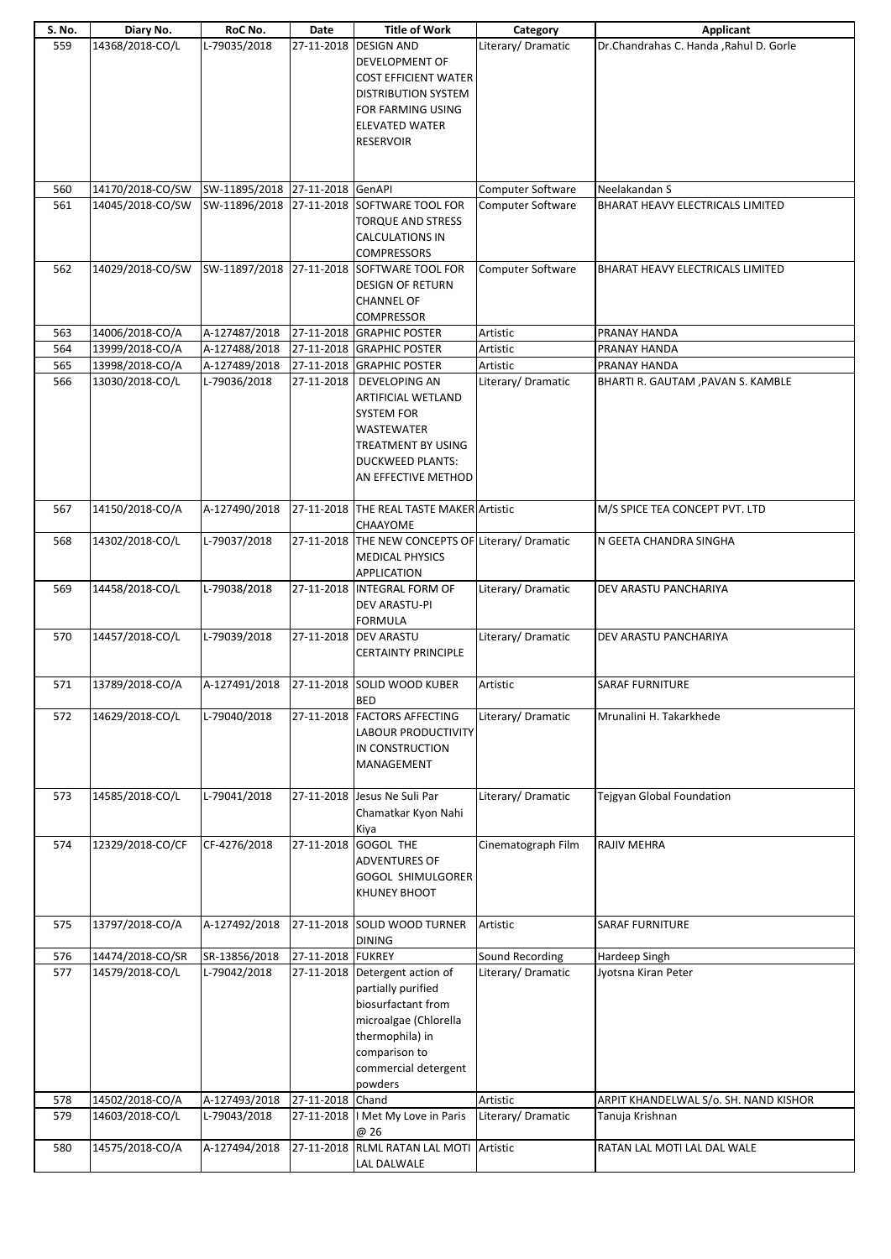| S. No.     | Diary No.        | RoC No.                         | Date              | <b>Title of Work</b>                              | Category                      | Applicant                               |
|------------|------------------|---------------------------------|-------------------|---------------------------------------------------|-------------------------------|-----------------------------------------|
| 559        | 14368/2018-CO/L  | L-79035/2018                    |                   | 27-11-2018 DESIGN AND                             | Literary/Dramatic             | Dr.Chandrahas C. Handa , Rahul D. Gorle |
|            |                  |                                 |                   | DEVELOPMENT OF                                    |                               |                                         |
|            |                  |                                 |                   | <b>COST EFFICIENT WATER</b>                       |                               |                                         |
|            |                  |                                 |                   | <b>DISTRIBUTION SYSTEM</b>                        |                               |                                         |
|            |                  |                                 |                   | FOR FARMING USING                                 |                               |                                         |
|            |                  |                                 |                   | <b>ELEVATED WATER</b>                             |                               |                                         |
|            |                  |                                 |                   | <b>RESERVOIR</b>                                  |                               |                                         |
|            |                  |                                 |                   |                                                   |                               |                                         |
|            |                  |                                 |                   |                                                   |                               |                                         |
| 560        | 14170/2018-CO/SW | SW-11895/2018 27-11-2018 GenAPI |                   |                                                   | Computer Software             | Neelakandan S                           |
| 561        | 14045/2018-CO/SW |                                 |                   | SW-11896/2018 27-11-2018 SOFTWARE TOOL FOR        | <b>Computer Software</b>      | BHARAT HEAVY ELECTRICALS LIMITED        |
|            |                  |                                 |                   | <b>TORQUE AND STRESS</b>                          |                               |                                         |
|            |                  |                                 |                   | <b>CALCULATIONS IN</b>                            |                               |                                         |
|            |                  |                                 |                   | <b>COMPRESSORS</b>                                |                               |                                         |
| 562        | 14029/2018-CO/SW |                                 |                   | SW-11897/2018 27-11-2018 SOFTWARE TOOL FOR        | Computer Software             | BHARAT HEAVY ELECTRICALS LIMITED        |
|            |                  |                                 |                   |                                                   |                               |                                         |
|            |                  |                                 |                   | <b>DESIGN OF RETURN</b>                           |                               |                                         |
|            |                  |                                 |                   | <b>CHANNEL OF</b>                                 |                               |                                         |
|            |                  |                                 |                   | COMPRESSOR                                        |                               |                                         |
| 563<br>564 | 14006/2018-CO/A  | A-127487/2018                   |                   | 27-11-2018 GRAPHIC POSTER                         | Artistic                      | PRANAY HANDA                            |
|            | 13999/2018-CO/A  | A-127488/2018                   |                   | 27-11-2018 GRAPHIC POSTER                         | Artistic                      | PRANAY HANDA                            |
| 565        | 13998/2018-CO/A  | A-127489/2018<br>L-79036/2018   |                   | 27-11-2018 GRAPHIC POSTER                         | Artistic<br>Literary/Dramatic | PRANAY HANDA                            |
| 566        | 13030/2018-CO/L  |                                 | 27-11-2018        | DEVELOPING AN                                     |                               | BHARTI R. GAUTAM , PAVAN S. KAMBLE      |
|            |                  |                                 |                   | ARTIFICIAL WETLAND                                |                               |                                         |
|            |                  |                                 |                   | <b>SYSTEM FOR</b>                                 |                               |                                         |
|            |                  |                                 |                   | <b>WASTEWATER</b>                                 |                               |                                         |
|            |                  |                                 |                   | TREATMENT BY USING                                |                               |                                         |
|            |                  |                                 |                   | <b>DUCKWEED PLANTS:</b>                           |                               |                                         |
|            |                  |                                 |                   | AN EFFECTIVE METHOD                               |                               |                                         |
|            |                  |                                 |                   |                                                   |                               |                                         |
| 567        | 14150/2018-CO/A  | A-127490/2018                   |                   | 27-11-2018 THE REAL TASTE MAKER Artistic          |                               | M/S SPICE TEA CONCEPT PVT. LTD          |
|            |                  |                                 |                   | CHAAYOME                                          |                               |                                         |
| 568        | 14302/2018-CO/L  | L-79037/2018                    |                   | 27-11-2018 THE NEW CONCEPTS OF Literary/ Dramatic |                               | N GEETA CHANDRA SINGHA                  |
|            |                  |                                 |                   | <b>MEDICAL PHYSICS</b>                            |                               |                                         |
|            |                  |                                 |                   | <b>APPLICATION</b>                                |                               |                                         |
| 569        | 14458/2018-CO/L  | L-79038/2018                    |                   | 27-11-2018 INTEGRAL FORM OF                       | Literary/Dramatic             | DEV ARASTU PANCHARIYA                   |
|            |                  |                                 |                   | <b>DEV ARASTU-PI</b>                              |                               |                                         |
|            |                  |                                 |                   | <b>FORMULA</b>                                    |                               |                                         |
| 570        | 14457/2018-CO/L  | L-79039/2018                    |                   | 27-11-2018 DEV ARASTU                             | Literary/ Dramatic            | DEV ARASTU PANCHARIYA                   |
|            |                  |                                 |                   | <b>CERTAINTY PRINCIPLE</b>                        |                               |                                         |
|            |                  |                                 |                   |                                                   |                               |                                         |
| 571        | 13789/2018-CO/A  | A-127491/2018                   |                   | 27-11-2018 SOLID WOOD KUBER                       | Artistic                      | <b>SARAF FURNITURE</b>                  |
|            |                  |                                 |                   | <b>BED</b>                                        |                               |                                         |
| 572        | 14629/2018-CO/L  | L-79040/2018                    |                   | 27-11-2018 FACTORS AFFECTING                      | Literary/Dramatic             | Mrunalini H. Takarkhede                 |
|            |                  |                                 |                   | <b>LABOUR PRODUCTIVITY</b>                        |                               |                                         |
|            |                  |                                 |                   | IN CONSTRUCTION                                   |                               |                                         |
|            |                  |                                 |                   | MANAGEMENT                                        |                               |                                         |
|            |                  |                                 |                   |                                                   |                               |                                         |
| 573        | 14585/2018-CO/L  | L-79041/2018                    |                   | 27-11-2018 Jesus Ne Suli Par                      | Literary/Dramatic             | Tejgyan Global Foundation               |
|            |                  |                                 |                   | Chamatkar Kyon Nahi                               |                               |                                         |
|            |                  |                                 |                   | Kiya                                              |                               |                                         |
| 574        | 12329/2018-CO/CF | CF-4276/2018                    |                   | 27-11-2018 GOGOL THE                              | Cinematograph Film            | <b>RAJIV MEHRA</b>                      |
|            |                  |                                 |                   | <b>ADVENTURES OF</b>                              |                               |                                         |
|            |                  |                                 |                   | <b>GOGOL SHIMULGORER</b>                          |                               |                                         |
|            |                  |                                 |                   | <b>KHUNEY BHOOT</b>                               |                               |                                         |
|            |                  |                                 |                   |                                                   |                               |                                         |
| 575        | 13797/2018-CO/A  | A-127492/2018                   |                   | 27-11-2018 SOLID WOOD TURNER                      | Artistic                      | SARAF FURNITURE                         |
|            |                  |                                 |                   | <b>DINING</b>                                     |                               |                                         |
| 576        | 14474/2018-CO/SR | SR-13856/2018                   | 27-11-2018 FUKREY |                                                   | Sound Recording               | Hardeep Singh                           |
| 577        | 14579/2018-CO/L  | L-79042/2018                    |                   | 27-11-2018 Detergent action of                    | Literary/Dramatic             | Jyotsna Kiran Peter                     |
|            |                  |                                 |                   | partially purified                                |                               |                                         |
|            |                  |                                 |                   | biosurfactant from                                |                               |                                         |
|            |                  |                                 |                   | microalgae (Chlorella                             |                               |                                         |
|            |                  |                                 |                   | thermophila) in                                   |                               |                                         |
|            |                  |                                 |                   | comparison to                                     |                               |                                         |
|            |                  |                                 |                   | commercial detergent                              |                               |                                         |
|            |                  |                                 |                   | powders                                           |                               |                                         |
| 578        | 14502/2018-CO/A  | A-127493/2018                   | 27-11-2018 Chand  |                                                   | Artistic                      | ARPIT KHANDELWAL S/o. SH. NAND KISHOR   |
| 579        | 14603/2018-CO/L  | L-79043/2018                    |                   | 27-11-2018   Met My Love in Paris                 | Literary/Dramatic             | Tanuja Krishnan                         |
|            |                  |                                 |                   | @ 26                                              |                               |                                         |
| 580        | 14575/2018-CO/A  | A-127494/2018                   |                   | 27-11-2018 RLML RATAN LAL MOTI Artistic           |                               | RATAN LAL MOTI LAL DAL WALE             |
|            |                  |                                 |                   | LAL DALWALE                                       |                               |                                         |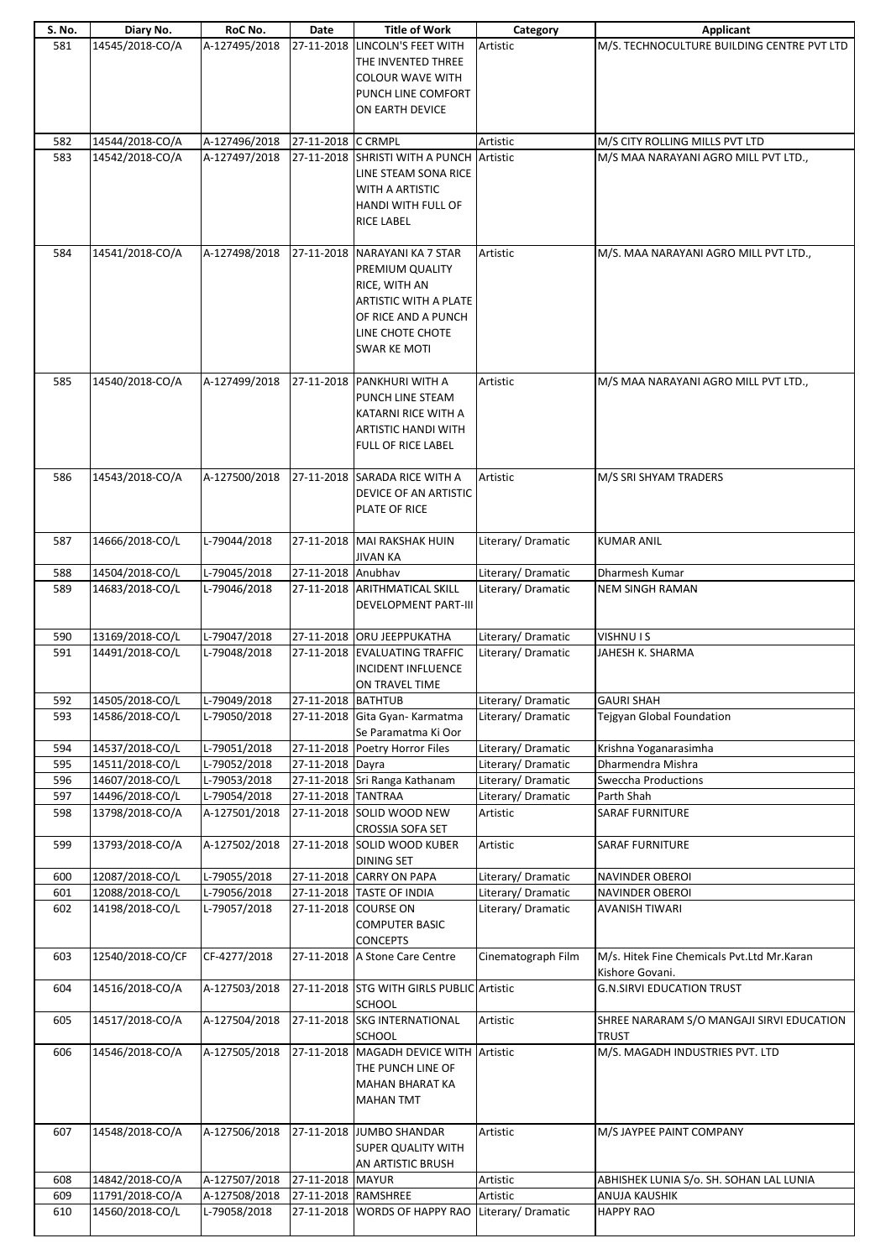| S. No. | Diary No.        | RoC No.       | Date                | <b>Title of Work</b>                      | Category           | Applicant                                  |
|--------|------------------|---------------|---------------------|-------------------------------------------|--------------------|--------------------------------------------|
| 581    | 14545/2018-CO/A  | A-127495/2018 |                     | 27-11-2018 LINCOLN'S FEET WITH            | Artistic           | M/S. TECHNOCULTURE BUILDING CENTRE PVT LTD |
|        |                  |               |                     | THE INVENTED THREE                        |                    |                                            |
|        |                  |               |                     |                                           |                    |                                            |
|        |                  |               |                     | <b>COLOUR WAVE WITH</b>                   |                    |                                            |
|        |                  |               |                     | PUNCH LINE COMFORT                        |                    |                                            |
|        |                  |               |                     | ON EARTH DEVICE                           |                    |                                            |
|        |                  |               |                     |                                           |                    |                                            |
|        |                  |               |                     |                                           |                    |                                            |
| 582    | 14544/2018-CO/A  | A-127496/2018 | 27-11-2018 C CRMPL  |                                           | Artistic           | M/S CITY ROLLING MILLS PVT LTD             |
| 583    | 14542/2018-CO/A  | A-127497/2018 |                     | 27-11-2018 SHRISTI WITH A PUNCH           | Artistic           | M/S MAA NARAYANI AGRO MILL PVT LTD.,       |
|        |                  |               |                     | LINE STEAM SONA RICE                      |                    |                                            |
|        |                  |               |                     |                                           |                    |                                            |
|        |                  |               |                     | WITH A ARTISTIC                           |                    |                                            |
|        |                  |               |                     | <b>HANDI WITH FULL OF</b>                 |                    |                                            |
|        |                  |               |                     | <b>RICE LABEL</b>                         |                    |                                            |
|        |                  |               |                     |                                           |                    |                                            |
|        |                  |               |                     |                                           |                    |                                            |
| 584    | 14541/2018-CO/A  | A-127498/2018 |                     | 27-11-2018 NARAYANI KA 7 STAR             | Artistic           | M/S. MAA NARAYANI AGRO MILL PVT LTD.,      |
|        |                  |               |                     | PREMIUM QUALITY                           |                    |                                            |
|        |                  |               |                     | RICE, WITH AN                             |                    |                                            |
|        |                  |               |                     | <b>ARTISTIC WITH A PLATE</b>              |                    |                                            |
|        |                  |               |                     |                                           |                    |                                            |
|        |                  |               |                     | OF RICE AND A PUNCH                       |                    |                                            |
|        |                  |               |                     | LINE CHOTE CHOTE                          |                    |                                            |
|        |                  |               |                     | SWAR KE MOTI                              |                    |                                            |
|        |                  |               |                     |                                           |                    |                                            |
|        |                  |               |                     |                                           |                    |                                            |
| 585    | 14540/2018-CO/A  | A-127499/2018 |                     | 27-11-2018 PANKHURI WITH A                | Artistic           | M/S MAA NARAYANI AGRO MILL PVT LTD.,       |
|        |                  |               |                     | PUNCH LINE STEAM                          |                    |                                            |
|        |                  |               |                     | KATARNI RICE WITH A                       |                    |                                            |
|        |                  |               |                     | <b>ARTISTIC HANDI WITH</b>                |                    |                                            |
|        |                  |               |                     |                                           |                    |                                            |
|        |                  |               |                     | FULL OF RICE LABEL                        |                    |                                            |
|        |                  |               |                     |                                           |                    |                                            |
| 586    | 14543/2018-CO/A  | A-127500/2018 |                     | 27-11-2018 SARADA RICE WITH A             | Artistic           | M/S SRI SHYAM TRADERS                      |
|        |                  |               |                     | DEVICE OF AN ARTISTIC                     |                    |                                            |
|        |                  |               |                     | PLATE OF RICE                             |                    |                                            |
|        |                  |               |                     |                                           |                    |                                            |
|        |                  |               |                     |                                           |                    |                                            |
| 587    | 14666/2018-CO/L  | L-79044/2018  |                     | 27-11-2018 MAI RAKSHAK HUIN               | Literary/Dramatic  | <b>KUMAR ANIL</b>                          |
|        |                  |               |                     | JIVAN KA                                  |                    |                                            |
| 588    | 14504/2018-CO/L  | L-79045/2018  | 27-11-2018 Anubhav  |                                           | Literary/Dramatic  | Dharmesh Kumar                             |
| 589    | 14683/2018-CO/L  | L-79046/2018  |                     | 27-11-2018 ARITHMATICAL SKILL             | Literary/Dramatic  | <b>NEM SINGH RAMAN</b>                     |
|        |                  |               |                     |                                           |                    |                                            |
|        |                  |               |                     | <b>DEVELOPMENT PART-III</b>               |                    |                                            |
|        |                  |               |                     |                                           |                    |                                            |
| 590    | 13169/2018-CO/L  | L-79047/2018  |                     | 27-11-2018 ORU JEEPPUKATHA                | Literary/Dramatic  | <b>VISHNU IS</b>                           |
| 591    | 14491/2018-CO/L  | L-79048/2018  |                     | 27-11-2018 EVALUATING TRAFFIC             | Literary/Dramatic  | JAHESH K. SHARMA                           |
|        |                  |               |                     | INCIDENT INFLUENCE                        |                    |                                            |
|        |                  |               |                     |                                           |                    |                                            |
|        |                  |               |                     | ON TRAVEL TIME                            |                    |                                            |
| 592    | 14505/2018-CO/L  | L-79049/2018  | 27-11-2018 BATHTUB  |                                           | Literary/Dramatic  | <b>GAURI SHAH</b>                          |
| 593    | 14586/2018-CO/L  | L-79050/2018  |                     | 27-11-2018 Gita Gyan- Karmatma            | Literary/Dramatic  | <b>Tejgyan Global Foundation</b>           |
|        |                  |               |                     | Se Paramatma Ki Oor                       |                    |                                            |
| 594    | 14537/2018-CO/L  | L-79051/2018  |                     | 27-11-2018 Poetry Horror Files            | Literary/ Dramatic | Krishna Yoganarasimha                      |
|        |                  |               |                     |                                           |                    | Dharmendra Mishra                          |
| 595    | 14511/2018-CO/L  | L-79052/2018  | 27-11-2018 Dayra    |                                           | Literary/Dramatic  |                                            |
| 596    | 14607/2018-CO/L  | L-79053/2018  |                     | 27-11-2018 Sri Ranga Kathanam             | Literary/Dramatic  | <b>Sweccha Productions</b>                 |
| 597    | 14496/2018-CO/L  | L-79054/2018  | 27-11-2018 TANTRAA  |                                           | Literary/ Dramatic | Parth Shah                                 |
| 598    | 13798/2018-CO/A  | A-127501/2018 |                     | 27-11-2018 SOLID WOOD NEW                 | Artistic           | <b>SARAF FURNITURE</b>                     |
|        |                  |               |                     | <b>CROSSIA SOFA SET</b>                   |                    |                                            |
|        |                  |               |                     |                                           |                    |                                            |
| 599    | 13793/2018-CO/A  | A-127502/2018 | 27-11-2018          | <b>SOLID WOOD KUBER</b>                   |                    |                                            |
|        |                  |               |                     |                                           | Artistic           | <b>SARAF FURNITURE</b>                     |
|        |                  |               |                     | <b>DINING SET</b>                         |                    |                                            |
| 600    | 12087/2018-CO/L  | L-79055/2018  |                     | 27-11-2018 CARRY ON PAPA                  | Literary/Dramatic  | <b>NAVINDER OBEROI</b>                     |
|        |                  |               |                     |                                           |                    |                                            |
| 601    | 12088/2018-CO/L  | L-79056/2018  |                     | 27-11-2018 TASTE OF INDIA                 | Literary/Dramatic  | <b>NAVINDER OBEROI</b>                     |
| 602    | 14198/2018-CO/L  | L-79057/2018  |                     | 27-11-2018 COURSE ON                      | Literary/Dramatic  | <b>AVANISH TIWARI</b>                      |
|        |                  |               |                     | <b>COMPUTER BASIC</b>                     |                    |                                            |
|        |                  |               |                     | <b>CONCEPTS</b>                           |                    |                                            |
| 603    | 12540/2018-CO/CF | CF-4277/2018  |                     | 27-11-2018 A Stone Care Centre            | Cinematograph Film | M/s. Hitek Fine Chemicals Pvt.Ltd Mr.Karan |
|        |                  |               |                     |                                           |                    |                                            |
|        |                  |               |                     |                                           |                    | Kishore Govani.                            |
| 604    | 14516/2018-CO/A  | A-127503/2018 |                     | 27-11-2018 STG WITH GIRLS PUBLIC Artistic |                    | <b>G.N.SIRVI EDUCATION TRUST</b>           |
|        |                  |               |                     | <b>SCHOOL</b>                             |                    |                                            |
| 605    | 14517/2018-CO/A  | A-127504/2018 |                     | 27-11-2018 SKG INTERNATIONAL              | Artistic           | SHREE NARARAM S/O MANGAJI SIRVI EDUCATION  |
|        |                  |               |                     | <b>SCHOOL</b>                             |                    | <b>TRUST</b>                               |
|        |                  |               |                     |                                           |                    |                                            |
| 606    | 14546/2018-CO/A  | A-127505/2018 |                     | 27-11-2018 MAGADH DEVICE WITH             | Artistic           | M/S. MAGADH INDUSTRIES PVT. LTD            |
|        |                  |               |                     | THE PUNCH LINE OF                         |                    |                                            |
|        |                  |               |                     | MAHAN BHARAT KA                           |                    |                                            |
|        |                  |               |                     | <b>MAHAN TMT</b>                          |                    |                                            |
|        |                  |               |                     |                                           |                    |                                            |
|        |                  |               |                     |                                           |                    |                                            |
| 607    | 14548/2018-CO/A  | A-127506/2018 |                     | 27-11-2018 JUMBO SHANDAR                  | Artistic           | M/S JAYPEE PAINT COMPANY                   |
|        |                  |               |                     | <b>SUPER QUALITY WITH</b>                 |                    |                                            |
|        |                  |               |                     | AN ARTISTIC BRUSH                         |                    |                                            |
| 608    | 14842/2018-CO/A  | A-127507/2018 | 27-11-2018 MAYUR    |                                           | Artistic           | ABHISHEK LUNIA S/o. SH. SOHAN LAL LUNIA    |
|        |                  |               |                     |                                           |                    |                                            |
| 609    | 11791/2018-CO/A  | A-127508/2018 | 27-11-2018 RAMSHREE |                                           | Artistic           | <b>ANUJA KAUSHIK</b>                       |
| 610    | 14560/2018-CO/L  | L-79058/2018  |                     | 27-11-2018 WORDS OF HAPPY RAO             | Literary/Dramatic  | <b>HAPPY RAO</b>                           |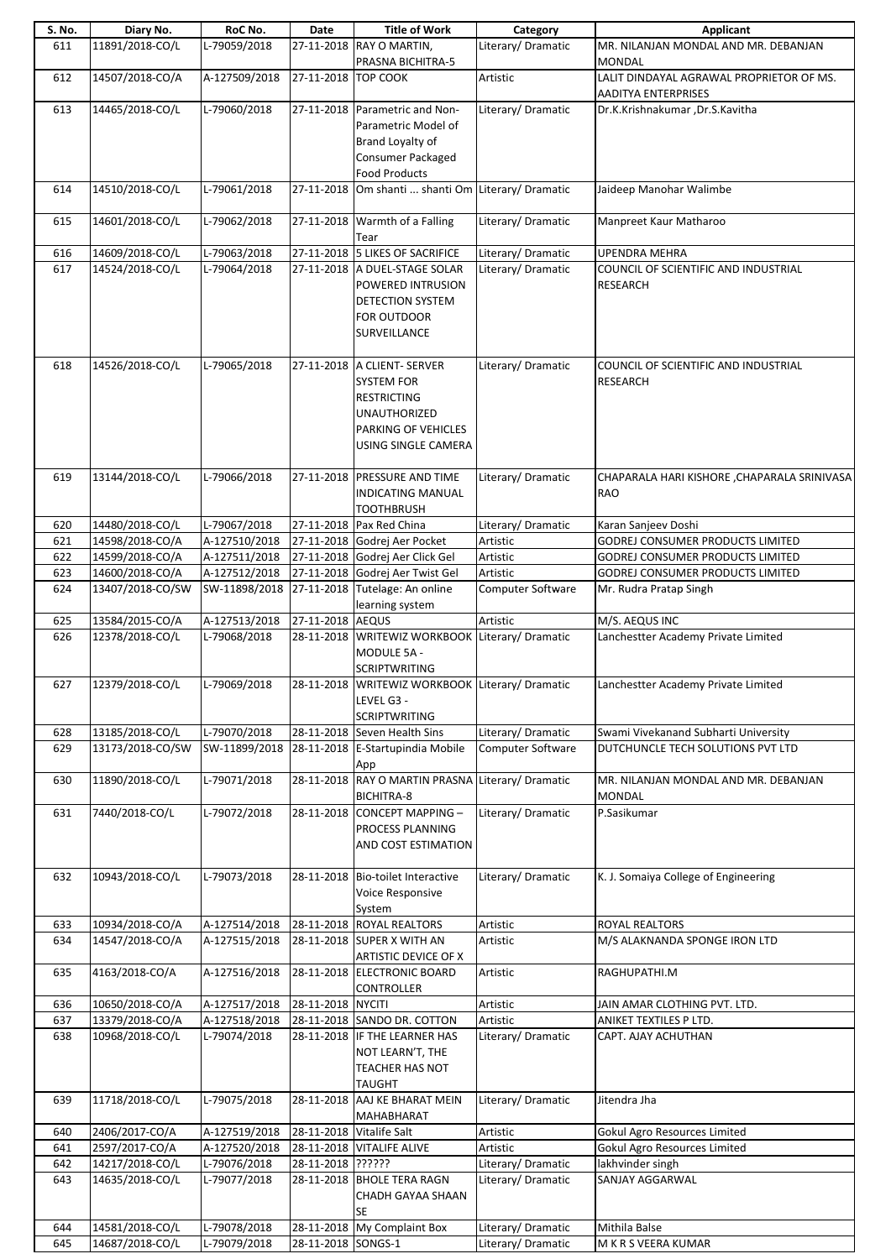| S. No.     | Diary No.                           | RoC No.                        | Date                     | <b>Title of Work</b>                                                            | Category                                | <b>Applicant</b>                                                          |
|------------|-------------------------------------|--------------------------------|--------------------------|---------------------------------------------------------------------------------|-----------------------------------------|---------------------------------------------------------------------------|
| 611        | 11891/2018-CO/L                     | L-79059/2018                   |                          | 27-11-2018 RAY O MARTIN,<br>PRASNA BICHITRA-5                                   | Literary/Dramatic                       | MR. NILANJAN MONDAL AND MR. DEBANJAN<br><b>MONDAL</b>                     |
| 612        | 14507/2018-CO/A                     | A-127509/2018                  | 27-11-2018 TOP COOK      |                                                                                 | Artistic                                | LALIT DINDAYAL AGRAWAL PROPRIETOR OF MS.<br>AADITYA ENTERPRISES           |
| 613        | 14465/2018-CO/L                     | L-79060/2018                   |                          | 27-11-2018 Parametric and Non-                                                  | Literary/Dramatic                       | Dr.K.Krishnakumar, Dr.S.Kavitha                                           |
|            |                                     |                                |                          | Parametric Model of                                                             |                                         |                                                                           |
|            |                                     |                                |                          | Brand Loyalty of                                                                |                                         |                                                                           |
|            |                                     |                                |                          | Consumer Packaged<br><b>Food Products</b>                                       |                                         |                                                                           |
| 614        | 14510/2018-CO/L                     | L-79061/2018                   | 27-11-2018               | Om shanti  shanti Om Literary/ Dramatic                                         |                                         | Jaideep Manohar Walimbe                                                   |
| 615        | 14601/2018-CO/L                     | L-79062/2018                   |                          | 27-11-2018 Warmth of a Falling<br>Tear                                          | Literary/ Dramatic                      | Manpreet Kaur Matharoo                                                    |
| 616        | 14609/2018-CO/L                     | L-79063/2018                   |                          | 27-11-2018 5 LIKES OF SACRIFICE                                                 | Literary/ Dramatic                      | <b>UPENDRA MEHRA</b>                                                      |
| 617        | 14524/2018-CO/L                     | L-79064/2018                   |                          | 27-11-2018 A DUEL-STAGE SOLAR                                                   | Literary/ Dramatic                      | COUNCIL OF SCIENTIFIC AND INDUSTRIAL                                      |
|            |                                     |                                |                          | POWERED INTRUSION<br>DETECTION SYSTEM                                           |                                         | <b>RESEARCH</b>                                                           |
|            |                                     |                                |                          | <b>FOR OUTDOOR</b>                                                              |                                         |                                                                           |
|            |                                     |                                |                          | SURVEILLANCE                                                                    |                                         |                                                                           |
|            |                                     |                                |                          |                                                                                 |                                         |                                                                           |
| 618        | 14526/2018-CO/L                     | L-79065/2018                   |                          | 27-11-2018 A CLIENT- SERVER                                                     | Literary/ Dramatic                      | COUNCIL OF SCIENTIFIC AND INDUSTRIAL                                      |
|            |                                     |                                |                          | <b>SYSTEM FOR</b><br><b>RESTRICTING</b>                                         |                                         | <b>RESEARCH</b>                                                           |
|            |                                     |                                |                          | <b>UNAUTHORIZED</b>                                                             |                                         |                                                                           |
|            |                                     |                                |                          | PARKING OF VEHICLES                                                             |                                         |                                                                           |
|            |                                     |                                |                          | USING SINGLE CAMERA                                                             |                                         |                                                                           |
|            |                                     |                                |                          |                                                                                 |                                         |                                                                           |
| 619        | 13144/2018-CO/L                     | L-79066/2018                   |                          | 27-11-2018 PRESSURE AND TIME<br>INDICATING MANUAL                               | Literary/Dramatic                       | CHAPARALA HARI KISHORE , CHAPARALA SRINIVASA<br><b>RAO</b>                |
|            |                                     |                                |                          | TOOTHBRUSH                                                                      |                                         |                                                                           |
| 620        | 14480/2018-CO/L                     | L-79067/2018                   |                          | 27-11-2018 Pax Red China                                                        | Literary/Dramatic                       | Karan Sanjeev Doshi                                                       |
| 621        | 14598/2018-CO/A                     | A-127510/2018                  |                          | 27-11-2018 Godrej Aer Pocket                                                    | Artistic                                | <b>GODREJ CONSUMER PRODUCTS LIMITED</b>                                   |
| 622        | 14599/2018-CO/A                     | A-127511/2018                  |                          | 27-11-2018 Godrej Aer Click Gel                                                 | Artistic                                | <b>GODREJ CONSUMER PRODUCTS LIMITED</b>                                   |
| 623<br>624 | 14600/2018-CO/A<br>13407/2018-CO/SW | A-127512/2018                  |                          | 27-11-2018 Godrej Aer Twist Gel<br>SW-11898/2018 27-11-2018 Tutelage: An online | Artistic<br>Computer Software           | GODREJ CONSUMER PRODUCTS LIMITED<br>Mr. Rudra Pratap Singh                |
|            |                                     |                                |                          | learning system                                                                 |                                         |                                                                           |
| 625        | 13584/2015-CO/A                     | A-127513/2018                  | 27-11-2018 AEQUS         |                                                                                 | Artistic                                | M/S. AEQUS INC                                                            |
| 626        | 12378/2018-CO/L                     | L-79068/2018                   |                          | 28-11-2018 WRITEWIZ WORKBOOK Literary/ Dramatic                                 |                                         | Lanchestter Academy Private Limited                                       |
|            |                                     |                                |                          | MODULE 5A -<br><b>SCRIPTWRITING</b>                                             |                                         |                                                                           |
| 627        | 12379/2018-CO/L                     | L-79069/2018                   |                          | 28-11-2018 WRITEWIZ WORKBOOK Literary/ Dramatic                                 |                                         | Lanchestter Academy Private Limited                                       |
|            |                                     |                                |                          | LEVEL G3 -                                                                      |                                         |                                                                           |
|            |                                     |                                |                          | <b>SCRIPTWRITING</b>                                                            |                                         |                                                                           |
| 628<br>629 | 13185/2018-CO/L<br>13173/2018-CO/SW | L-79070/2018<br>SW-11899/2018  |                          | 28-11-2018 Seven Health Sins<br>28-11-2018 E-Startupindia Mobile                | Literary/ Dramatic<br>Computer Software | Swami Vivekanand Subharti University<br>DUTCHUNCLE TECH SOLUTIONS PVT LTD |
|            |                                     |                                |                          | App                                                                             |                                         |                                                                           |
| 630        | 11890/2018-CO/L                     | L-79071/2018                   | 28-11-2018               | RAY O MARTIN PRASNA                                                             | Literary/Dramatic                       | MR. NILANJAN MONDAL AND MR. DEBANJAN                                      |
|            |                                     |                                |                          | BICHITRA-8                                                                      |                                         | <b>MONDAL</b>                                                             |
| 631        | 7440/2018-CO/L                      | L-79072/2018                   |                          | 28-11-2018 CONCEPT MAPPING-                                                     | Literary/Dramatic                       | P.Sasikumar                                                               |
|            |                                     |                                |                          | PROCESS PLANNING<br>AND COST ESTIMATION                                         |                                         |                                                                           |
|            |                                     |                                |                          |                                                                                 |                                         |                                                                           |
| 632        | 10943/2018-CO/L                     | L-79073/2018                   |                          | 28-11-2018 Bio-toilet Interactive                                               | Literary/Dramatic                       | K. J. Somaiya College of Engineering                                      |
|            |                                     |                                |                          | Voice Responsive                                                                |                                         |                                                                           |
|            |                                     |                                |                          | System                                                                          |                                         |                                                                           |
| 633<br>634 | 10934/2018-CO/A<br>14547/2018-CO/A  | A-127514/2018<br>A-127515/2018 |                          | 28-11-2018 ROYAL REALTORS<br>28-11-2018 SUPER X WITH AN                         | Artistic<br>Artistic                    | ROYAL REALTORS<br>M/S ALAKNANDA SPONGE IRON LTD                           |
|            |                                     |                                |                          | ARTISTIC DEVICE OF X                                                            |                                         |                                                                           |
| 635        | 4163/2018-CO/A                      | A-127516/2018                  |                          | 28-11-2018 ELECTRONIC BOARD                                                     | Artistic                                | RAGHUPATHI.M                                                              |
|            |                                     |                                |                          | <b>CONTROLLER</b>                                                               |                                         |                                                                           |
| 636        | 10650/2018-CO/A                     | A-127517/2018                  | 28-11-2018 NYCITI        |                                                                                 | Artistic                                | JAIN AMAR CLOTHING PVT. LTD.                                              |
| 637<br>638 | 13379/2018-CO/A<br>10968/2018-CO/L  | A-127518/2018<br>L-79074/2018  |                          | 28-11-2018 SANDO DR. COTTON<br>28-11-2018 IF THE LEARNER HAS                    | Artistic<br>Literary/Dramatic           | ANIKET TEXTILES P LTD.<br>CAPT. AJAY ACHUTHAN                             |
|            |                                     |                                |                          | NOT LEARN'T, THE                                                                |                                         |                                                                           |
|            |                                     |                                |                          | TEACHER HAS NOT                                                                 |                                         |                                                                           |
|            |                                     |                                |                          | TAUGHT                                                                          |                                         |                                                                           |
| 639        | 11718/2018-CO/L                     | L-79075/2018                   |                          | 28-11-2018 AAJ KE BHARAT MEIN                                                   | Literary/Dramatic                       | Jitendra Jha                                                              |
| 640        | 2406/2017-CO/A                      | A-127519/2018                  | 28-11-2018 Vitalife Salt | MAHABHARAT                                                                      | Artistic                                | <b>Gokul Agro Resources Limited</b>                                       |
| 641        | 2597/2017-CO/A                      | A-127520/2018                  |                          | 28-11-2018 VITALIFE ALIVE                                                       | Artistic                                | <b>Gokul Agro Resources Limited</b>                                       |
| 642        | 14217/2018-CO/L                     | L-79076/2018                   | 28-11-2018 ??????        |                                                                                 | Literary/ Dramatic                      | lakhvinder singh                                                          |
| 643        | 14635/2018-CO/L                     | L-79077/2018                   |                          | 28-11-2018 BHOLE TERA RAGN                                                      | Literary/Dramatic                       | SANJAY AGGARWAL                                                           |
|            |                                     |                                |                          | CHADH GAYAA SHAAN                                                               |                                         |                                                                           |
| 644        | 14581/2018-CO/L                     | L-79078/2018                   |                          | <b>SE</b><br>28-11-2018 My Complaint Box                                        | Literary/ Dramatic                      | Mithila Balse                                                             |
| 645        | 14687/2018-CO/L                     | L-79079/2018                   | 28-11-2018 SONGS-1       |                                                                                 | Literary/Dramatic                       | M K R S VEERA KUMAR                                                       |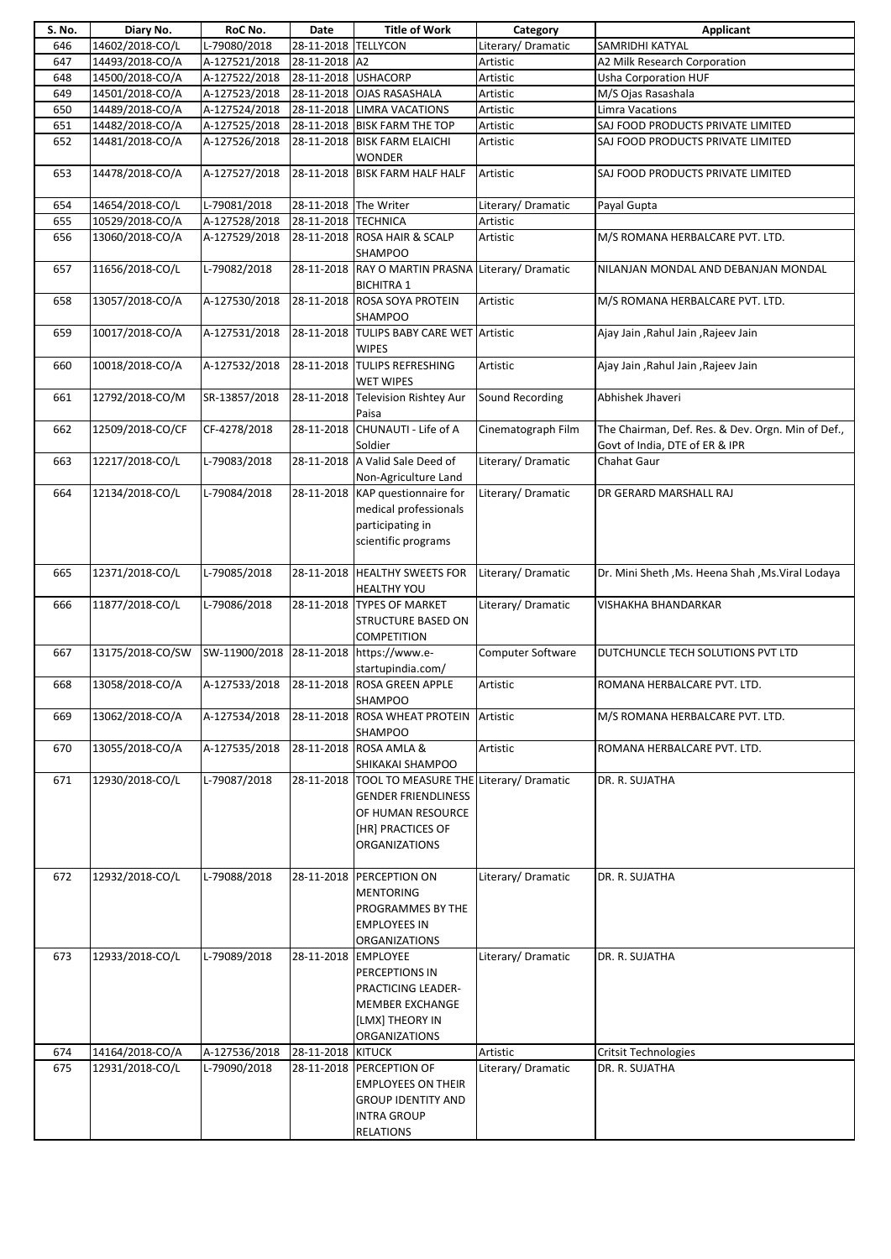| S. No. | Diary No.        | RoC No.       | Date                  | <b>Title of Work</b>                                                                                                            | Category           | Applicant                                                                           |
|--------|------------------|---------------|-----------------------|---------------------------------------------------------------------------------------------------------------------------------|--------------------|-------------------------------------------------------------------------------------|
| 646    | 14602/2018-CO/L  | L-79080/2018  | 28-11-2018 TELLYCON   |                                                                                                                                 | Literary/ Dramatic | SAMRIDHI KATYAL                                                                     |
| 647    | 14493/2018-CO/A  | A-127521/2018 | 28-11-2018 A2         |                                                                                                                                 | Artistic           | A2 Milk Research Corporation                                                        |
| 648    | 14500/2018-CO/A  | A-127522/2018 | 28-11-2018 USHACORP   |                                                                                                                                 | Artistic           | <b>Usha Corporation HUF</b>                                                         |
| 649    | 14501/2018-CO/A  | A-127523/2018 |                       | 28-11-2018 OJAS RASASHALA                                                                                                       | Artistic           | M/S Ojas Rasashala                                                                  |
| 650    | 14489/2018-CO/A  | A-127524/2018 |                       | 28-11-2018 LIMRA VACATIONS                                                                                                      | Artistic           | <b>Limra Vacations</b>                                                              |
| 651    | 14482/2018-CO/A  | A-127525/2018 |                       | 28-11-2018 BISK FARM THE TOP                                                                                                    | Artistic           | SAJ FOOD PRODUCTS PRIVATE LIMITED                                                   |
| 652    | 14481/2018-CO/A  | A-127526/2018 |                       | 28-11-2018 BISK FARM ELAICHI<br><b>WONDER</b>                                                                                   | Artistic           | SAJ FOOD PRODUCTS PRIVATE LIMITED                                                   |
| 653    | 14478/2018-CO/A  | A-127527/2018 |                       | 28-11-2018 BISK FARM HALF HALF                                                                                                  | Artistic           | SAJ FOOD PRODUCTS PRIVATE LIMITED                                                   |
| 654    | 14654/2018-CO/L  | L-79081/2018  | 28-11-2018 The Writer |                                                                                                                                 | Literary/Dramatic  | Payal Gupta                                                                         |
| 655    | 10529/2018-CO/A  | A-127528/2018 | 28-11-2018 TECHNICA   |                                                                                                                                 | Artistic           |                                                                                     |
| 656    | 13060/2018-CO/A  | A-127529/2018 |                       | 28-11-2018 ROSA HAIR & SCALP<br><b>SHAMPOO</b>                                                                                  | Artistic           | M/S ROMANA HERBALCARE PVT. LTD.                                                     |
| 657    | 11656/2018-CO/L  | L-79082/2018  |                       | 28-11-2018 RAY O MARTIN PRASNA Literary/ Dramatic<br><b>BICHITRA 1</b>                                                          |                    | NILANJAN MONDAL AND DEBANJAN MONDAL                                                 |
| 658    | 13057/2018-CO/A  | A-127530/2018 |                       | 28-11-2018 ROSA SOYA PROTEIN<br><b>SHAMPOO</b>                                                                                  | Artistic           | M/S ROMANA HERBALCARE PVT. LTD.                                                     |
| 659    | 10017/2018-CO/A  | A-127531/2018 |                       | 28-11-2018 TULIPS BABY CARE WET Artistic<br><b>WIPES</b>                                                                        |                    | Ajay Jain, Rahul Jain, Rajeev Jain                                                  |
| 660    | 10018/2018-CO/A  | A-127532/2018 |                       | 28-11-2018 TULIPS REFRESHING<br><b>WET WIPES</b>                                                                                | Artistic           | Ajay Jain, Rahul Jain, Rajeev Jain                                                  |
| 661    | 12792/2018-CO/M  | SR-13857/2018 |                       | 28-11-2018 Television Rishtey Aur<br>Paisa                                                                                      | Sound Recording    | Abhishek Jhaveri                                                                    |
| 662    | 12509/2018-CO/CF | CF-4278/2018  |                       | 28-11-2018 CHUNAUTI - Life of A<br>Soldier                                                                                      | Cinematograph Film | The Chairman, Def. Res. & Dev. Orgn. Min of Def.,<br>Govt of India, DTE of ER & IPR |
| 663    | 12217/2018-CO/L  | L-79083/2018  |                       | 28-11-2018 A Valid Sale Deed of<br>Non-Agriculture Land                                                                         | Literary/Dramatic  | Chahat Gaur                                                                         |
| 664    | 12134/2018-CO/L  | L-79084/2018  |                       | 28-11-2018 KAP questionnaire for<br>medical professionals<br>participating in<br>scientific programs                            | Literary/ Dramatic | DR GERARD MARSHALL RAJ                                                              |
| 665    | 12371/2018-CO/L  | L-79085/2018  |                       | 28-11-2018 HEALTHY SWEETS FOR<br><b>HEALTHY YOU</b>                                                                             | Literary/ Dramatic | Dr. Mini Sheth , Ms. Heena Shah , Ms. Viral Lodaya                                  |
| 666    | 11877/2018-CO/L  | L-79086/2018  |                       | 28-11-2018 TYPES OF MARKET<br><b>STRUCTURE BASED ON</b><br><b>COMPETITION</b>                                                   | Literary/ Dramatic | <b>VISHAKHA BHANDARKAR</b>                                                          |
| 667    | 13175/2018-CO/SW | SW-11900/2018 |                       | 28-11-2018 https://www.e-<br>startupindia.com/                                                                                  | Computer Software  | DUTCHUNCLE TECH SOLUTIONS PVT LTD                                                   |
| 668    | 13058/2018-CO/A  | A-127533/2018 |                       | 28-11-2018 ROSA GREEN APPLE<br><b>SHAMPOO</b>                                                                                   | Artistic           | ROMANA HERBALCARE PVT. LTD.                                                         |
| 669    | 13062/2018-CO/A  | A-127534/2018 |                       | 28-11-2018 ROSA WHEAT PROTEIN<br><b>SHAMPOO</b>                                                                                 | Artistic           | M/S ROMANA HERBALCARE PVT. LTD.                                                     |
| 670    | 13055/2018-CO/A  | A-127535/2018 |                       | 28-11-2018 ROSA AMLA &<br>SHIKAKAI SHAMPOO                                                                                      | Artistic           | ROMANA HERBALCARE PVT. LTD.                                                         |
| 671    | 12930/2018-CO/L  | L-79087/2018  |                       | 28-11-2018  TOOL TO MEASURE THE<br><b>GENDER FRIENDLINESS</b><br>OF HUMAN RESOURCE<br>[HR] PRACTICES OF<br><b>ORGANIZATIONS</b> | Literary/Dramatic  | DR. R. SUJATHA                                                                      |
| 672    | 12932/2018-CO/L  | L-79088/2018  |                       | 28-11-2018 PERCEPTION ON<br><b>MENTORING</b><br>PROGRAMMES BY THE<br><b>EMPLOYEES IN</b><br><b>ORGANIZATIONS</b>                | Literary/Dramatic  | DR. R. SUJATHA                                                                      |
| 673    | 12933/2018-CO/L  | L-79089/2018  | 28-11-2018 EMPLOYEE   | PERCEPTIONS IN<br>PRACTICING LEADER-<br><b>MEMBER EXCHANGE</b><br>[LMX] THEORY IN<br><b>ORGANIZATIONS</b>                       | Literary/Dramatic  | DR. R. SUJATHA                                                                      |
| 674    | 14164/2018-CO/A  | A-127536/2018 | 28-11-2018 KITUCK     |                                                                                                                                 | Artistic           | <b>Critsit Technologies</b>                                                         |
| 675    | 12931/2018-CO/L  | L-79090/2018  |                       | 28-11-2018 PERCEPTION OF<br><b>EMPLOYEES ON THEIR</b><br><b>GROUP IDENTITY AND</b><br><b>INTRA GROUP</b><br><b>RELATIONS</b>    | Literary/Dramatic  | DR. R. SUJATHA                                                                      |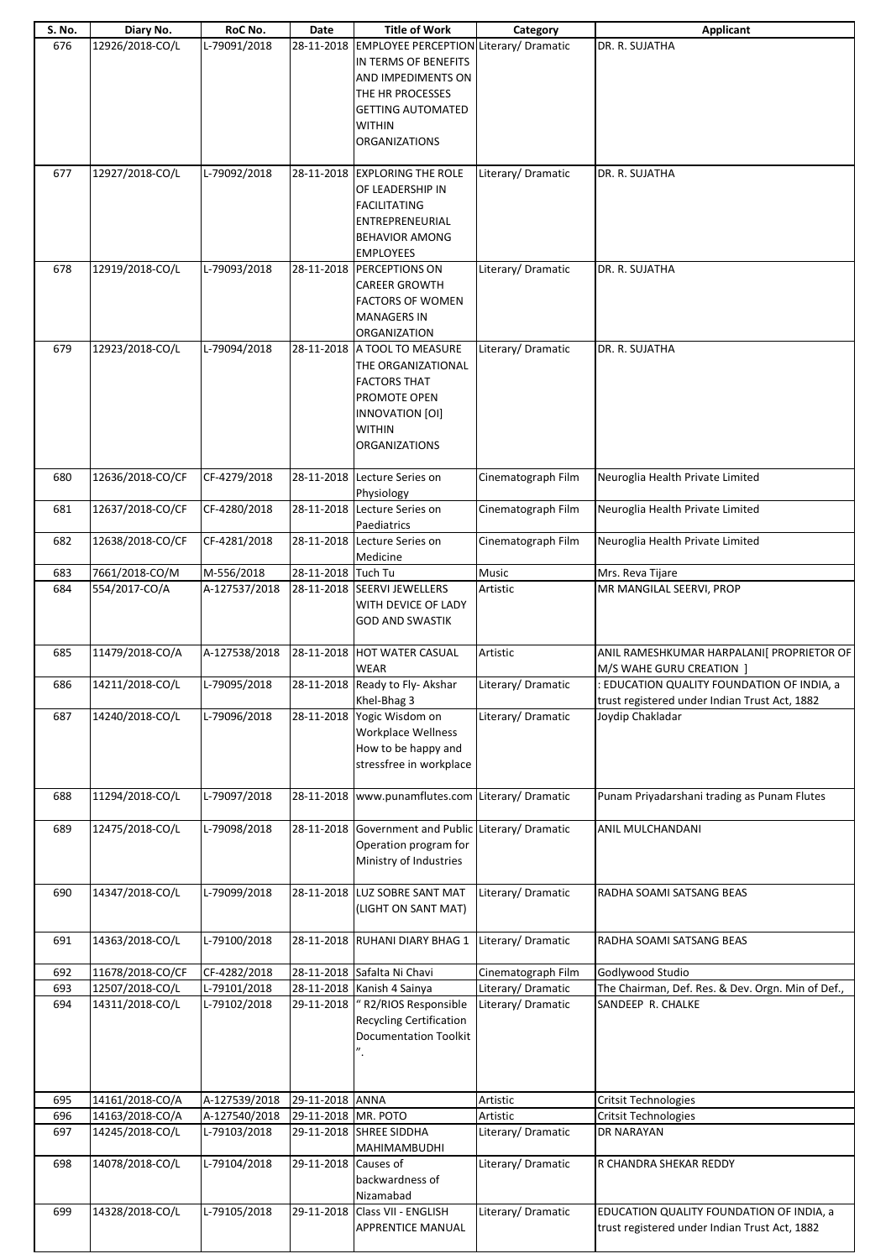| S. No. | Diary No.        | RoC No.       | Date                 | <b>Title of Work</b>                                                                                                                                                                     | Category           | <b>Applicant</b>                                                                            |
|--------|------------------|---------------|----------------------|------------------------------------------------------------------------------------------------------------------------------------------------------------------------------------------|--------------------|---------------------------------------------------------------------------------------------|
| 676    | 12926/2018-CO/L  | L-79091/2018  |                      | 28-11-2018 EMPLOYEE PERCEPTION Literary/ Dramatic<br>IN TERMS OF BENEFITS<br>AND IMPEDIMENTS ON<br>THE HR PROCESSES<br><b>GETTING AUTOMATED</b><br><b>WITHIN</b><br><b>ORGANIZATIONS</b> |                    | DR. R. SUJATHA                                                                              |
| 677    | 12927/2018-CO/L  | L-79092/2018  |                      | 28-11-2018 EXPLORING THE ROLE<br>OF LEADERSHIP IN<br><b>FACILITATING</b><br>ENTREPRENEURIAL<br><b>BEHAVIOR AMONG</b><br><b>EMPLOYEES</b>                                                 | Literary/Dramatic  | DR. R. SUJATHA                                                                              |
| 678    | 12919/2018-CO/L  | L-79093/2018  |                      | 28-11-2018 PERCEPTIONS ON<br><b>CAREER GROWTH</b><br><b>FACTORS OF WOMEN</b><br><b>MANAGERS IN</b><br>ORGANIZATION                                                                       | Literary/Dramatic  | DR. R. SUJATHA                                                                              |
| 679    | 12923/2018-CO/L  | L-79094/2018  |                      | 28-11-2018 A TOOL TO MEASURE<br>THE ORGANIZATIONAL<br><b>FACTORS THAT</b><br>PROMOTE OPEN<br>INNOVATION [OI]<br><b>WITHIN</b><br><b>ORGANIZATIONS</b>                                    | Literary/Dramatic  | DR. R. SUJATHA                                                                              |
| 680    | 12636/2018-CO/CF | CF-4279/2018  |                      | 28-11-2018 Lecture Series on<br>Physiology                                                                                                                                               | Cinematograph Film | Neuroglia Health Private Limited                                                            |
| 681    | 12637/2018-CO/CF | CF-4280/2018  |                      | 28-11-2018 Lecture Series on<br>Paediatrics                                                                                                                                              | Cinematograph Film | Neuroglia Health Private Limited                                                            |
| 682    | 12638/2018-CO/CF | CF-4281/2018  |                      | 28-11-2018 Lecture Series on<br>Medicine                                                                                                                                                 | Cinematograph Film | Neuroglia Health Private Limited                                                            |
| 683    | 7661/2018-CO/M   | M-556/2018    | 28-11-2018 Tuch Tu   |                                                                                                                                                                                          | Music              | Mrs. Reva Tijare                                                                            |
| 684    | 554/2017-CO/A    | A-127537/2018 |                      | 28-11-2018 SEERVI JEWELLERS<br>WITH DEVICE OF LADY<br><b>GOD AND SWASTIK</b>                                                                                                             | Artistic           | MR MANGILAL SEERVI, PROP                                                                    |
| 685    | 11479/2018-CO/A  | A-127538/2018 |                      | 28-11-2018 HOT WATER CASUAL<br>WEAR                                                                                                                                                      | Artistic           | ANIL RAMESHKUMAR HARPALANI [ PROPRIETOR OF<br>M/S WAHE GURU CREATION                        |
| 686    | 14211/2018-CO/L  | L-79095/2018  |                      | 28-11-2018 Ready to Fly- Akshar<br>Khel-Bhag 3                                                                                                                                           | Literary/ Dramatic | : EDUCATION QUALITY FOUNDATION OF INDIA, a<br>trust registered under Indian Trust Act, 1882 |
| 687    | 14240/2018-CO/L  | L-79096/2018  |                      | 28-11-2018 Yogic Wisdom on<br>Workplace Wellness<br>How to be happy and<br>stressfree in workplace                                                                                       | Literary/Dramatic  | Joydip Chakladar                                                                            |
| 688    | 11294/2018-CO/L  | L-79097/2018  |                      | 28-11-2018 www.punamflutes.com Literary/ Dramatic                                                                                                                                        |                    | Punam Priyadarshani trading as Punam Flutes                                                 |
| 689    | 12475/2018-CO/L  | L-79098/2018  |                      | 28-11-2018 Government and Public Literary/ Dramatic<br>Operation program for<br>Ministry of Industries                                                                                   |                    | ANIL MULCHANDANI                                                                            |
| 690    | 14347/2018-CO/L  | L-79099/2018  |                      | 28-11-2018 LUZ SOBRE SANT MAT<br>(LIGHT ON SANT MAT)                                                                                                                                     | Literary/Dramatic  | RADHA SOAMI SATSANG BEAS                                                                    |
| 691    | 14363/2018-CO/L  | L-79100/2018  |                      | 28-11-2018 RUHANI DIARY BHAG 1                                                                                                                                                           | Literary/Dramatic  | RADHA SOAMI SATSANG BEAS                                                                    |
| 692    | 11678/2018-CO/CF | CF-4282/2018  |                      | 28-11-2018 Safalta Ni Chavi                                                                                                                                                              | Cinematograph Film | Godlywood Studio                                                                            |
| 693    | 12507/2018-CO/L  | L-79101/2018  |                      | 28-11-2018 Kanish 4 Sainya                                                                                                                                                               | Literary/Dramatic  | The Chairman, Def. Res. & Dev. Orgn. Min of Def.,                                           |
| 694    | 14311/2018-CO/L  | L-79102/2018  | 29-11-2018           | "R2/RIOS Responsible<br><b>Recycling Certification</b><br><b>Documentation Toolkit</b>                                                                                                   | Literary/Dramatic  | SANDEEP R. CHALKE                                                                           |
| 695    | 14161/2018-CO/A  | A-127539/2018 | 29-11-2018 ANNA      |                                                                                                                                                                                          | Artistic           | Critsit Technologies                                                                        |
| 696    | 14163/2018-CO/A  | A-127540/2018 | 29-11-2018 MR. POTO  |                                                                                                                                                                                          | Artistic           | <b>Critsit Technologies</b>                                                                 |
| 697    | 14245/2018-CO/L  | L-79103/2018  |                      | 29-11-2018 SHREE SIDDHA<br>MAHIMAMBUDHI                                                                                                                                                  | Literary/Dramatic  | DR NARAYAN                                                                                  |
| 698    | 14078/2018-CO/L  | L-79104/2018  | 29-11-2018 Causes of | backwardness of<br>Nizamabad                                                                                                                                                             | Literary/Dramatic  | R CHANDRA SHEKAR REDDY                                                                      |
| 699    | 14328/2018-CO/L  | L-79105/2018  |                      | 29-11-2018 Class VII - ENGLISH<br>APPRENTICE MANUAL                                                                                                                                      | Literary/Dramatic  | EDUCATION QUALITY FOUNDATION OF INDIA, a<br>trust registered under Indian Trust Act, 1882   |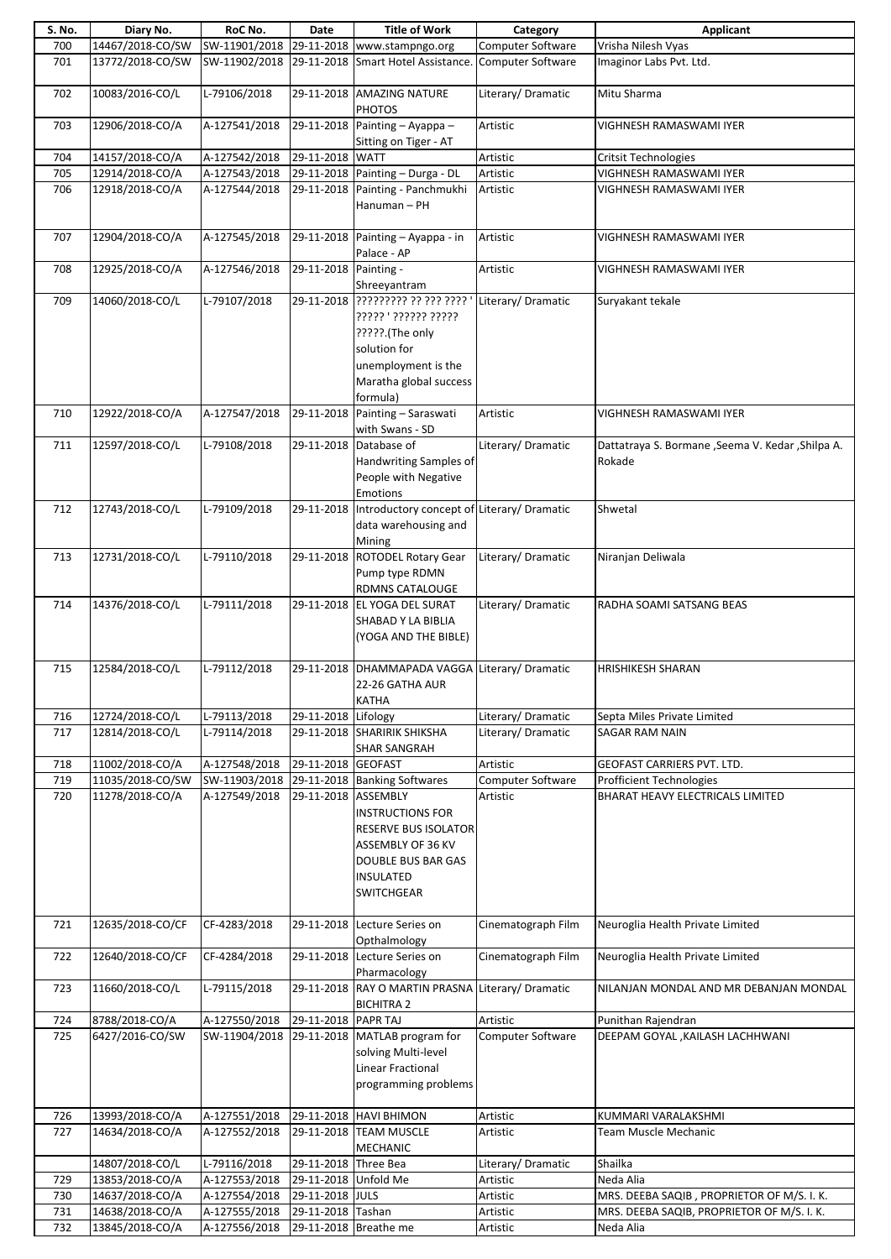| S. No. | Diary No.        | RoC No.       | Date                  | <b>Title of Work</b>                                   | Category           | Applicant                                          |
|--------|------------------|---------------|-----------------------|--------------------------------------------------------|--------------------|----------------------------------------------------|
| 700    | 14467/2018-CO/SW | SW-11901/2018 |                       | 29-11-2018 www.stampngo.org                            | Computer Software  | Vrisha Nilesh Vyas                                 |
| 701    | 13772/2018-CO/SW | SW-11902/2018 |                       | 29-11-2018 Smart Hotel Assistance.                     | Computer Software  | Imaginor Labs Pvt. Ltd.                            |
|        |                  |               |                       |                                                        |                    |                                                    |
| 702    | 10083/2016-CO/L  | L-79106/2018  |                       | 29-11-2018 AMAZING NATURE                              | Literary/Dramatic  | Mitu Sharma                                        |
|        |                  |               |                       |                                                        |                    |                                                    |
|        |                  |               |                       | <b>PHOTOS</b>                                          |                    |                                                    |
| 703    | 12906/2018-CO/A  | A-127541/2018 |                       | 29-11-2018 Painting - Ayappa -                         | Artistic           | VIGHNESH RAMASWAMI IYER                            |
|        |                  |               |                       | Sitting on Tiger - AT                                  |                    |                                                    |
| 704    | 14157/2018-CO/A  | A-127542/2018 | 29-11-2018 WATT       |                                                        | Artistic           | <b>Critsit Technologies</b>                        |
| 705    | 12914/2018-CO/A  | A-127543/2018 |                       | 29-11-2018 Painting - Durga - DL                       | Artistic           | VIGHNESH RAMASWAMI IYER                            |
| 706    | 12918/2018-CO/A  | A-127544/2018 |                       | 29-11-2018 Painting - Panchmukhi                       | Artistic           | VIGHNESH RAMASWAMI IYER                            |
|        |                  |               |                       | Hanuman - PH                                           |                    |                                                    |
|        |                  |               |                       |                                                        |                    |                                                    |
|        |                  |               |                       |                                                        |                    |                                                    |
| 707    | 12904/2018-CO/A  | A-127545/2018 |                       | $29-11-2018$ Painting - Ayappa - in                    | Artistic           | VIGHNESH RAMASWAMI IYER                            |
|        |                  |               |                       | Palace - AP                                            |                    |                                                    |
| 708    | 12925/2018-CO/A  | A-127546/2018 | 29-11-2018 Painting - |                                                        | Artistic           | VIGHNESH RAMASWAMI IYER                            |
|        |                  |               |                       | Shreeyantram                                           |                    |                                                    |
| 709    | 14060/2018-CO/L  | L-79107/2018  |                       | 29-11-2018 ????????? ?? ??? ???? '                     | Literary/Dramatic  | Suryakant tekale                                   |
|        |                  |               |                       | ????? ?????? ?????                                     |                    |                                                    |
|        |                  |               |                       |                                                        |                    |                                                    |
|        |                  |               |                       | ?????.(The only                                        |                    |                                                    |
|        |                  |               |                       | solution for                                           |                    |                                                    |
|        |                  |               |                       | unemployment is the                                    |                    |                                                    |
|        |                  |               |                       | Maratha global success                                 |                    |                                                    |
|        |                  |               |                       | formula)                                               |                    |                                                    |
| 710    | 12922/2018-CO/A  | A-127547/2018 |                       | 29-11-2018 Painting - Saraswati                        | Artistic           | VIGHNESH RAMASWAMI IYER                            |
|        |                  |               |                       |                                                        |                    |                                                    |
|        |                  |               |                       | with Swans - SD                                        |                    |                                                    |
| 711    | 12597/2018-CO/L  | L-79108/2018  |                       | 29-11-2018 Database of                                 | Literary/Dramatic  | Dattatraya S. Bormane , Seema V. Kedar , Shilpa A. |
|        |                  |               |                       | Handwriting Samples of                                 |                    | Rokade                                             |
|        |                  |               |                       | People with Negative                                   |                    |                                                    |
|        |                  |               |                       | <b>Emotions</b>                                        |                    |                                                    |
| 712    | 12743/2018-CO/L  | L-79109/2018  |                       | 29-11-2018  Introductory concept of Literary/ Dramatic |                    | Shwetal                                            |
|        |                  |               |                       |                                                        |                    |                                                    |
|        |                  |               |                       | data warehousing and                                   |                    |                                                    |
|        |                  |               |                       | Mining                                                 |                    |                                                    |
| 713    | 12731/2018-CO/L  | L-79110/2018  |                       | 29-11-2018 ROTODEL Rotary Gear                         | Literary/Dramatic  | Niranjan Deliwala                                  |
|        |                  |               |                       | Pump type RDMN                                         |                    |                                                    |
|        |                  |               |                       | <b>RDMNS CATALOUGE</b>                                 |                    |                                                    |
| 714    | 14376/2018-CO/L  | L-79111/2018  |                       | 29-11-2018 EL YOGA DEL SURAT                           | Literary/Dramatic  | RADHA SOAMI SATSANG BEAS                           |
|        |                  |               |                       | SHABAD Y LA BIBLIA                                     |                    |                                                    |
|        |                  |               |                       |                                                        |                    |                                                    |
|        |                  |               |                       | (YOGA AND THE BIBLE)                                   |                    |                                                    |
|        |                  |               |                       |                                                        |                    |                                                    |
| 715    | 12584/2018-CO/L  | L-79112/2018  |                       | 29-11-2018 DHAMMAPADA VAGGA Literary/ Dramatic         |                    | <b>HRISHIKESH SHARAN</b>                           |
|        |                  |               |                       | 22-26 GATHA AUR                                        |                    |                                                    |
|        |                  |               |                       | KATHA                                                  |                    |                                                    |
| 716    | 12724/2018-CO/L  | L-79113/2018  | 29-11-2018 Lifology   |                                                        | Literary/Dramatic  | Septa Miles Private Limited                        |
| 717    | 12814/2018-CO/L  | L-79114/2018  |                       | 29-11-2018 SHARIRIK SHIKSHA                            | Literary/Dramatic  | SAGAR RAM NAIN                                     |
|        |                  |               |                       |                                                        |                    |                                                    |
|        |                  |               |                       | <b>SHAR SANGRAH</b>                                    |                    |                                                    |
| 718    | 11002/2018-CO/A  | A-127548/2018 | 29-11-2018 GEOFAST    |                                                        | Artistic           | GEOFAST CARRIERS PVT. LTD.                         |
| 719    | 11035/2018-CO/SW | SW-11903/2018 |                       | 29-11-2018 Banking Softwares                           | Computer Software  | <b>Profficient Technologies</b>                    |
| 720    | 11278/2018-CO/A  | A-127549/2018 | 29-11-2018 ASSEMBLY   |                                                        | Artistic           | BHARAT HEAVY ELECTRICALS LIMITED                   |
|        |                  |               |                       | <b>INSTRUCTIONS FOR</b>                                |                    |                                                    |
|        |                  |               |                       | RESERVE BUS ISOLATOR                                   |                    |                                                    |
|        |                  |               |                       | ASSEMBLY OF 36 KV                                      |                    |                                                    |
|        |                  |               |                       |                                                        |                    |                                                    |
|        |                  |               |                       | <b>DOUBLE BUS BAR GAS</b>                              |                    |                                                    |
|        |                  |               |                       | <b>INSULATED</b>                                       |                    |                                                    |
|        |                  |               |                       | <b>SWITCHGEAR</b>                                      |                    |                                                    |
|        |                  |               |                       |                                                        |                    |                                                    |
| 721    | 12635/2018-CO/CF | CF-4283/2018  |                       | 29-11-2018 Lecture Series on                           | Cinematograph Film | Neuroglia Health Private Limited                   |
|        |                  |               |                       | Opthalmology                                           |                    |                                                    |
| 722    | 12640/2018-CO/CF | CF-4284/2018  |                       | 29-11-2018 Lecture Series on                           | Cinematograph Film | Neuroglia Health Private Limited                   |
|        |                  |               |                       |                                                        |                    |                                                    |
|        |                  |               |                       | Pharmacology                                           |                    |                                                    |
| 723    | 11660/2018-CO/L  | L-79115/2018  |                       | 29-11-2018 RAY O MARTIN PRASNA                         | Literary/Dramatic  | NILANJAN MONDAL AND MR DEBANJAN MONDAL             |
|        |                  |               |                       | <b>BICHITRA 2</b>                                      |                    |                                                    |
| 724    | 8788/2018-CO/A   | A-127550/2018 | 29-11-2018 PAPR TAJ   |                                                        | Artistic           | Punithan Rajendran                                 |
| 725    | 6427/2016-CO/SW  | SW-11904/2018 |                       | 29-11-2018 MATLAB program for                          | Computer Software  | DEEPAM GOYAL , KAILASH LACHHWANI                   |
|        |                  |               |                       | solving Multi-level                                    |                    |                                                    |
|        |                  |               |                       | Linear Fractional                                      |                    |                                                    |
|        |                  |               |                       |                                                        |                    |                                                    |
|        |                  |               |                       | programming problems                                   |                    |                                                    |
|        |                  |               |                       |                                                        |                    |                                                    |
| 726    | 13993/2018-CO/A  | A-127551/2018 |                       | 29-11-2018 HAVI BHIMON                                 | Artistic           | KUMMARI VARALAKSHMI                                |
| 727    | 14634/2018-CO/A  | A-127552/2018 |                       | 29-11-2018 TEAM MUSCLE                                 | Artistic           | Team Muscle Mechanic                               |
|        |                  |               |                       | <b>MECHANIC</b>                                        |                    |                                                    |
|        | 14807/2018-CO/L  | L-79116/2018  | 29-11-2018 Three Bea  |                                                        | Literary/Dramatic  | Shailka                                            |
|        |                  |               |                       |                                                        |                    |                                                    |
| 729    | 13853/2018-CO/A  | A-127553/2018 | 29-11-2018 Unfold Me  |                                                        | Artistic           | Neda Alia                                          |
| 730    | 14637/2018-CO/A  | A-127554/2018 | 29-11-2018 JULS       |                                                        | Artistic           | MRS. DEEBA SAQIB, PROPRIETOR OF M/S. I.K.          |
| 731    | 14638/2018-CO/A  | A-127555/2018 | 29-11-2018 Tashan     |                                                        | Artistic           | MRS. DEEBA SAQIB, PROPRIETOR OF M/S. I.K.          |
| 732    | 13845/2018-CO/A  | A-127556/2018 | 29-11-2018 Breathe me |                                                        | Artistic           | Neda Alia                                          |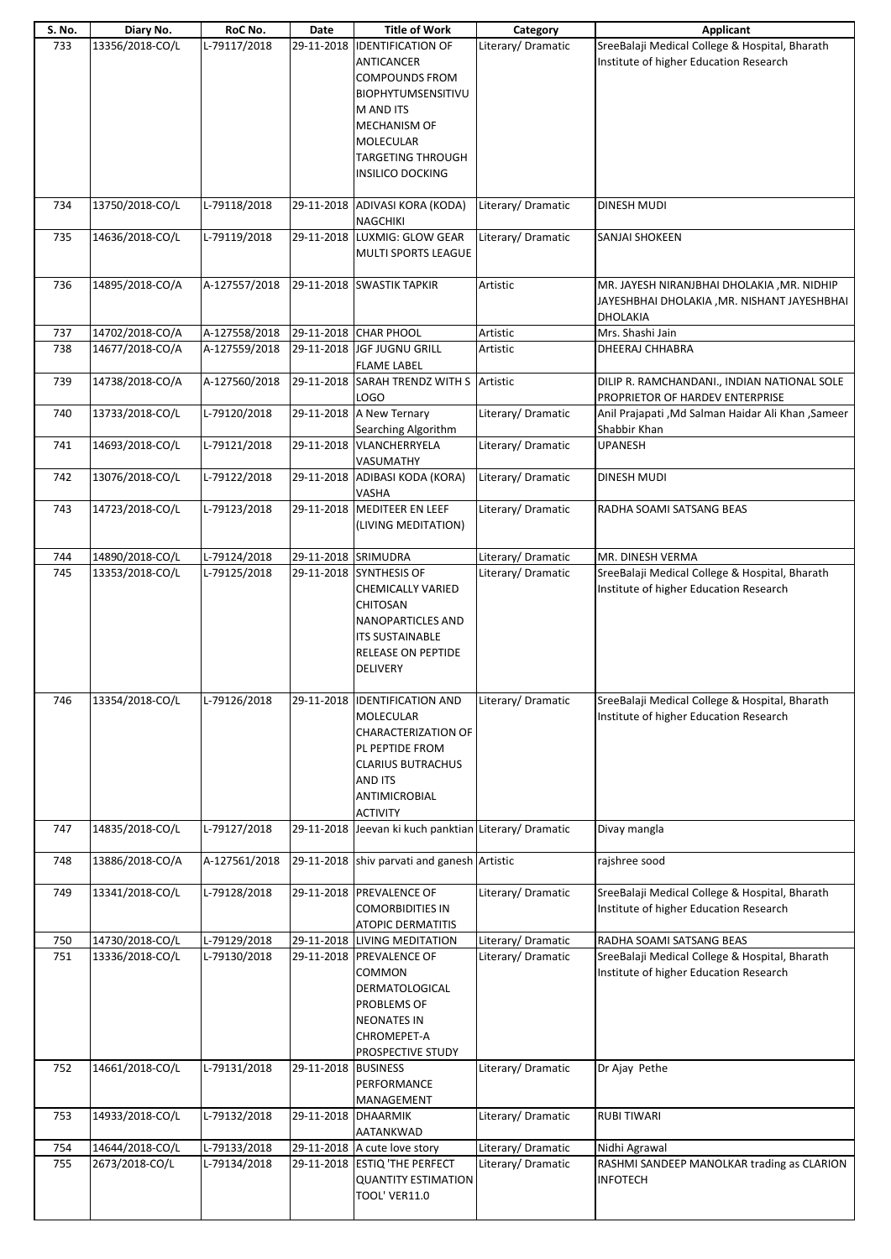| S. No.     | Diary No.                          | RoC No.                      | Date                | <b>Title of Work</b>                                                                                                                                                                                        | Category                                 | Applicant                                                                                                            |
|------------|------------------------------------|------------------------------|---------------------|-------------------------------------------------------------------------------------------------------------------------------------------------------------------------------------------------------------|------------------------------------------|----------------------------------------------------------------------------------------------------------------------|
| 733        | 13356/2018-CO/L                    | L-79117/2018                 | 29-11-2018          | <b>IDENTIFICATION OF</b><br><b>ANTICANCER</b><br><b>COMPOUNDS FROM</b><br>BIOPHYTUMSENSITIVU<br>M AND ITS<br><b>MECHANISM OF</b><br><b>MOLECULAR</b><br><b>TARGETING THROUGH</b><br><b>INSILICO DOCKING</b> | Literary/Dramatic                        | SreeBalaji Medical College & Hospital, Bharath<br>Institute of higher Education Research                             |
| 734        | 13750/2018-CO/L                    | L-79118/2018                 |                     | 29-11-2018 ADIVASI KORA (KODA)<br>NAGCHIKI                                                                                                                                                                  | Literary/Dramatic                        | <b>DINESH MUDI</b>                                                                                                   |
| 735        | 14636/2018-CO/L                    | L-79119/2018                 |                     | 29-11-2018 LUXMIG: GLOW GEAR<br><b>MULTI SPORTS LEAGUE</b>                                                                                                                                                  | Literary/ Dramatic                       | <b>SANJAI SHOKEEN</b>                                                                                                |
| 736        | 14895/2018-CO/A                    | A-127557/2018                |                     | 29-11-2018 SWASTIK TAPKIR                                                                                                                                                                                   | Artistic                                 | MR. JAYESH NIRANJBHAI DHOLAKIA , MR. NIDHIP<br>JAYESHBHAI DHOLAKIA , MR. NISHANT JAYESHBHAI<br><b>DHOLAKIA</b>       |
| 737        | 14702/2018-CO/A                    | A-127558/2018                |                     | 29-11-2018 CHAR PHOOL                                                                                                                                                                                       | Artistic                                 | Mrs. Shashi Jain                                                                                                     |
| 738        | 14677/2018-CO/A                    | A-127559/2018                |                     | 29-11-2018 JGF JUGNU GRILL<br><b>FLAME LABEL</b>                                                                                                                                                            | Artistic                                 | DHEERAJ CHHABRA                                                                                                      |
| 739        | 14738/2018-CO/A                    | A-127560/2018                | 29-11-2018          | SARAH TRENDZ WITH S<br>LOGO                                                                                                                                                                                 | Artistic                                 | DILIP R. RAMCHANDANI., INDIAN NATIONAL SOLE<br>PROPRIETOR OF HARDEV ENTERPRISE                                       |
| 740        | 13733/2018-CO/L                    | L-79120/2018                 |                     | 29-11-2018 A New Ternary<br>Searching Algorithm                                                                                                                                                             | Literary/ Dramatic                       | Anil Prajapati , Md Salman Haidar Ali Khan , Sameer<br>Shabbir Khan                                                  |
| 741        | 14693/2018-CO/L                    | L-79121/2018                 |                     | 29-11-2018 VLANCHERRYELA<br>VASUMATHY                                                                                                                                                                       | Literary/ Dramatic                       | <b>UPANESH</b>                                                                                                       |
| 742        | 13076/2018-CO/L                    | L-79122/2018                 |                     | 29-11-2018 ADIBASI KODA (KORA)<br>VASHA                                                                                                                                                                     | Literary/ Dramatic                       | <b>DINESH MUDI</b>                                                                                                   |
| 743        | 14723/2018-CO/L                    | L-79123/2018                 |                     | 29-11-2018 MEDITEER EN LEEF<br>(LIVING MEDITATION)                                                                                                                                                          | Literary/ Dramatic                       | RADHA SOAMI SATSANG BEAS                                                                                             |
| 744        | 14890/2018-CO/L                    | L-79124/2018                 | 29-11-2018 SRIMUDRA |                                                                                                                                                                                                             | Literary/Dramatic                        | MR. DINESH VERMA                                                                                                     |
|            | 13353/2018-CO/L                    | L-79125/2018                 |                     | CHEMICALLY VARIED<br><b>CHITOSAN</b><br><b>NANOPARTICLES AND</b><br><b>ITS SUSTAINABLE</b><br>RELEASE ON PEPTIDE<br><b>DELIVERY</b>                                                                         | Literary/ Dramatic                       | SreeBalaji Medical College & Hospital, Bharath<br>Institute of higher Education Research                             |
| 746        | 13354/2018-CO/L                    | L-79126/2018                 |                     | 29-11-2018 IDENTIFICATION AND<br><b>MOLECULAR</b><br><b>CHARACTERIZATION OF</b><br>PL PEPTIDE FROM<br><b>CLARIUS BUTRACHUS</b><br>AND ITS<br>ANTIMICROBIAL<br><b>ACTIVITY</b>                               | Literary/Dramatic                        | SreeBalaji Medical College & Hospital, Bharath<br>Institute of higher Education Research                             |
| 747        | 14835/2018-CO/L                    | L-79127/2018                 |                     | 29-11-2018 Jeevan ki kuch panktian Literary/ Dramatic                                                                                                                                                       |                                          | Divay mangla                                                                                                         |
| 748        | 13886/2018-CO/A                    | A-127561/2018                |                     | 29-11-2018 shiv parvati and ganesh Artistic                                                                                                                                                                 |                                          | rajshree sood                                                                                                        |
| 749        | 13341/2018-CO/L                    | L-79128/2018                 |                     | 29-11-2018 PREVALENCE OF<br><b>COMORBIDITIES IN</b><br><b>ATOPIC DERMATITIS</b>                                                                                                                             | Literary/Dramatic                        | SreeBalaji Medical College & Hospital, Bharath<br>Institute of higher Education Research                             |
| 750<br>751 | 14730/2018-CO/L<br>13336/2018-CO/L | L-79129/2018<br>L-79130/2018 |                     | 29-11-2018 LIVING MEDITATION<br>29-11-2018 PREVALENCE OF<br>COMMON<br>DERMATOLOGICAL<br>PROBLEMS OF<br><b>NEONATES IN</b><br>CHROMEPET-A<br>PROSPECTIVE STUDY                                               | Literary/ Dramatic<br>Literary/ Dramatic | RADHA SOAMI SATSANG BEAS<br>SreeBalaji Medical College & Hospital, Bharath<br>Institute of higher Education Research |
| 752        | 14661/2018-CO/L                    | L-79131/2018                 | 29-11-2018          | <b>BUSINESS</b><br>PERFORMANCE<br>MANAGEMENT                                                                                                                                                                | Literary/Dramatic                        | Dr Ajay Pethe                                                                                                        |
| 753        | 14933/2018-CO/L                    | L-79132/2018                 | 29-11-2018 DHAARMIK | AATANKWAD                                                                                                                                                                                                   | Literary/ Dramatic                       | <b>RUBI TIWARI</b>                                                                                                   |
| 754        | 14644/2018-CO/L                    | L-79133/2018                 |                     | 29-11-2018 A cute love story                                                                                                                                                                                | Literary/ Dramatic                       | Nidhi Agrawal                                                                                                        |
| 755        | 2673/2018-CO/L                     | L-79134/2018                 |                     | 29-11-2018 ESTIQ 'THE PERFECT<br><b>QUANTITY ESTIMATION</b><br><b>TOOL' VER11.0</b>                                                                                                                         | Literary/ Dramatic                       | RASHMI SANDEEP MANOLKAR trading as CLARION<br><b>INFOTECH</b>                                                        |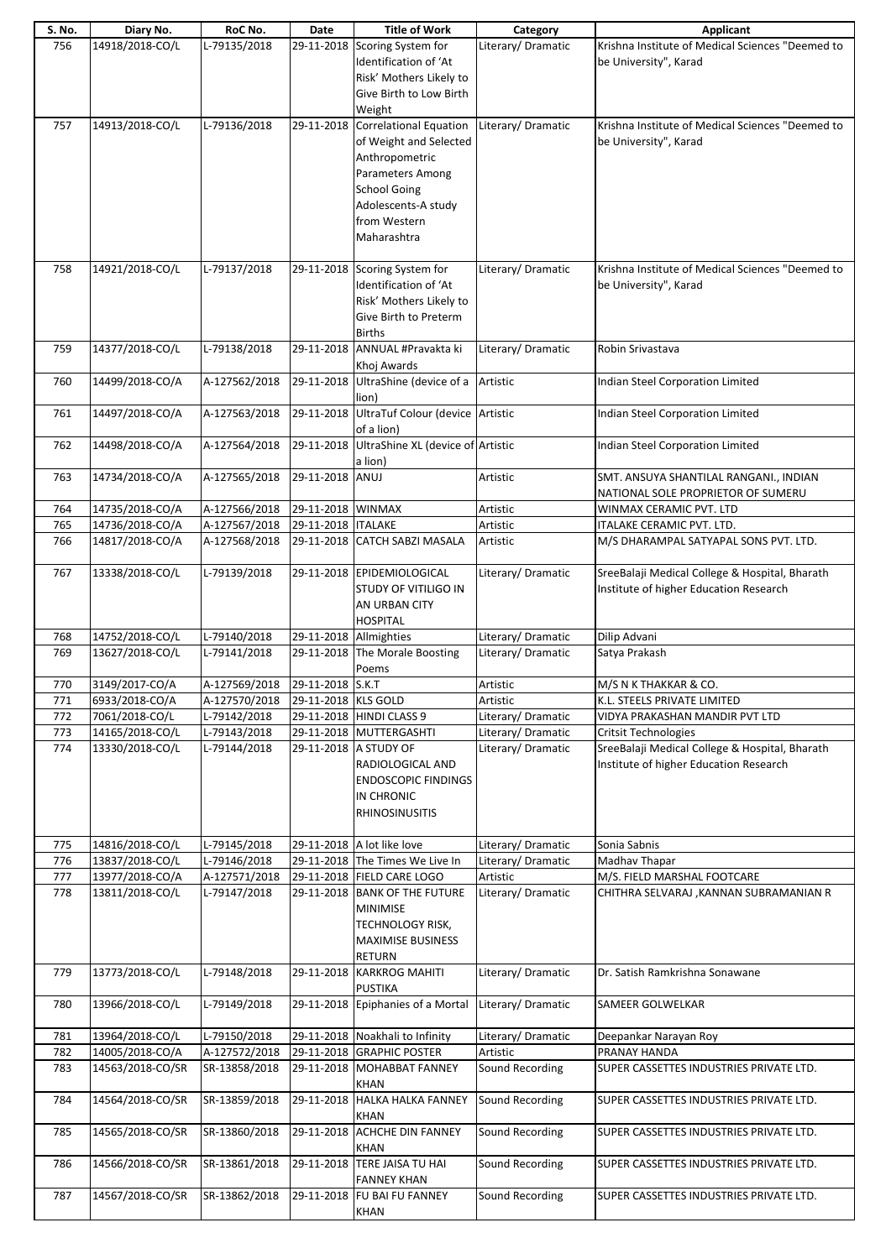| S. No. | Diary No.        | RoC No.       | Date                   | <b>Title of Work</b>               | Category           | Applicant                                        |
|--------|------------------|---------------|------------------------|------------------------------------|--------------------|--------------------------------------------------|
| 756    | 14918/2018-CO/L  | L-79135/2018  |                        | 29-11-2018 Scoring System for      | Literary/Dramatic  | Krishna Institute of Medical Sciences "Deemed to |
|        |                  |               |                        | Identification of 'At              |                    | be University", Karad                            |
|        |                  |               |                        | Risk' Mothers Likely to            |                    |                                                  |
|        |                  |               |                        |                                    |                    |                                                  |
|        |                  |               |                        | Give Birth to Low Birth            |                    |                                                  |
|        |                  |               |                        | Weight                             |                    |                                                  |
| 757    | 14913/2018-CO/L  | L-79136/2018  | 29-11-2018             | <b>Correlational Equation</b>      | Literary/Dramatic  | Krishna Institute of Medical Sciences "Deemed to |
|        |                  |               |                        | of Weight and Selected             |                    | be University", Karad                            |
|        |                  |               |                        | Anthropometric                     |                    |                                                  |
|        |                  |               |                        | Parameters Among                   |                    |                                                  |
|        |                  |               |                        | <b>School Going</b>                |                    |                                                  |
|        |                  |               |                        |                                    |                    |                                                  |
|        |                  |               |                        | Adolescents-A study                |                    |                                                  |
|        |                  |               |                        | from Western                       |                    |                                                  |
|        |                  |               |                        | Maharashtra                        |                    |                                                  |
|        |                  |               |                        |                                    |                    |                                                  |
| 758    | 14921/2018-CO/L  | L-79137/2018  |                        | 29-11-2018 Scoring System for      | Literary/Dramatic  | Krishna Institute of Medical Sciences "Deemed to |
|        |                  |               |                        | Identification of 'At              |                    | be University", Karad                            |
|        |                  |               |                        | Risk' Mothers Likely to            |                    |                                                  |
|        |                  |               |                        | Give Birth to Preterm              |                    |                                                  |
|        |                  |               |                        | <b>Births</b>                      |                    |                                                  |
| 759    | 14377/2018-CO/L  | L-79138/2018  | 29-11-2018             | ANNUAL #Pravakta ki                | Literary/ Dramatic | Robin Srivastava                                 |
|        |                  |               |                        | Khoj Awards                        |                    |                                                  |
| 760    | 14499/2018-CO/A  | A-127562/2018 |                        | 29-11-2018 UltraShine (device of a | Artistic           | Indian Steel Corporation Limited                 |
|        |                  |               |                        | lion)                              |                    |                                                  |
|        | 14497/2018-CO/A  |               |                        | UltraTuf Colour (device Artistic   |                    |                                                  |
| 761    |                  | A-127563/2018 | 29-11-2018             |                                    |                    | Indian Steel Corporation Limited                 |
|        |                  |               |                        | of a lion)                         |                    |                                                  |
| 762    | 14498/2018-CO/A  | A-127564/2018 | 29-11-2018             | UltraShine XL (device of Artistic  |                    | Indian Steel Corporation Limited                 |
|        |                  |               |                        | a lion)                            |                    |                                                  |
| 763    | 14734/2018-CO/A  | A-127565/2018 | 29-11-2018             | ANUJ                               | Artistic           | SMT. ANSUYA SHANTILAL RANGANI., INDIAN           |
|        |                  |               |                        |                                    |                    | NATIONAL SOLE PROPRIETOR OF SUMERU               |
| 764    | 14735/2018-CO/A  | A-127566/2018 | 29-11-2018 WINMAX      |                                    | Artistic           | WINMAX CERAMIC PVT. LTD                          |
| 765    | 14736/2018-CO/A  | A-127567/2018 | 29-11-2018   ITALAKE   |                                    | Artistic           | <b>ITALAKE CERAMIC PVT. LTD.</b>                 |
| 766    | 14817/2018-CO/A  | A-127568/2018 | 29-11-2018             | <b>CATCH SABZI MASALA</b>          | Artistic           | M/S DHARAMPAL SATYAPAL SONS PVT. LTD.            |
|        |                  |               |                        |                                    |                    |                                                  |
| 767    | 13338/2018-CO/L  | L-79139/2018  |                        | 29-11-2018 EPIDEMIOLOGICAL         | Literary/ Dramatic | SreeBalaji Medical College & Hospital, Bharath   |
|        |                  |               |                        | STUDY OF VITILIGO IN               |                    | Institute of higher Education Research           |
|        |                  |               |                        | AN URBAN CITY                      |                    |                                                  |
|        |                  |               |                        | <b>HOSPITAL</b>                    |                    |                                                  |
|        |                  |               |                        |                                    |                    |                                                  |
|        |                  |               |                        |                                    |                    |                                                  |
| 768    | 14752/2018-CO/L  | L-79140/2018  | 29-11-2018 Allmighties |                                    | Literary/ Dramatic | Dilip Advani                                     |
| 769    | 13627/2018-CO/L  | L-79141/2018  | 29-11-2018             | The Morale Boosting                | Literary/Dramatic  | Satya Prakash                                    |
|        |                  |               |                        | Poems                              |                    |                                                  |
| 770    | 3149/2017-CO/A   | A-127569/2018 | 29-11-2018 S.K.T       |                                    | Artistic           | M/S N K THAKKAR & CO.                            |
| 771    | 6933/2018-CO/A   | A-127570/2018 | 29-11-2018 KLS GOLD    |                                    | Artistic           | K.L. STEELS PRIVATE LIMITED                      |
| 772    | 7061/2018-CO/L   | L-79142/2018  |                        | 29-11-2018 HINDI CLASS 9           | Literary/Dramatic  | VIDYA PRAKASHAN MANDIR PVT LTD                   |
| 773    | 14165/2018-CO/L  | L-79143/2018  |                        | 29-11-2018   MUTTERGASHTI          | Literary/Dramatic  | <b>Critsit Technologies</b>                      |
| 774    | 13330/2018-CO/L  | L-79144/2018  |                        | 29-11-2018 A STUDY OF              | Literary/Dramatic  | SreeBalaji Medical College & Hospital, Bharath   |
|        |                  |               |                        | RADIOLOGICAL AND                   |                    | Institute of higher Education Research           |
|        |                  |               |                        | <b>ENDOSCOPIC FINDINGS</b>         |                    |                                                  |
|        |                  |               |                        |                                    |                    |                                                  |
|        |                  |               |                        | IN CHRONIC                         |                    |                                                  |
|        |                  |               |                        | <b>RHINOSINUSITIS</b>              |                    |                                                  |
|        |                  |               |                        |                                    |                    |                                                  |
| 775    | 14816/2018-CO/L  | L-79145/2018  |                        | 29-11-2018 A lot like love         | Literary/Dramatic  | Sonia Sabnis                                     |
| 776    | 13837/2018-CO/L  | L-79146/2018  |                        | 29-11-2018 The Times We Live In    | Literary/Dramatic  | Madhav Thapar                                    |
| 777    | 13977/2018-CO/A  | A-127571/2018 |                        | 29-11-2018 FIELD CARE LOGO         | Artistic           | M/S. FIELD MARSHAL FOOTCARE                      |
| 778    | 13811/2018-CO/L  | L-79147/2018  |                        | 29-11-2018 BANK OF THE FUTURE      | Literary/Dramatic  | CHITHRA SELVARAJ , KANNAN SUBRAMANIAN R          |
|        |                  |               |                        | <b>MINIMISE</b>                    |                    |                                                  |
|        |                  |               |                        | <b>TECHNOLOGY RISK,</b>            |                    |                                                  |
|        |                  |               |                        | <b>MAXIMISE BUSINESS</b>           |                    |                                                  |
|        |                  |               |                        | <b>RETURN</b>                      |                    |                                                  |
| 779    | 13773/2018-CO/L  | L-79148/2018  | 29-11-2018             | <b>KARKROG MAHITI</b>              | Literary/Dramatic  | Dr. Satish Ramkrishna Sonawane                   |
|        |                  |               |                        | <b>PUSTIKA</b>                     |                    |                                                  |
| 780    | 13966/2018-CO/L  | L-79149/2018  | 29-11-2018             | Epiphanies of a Mortal             | Literary/Dramatic  | SAMEER GOLWELKAR                                 |
|        |                  |               |                        |                                    |                    |                                                  |
|        |                  |               |                        |                                    |                    |                                                  |
| 781    | 13964/2018-CO/L  | L-79150/2018  |                        | 29-11-2018 Noakhali to Infinity    | Literary/Dramatic  | Deepankar Narayan Roy                            |
| 782    | 14005/2018-CO/A  | A-127572/2018 |                        | 29-11-2018 GRAPHIC POSTER          | Artistic           | PRANAY HANDA                                     |
| 783    | 14563/2018-CO/SR | SR-13858/2018 |                        | 29-11-2018 MOHABBAT FANNEY         | Sound Recording    | SUPER CASSETTES INDUSTRIES PRIVATE LTD.          |
|        |                  |               |                        | <b>KHAN</b>                        |                    |                                                  |
| 784    | 14564/2018-CO/SR | SR-13859/2018 |                        | 29-11-2018 HALKA HALKA FANNEY      | Sound Recording    | SUPER CASSETTES INDUSTRIES PRIVATE LTD.          |
|        |                  |               |                        | <b>KHAN</b>                        |                    |                                                  |
| 785    | 14565/2018-CO/SR | SR-13860/2018 | 29-11-2018             | <b>ACHCHE DIN FANNEY</b>           | Sound Recording    | SUPER CASSETTES INDUSTRIES PRIVATE LTD.          |
|        |                  |               |                        | <b>KHAN</b>                        |                    |                                                  |
| 786    | 14566/2018-CO/SR | SR-13861/2018 |                        | 29-11-2018 TERE JAISA TU HAI       | Sound Recording    | SUPER CASSETTES INDUSTRIES PRIVATE LTD.          |
|        |                  |               |                        | <b>FANNEY KHAN</b>                 |                    |                                                  |
| 787    | 14567/2018-CO/SR | SR-13862/2018 | 29-11-2018             | FU BAI FU FANNEY                   | Sound Recording    | SUPER CASSETTES INDUSTRIES PRIVATE LTD.          |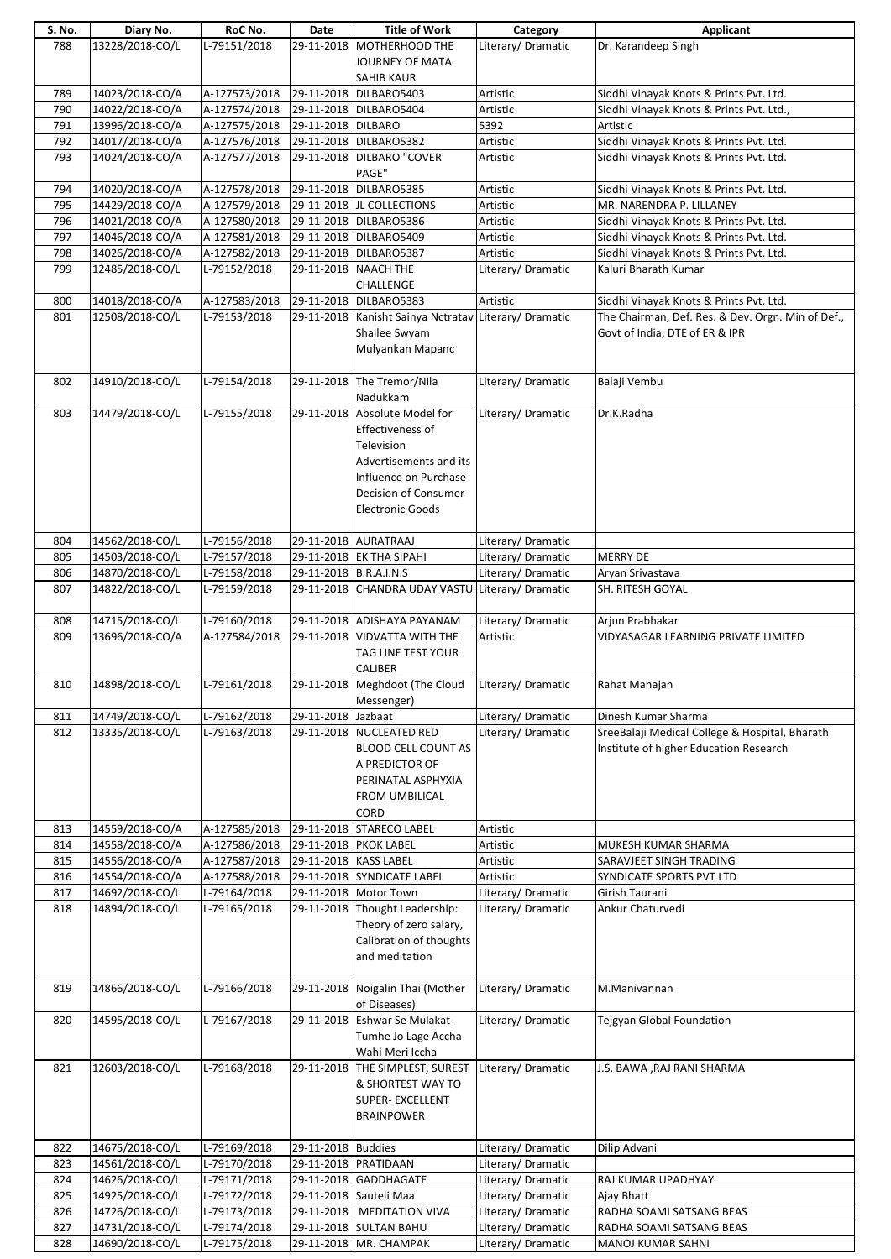| S. No. | Diary No.       | RoC No.       | Date                   | <b>Title of Work</b>                                  | Category           | <b>Applicant</b>                                  |
|--------|-----------------|---------------|------------------------|-------------------------------------------------------|--------------------|---------------------------------------------------|
| 788    | 13228/2018-CO/L | L-79151/2018  |                        | 29-11-2018 MOTHERHOOD THE                             | Literary/Dramatic  | Dr. Karandeep Singh                               |
|        |                 |               |                        | JOURNEY OF MATA                                       |                    |                                                   |
|        |                 |               |                        | SAHIB KAUR                                            |                    |                                                   |
|        |                 |               |                        |                                                       |                    |                                                   |
| 789    | 14023/2018-CO/A | A-127573/2018 |                        | 29-11-2018 DILBARO5403                                | Artistic           | Siddhi Vinayak Knots & Prints Pvt. Ltd.           |
| 790    | 14022/2018-CO/A | A-127574/2018 |                        | 29-11-2018 DILBARO5404                                | Artistic           | Siddhi Vinayak Knots & Prints Pvt. Ltd.,          |
| 791    | 13996/2018-CO/A | A-127575/2018 | 29-11-2018 DILBARO     |                                                       | 5392               | Artistic                                          |
| 792    | 14017/2018-CO/A | A-127576/2018 |                        | 29-11-2018 DILBARO5382                                | Artistic           | Siddhi Vinayak Knots & Prints Pvt. Ltd.           |
| 793    | 14024/2018-CO/A | A-127577/2018 |                        | 29-11-2018 DILBARO "COVER                             | Artistic           | Siddhi Vinayak Knots & Prints Pvt. Ltd.           |
|        |                 |               |                        | PAGE"                                                 |                    |                                                   |
|        |                 |               |                        |                                                       |                    |                                                   |
| 794    | 14020/2018-CO/A | A-127578/2018 | 29-11-2018             | DILBARO5385                                           | Artistic           | Siddhi Vinayak Knots & Prints Pvt. Ltd.           |
| 795    | 14429/2018-CO/A | A-127579/2018 |                        | 29-11-2018 JL COLLECTIONS                             | Artistic           | MR. NARENDRA P. LILLANEY                          |
| 796    | 14021/2018-CO/A | A-127580/2018 |                        | 29-11-2018 DILBARO5386                                | Artistic           | Siddhi Vinayak Knots & Prints Pvt. Ltd.           |
| 797    | 14046/2018-CO/A | A-127581/2018 |                        | 29-11-2018 DILBARO5409                                | Artistic           | Siddhi Vinayak Knots & Prints Pvt. Ltd.           |
| 798    | 14026/2018-CO/A | A-127582/2018 |                        | 29-11-2018 DILBARO5387                                | Artistic           | Siddhi Vinayak Knots & Prints Pvt. Ltd.           |
| 799    | 12485/2018-CO/L | L-79152/2018  | 29-11-2018 NAACH THE   |                                                       | Literary/ Dramatic | Kaluri Bharath Kumar                              |
|        |                 |               |                        |                                                       |                    |                                                   |
|        |                 |               |                        | CHALLENGE                                             |                    |                                                   |
| 800    | 14018/2018-CO/A | A-127583/2018 |                        | 29-11-2018 DILBARO5383                                | Artistic           | Siddhi Vinayak Knots & Prints Pvt. Ltd.           |
| 801    | 12508/2018-CO/L | L-79153/2018  |                        | 29-11-2018 Kanisht Sainya Nctratav Literary/ Dramatic |                    | The Chairman, Def. Res. & Dev. Orgn. Min of Def., |
|        |                 |               |                        | Shailee Swyam                                         |                    | Govt of India, DTE of ER & IPR                    |
|        |                 |               |                        | Mulyankan Mapanc                                      |                    |                                                   |
|        |                 |               |                        |                                                       |                    |                                                   |
|        |                 |               |                        |                                                       |                    |                                                   |
| 802    | 14910/2018-CO/L | L-79154/2018  |                        | 29-11-2018 The Tremor/Nila                            | Literary/Dramatic  | Balaji Vembu                                      |
|        |                 |               |                        | Nadukkam                                              |                    |                                                   |
| 803    | 14479/2018-CO/L | L-79155/2018  |                        | 29-11-2018 Absolute Model for                         | Literary/Dramatic  | Dr.K.Radha                                        |
|        |                 |               |                        | Effectiveness of                                      |                    |                                                   |
|        |                 |               |                        | Television                                            |                    |                                                   |
|        |                 |               |                        |                                                       |                    |                                                   |
|        |                 |               |                        | Advertisements and its                                |                    |                                                   |
|        |                 |               |                        | Influence on Purchase                                 |                    |                                                   |
|        |                 |               |                        | Decision of Consumer                                  |                    |                                                   |
|        |                 |               |                        | <b>Electronic Goods</b>                               |                    |                                                   |
|        |                 |               |                        |                                                       |                    |                                                   |
|        |                 |               |                        |                                                       |                    |                                                   |
| 804    | 14562/2018-CO/L | L-79156/2018  | 29-11-2018 AURATRAAJ   |                                                       | Literary/Dramatic  |                                                   |
| 805    | 14503/2018-CO/L | L-79157/2018  |                        | 29-11-2018 EK THA SIPAHI                              | Literary/Dramatic  | <b>MERRY DE</b>                                   |
| 806    | 14870/2018-CO/L | L-79158/2018  | 29-11-2018 B.R.A.I.N.S |                                                       | Literary/Dramatic  | Aryan Srivastava                                  |
| 807    | 14822/2018-CO/L | L-79159/2018  |                        | 29-11-2018 CHANDRA UDAY VASTU Literary/ Dramatic      |                    | SH. RITESH GOYAL                                  |
|        |                 |               |                        |                                                       |                    |                                                   |
| 808    | 14715/2018-CO/L | L-79160/2018  |                        | 29-11-2018 ADISHAYA PAYANAM                           | Literary/Dramatic  | Arjun Prabhakar                                   |
|        |                 |               |                        |                                                       |                    |                                                   |
| 809    | 13696/2018-CO/A | A-127584/2018 | 29-11-2018             | <b>VIDVATTA WITH THE</b>                              | Artistic           | VIDYASAGAR LEARNING PRIVATE LIMITED               |
|        |                 |               |                        | TAG LINE TEST YOUR                                    |                    |                                                   |
|        |                 |               |                        | <b>CALIBER</b>                                        |                    |                                                   |
| 810    | 14898/2018-CO/L | L-79161/2018  |                        | 29-11-2018 Meghdoot (The Cloud                        | Literary/Dramatic  | Rahat Mahajan                                     |
|        |                 |               |                        | Messenger)                                            |                    |                                                   |
| 811    | 14749/2018-CO/L | L-79162/2018  | 29-11-2018             | Jazbaat                                               | Literary/Dramatic  | Dinesh Kumar Sharma                               |
| 812    | 13335/2018-CO/L | L-79163/2018  |                        | 29-11-2018 NUCLEATED RED                              | Literary/Dramatic  | SreeBalaji Medical College & Hospital, Bharath    |
|        |                 |               |                        |                                                       |                    |                                                   |
|        |                 |               |                        | <b>BLOOD CELL COUNT AS</b>                            |                    | Institute of higher Education Research            |
|        |                 |               |                        | A PREDICTOR OF                                        |                    |                                                   |
|        |                 |               |                        | PERINATAL ASPHYXIA                                    |                    |                                                   |
|        |                 |               |                        | FROM UMBILICAL                                        |                    |                                                   |
|        |                 |               |                        | CORD                                                  |                    |                                                   |
| 813    | 14559/2018-CO/A | A-127585/2018 |                        | 29-11-2018 STARECO LABEL                              | Artistic           |                                                   |
|        |                 |               |                        |                                                       |                    |                                                   |
| 814    | 14558/2018-CO/A | A-127586/2018 | 29-11-2018 PKOK LABEL  |                                                       | Artistic           | MUKESH KUMAR SHARMA                               |
| 815    | 14556/2018-CO/A | A-127587/2018 | 29-11-2018 KASS LABEL  |                                                       | Artistic           | SARAVJEET SINGH TRADING                           |
| 816    | 14554/2018-CO/A | A-127588/2018 |                        | 29-11-2018 SYNDICATE LABEL                            | Artistic           | SYNDICATE SPORTS PVT LTD                          |
| 817    | 14692/2018-CO/L | L-79164/2018  |                        | 29-11-2018 Motor Town                                 | Literary/Dramatic  | Girish Taurani                                    |
| 818    | 14894/2018-CO/L | L-79165/2018  |                        | 29-11-2018 Thought Leadership:                        | Literary/Dramatic  | Ankur Chaturvedi                                  |
|        |                 |               |                        |                                                       |                    |                                                   |
|        |                 |               |                        | Theory of zero salary,                                |                    |                                                   |
|        |                 |               |                        | Calibration of thoughts                               |                    |                                                   |
|        |                 |               |                        | and meditation                                        |                    |                                                   |
|        |                 |               |                        |                                                       |                    |                                                   |
| 819    | 14866/2018-CO/L | L-79166/2018  |                        | 29-11-2018 Noigalin Thai (Mother                      | Literary/Dramatic  | M.Manivannan                                      |
|        |                 |               |                        | of Diseases)                                          |                    |                                                   |
|        | 14595/2018-CO/L | L-79167/2018  |                        | 29-11-2018 Eshwar Se Mulakat-                         | Literary/Dramatic  |                                                   |
| 820    |                 |               |                        |                                                       |                    | Tejgyan Global Foundation                         |
|        |                 |               |                        | Tumhe Jo Lage Accha                                   |                    |                                                   |
|        |                 |               |                        | Wahi Meri Iccha                                       |                    |                                                   |
| 821    | 12603/2018-CO/L | L-79168/2018  |                        | 29-11-2018 THE SIMPLEST, SUREST                       | Literary/Dramatic  | J.S. BAWA , RAJ RANI SHARMA                       |
|        |                 |               |                        | & SHORTEST WAY TO                                     |                    |                                                   |
|        |                 |               |                        | SUPER- EXCELLENT                                      |                    |                                                   |
|        |                 |               |                        |                                                       |                    |                                                   |
|        |                 |               |                        | <b>BRAINPOWER</b>                                     |                    |                                                   |
|        |                 |               |                        |                                                       |                    |                                                   |
| 822    | 14675/2018-CO/L | L-79169/2018  | 29-11-2018 Buddies     |                                                       | Literary/Dramatic  | Dilip Advani                                      |
| 823    | 14561/2018-CO/L | L-79170/2018  | 29-11-2018 PRATIDAAN   |                                                       | Literary/Dramatic  |                                                   |
| 824    | 14626/2018-CO/L | L-79171/2018  |                        | 29-11-2018 GADDHAGATE                                 | Literary/ Dramatic | RAJ KUMAR UPADHYAY                                |
| 825    | 14925/2018-CO/L | L-79172/2018  | 29-11-2018 Sauteli Maa |                                                       | Literary/Dramatic  | Ajay Bhatt                                        |
|        |                 |               |                        |                                                       |                    |                                                   |
| 826    | 14726/2018-CO/L | L-79173/2018  |                        | 29-11-2018   MEDITATION VIVA                          | Literary/Dramatic  | RADHA SOAMI SATSANG BEAS                          |
| 827    | 14731/2018-CO/L | L-79174/2018  |                        | 29-11-2018 SULTAN BAHU                                | Literary/Dramatic  | RADHA SOAMI SATSANG BEAS                          |
| 828    | 14690/2018-CO/L | L-79175/2018  |                        | 29-11-2018 MR. CHAMPAK                                | Literary/Dramatic  | <b>MANOJ KUMAR SAHNI</b>                          |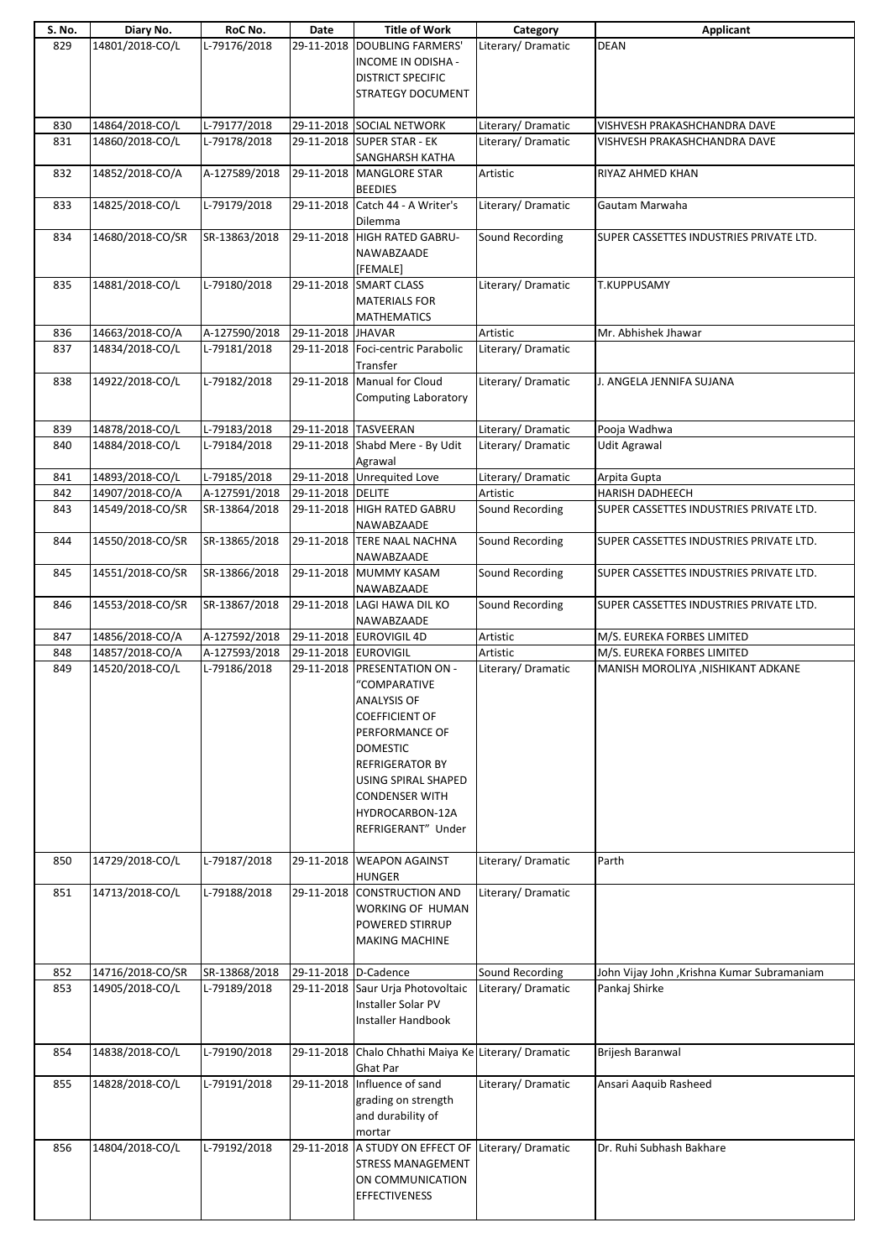| S. No.     | Diary No.                          | RoC No.                        | Date                 | <b>Title of Work</b>                                                                                                                                                                                                                            | Category             | Applicant                                                    |
|------------|------------------------------------|--------------------------------|----------------------|-------------------------------------------------------------------------------------------------------------------------------------------------------------------------------------------------------------------------------------------------|----------------------|--------------------------------------------------------------|
| 829        | 14801/2018-CO/L                    | L-79176/2018                   |                      | 29-11-2018 DOUBLING FARMERS'<br>INCOME IN ODISHA -<br><b>DISTRICT SPECIFIC</b><br><b>STRATEGY DOCUMENT</b>                                                                                                                                      | Literary/Dramatic    | <b>DEAN</b>                                                  |
|            |                                    | L-79177/2018                   |                      | 29-11-2018 SOCIAL NETWORK                                                                                                                                                                                                                       | Literary/ Dramatic   |                                                              |
| 830<br>831 | 14864/2018-CO/L<br>14860/2018-CO/L | L-79178/2018                   |                      | 29-11-2018 SUPER STAR - EK                                                                                                                                                                                                                      | Literary/ Dramatic   | VISHVESH PRAKASHCHANDRA DAVE<br>VISHVESH PRAKASHCHANDRA DAVE |
|            |                                    |                                |                      | SANGHARSH KATHA                                                                                                                                                                                                                                 |                      |                                                              |
| 832        | 14852/2018-CO/A                    | A-127589/2018                  |                      | 29-11-2018 MANGLORE STAR<br><b>BEEDIES</b>                                                                                                                                                                                                      | Artistic             | RIYAZ AHMED KHAN                                             |
| 833        | 14825/2018-CO/L                    | L-79179/2018                   |                      | 29-11-2018 Catch 44 - A Writer's<br>Dilemma                                                                                                                                                                                                     | Literary/Dramatic    | Gautam Marwaha                                               |
| 834        | 14680/2018-CO/SR                   | SR-13863/2018                  |                      | 29-11-2018 HIGH RATED GABRU-<br>NAWABZAADE<br>[FEMALE]                                                                                                                                                                                          | Sound Recording      | SUPER CASSETTES INDUSTRIES PRIVATE LTD.                      |
| 835        | 14881/2018-CO/L                    | L-79180/2018                   |                      | 29-11-2018 SMART CLASS<br><b>MATERIALS FOR</b><br><b>MATHEMATICS</b>                                                                                                                                                                            | Literary/Dramatic    | T.KUPPUSAMY                                                  |
| 836        | 14663/2018-CO/A                    | A-127590/2018                  | 29-11-2018 JHAVAR    |                                                                                                                                                                                                                                                 | Artistic             | Mr. Abhishek Jhawar                                          |
| 837        | 14834/2018-CO/L                    | L-79181/2018                   |                      | 29-11-2018   Foci-centric Parabolic<br>Transfer                                                                                                                                                                                                 | Literary/Dramatic    |                                                              |
| 838        | 14922/2018-CO/L                    | L-79182/2018                   |                      | 29-11-2018 Manual for Cloud<br><b>Computing Laboratory</b>                                                                                                                                                                                      | Literary/ Dramatic   | J. ANGELA JENNIFA SUJANA                                     |
| 839        | 14878/2018-CO/L                    | L-79183/2018                   |                      | 29-11-2018 TASVEERAN                                                                                                                                                                                                                            | Literary/Dramatic    | Pooja Wadhwa                                                 |
| 840        | 14884/2018-CO/L                    | L-79184/2018                   |                      | 29-11-2018 Shabd Mere - By Udit<br>Agrawal                                                                                                                                                                                                      | Literary/Dramatic    | <b>Udit Agrawal</b>                                          |
| 841        | 14893/2018-CO/L                    | L-79185/2018                   |                      | 29-11-2018 Unrequited Love                                                                                                                                                                                                                      | Literary/Dramatic    | Arpita Gupta                                                 |
| 842        | 14907/2018-CO/A                    | A-127591/2018                  | 29-11-2018 DELITE    |                                                                                                                                                                                                                                                 | Artistic             | <b>HARISH DADHEECH</b>                                       |
| 843        | 14549/2018-CO/SR                   | SR-13864/2018                  |                      | 29-11-2018 HIGH RATED GABRU<br>NAWABZAADE                                                                                                                                                                                                       | Sound Recording      | SUPER CASSETTES INDUSTRIES PRIVATE LTD.                      |
| 844        | 14550/2018-CO/SR                   | SR-13865/2018                  | 29-11-2018           | <b>TERE NAAL NACHNA</b><br>NAWABZAADE                                                                                                                                                                                                           | Sound Recording      | SUPER CASSETTES INDUSTRIES PRIVATE LTD.                      |
| 845        | 14551/2018-CO/SR                   | SR-13866/2018                  |                      | 29-11-2018 MUMMY KASAM<br>NAWABZAADE                                                                                                                                                                                                            | Sound Recording      | SUPER CASSETTES INDUSTRIES PRIVATE LTD.                      |
| 846        | 14553/2018-CO/SR                   | SR-13867/2018                  |                      | 29-11-2018 LAGI HAWA DIL KO<br>NAWABZAADE                                                                                                                                                                                                       | Sound Recording      | SUPER CASSETTES INDUSTRIES PRIVATE LTD.                      |
| 847<br>848 | 14856/2018-CO/A<br>14857/2018-CO/A | A-127592/2018<br>A-127593/2018 | 29-11-2018 EUROVIGIL | 29-11-2018 EUROVIGIL 4D                                                                                                                                                                                                                         | Artistic<br>Artistic | M/S. EUREKA FORBES LIMITED<br>M/S. EUREKA FORBES LIMITED     |
| 849        | 14520/2018-CO/L                    | L-79186/2018                   | 29-11-2018           | <b>PRESENTATION ON -</b><br>'COMPARATIVE<br><b>ANALYSIS OF</b><br><b>COEFFICIENT OF</b><br>PERFORMANCE OF<br><b>DOMESTIC</b><br><b>REFRIGERATOR BY</b><br>USING SPIRAL SHAPED<br><b>CONDENSER WITH</b><br>HYDROCARBON-12A<br>REFRIGERANT" Under | Literary/Dramatic    | MANISH MOROLIYA , NISHIKANT ADKANE                           |
| 850        | 14729/2018-CO/L                    | L-79187/2018                   |                      | 29-11-2018 WEAPON AGAINST                                                                                                                                                                                                                       | Literary/Dramatic    | Parth                                                        |
| 851        | 14713/2018-CO/L                    | L-79188/2018                   |                      | <b>HUNGER</b><br>29-11-2018 CONSTRUCTION AND<br>WORKING OF HUMAN<br>POWERED STIRRUP<br><b>MAKING MACHINE</b>                                                                                                                                    | Literary/Dramatic    |                                                              |
| 852        | 14716/2018-CO/SR                   | SR-13868/2018                  | 29-11-2018 D-Cadence |                                                                                                                                                                                                                                                 | Sound Recording      | John Vijay John , Krishna Kumar Subramaniam                  |
| 853        | 14905/2018-CO/L                    | L-79189/2018                   |                      | 29-11-2018 Saur Urja Photovoltaic<br>Installer Solar PV<br>Installer Handbook                                                                                                                                                                   | Literary/Dramatic    | Pankaj Shirke                                                |
| 854        | 14838/2018-CO/L                    | L-79190/2018                   |                      | 29-11-2018 Chalo Chhathi Maiya Ke Literary/ Dramatic<br>Ghat Par                                                                                                                                                                                |                      | Brijesh Baranwal                                             |
| 855        | 14828/2018-CO/L                    | L-79191/2018                   |                      | 29-11-2018 Influence of sand<br>grading on strength<br>and durability of<br>mortar                                                                                                                                                              | Literary/Dramatic    | Ansari Aaquib Rasheed                                        |
| 856        | 14804/2018-CO/L                    | L-79192/2018                   |                      | 29-11-2018 A STUDY ON EFFECT OF Literary/ Dramatic<br><b>STRESS MANAGEMENT</b><br>ON COMMUNICATION<br><b>EFFECTIVENESS</b>                                                                                                                      |                      | Dr. Ruhi Subhash Bakhare                                     |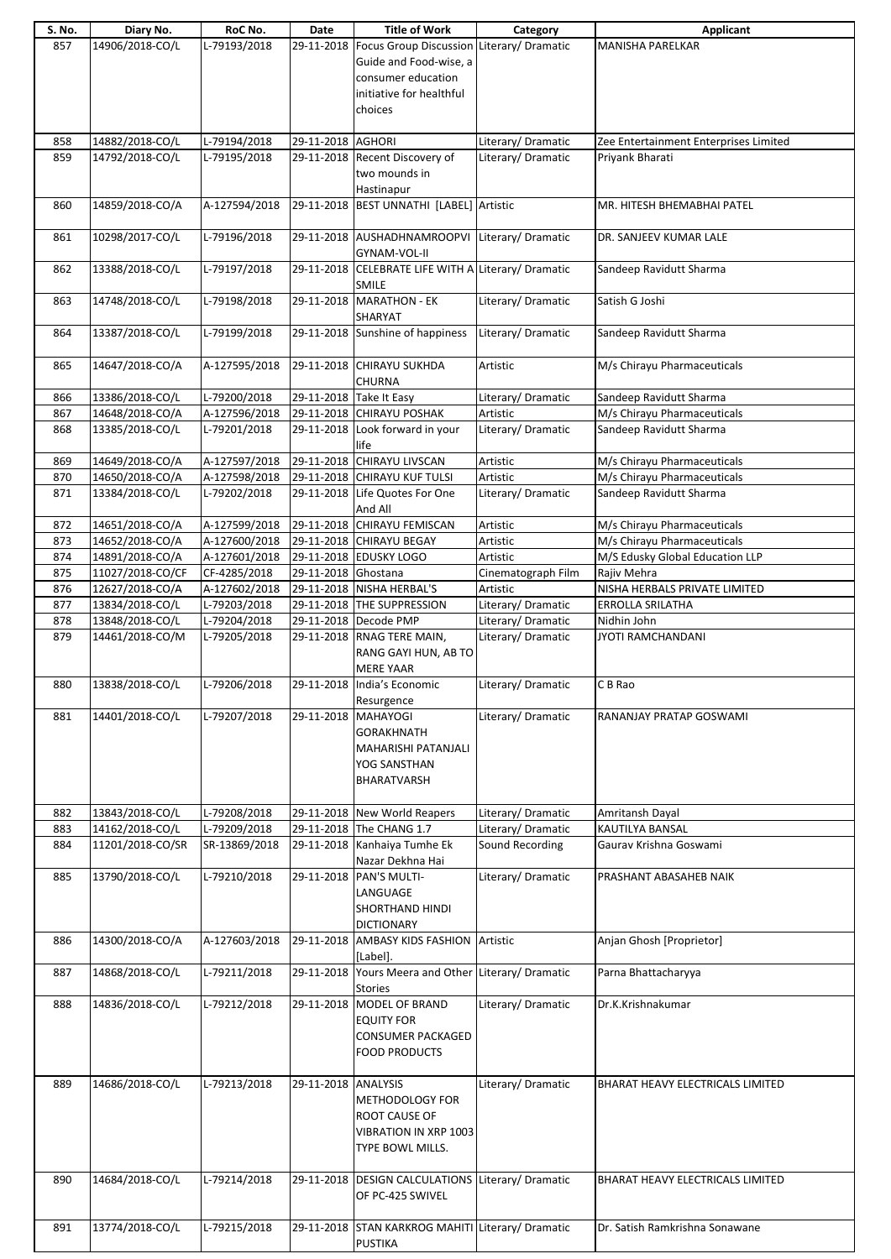| S. No. | Diary No.        | RoC No.       | Date                | <b>Title of Work</b>                                 | Category           | <b>Applicant</b>                      |
|--------|------------------|---------------|---------------------|------------------------------------------------------|--------------------|---------------------------------------|
| 857    | 14906/2018-CO/L  | L-79193/2018  |                     | 29-11-2018 Focus Group Discussion Literary/ Dramatic |                    | <b>MANISHA PARELKAR</b>               |
|        |                  |               |                     | Guide and Food-wise, a                               |                    |                                       |
|        |                  |               |                     |                                                      |                    |                                       |
|        |                  |               |                     | consumer education                                   |                    |                                       |
|        |                  |               |                     | initiative for healthful                             |                    |                                       |
|        |                  |               |                     | choices                                              |                    |                                       |
|        |                  |               |                     |                                                      |                    |                                       |
|        |                  |               |                     |                                                      |                    |                                       |
| 858    | 14882/2018-CO/L  | L-79194/2018  | 29-11-2018 AGHORI   |                                                      | Literary/Dramatic  | Zee Entertainment Enterprises Limited |
| 859    | 14792/2018-CO/L  | L-79195/2018  |                     | 29-11-2018 Recent Discovery of                       | Literary/Dramatic  | Priyank Bharati                       |
|        |                  |               |                     | two mounds in                                        |                    |                                       |
|        |                  |               |                     | Hastinapur                                           |                    |                                       |
| 860    | 14859/2018-CO/A  | A-127594/2018 |                     | 29-11-2018 BEST UNNATHI [LABEL] Artistic             |                    | MR. HITESH BHEMABHAI PATEL            |
|        |                  |               |                     |                                                      |                    |                                       |
|        |                  |               |                     |                                                      |                    |                                       |
| 861    | 10298/2017-CO/L  | L-79196/2018  |                     | 29-11-2018 AUSHADHNAMROOPVI Literary/ Dramatic       |                    | DR. SANJEEV KUMAR LALE                |
|        |                  |               |                     | GYNAM-VOL-II                                         |                    |                                       |
| 862    | 13388/2018-CO/L  | L-79197/2018  |                     | 29-11-2018 CELEBRATE LIFE WITH A Literary/ Dramatic  |                    | Sandeep Ravidutt Sharma               |
|        |                  |               |                     | SMILE                                                |                    |                                       |
| 863    | 14748/2018-CO/L  | L-79198/2018  |                     | 29-11-2018 MARATHON - EK                             | Literary/Dramatic  | Satish G Joshi                        |
|        |                  |               |                     | SHARYAT                                              |                    |                                       |
| 864    | 13387/2018-CO/L  | L-79199/2018  |                     | 29-11-2018 Sunshine of happiness                     | Literary/Dramatic  | Sandeep Ravidutt Sharma               |
|        |                  |               |                     |                                                      |                    |                                       |
|        |                  |               |                     |                                                      |                    |                                       |
| 865    | 14647/2018-CO/A  | A-127595/2018 |                     | 29-11-2018 CHIRAYU SUKHDA                            | Artistic           | M/s Chirayu Pharmaceuticals           |
|        |                  |               |                     | <b>CHURNA</b>                                        |                    |                                       |
| 866    | 13386/2018-CO/L  | L-79200/2018  |                     | 29-11-2018 Take It Easy                              | Literary/Dramatic  | Sandeep Ravidutt Sharma               |
| 867    | 14648/2018-CO/A  | A-127596/2018 |                     | 29-11-2018 CHIRAYU POSHAK                            | Artistic           | M/s Chirayu Pharmaceuticals           |
| 868    | 13385/2018-CO/L  | L-79201/2018  |                     | 29-11-2018 Look forward in your                      | Literary/Dramatic  | Sandeep Ravidutt Sharma               |
|        |                  |               |                     | life                                                 |                    |                                       |
|        |                  |               |                     |                                                      |                    |                                       |
| 869    | 14649/2018-CO/A  | A-127597/2018 |                     | 29-11-2018 CHIRAYU LIVSCAN                           | Artistic           | M/s Chirayu Pharmaceuticals           |
| 870    | 14650/2018-CO/A  | A-127598/2018 |                     | 29-11-2018 CHIRAYU KUF TULSI                         | Artistic           | M/s Chirayu Pharmaceuticals           |
| 871    | 13384/2018-CO/L  | L-79202/2018  | 29-11-2018          | Life Quotes For One                                  | Literary/Dramatic  | Sandeep Ravidutt Sharma               |
|        |                  |               |                     | And All                                              |                    |                                       |
| 872    | 14651/2018-CO/A  | A-127599/2018 |                     | 29-11-2018 CHIRAYU FEMISCAN                          | Artistic           | M/s Chirayu Pharmaceuticals           |
| 873    | 14652/2018-CO/A  | A-127600/2018 |                     | 29-11-2018 CHIRAYU BEGAY                             | Artistic           | M/s Chirayu Pharmaceuticals           |
|        | 14891/2018-CO/A  |               |                     | 29-11-2018 EDUSKY LOGO                               | Artistic           | M/S Edusky Global Education LLP       |
| 874    |                  | A-127601/2018 |                     |                                                      |                    |                                       |
| 875    | 11027/2018-CO/CF | CF-4285/2018  | 29-11-2018 Ghostana |                                                      | Cinematograph Film | Rajiv Mehra                           |
| 876    | 12627/2018-CO/A  | A-127602/2018 |                     | 29-11-2018 NISHA HERBAL'S                            | Artistic           | NISHA HERBALS PRIVATE LIMITED         |
| 877    | 13834/2018-CO/L  | L-79203/2018  |                     | 29-11-2018 THE SUPPRESSION                           | Literary/ Dramatic | ERROLLA SRILATHA                      |
| 878    | 13848/2018-CO/L  | L-79204/2018  |                     | 29-11-2018 Decode PMP                                | Literary/Dramatic  | Nidhin John                           |
| 879    | 14461/2018-CO/M  | L-79205/2018  |                     | 29-11-2018 RNAG TERE MAIN,                           | Literary/Dramatic  | JYOTI RAMCHANDANI                     |
|        |                  |               |                     | RANG GAYI HUN, AB TO                                 |                    |                                       |
|        |                  |               |                     |                                                      |                    |                                       |
|        |                  |               |                     | <b>MERE YAAR</b>                                     |                    |                                       |
| 880    | 13838/2018-CO/L  | L-79206/2018  |                     | 29-11-2018 India's Economic                          | Literary/Dramatic  | C B Rao                               |
|        |                  |               |                     | Resurgence                                           |                    |                                       |
| 881    | 14401/2018-CO/L  | L-79207/2018  | 29-11-2018 MAHAYOGI |                                                      | Literary/Dramatic  | RANANJAY PRATAP GOSWAMI               |
|        |                  |               |                     | <b>GORAKHNATH</b>                                    |                    |                                       |
|        |                  |               |                     | MAHARISHI PATANJALI                                  |                    |                                       |
|        |                  |               |                     | YOG SANSTHAN                                         |                    |                                       |
|        |                  |               |                     | <b>BHARATVARSH</b>                                   |                    |                                       |
|        |                  |               |                     |                                                      |                    |                                       |
|        |                  |               |                     |                                                      |                    |                                       |
| 882    | 13843/2018-CO/L  | L-79208/2018  |                     | 29-11-2018 New World Reapers                         | Literary/ Dramatic | Amritansh Dayal                       |
| 883    | 14162/2018-CO/L  | L-79209/2018  |                     | 29-11-2018 The CHANG 1.7                             | Literary/Dramatic  | KAUTILYA BANSAL                       |
| 884    | 11201/2018-CO/SR | SR-13869/2018 |                     | 29-11-2018 Kanhaiya Tumhe Ek                         | Sound Recording    | Gaurav Krishna Goswami                |
|        |                  |               |                     | Nazar Dekhna Hai                                     |                    |                                       |
| 885    | 13790/2018-CO/L  | L-79210/2018  |                     | 29-11-2018 PAN'S MULTI-                              | Literary/Dramatic  | PRASHANT ABASAHEB NAIK                |
|        |                  |               |                     | LANGUAGE                                             |                    |                                       |
|        |                  |               |                     | SHORTHAND HINDI                                      |                    |                                       |
|        |                  |               |                     | <b>DICTIONARY</b>                                    |                    |                                       |
|        |                  |               |                     |                                                      |                    |                                       |
| 886    | 14300/2018-CO/A  | A-127603/2018 |                     | 29-11-2018 AMBASY KIDS FASHION Artistic              |                    | Anjan Ghosh [Proprietor]              |
|        |                  |               |                     | [Label].                                             |                    |                                       |
| 887    | 14868/2018-CO/L  | L-79211/2018  |                     | 29-11-2018 Yours Meera and Other Literary/ Dramatic  |                    | Parna Bhattacharyya                   |
|        |                  |               |                     | <b>Stories</b>                                       |                    |                                       |
| 888    | 14836/2018-CO/L  | L-79212/2018  |                     | 29-11-2018 MODEL OF BRAND                            | Literary/Dramatic  | Dr.K.Krishnakumar                     |
|        |                  |               |                     | <b>EQUITY FOR</b>                                    |                    |                                       |
|        |                  |               |                     | <b>CONSUMER PACKAGED</b>                             |                    |                                       |
|        |                  |               |                     | <b>FOOD PRODUCTS</b>                                 |                    |                                       |
|        |                  |               |                     |                                                      |                    |                                       |
|        |                  |               |                     |                                                      |                    |                                       |
| 889    | 14686/2018-CO/L  | L-79213/2018  | 29-11-2018 ANALYSIS |                                                      | Literary/Dramatic  | BHARAT HEAVY ELECTRICALS LIMITED      |
|        |                  |               |                     | METHODOLOGY FOR                                      |                    |                                       |
|        |                  |               |                     | ROOT CAUSE OF                                        |                    |                                       |
|        |                  |               |                     | <b>VIBRATION IN XRP 1003</b>                         |                    |                                       |
|        |                  |               |                     | TYPE BOWL MILLS.                                     |                    |                                       |
|        |                  |               |                     |                                                      |                    |                                       |
| 890    | 14684/2018-CO/L  | L-79214/2018  |                     | 29-11-2018 DESIGN CALCULATIONS Literary/ Dramatic    |                    | BHARAT HEAVY ELECTRICALS LIMITED      |
|        |                  |               |                     |                                                      |                    |                                       |
|        |                  |               |                     | OF PC-425 SWIVEL                                     |                    |                                       |
|        |                  |               |                     |                                                      |                    |                                       |
| 891    | 13774/2018-CO/L  | L-79215/2018  |                     | 29-11-2018 STAN KARKROG MAHITI Literary/ Dramatic    |                    | Dr. Satish Ramkrishna Sonawane        |
|        |                  |               |                     | <b>PUSTIKA</b>                                       |                    |                                       |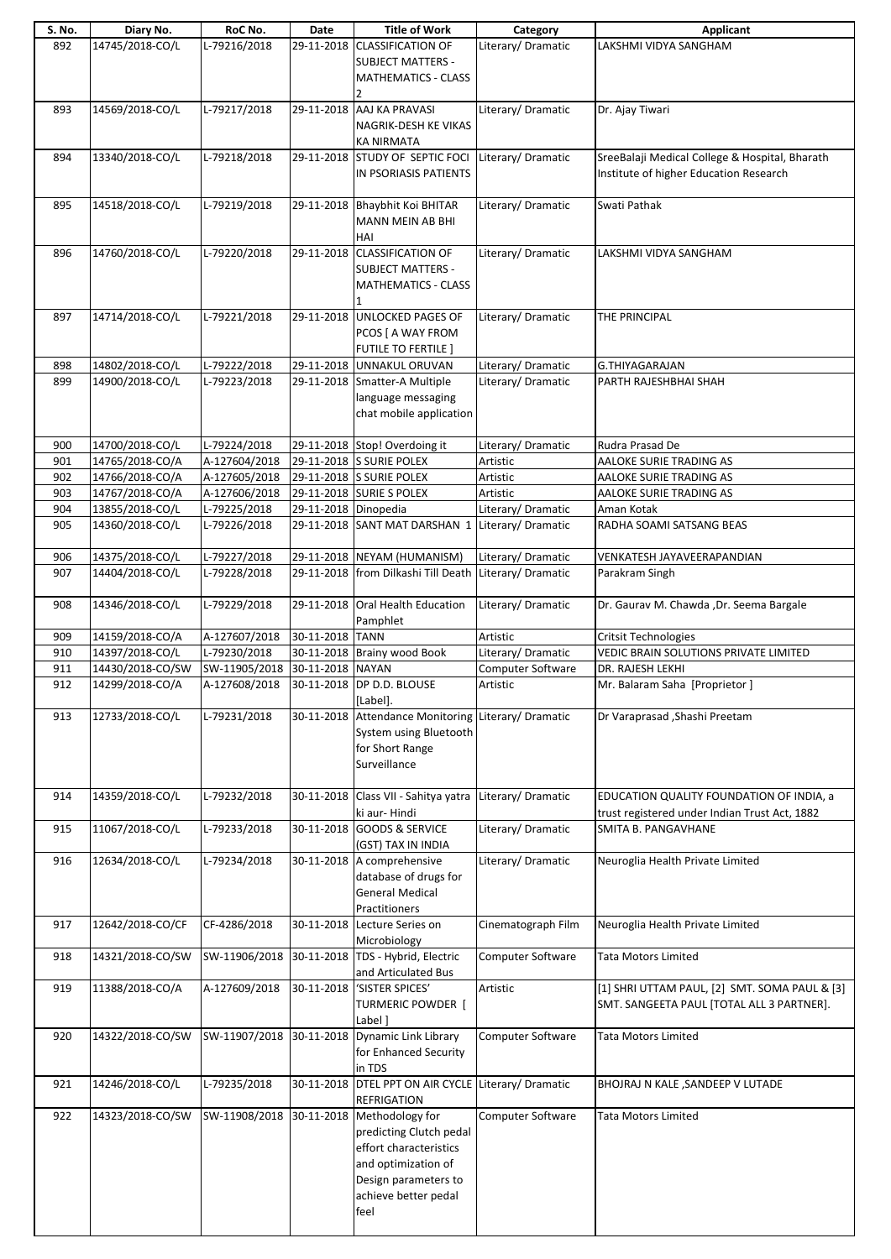| S. No. | Diary No.        | RoC No.       | Date                 | <b>Title of Work</b>                                | Category           | Applicant                                      |
|--------|------------------|---------------|----------------------|-----------------------------------------------------|--------------------|------------------------------------------------|
| 892    | 14745/2018-CO/L  | L-79216/2018  |                      | 29-11-2018 CLASSIFICATION OF                        | Literary/Dramatic  | LAKSHMI VIDYA SANGHAM                          |
|        |                  |               |                      | <b>SUBJECT MATTERS -</b>                            |                    |                                                |
|        |                  |               |                      | <b>MATHEMATICS - CLASS</b>                          |                    |                                                |
|        |                  |               |                      |                                                     |                    |                                                |
| 893    | 14569/2018-CO/L  | L-79217/2018  |                      | 29-11-2018 AAJ KA PRAVASI                           | Literary/ Dramatic | Dr. Ajay Tiwari                                |
|        |                  |               |                      |                                                     |                    |                                                |
|        |                  |               |                      | NAGRIK-DESH KE VIKAS                                |                    |                                                |
|        |                  |               |                      | <b>KA NIRMATA</b>                                   |                    |                                                |
| 894    | 13340/2018-CO/L  | L-79218/2018  |                      | 29-11-2018 STUDY OF SEPTIC FOCI                     | Literary/Dramatic  | SreeBalaji Medical College & Hospital, Bharath |
|        |                  |               |                      | IN PSORIASIS PATIENTS                               |                    | Institute of higher Education Research         |
|        |                  |               |                      |                                                     |                    |                                                |
| 895    | 14518/2018-CO/L  | L-79219/2018  |                      | 29-11-2018 Bhaybhit Koi BHITAR                      | Literary/Dramatic  | Swati Pathak                                   |
|        |                  |               |                      | MANN MEIN AB BHI                                    |                    |                                                |
|        |                  |               |                      |                                                     |                    |                                                |
|        |                  |               |                      | HAI                                                 |                    |                                                |
| 896    | 14760/2018-CO/L  | L-79220/2018  |                      | 29-11-2018 CLASSIFICATION OF                        | Literary/ Dramatic | LAKSHMI VIDYA SANGHAM                          |
|        |                  |               |                      | <b>SUBJECT MATTERS -</b>                            |                    |                                                |
|        |                  |               |                      | <b>MATHEMATICS - CLASS</b>                          |                    |                                                |
|        |                  |               |                      |                                                     |                    |                                                |
| 897    | 14714/2018-CO/L  | L-79221/2018  | 29-11-2018           | <b>UNLOCKED PAGES OF</b>                            | Literary/Dramatic  | THE PRINCIPAL                                  |
|        |                  |               |                      |                                                     |                    |                                                |
|        |                  |               |                      | PCOS [ A WAY FROM                                   |                    |                                                |
|        |                  |               |                      | FUTILE TO FERTILE ]                                 |                    |                                                |
| 898    | 14802/2018-CO/L  | L-79222/2018  |                      | 29-11-2018 UNNAKUL ORUVAN                           | Literary/ Dramatic | G.THIYAGARAJAN                                 |
| 899    | 14900/2018-CO/L  | L-79223/2018  |                      | 29-11-2018 Smatter-A Multiple                       | Literary/Dramatic  | PARTH RAJESHBHAI SHAH                          |
|        |                  |               |                      | language messaging                                  |                    |                                                |
|        |                  |               |                      | chat mobile application                             |                    |                                                |
|        |                  |               |                      |                                                     |                    |                                                |
|        |                  |               |                      |                                                     |                    |                                                |
| 900    | 14700/2018-CO/L  | L-79224/2018  |                      | 29-11-2018 Stop! Overdoing it                       | Literary/Dramatic  | Rudra Prasad De                                |
| 901    | 14765/2018-CO/A  | A-127604/2018 |                      | 29-11-2018 SURIE POLEX                              | Artistic           | AALOKE SURIE TRADING AS                        |
| 902    | 14766/2018-CO/A  | A-127605/2018 |                      | 29-11-2018 S SURIE POLEX                            | Artistic           | AALOKE SURIE TRADING AS                        |
| 903    | 14767/2018-CO/A  | A-127606/2018 |                      | 29-11-2018 SURIE S POLEX                            | Artistic           | AALOKE SURIE TRADING AS                        |
| 904    | 13855/2018-CO/L  | L-79225/2018  | 29-11-2018 Dinopedia |                                                     | Literary/ Dramatic | Aman Kotak                                     |
| 905    | 14360/2018-CO/L  | L-79226/2018  |                      | 29-11-2018 SANT MAT DARSHAN 1 Literary/ Dramatic    |                    | RADHA SOAMI SATSANG BEAS                       |
|        |                  |               |                      |                                                     |                    |                                                |
|        |                  |               |                      |                                                     |                    |                                                |
| 906    | 14375/2018-CO/L  | L-79227/2018  |                      | 29-11-2018 NEYAM (HUMANISM)                         | Literary/ Dramatic | VENKATESH JAYAVEERAPANDIAN                     |
| 907    | 14404/2018-CO/L  | L-79228/2018  |                      | 29-11-2018 from Dilkashi Till Death                 | Literary/ Dramatic | Parakram Singh                                 |
|        |                  |               |                      |                                                     |                    |                                                |
| 908    | 14346/2018-CO/L  | L-79229/2018  |                      | 29-11-2018 Oral Health Education                    | Literary/Dramatic  | Dr. Gaurav M. Chawda , Dr. Seema Bargale       |
|        |                  |               |                      | Pamphlet                                            |                    |                                                |
|        |                  |               |                      |                                                     |                    |                                                |
|        |                  |               |                      |                                                     |                    |                                                |
| 909    | 14159/2018-CO/A  | A-127607/2018 | 30-11-2018 TANN      |                                                     | Artistic           | <b>Critsit Technologies</b>                    |
| 910    | 14397/2018-CO/L  | L-79230/2018  |                      | 30-11-2018 Brainy wood Book                         | Literary/ Dramatic | VEDIC BRAIN SOLUTIONS PRIVATE LIMITED          |
| 911    | 14430/2018-CO/SW | SW-11905/2018 | 30-11-2018 NAYAN     |                                                     | Computer Software  | DR. RAJESH LEKHI                               |
| 912    | 14299/2018-CO/A  | A-127608/2018 |                      | 30-11-2018 DP D.D. BLOUSE                           | Artistic           | Mr. Balaram Saha [Proprietor]                  |
|        |                  |               |                      | [Label].                                            |                    |                                                |
| 913    | 12733/2018-CO/L  | L-79231/2018  |                      | 30-11-2018 Attendance Monitoring                    | Literary/Dramatic  | Dr Varaprasad , Shashi Preetam                 |
|        |                  |               |                      |                                                     |                    |                                                |
|        |                  |               |                      | System using Bluetooth                              |                    |                                                |
|        |                  |               |                      | for Short Range                                     |                    |                                                |
|        |                  |               |                      | Surveillance                                        |                    |                                                |
|        |                  |               |                      |                                                     |                    |                                                |
| 914    | 14359/2018-CO/L  | L-79232/2018  |                      | 30-11-2018 Class VII - Sahitya yatra                | Literary/Dramatic  | EDUCATION QUALITY FOUNDATION OF INDIA, a       |
|        |                  |               |                      | ki aur-Hindi                                        |                    | trust registered under Indian Trust Act, 1882  |
| 915    | 11067/2018-CO/L  | L-79233/2018  |                      | 30-11-2018 GOODS & SERVICE                          | Literary/Dramatic  | SMITA B. PANGAVHANE                            |
|        |                  |               |                      |                                                     |                    |                                                |
|        |                  |               |                      | (GST) TAX IN INDIA                                  |                    |                                                |
| 916    | 12634/2018-CO/L  | L-79234/2018  |                      | 30-11-2018 A comprehensive                          | Literary/Dramatic  | Neuroglia Health Private Limited               |
|        |                  |               |                      | database of drugs for                               |                    |                                                |
|        |                  |               |                      | <b>General Medical</b>                              |                    |                                                |
|        |                  |               |                      | Practitioners                                       |                    |                                                |
| 917    | 12642/2018-CO/CF | CF-4286/2018  |                      | 30-11-2018 Lecture Series on                        | Cinematograph Film | Neuroglia Health Private Limited               |
|        |                  |               |                      | Microbiology                                        |                    |                                                |
| 918    | 14321/2018-CO/SW |               |                      | 30-11-2018 TDS - Hybrid, Electric                   | Computer Software  | Tata Motors Limited                            |
|        |                  | SW-11906/2018 |                      |                                                     |                    |                                                |
|        |                  |               |                      | and Articulated Bus                                 |                    |                                                |
| 919    | 11388/2018-CO/A  | A-127609/2018 |                      | 30-11-2018 'SISTER SPICES'                          | Artistic           | [1] SHRI UTTAM PAUL, [2] SMT. SOMA PAUL & [3]  |
|        |                  |               |                      | <b>TURMERIC POWDER</b> [                            |                    | SMT. SANGEETA PAUL [TOTAL ALL 3 PARTNER].      |
|        |                  |               |                      | Label]                                              |                    |                                                |
| 920    | 14322/2018-CO/SW | SW-11907/2018 |                      | 30-11-2018 Dynamic Link Library                     | Computer Software  | Tata Motors Limited                            |
|        |                  |               |                      | for Enhanced Security                               |                    |                                                |
|        |                  |               |                      |                                                     |                    |                                                |
|        |                  |               |                      | in TDS                                              |                    |                                                |
| 921    | 14246/2018-CO/L  | L-79235/2018  |                      | 30-11-2018 DTEL PPT ON AIR CYCLE Literary/ Dramatic |                    | BHOJRAJ N KALE , SANDEEP V LUTADE              |
|        |                  |               |                      | <b>REFRIGATION</b>                                  |                    |                                                |
| 922    | 14323/2018-CO/SW | SW-11908/2018 |                      | 30-11-2018 Methodology for                          | Computer Software  | Tata Motors Limited                            |
|        |                  |               |                      | predicting Clutch pedal                             |                    |                                                |
|        |                  |               |                      | effort characteristics                              |                    |                                                |
|        |                  |               |                      | and optimization of                                 |                    |                                                |
|        |                  |               |                      | Design parameters to                                |                    |                                                |
|        |                  |               |                      |                                                     |                    |                                                |
|        |                  |               |                      | achieve better pedal<br>feel                        |                    |                                                |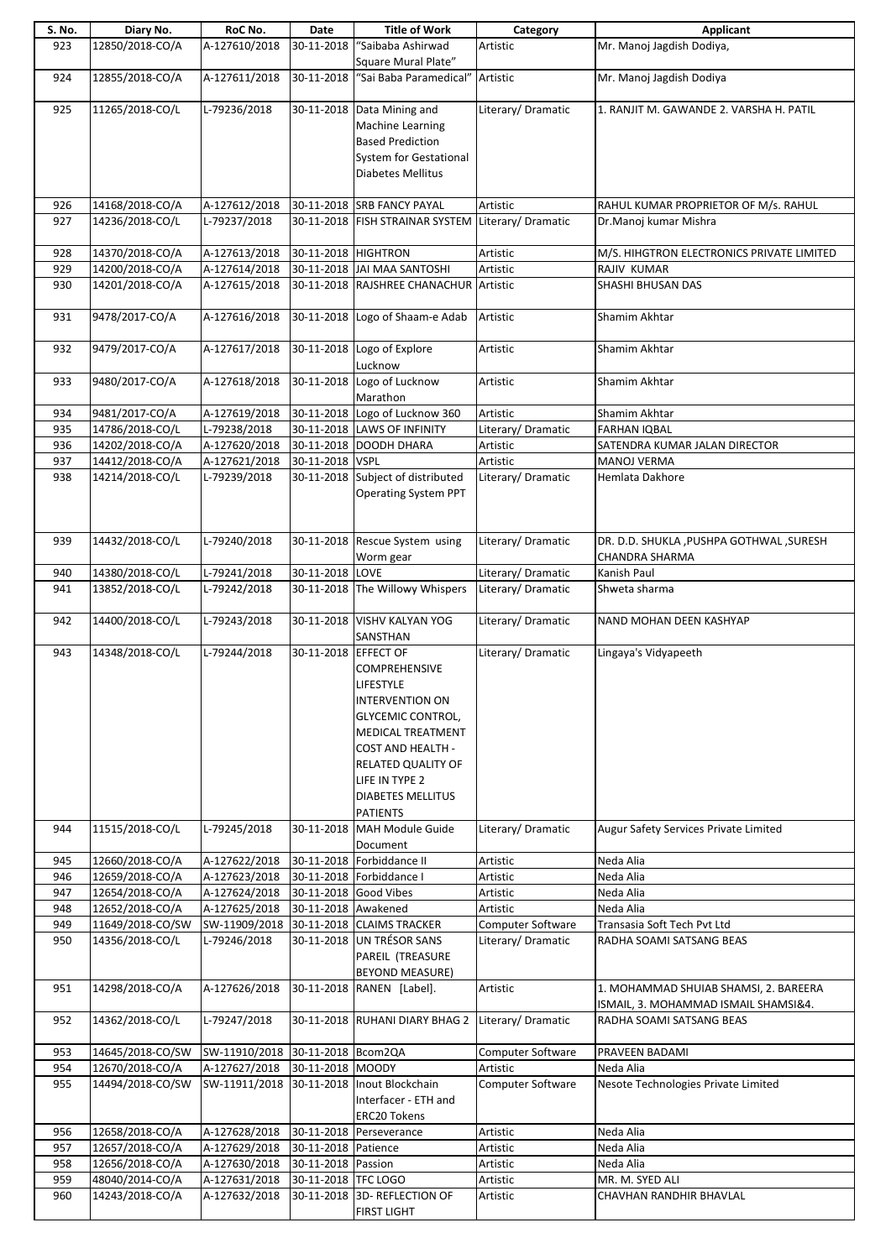| S. No. | Diary No.        | RoC No.                          | Date                  | <b>Title of Work</b>                    | Category           | Applicant                                 |
|--------|------------------|----------------------------------|-----------------------|-----------------------------------------|--------------------|-------------------------------------------|
| 923    | 12850/2018-CO/A  | A-127610/2018                    | 30-11-2018            | "Saibaba Ashirwad                       | Artistic           | Mr. Manoj Jagdish Dodiya,                 |
|        |                  |                                  |                       | Square Mural Plate"                     |                    |                                           |
| 924    | 12855/2018-CO/A  | A-127611/2018                    | 30-11-2018            | "Sai Baba Paramedical"                  | Artistic           | Mr. Manoj Jagdish Dodiya                  |
|        |                  |                                  |                       |                                         |                    |                                           |
| 925    | 11265/2018-CO/L  | L-79236/2018                     | 30-11-2018            |                                         | Literary/ Dramatic | 1. RANJIT M. GAWANDE 2. VARSHA H. PATIL   |
|        |                  |                                  |                       | Data Mining and                         |                    |                                           |
|        |                  |                                  |                       | Machine Learning                        |                    |                                           |
|        |                  |                                  |                       | <b>Based Prediction</b>                 |                    |                                           |
|        |                  |                                  |                       | <b>System for Gestational</b>           |                    |                                           |
|        |                  |                                  |                       | Diabetes Mellitus                       |                    |                                           |
|        |                  |                                  |                       |                                         |                    |                                           |
| 926    | 14168/2018-CO/A  | A-127612/2018                    |                       | 30-11-2018 SRB FANCY PAYAL              | Artistic           | RAHUL KUMAR PROPRIETOR OF M/s. RAHUL      |
| 927    | 14236/2018-CO/L  | L-79237/2018                     |                       | 30-11-2018 FISH STRAINAR SYSTEM         | Literary/Dramatic  | Dr.Manoj kumar Mishra                     |
|        |                  |                                  |                       |                                         |                    |                                           |
|        |                  |                                  |                       |                                         |                    |                                           |
| 928    | 14370/2018-CO/A  | A-127613/2018                    | 30-11-2018 HIGHTRON   |                                         | Artistic           | M/S. HIHGTRON ELECTRONICS PRIVATE LIMITED |
| 929    | 14200/2018-CO/A  | A-127614/2018                    |                       | 30-11-2018 JAI MAA SANTOSHI             | Artistic           | RAJIV KUMAR                               |
| 930    | 14201/2018-CO/A  | A-127615/2018                    |                       | 30-11-2018 RAJSHREE CHANACHUR           | Artistic           | SHASHI BHUSAN DAS                         |
|        |                  |                                  |                       |                                         |                    |                                           |
| 931    | 9478/2017-CO/A   | A-127616/2018                    |                       | 30-11-2018 Logo of Shaam-e Adab         | Artistic           | Shamim Akhtar                             |
|        |                  |                                  |                       |                                         |                    |                                           |
| 932    | 9479/2017-CO/A   | A-127617/2018                    | 30-11-2018            | Logo of Explore                         | Artistic           | Shamim Akhtar                             |
|        |                  |                                  |                       |                                         |                    |                                           |
|        |                  |                                  |                       | Lucknow                                 |                    |                                           |
| 933    | 9480/2017-CO/A   | A-127618/2018                    |                       | 30-11-2018 Logo of Lucknow              | Artistic           | Shamim Akhtar                             |
|        |                  |                                  |                       | Marathon                                |                    |                                           |
| 934    | 9481/2017-CO/A   | A-127619/2018                    |                       | 30-11-2018 Logo of Lucknow 360          | Artistic           | Shamim Akhtar                             |
| 935    | 14786/2018-CO/L  | L-79238/2018                     |                       | 30-11-2018 LAWS OF INFINITY             | Literary/Dramatic  | FARHAN IQBAL                              |
| 936    | 14202/2018-CO/A  | A-127620/2018                    |                       | 30-11-2018 DOODH DHARA                  | Artistic           | SATENDRA KUMAR JALAN DIRECTOR             |
| 937    | 14412/2018-CO/A  | A-127621/2018                    | 30-11-2018            | <b>VSPL</b>                             | Artistic           | MANOJ VERMA                               |
| 938    | 14214/2018-CO/L  | L-79239/2018                     | 30-11-2018            | Subject of distributed                  | Literary/Dramatic  | Hemlata Dakhore                           |
|        |                  |                                  |                       |                                         |                    |                                           |
|        |                  |                                  |                       | <b>Operating System PPT</b>             |                    |                                           |
|        |                  |                                  |                       |                                         |                    |                                           |
|        |                  |                                  |                       |                                         |                    |                                           |
| 939    | 14432/2018-CO/L  | L-79240/2018                     | 30-11-2018            | Rescue System using                     | Literary/ Dramatic | DR. D.D. SHUKLA, PUSHPA GOTHWAL, SURESH   |
|        |                  |                                  |                       | Worm gear                               |                    | CHANDRA SHARMA                            |
| 940    | 14380/2018-CO/L  | L-79241/2018                     | 30-11-2018            | LOVE                                    | Literary/Dramatic  | Kanish Paul                               |
| 941    | 13852/2018-CO/L  | L-79242/2018                     |                       | 30-11-2018 The Willowy Whispers         | Literary/Dramatic  | Shweta sharma                             |
|        |                  |                                  |                       |                                         |                    |                                           |
|        | 14400/2018-CO/L  | L-79243/2018                     | 30-11-2018            | <b>VISHV KALYAN YOG</b>                 | Literary/ Dramatic | NAND MOHAN DEEN KASHYAP                   |
| 942    |                  |                                  |                       |                                         |                    |                                           |
|        |                  |                                  |                       | SANSTHAN                                |                    |                                           |
| 943    | 14348/2018-CO/L  | L-79244/2018                     | 30-11-2018 EFFECT OF  |                                         | Literary/ Dramatic | Lingaya's Vidyapeeth                      |
|        |                  |                                  |                       | <b>COMPREHENSIVE</b>                    |                    |                                           |
|        |                  |                                  |                       | LIFESTYLE                               |                    |                                           |
|        |                  |                                  |                       | <b>INTERVENTION ON</b>                  |                    |                                           |
|        |                  |                                  |                       | <b>GLYCEMIC CONTROL,</b>                |                    |                                           |
|        |                  |                                  |                       | MEDICAL TREATMENT                       |                    |                                           |
|        |                  |                                  |                       |                                         |                    |                                           |
|        |                  |                                  |                       | <b>COST AND HEALTH -</b>                |                    |                                           |
|        |                  |                                  |                       | RELATED QUALITY OF                      |                    |                                           |
|        |                  |                                  |                       | LIFE IN TYPE 2                          |                    |                                           |
|        |                  |                                  |                       | <b>DIABETES MELLITUS</b>                |                    |                                           |
|        |                  |                                  |                       | <b>PATIENTS</b>                         |                    |                                           |
| 944    | 11515/2018-CO/L  | L-79245/2018                     |                       | 30-11-2018 MAH Module Guide             | Literary/Dramatic  | Augur Safety Services Private Limited     |
|        |                  |                                  |                       | Document                                |                    |                                           |
| 945    | 12660/2018-CO/A  | A-127622/2018                    |                       | 30-11-2018 Forbiddance II               | Artistic           | Neda Alia                                 |
|        |                  |                                  |                       |                                         |                    |                                           |
| 946    | 12659/2018-CO/A  | A-127623/2018                    |                       | 30-11-2018 Forbiddance I                | Artistic           | Neda Alia                                 |
| 947    | 12654/2018-CO/A  | A-127624/2018                    | 30-11-2018 Good Vibes |                                         | Artistic           | Neda Alia                                 |
| 948    | 12652/2018-CO/A  | A-127625/2018                    | 30-11-2018 Awakened   |                                         | Artistic           | Neda Alia                                 |
| 949    | 11649/2018-CO/SW |                                  |                       | SW-11909/2018 30-11-2018 CLAIMS TRACKER | Computer Software  | Transasia Soft Tech Pvt Ltd               |
| 950    | 14356/2018-CO/L  | L-79246/2018                     |                       | 30-11-2018 UN TRÉSOR SANS               | Literary/Dramatic  | RADHA SOAMI SATSANG BEAS                  |
|        |                  |                                  |                       | PAREIL (TREASURE                        |                    |                                           |
|        |                  |                                  |                       | <b>BEYOND MEASURE)</b>                  |                    |                                           |
| 951    | 14298/2018-CO/A  | A-127626/2018                    |                       | 30-11-2018 RANEN [Label].               | Artistic           | 1. MOHAMMAD SHUIAB SHAMSI, 2. BAREERA     |
|        |                  |                                  |                       |                                         |                    |                                           |
|        |                  |                                  |                       |                                         |                    | ISMAIL, 3. MOHAMMAD ISMAIL SHAMSI&4.      |
| 952    | 14362/2018-CO/L  | L-79247/2018                     |                       | 30-11-2018 RUHANI DIARY BHAG 2          | Literary/Dramatic  | RADHA SOAMI SATSANG BEAS                  |
|        |                  |                                  |                       |                                         |                    |                                           |
| 953    | 14645/2018-CO/SW | SW-11910/2018 30-11-2018 Bcom2QA |                       |                                         | Computer Software  | PRAVEEN BADAMI                            |
| 954    | 12670/2018-CO/A  | A-127627/2018                    | 30-11-2018 MOODY      |                                         | Artistic           | Neda Alia                                 |
| 955    | 14494/2018-CO/SW | SW-11911/2018                    |                       | 30-11-2018 Inout Blockchain             | Computer Software  | Nesote Technologies Private Limited       |
|        |                  |                                  |                       | Interfacer - ETH and                    |                    |                                           |
|        |                  |                                  |                       | <b>ERC20 Tokens</b>                     |                    |                                           |
|        |                  |                                  |                       |                                         |                    |                                           |
| 956    | 12658/2018-CO/A  | A-127628/2018                    |                       | 30-11-2018 Perseverance                 | Artistic           | Neda Alia                                 |
| 957    | 12657/2018-CO/A  | A-127629/2018                    | 30-11-2018 Patience   |                                         | Artistic           | Neda Alia                                 |
| 958    | 12656/2018-CO/A  | A-127630/2018                    | 30-11-2018 Passion    |                                         | Artistic           | Neda Alia                                 |
| 959    | 48040/2014-CO/A  | A-127631/2018                    | 30-11-2018 TFC LOGO   |                                         | Artistic           | MR. M. SYED ALI                           |
| 960    | 14243/2018-CO/A  | A-127632/2018                    | 30-11-2018            | 3D-REFLECTION OF                        | Artistic           | CHAVHAN RANDHIR BHAVLAL                   |
|        |                  |                                  |                       | <b>FIRST LIGHT</b>                      |                    |                                           |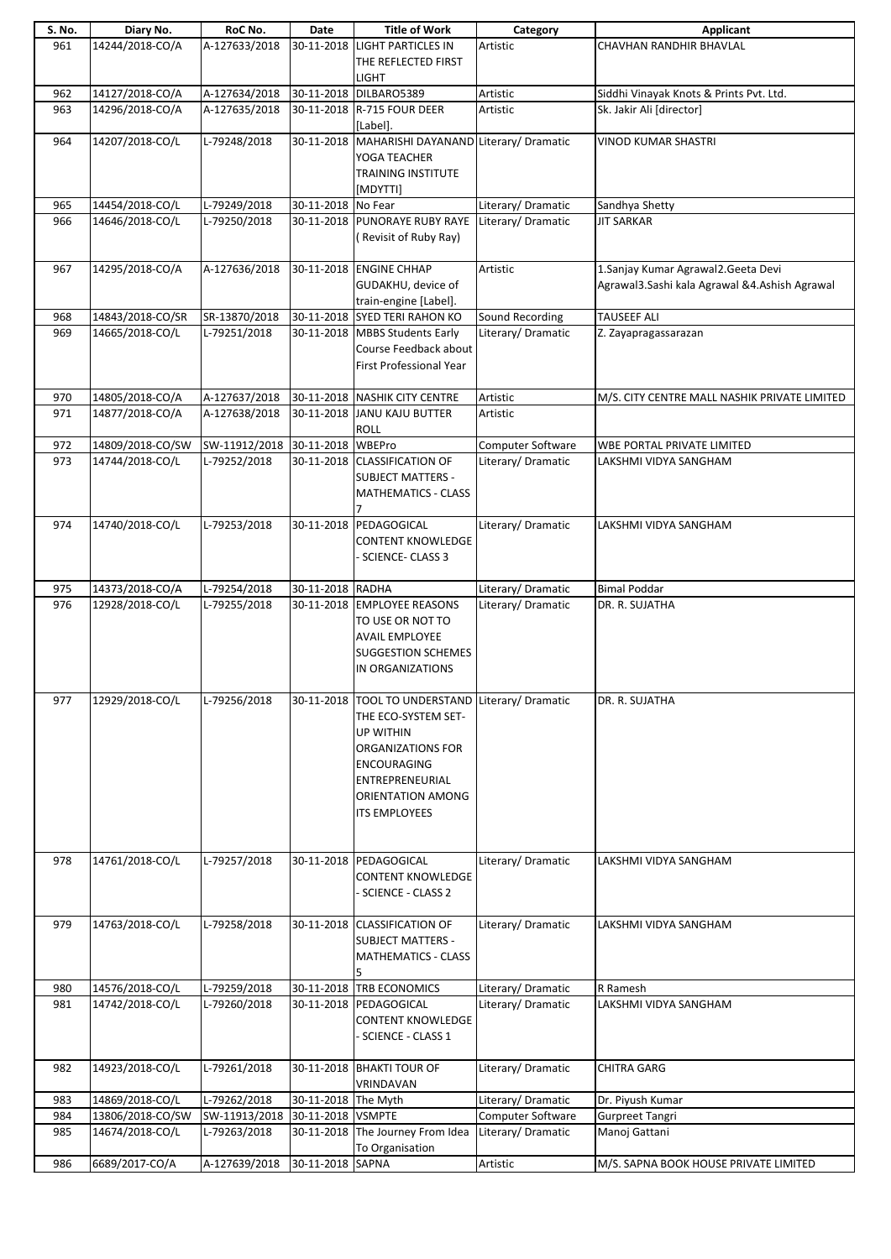| S. No. | Diary No.        | RoC No.                         | Date                | <b>Title of Work</b>                                                                                                                                                                               | Category                 | Applicant                                                                              |
|--------|------------------|---------------------------------|---------------------|----------------------------------------------------------------------------------------------------------------------------------------------------------------------------------------------------|--------------------------|----------------------------------------------------------------------------------------|
| 961    | 14244/2018-CO/A  | A-127633/2018                   |                     | 30-11-2018 LIGHT PARTICLES IN<br>THE REFLECTED FIRST<br><b>LIGHT</b>                                                                                                                               | Artistic                 | CHAVHAN RANDHIR BHAVLAL                                                                |
| 962    | 14127/2018-CO/A  | A-127634/2018                   |                     | 30-11-2018 DILBARO5389                                                                                                                                                                             | Artistic                 | Siddhi Vinayak Knots & Prints Pvt. Ltd.                                                |
| 963    | 14296/2018-CO/A  | A-127635/2018                   |                     | 30-11-2018 R-715 FOUR DEER<br>[Label].                                                                                                                                                             | Artistic                 | Sk. Jakir Ali [director]                                                               |
| 964    | 14207/2018-CO/L  | L-79248/2018                    |                     | 30-11-2018 MAHARISHI DAYANAND Literary/ Dramatic<br>YOGA TEACHER<br><b>TRAINING INSTITUTE</b><br>[MDYTTI]                                                                                          |                          | <b>VINOD KUMAR SHASTRI</b>                                                             |
| 965    | 14454/2018-CO/L  | L-79249/2018                    | 30-11-2018 No Fear  |                                                                                                                                                                                                    | Literary/ Dramatic       | Sandhya Shetty                                                                         |
| 966    | 14646/2018-CO/L  | L-79250/2018                    |                     | 30-11-2018 PUNORAYE RUBY RAYE Literary/ Dramatic<br>Revisit of Ruby Ray)                                                                                                                           |                          | <b>JIT SARKAR</b>                                                                      |
| 967    | 14295/2018-CO/A  | A-127636/2018                   |                     | 30-11-2018 ENGINE CHHAP<br>GUDAKHU, device of<br>train-engine [Label].                                                                                                                             | Artistic                 | 1. Sanjay Kumar Agrawal 2. Geeta Devi<br>Agrawal3.Sashi kala Agrawal &4.Ashish Agrawal |
| 968    | 14843/2018-CO/SR | SR-13870/2018                   |                     | 30-11-2018 SYED TERI RAHON KO                                                                                                                                                                      | Sound Recording          | <b>TAUSEEF ALI</b>                                                                     |
| 969    | 14665/2018-CO/L  | L-79251/2018                    |                     | 30-11-2018 MBBS Students Early<br>Course Feedback about<br>First Professional Year                                                                                                                 | Literary/Dramatic        | Z. Zayapragassarazan                                                                   |
| 970    | 14805/2018-CO/A  | A-127637/2018                   |                     | 30-11-2018 NASHIK CITY CENTRE                                                                                                                                                                      | Artistic                 | M/S. CITY CENTRE MALL NASHIK PRIVATE LIMITED                                           |
| 971    | 14877/2018-CO/A  | A-127638/2018                   | 30-11-2018          | <b>JANU KAJU BUTTER</b><br><b>ROLL</b>                                                                                                                                                             | Artistic                 |                                                                                        |
| 972    | 14809/2018-CO/SW | SW-11912/2018 30-11-2018 WBEPro |                     |                                                                                                                                                                                                    | Computer Software        | WBE PORTAL PRIVATE LIMITED                                                             |
| 973    | 14744/2018-CO/L  | L-79252/2018                    |                     | 30-11-2018 CLASSIFICATION OF<br><b>SUBJECT MATTERS -</b><br><b>MATHEMATICS - CLASS</b>                                                                                                             | Literary/Dramatic        | LAKSHMI VIDYA SANGHAM                                                                  |
| 974    | 14740/2018-CO/L  | L-79253/2018                    | 30-11-2018          | PEDAGOGICAL<br>CONTENT KNOWLEDGE<br><b>SCIENCE-CLASS 3</b>                                                                                                                                         | Literary/Dramatic        | LAKSHMI VIDYA SANGHAM                                                                  |
| 975    | 14373/2018-CO/A  | L-79254/2018                    | 30-11-2018 RADHA    |                                                                                                                                                                                                    | Literary/Dramatic        | <b>Bimal Poddar</b>                                                                    |
| 976    | 12928/2018-CO/L  | L-79255/2018                    |                     | 30-11-2018 EMPLOYEE REASONS<br>TO USE OR NOT TO<br><b>AVAIL EMPLOYEE</b><br><b>SUGGESTION SCHEMES</b><br>IN ORGANIZATIONS                                                                          | Literary/Dramatic        | DR. R. SUJATHA                                                                         |
| 977    | 12929/2018-CO/L  | L-79256/2018                    |                     | 30-11-2018  TOOL TO UNDERSTAND   Literary/ Dramatic<br>THE ECO-SYSTEM SET-<br>UP WITHIN<br>ORGANIZATIONS FOR<br><b>ENCOURAGING</b><br>ENTREPRENEURIAL<br>ORIENTATION AMONG<br><b>ITS EMPLOYEES</b> |                          | DR. R. SUJATHA                                                                         |
| 978    | 14761/2018-CO/L  | L-79257/2018                    |                     | 30-11-2018 PEDAGOGICAL<br><b>CONTENT KNOWLEDGE</b><br><b>SCIENCE - CLASS 2</b>                                                                                                                     | Literary/Dramatic        | LAKSHMI VIDYA SANGHAM                                                                  |
| 979    | 14763/2018-CO/L  | L-79258/2018                    |                     | 30-11-2018 CLASSIFICATION OF<br><b>SUBJECT MATTERS -</b><br><b>MATHEMATICS - CLASS</b><br>5                                                                                                        | Literary/Dramatic        | LAKSHMI VIDYA SANGHAM                                                                  |
| 980    | 14576/2018-CO/L  | L-79259/2018                    |                     | 30-11-2018 TRB ECONOMICS                                                                                                                                                                           | Literary/Dramatic        | R Ramesh                                                                               |
| 981    | 14742/2018-CO/L  | L-79260/2018                    |                     | 30-11-2018 PEDAGOGICAL<br>CONTENT KNOWLEDGE<br><b>SCIENCE - CLASS 1</b>                                                                                                                            | Literary/Dramatic        | LAKSHMI VIDYA SANGHAM                                                                  |
| 982    | 14923/2018-CO/L  | L-79261/2018                    |                     | 30-11-2018 BHAKTI TOUR OF<br>VRINDAVAN                                                                                                                                                             | Literary/Dramatic        | <b>CHITRA GARG</b>                                                                     |
| 983    | 14869/2018-CO/L  | L-79262/2018                    | 30-11-2018 The Myth |                                                                                                                                                                                                    | Literary/ Dramatic       | Dr. Piyush Kumar                                                                       |
| 984    | 13806/2018-CO/SW | SW-11913/2018 30-11-2018 VSMPTE |                     |                                                                                                                                                                                                    | <b>Computer Software</b> | <b>Gurpreet Tangri</b>                                                                 |
| 985    | 14674/2018-CO/L  | L-79263/2018                    |                     | 30-11-2018 The Journey From Idea<br>To Organisation                                                                                                                                                | Literary/Dramatic        | Manoj Gattani                                                                          |
| 986    | 6689/2017-CO/A   | A-127639/2018                   | 30-11-2018 SAPNA    |                                                                                                                                                                                                    | Artistic                 | M/S. SAPNA BOOK HOUSE PRIVATE LIMITED                                                  |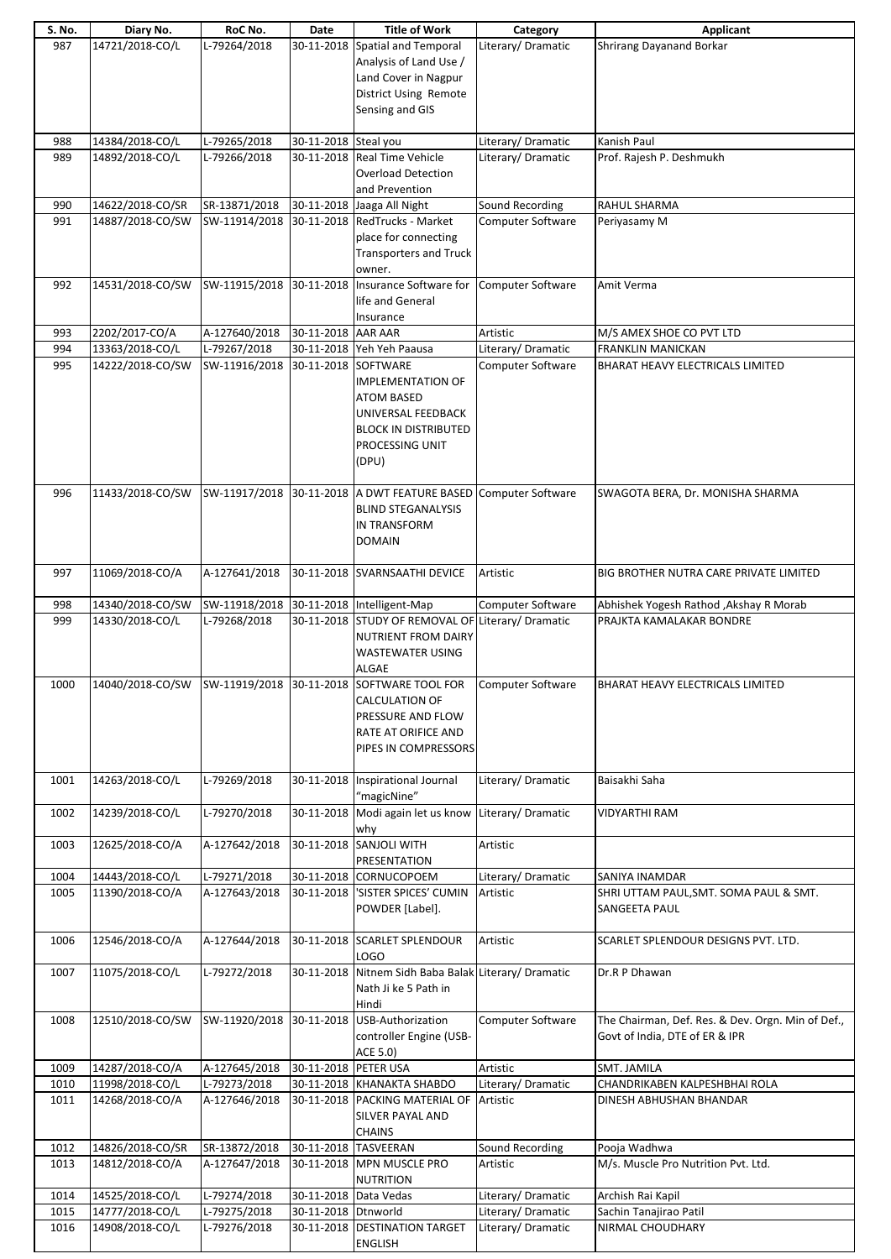| S. No. | Diary No.        | RoC No.                                  | Date                  | <b>Title of Work</b>                            | Category                 | Applicant                                         |
|--------|------------------|------------------------------------------|-----------------------|-------------------------------------------------|--------------------------|---------------------------------------------------|
| 987    | 14721/2018-CO/L  | L-79264/2018                             |                       | 30-11-2018 Spatial and Temporal                 | Literary/Dramatic        | <b>Shrirang Dayanand Borkar</b>                   |
|        |                  |                                          |                       | Analysis of Land Use /                          |                          |                                                   |
|        |                  |                                          |                       | Land Cover in Nagpur                            |                          |                                                   |
|        |                  |                                          |                       |                                                 |                          |                                                   |
|        |                  |                                          |                       | District Using Remote                           |                          |                                                   |
|        |                  |                                          |                       | Sensing and GIS                                 |                          |                                                   |
|        |                  |                                          |                       |                                                 |                          |                                                   |
| 988    | 14384/2018-CO/L  | L-79265/2018                             | 30-11-2018 Steal you  |                                                 | Literary/ Dramatic       | Kanish Paul                                       |
| 989    | 14892/2018-CO/L  | L-79266/2018                             |                       | 30-11-2018 Real Time Vehicle                    | Literary/ Dramatic       | Prof. Rajesh P. Deshmukh                          |
|        |                  |                                          |                       | <b>Overload Detection</b>                       |                          |                                                   |
|        |                  |                                          |                       | and Prevention                                  |                          |                                                   |
| 990    | 14622/2018-CO/SR | SR-13871/2018                            |                       | 30-11-2018 Jaaga All Night                      | Sound Recording          | RAHUL SHARMA                                      |
| 991    | 14887/2018-CO/SW |                                          |                       | SW-11914/2018 30-11-2018 RedTrucks - Market     | Computer Software        | Periyasamy M                                      |
|        |                  |                                          |                       | place for connecting                            |                          |                                                   |
|        |                  |                                          |                       |                                                 |                          |                                                   |
|        |                  |                                          |                       | <b>Transporters and Truck</b>                   |                          |                                                   |
|        |                  |                                          |                       | owner.                                          |                          |                                                   |
| 992    | 14531/2018-CO/SW |                                          |                       | SW-11915/2018 30-11-2018 Insurance Software for | Computer Software        | Amit Verma                                        |
|        |                  |                                          |                       | life and General                                |                          |                                                   |
|        |                  |                                          |                       | Insurance                                       |                          |                                                   |
| 993    | 2202/2017-CO/A   | A-127640/2018                            | 30-11-2018 AAR AAR    |                                                 | Artistic                 | M/S AMEX SHOE CO PVT LTD                          |
| 994    | 13363/2018-CO/L  | L-79267/2018                             |                       | 30-11-2018 Yeh Yeh Paausa                       | Literary/ Dramatic       | FRANKLIN MANICKAN                                 |
| 995    | 14222/2018-CO/SW | SW-11916/2018 30-11-2018 SOFTWARE        |                       |                                                 | Computer Software        | BHARAT HEAVY ELECTRICALS LIMITED                  |
|        |                  |                                          |                       | <b>IMPLEMENTATION OF</b>                        |                          |                                                   |
|        |                  |                                          |                       | <b>ATOM BASED</b>                               |                          |                                                   |
|        |                  |                                          |                       | UNIVERSAL FEEDBACK                              |                          |                                                   |
|        |                  |                                          |                       |                                                 |                          |                                                   |
|        |                  |                                          |                       | <b>BLOCK IN DISTRIBUTED</b>                     |                          |                                                   |
|        |                  |                                          |                       | PROCESSING UNIT                                 |                          |                                                   |
|        |                  |                                          |                       | (DPU)                                           |                          |                                                   |
|        |                  |                                          |                       |                                                 |                          |                                                   |
| 996    | 11433/2018-CO/SW |                                          |                       | SW-11917/2018 30-11-2018 A DWT FEATURE BASED    | Computer Software        | SWAGOTA BERA, Dr. MONISHA SHARMA                  |
|        |                  |                                          |                       | <b>BLIND STEGANALYSIS</b>                       |                          |                                                   |
|        |                  |                                          |                       | <b>IN TRANSFORM</b>                             |                          |                                                   |
|        |                  |                                          |                       | <b>DOMAIN</b>                                   |                          |                                                   |
|        |                  |                                          |                       |                                                 |                          |                                                   |
| 997    | 11069/2018-CO/A  | A-127641/2018                            |                       | 30-11-2018 SVARNSAATHI DEVICE                   | Artistic                 | BIG BROTHER NUTRA CARE PRIVATE LIMITED            |
|        |                  |                                          |                       |                                                 |                          |                                                   |
|        |                  |                                          |                       |                                                 |                          |                                                   |
| 998    | 14340/2018-CO/SW | SW-11918/2018 30-11-2018 Intelligent-Map |                       |                                                 | Computer Software        | Abhishek Yogesh Rathod , Akshay R Morab           |
| 999    | 14330/2018-CO/L  | L-79268/2018                             |                       | 30-11-2018 STUDY OF REMOVAL OF                  | Literary/Dramatic        | PRAJKTA KAMALAKAR BONDRE                          |
|        |                  |                                          |                       | <b>NUTRIENT FROM DAIRY</b>                      |                          |                                                   |
|        |                  |                                          |                       | WASTEWATER USING                                |                          |                                                   |
|        |                  |                                          |                       | ALGAE                                           |                          |                                                   |
| 1000   | 14040/2018-CO/SW | SW-11919/2018 30-11-2018                 |                       | SOFTWARE TOOL FOR                               | <b>Computer Software</b> | BHARAT HEAVY ELECTRICALS LIMITED                  |
|        |                  |                                          |                       | <b>CALCULATION OF</b>                           |                          |                                                   |
|        |                  |                                          |                       | PRESSURE AND FLOW                               |                          |                                                   |
|        |                  |                                          |                       | RATE AT ORIFICE AND                             |                          |                                                   |
|        |                  |                                          |                       | PIPES IN COMPRESSORS                            |                          |                                                   |
|        |                  |                                          |                       |                                                 |                          |                                                   |
| 1001   | 14263/2018-CO/L  | L-79269/2018                             |                       | 30-11-2018 Inspirational Journal                | Literary/Dramatic        | Baisakhi Saha                                     |
|        |                  |                                          |                       |                                                 |                          |                                                   |
|        |                  |                                          |                       | "magicNine"                                     |                          |                                                   |
| 1002   | 14239/2018-CO/L  | L-79270/2018                             |                       | 30-11-2018 Modi again let us know               | Literary/Dramatic        | <b>VIDYARTHI RAM</b>                              |
|        |                  |                                          |                       | why                                             |                          |                                                   |
| 1003   | 12625/2018-CO/A  | A-127642/2018                            | 30-11-2018            | SANJOLI WITH                                    | Artistic                 |                                                   |
|        |                  |                                          |                       | PRESENTATION                                    |                          |                                                   |
| 1004   | 14443/2018-CO/L  | L-79271/2018                             |                       | 30-11-2018 CORNUCOPOEM                          | Literary/Dramatic        | SANIYA INAMDAR                                    |
| 1005   | 11390/2018-CO/A  | A-127643/2018                            | 30-11-2018            | 'SISTER SPICES' CUMIN                           | Artistic                 | SHRI UTTAM PAUL, SMT. SOMA PAUL & SMT.            |
|        |                  |                                          |                       | POWDER [Label].                                 |                          | SANGEETA PAUL                                     |
|        |                  |                                          |                       |                                                 |                          |                                                   |
| 1006   | 12546/2018-CO/A  | A-127644/2018                            | 30-11-2018            | <b>SCARLET SPLENDOUR</b>                        | Artistic                 | SCARLET SPLENDOUR DESIGNS PVT. LTD.               |
|        |                  |                                          |                       | LOGO                                            |                          |                                                   |
| 1007   | 11075/2018-CO/L  | L-79272/2018                             | 30-11-2018            | Nitnem Sidh Baba Balak Literary/ Dramatic       |                          | Dr.R P Dhawan                                     |
|        |                  |                                          |                       | Nath Ji ke 5 Path in                            |                          |                                                   |
|        |                  |                                          |                       |                                                 |                          |                                                   |
|        |                  |                                          |                       | Hindi                                           |                          |                                                   |
| 1008   | 12510/2018-CO/SW |                                          |                       | SW-11920/2018 30-11-2018 USB-Authorization      | Computer Software        | The Chairman, Def. Res. & Dev. Orgn. Min of Def., |
|        |                  |                                          |                       | controller Engine (USB-                         |                          | Govt of India, DTE of ER & IPR                    |
|        |                  |                                          |                       | ACE 5.0)                                        |                          |                                                   |
| 1009   | 14287/2018-CO/A  | A-127645/2018                            | 30-11-2018 PETER USA  |                                                 | Artistic                 | <b>SMT. JAMILA</b>                                |
| 1010   | 11998/2018-CO/L  | L-79273/2018                             |                       | 30-11-2018 KHANAKTA SHABDO                      | Literary/Dramatic        | CHANDRIKABEN KALPESHBHAI ROLA                     |
| 1011   | 14268/2018-CO/A  | A-127646/2018                            |                       | 30-11-2018   PACKING MATERIAL OF                | Artistic                 | DINESH ABHUSHAN BHANDAR                           |
|        |                  |                                          |                       | SILVER PAYAL AND                                |                          |                                                   |
|        |                  |                                          |                       | <b>CHAINS</b>                                   |                          |                                                   |
| 1012   | 14826/2018-CO/SR | SR-13872/2018                            |                       | 30-11-2018 TASVEERAN                            | Sound Recording          | Pooja Wadhwa                                      |
| 1013   | 14812/2018-CO/A  | A-127647/2018                            |                       | 30-11-2018 MPN MUSCLE PRO                       | Artistic                 | M/s. Muscle Pro Nutrition Pvt. Ltd.               |
|        |                  |                                          |                       | <b>NUTRITION</b>                                |                          |                                                   |
|        |                  |                                          |                       |                                                 |                          |                                                   |
| 1014   | 14525/2018-CO/L  | L-79274/2018                             | 30-11-2018 Data Vedas |                                                 | Literary/Dramatic        | Archish Rai Kapil                                 |
| 1015   | 14777/2018-CO/L  | L-79275/2018                             | 30-11-2018 Dtnworld   |                                                 | Literary/Dramatic        | Sachin Tanajirao Patil                            |
| 1016   | 14908/2018-CO/L  | L-79276/2018                             |                       | 30-11-2018 DESTINATION TARGET                   | Literary/ Dramatic       | NIRMAL CHOUDHARY                                  |
|        |                  |                                          |                       | <b>ENGLISH</b>                                  |                          |                                                   |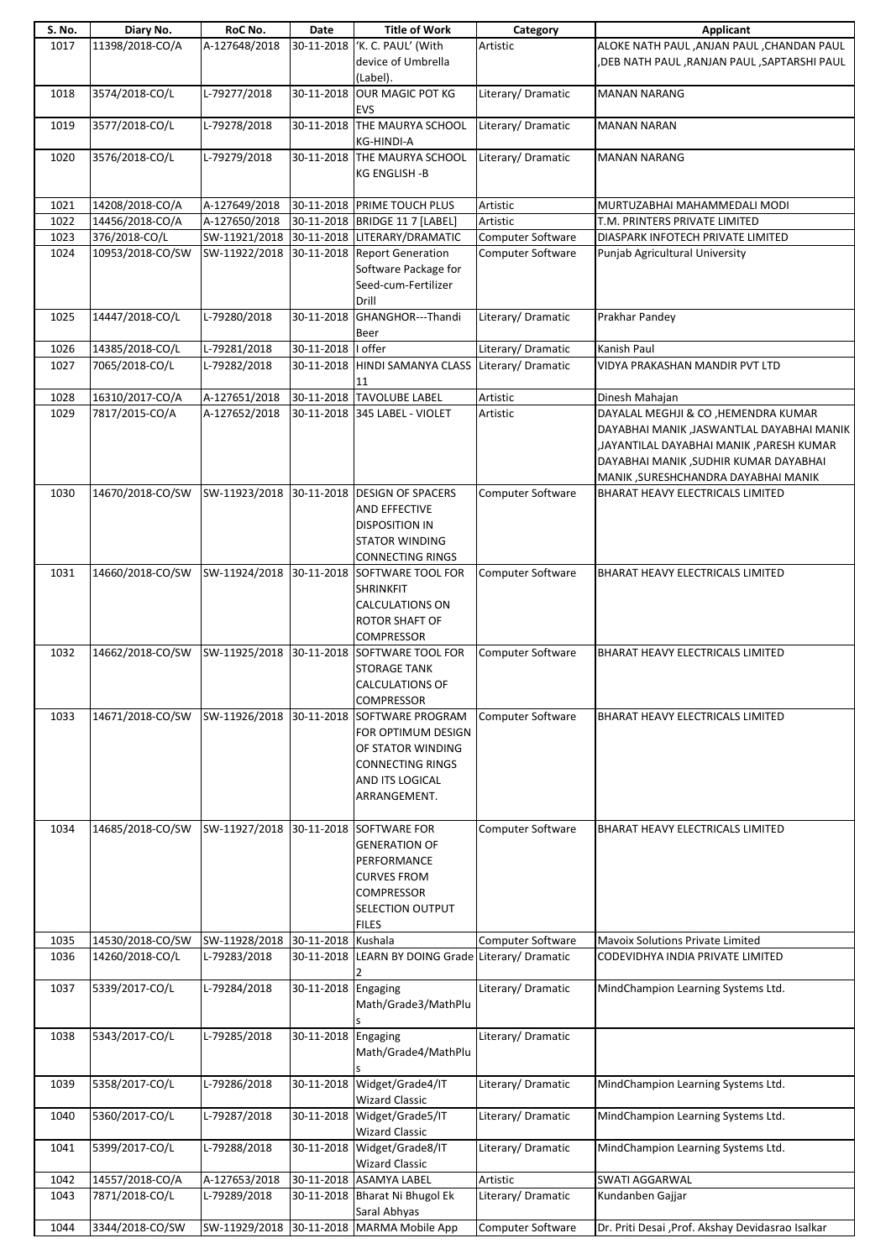| S. No. | Diary No.        | RoC No.        | Date                | <b>Title of Work</b>                               | Category                 | Applicant                                         |
|--------|------------------|----------------|---------------------|----------------------------------------------------|--------------------------|---------------------------------------------------|
| 1017   | 11398/2018-CO/A  | A-127648/2018  | 30-11-2018          | 'K. C. PAUL' (With                                 | Artistic                 | ALOKE NATH PAUL , ANJAN PAUL , CHANDAN PAUL       |
|        |                  |                |                     | device of Umbrella                                 |                          | ,DEB NATH PAUL ,RANJAN PAUL ,SAPTARSHI PAUL       |
|        |                  |                |                     | (Label).                                           |                          |                                                   |
| 1018   | 3574/2018-CO/L   | L-79277/2018   |                     | 30-11-2018 OUR MAGIC POT KG                        | Literary/Dramatic        | <b>MANAN NARANG</b>                               |
|        |                  |                |                     | EVS                                                |                          |                                                   |
| 1019   | 3577/2018-CO/L   | $L-79278/2018$ |                     | 30-11-2018 THE MAURYA SCHOOL                       | Literary/Dramatic        | <b>MANAN NARAN</b>                                |
|        |                  |                |                     | KG-HINDI-A                                         |                          |                                                   |
|        | 3576/2018-CO/L   | L-79279/2018   |                     | 30-11-2018 THE MAURYA SCHOOL                       | Literary/Dramatic        | <b>MANAN NARANG</b>                               |
| 1020   |                  |                |                     |                                                    |                          |                                                   |
|        |                  |                |                     | KG ENGLISH -B                                      |                          |                                                   |
|        |                  |                |                     |                                                    |                          |                                                   |
| 1021   | 14208/2018-CO/A  | A-127649/2018  |                     | 30-11-2018 PRIME TOUCH PLUS                        | Artistic                 | MURTUZABHAI MAHAMMEDALI MODI                      |
| 1022   | 14456/2018-CO/A  | A-127650/2018  |                     | 30-11-2018 BRIDGE 11 7 [LABEL]                     | Artistic                 | T.M. PRINTERS PRIVATE LIMITED                     |
| 1023   | 376/2018-CO/L    |                |                     | SW-11921/2018 30-11-2018 LITERARY/DRAMATIC         | Computer Software        | DIASPARK INFOTECH PRIVATE LIMITED                 |
| 1024   | 10953/2018-CO/SW | SW-11922/2018  |                     | 30-11-2018 Report Generation                       | Computer Software        | Punjab Agricultural University                    |
|        |                  |                |                     | Software Package for                               |                          |                                                   |
|        |                  |                |                     | Seed-cum-Fertilizer                                |                          |                                                   |
|        |                  |                |                     | Drill                                              |                          |                                                   |
| 1025   | 14447/2018-CO/L  | L-79280/2018   | 30-11-2018          | GHANGHOR---Thandi                                  | Literary/Dramatic        | Prakhar Pandey                                    |
|        |                  |                |                     | Beer                                               |                          |                                                   |
| 1026   | 14385/2018-CO/L  | L-79281/2018   | 30-11-2018          | I offer                                            | Literary/Dramatic        | Kanish Paul                                       |
|        | 7065/2018-CO/L   | L-79282/2018   |                     | 30-11-2018 HINDI SAMANYA CLASS Literary/ Dramatic  |                          | VIDYA PRAKASHAN MANDIR PVT LTD                    |
| 1027   |                  |                |                     |                                                    |                          |                                                   |
|        |                  |                |                     | 11                                                 |                          |                                                   |
| 1028   | 16310/2017-CO/A  | A-127651/2018  |                     | 30-11-2018 TAVOLUBE LABEL                          | Artistic                 | Dinesh Mahajan                                    |
| 1029   | 7817/2015-CO/A   | A-127652/2018  |                     | 30-11-2018 345 LABEL - VIOLET                      | Artistic                 | DAYALAL MEGHJI & CO, HEMENDRA KUMAR               |
|        |                  |                |                     |                                                    |                          | DAYABHAI MANIK ,JASWANTLAL DAYABHAI MANIK         |
|        |                  |                |                     |                                                    |                          | JAYANTILAL DAYABHAI MANIK ,PARESH KUMAR,          |
|        |                  |                |                     |                                                    |                          | DAYABHAI MANIK , SUDHIR KUMAR DAYABHAI            |
|        |                  |                |                     |                                                    |                          | MANIK , SURESHCHANDRA DAYABHAI MANIK              |
| 1030   | 14670/2018-CO/SW | SW-11923/2018  |                     | 30-11-2018 DESIGN OF SPACERS                       | Computer Software        | BHARAT HEAVY ELECTRICALS LIMITED                  |
|        |                  |                |                     | AND EFFECTIVE                                      |                          |                                                   |
|        |                  |                |                     | <b>DISPOSITION IN</b>                              |                          |                                                   |
|        |                  |                |                     |                                                    |                          |                                                   |
|        |                  |                |                     | <b>STATOR WINDING</b>                              |                          |                                                   |
|        |                  |                |                     | <b>CONNECTING RINGS</b>                            |                          |                                                   |
| 1031   | 14660/2018-CO/SW | SW-11924/2018  |                     | 30-11-2018 SOFTWARE TOOL FOR                       | <b>Computer Software</b> | BHARAT HEAVY ELECTRICALS LIMITED                  |
|        |                  |                |                     | <b>SHRINKFIT</b>                                   |                          |                                                   |
|        |                  |                |                     | <b>CALCULATIONS ON</b>                             |                          |                                                   |
|        |                  |                |                     | ROTOR SHAFT OF                                     |                          |                                                   |
|        |                  |                |                     | <b>COMPRESSOR</b>                                  |                          |                                                   |
| 1032   | 14662/2018-CO/SW | SW-11925/2018  | 30-11-2018          | SOFTWARE TOOL FOR                                  | <b>Computer Software</b> | BHARAT HEAVY ELECTRICALS LIMITED                  |
|        |                  |                |                     | <b>STORAGE TANK</b>                                |                          |                                                   |
|        |                  |                |                     | <b>CALCULATIONS OF</b>                             |                          |                                                   |
|        |                  |                |                     | <b>COMPRESSOR</b>                                  |                          |                                                   |
|        |                  |                |                     |                                                    |                          |                                                   |
| 1033   | 14671/2018-CO/SW | SW-11926/2018  | 30-11-2018          | SOFTWARE PROGRAM                                   | Computer Software        | BHARAT HEAVY ELECTRICALS LIMITED                  |
|        |                  |                |                     | FOR OPTIMUM DESIGN                                 |                          |                                                   |
|        |                  |                |                     | OF STATOR WINDING                                  |                          |                                                   |
|        |                  |                |                     | <b>CONNECTING RINGS</b>                            |                          |                                                   |
|        |                  |                |                     | AND ITS LOGICAL                                    |                          |                                                   |
|        |                  |                |                     | ARRANGEMENT.                                       |                          |                                                   |
|        |                  |                |                     |                                                    |                          |                                                   |
| 1034   | 14685/2018-CO/SW | SW-11927/2018  |                     | 30-11-2018 SOFTWARE FOR                            | <b>Computer Software</b> | BHARAT HEAVY ELECTRICALS LIMITED                  |
|        |                  |                |                     | <b>GENERATION OF</b>                               |                          |                                                   |
|        |                  |                |                     | PERFORMANCE                                        |                          |                                                   |
|        |                  |                |                     |                                                    |                          |                                                   |
|        |                  |                |                     | <b>CURVES FROM</b>                                 |                          |                                                   |
|        |                  |                |                     | <b>COMPRESSOR</b>                                  |                          |                                                   |
|        |                  |                |                     | SELECTION OUTPUT                                   |                          |                                                   |
|        |                  |                |                     | <b>FILES</b>                                       |                          |                                                   |
| 1035   | 14530/2018-CO/SW | SW-11928/2018  | 30-11-2018 Kushala  |                                                    | Computer Software        | Mavoix Solutions Private Limited                  |
| 1036   | 14260/2018-CO/L  | L-79283/2018   |                     | 30-11-2018 LEARN BY DOING Grade Literary/ Dramatic |                          | CODEVIDHYA INDIA PRIVATE LIMITED                  |
|        |                  |                |                     |                                                    |                          |                                                   |
| 1037   | 5339/2017-CO/L   | L-79284/2018   | 30-11-2018 Engaging |                                                    | Literary/Dramatic        | MindChampion Learning Systems Ltd.                |
|        |                  |                |                     | Math/Grade3/MathPlu                                |                          |                                                   |
|        |                  |                |                     |                                                    |                          |                                                   |
| 1038   | 5343/2017-CO/L   | L-79285/2018   | 30-11-2018 Engaging |                                                    | Literary/Dramatic        |                                                   |
|        |                  |                |                     | Math/Grade4/MathPlu                                |                          |                                                   |
|        |                  |                |                     |                                                    |                          |                                                   |
|        |                  |                |                     |                                                    |                          |                                                   |
| 1039   | 5358/2017-CO/L   | L-79286/2018   | 30-11-2018          | Widget/Grade4/IT                                   | Literary/Dramatic        | MindChampion Learning Systems Ltd.                |
|        |                  |                |                     | <b>Wizard Classic</b>                              |                          |                                                   |
| 1040   | 5360/2017-CO/L   | L-79287/2018   |                     | 30-11-2018 Widget/Grade5/IT                        | Literary/Dramatic        | MindChampion Learning Systems Ltd.                |
|        |                  |                |                     | <b>Wizard Classic</b>                              |                          |                                                   |
| 1041   | 5399/2017-CO/L   | L-79288/2018   | 30-11-2018          | Widget/Grade8/IT                                   | Literary/Dramatic        | MindChampion Learning Systems Ltd.                |
|        |                  |                |                     | <b>Wizard Classic</b>                              |                          |                                                   |
| 1042   | 14557/2018-CO/A  | A-127653/2018  |                     | 30-11-2018 ASAMYA LABEL                            | Artistic                 | <b>SWATI AGGARWAL</b>                             |
| 1043   | 7871/2018-CO/L   | L-79289/2018   |                     | 30-11-2018 Bharat Ni Bhugol Ek                     | Literary/Dramatic        | Kundanben Gajjar                                  |
|        |                  |                |                     | Saral Abhyas                                       |                          |                                                   |
|        |                  |                |                     |                                                    | Computer Software        |                                                   |
| 1044   | 3344/2018-CO/SW  | SW-11929/2018  |                     | 30-11-2018 MARMA Mobile App                        |                          | Dr. Priti Desai , Prof. Akshay Devidasrao Isalkar |